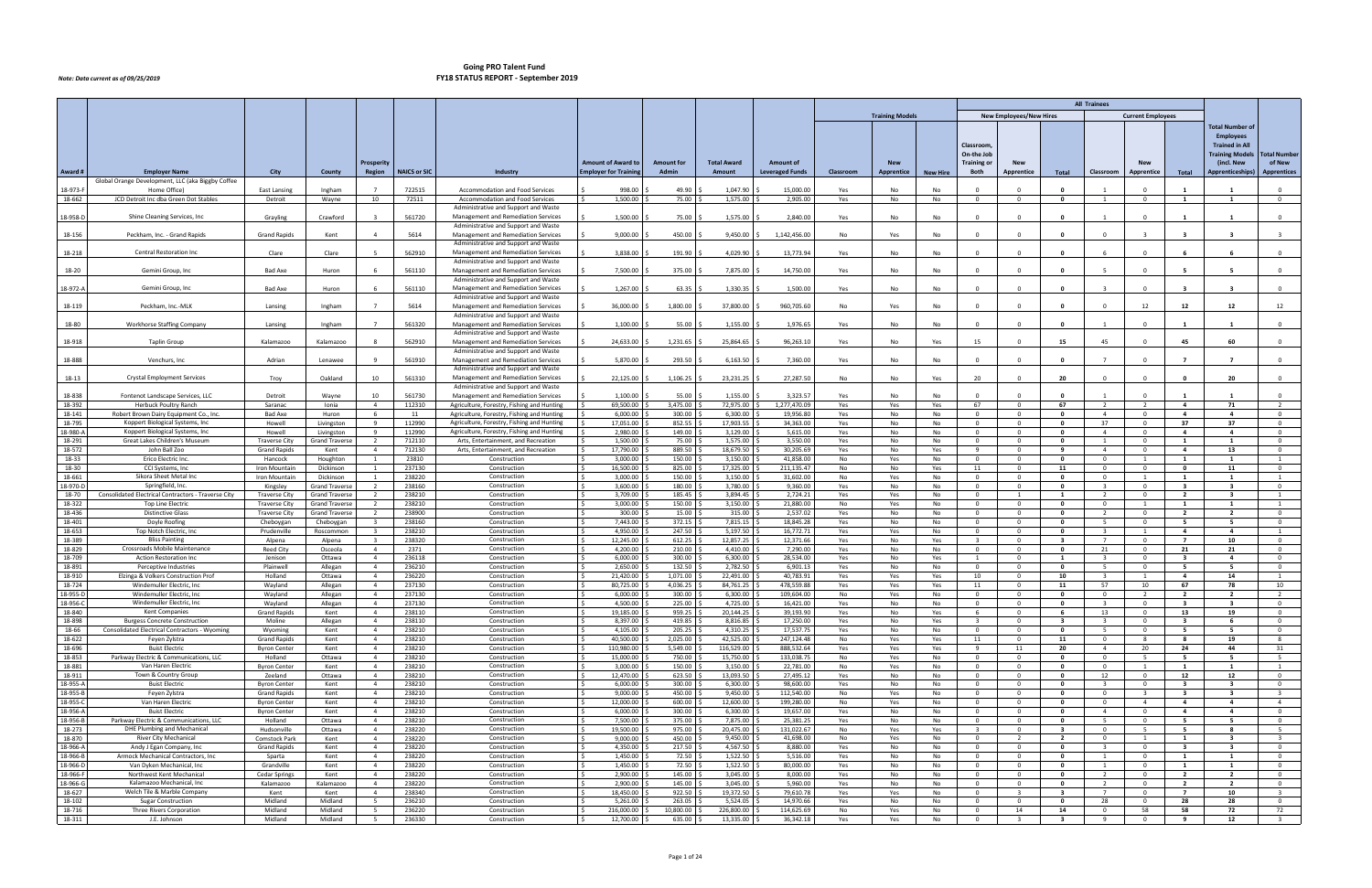|                      |                                                                                 |                                            |                                                |                                                    |                     |                                                                                          |                                 |                     |                         |                          |            |                        |                 |                                     |                                |                                         | <b>All Trainees</b>                       |                                           |                                                    |                                                    |                                         |
|----------------------|---------------------------------------------------------------------------------|--------------------------------------------|------------------------------------------------|----------------------------------------------------|---------------------|------------------------------------------------------------------------------------------|---------------------------------|---------------------|-------------------------|--------------------------|------------|------------------------|-----------------|-------------------------------------|--------------------------------|-----------------------------------------|-------------------------------------------|-------------------------------------------|----------------------------------------------------|----------------------------------------------------|-----------------------------------------|
|                      |                                                                                 |                                            |                                                |                                                    |                     |                                                                                          |                                 |                     |                         |                          |            | <b>Training Models</b> |                 |                                     | <b>New Employees/New Hires</b> |                                         |                                           | <b>Current Employees</b>                  |                                                    |                                                    |                                         |
|                      |                                                                                 |                                            |                                                |                                                    |                     |                                                                                          |                                 |                     |                         |                          |            |                        |                 |                                     |                                |                                         |                                           |                                           |                                                    | <b>Total Number of</b>                             |                                         |
|                      |                                                                                 |                                            |                                                |                                                    |                     |                                                                                          |                                 |                     |                         |                          |            |                        |                 |                                     |                                |                                         |                                           |                                           |                                                    | <b>Employees</b>                                   |                                         |
|                      |                                                                                 |                                            |                                                |                                                    |                     |                                                                                          |                                 |                     |                         |                          |            |                        |                 | Classroom                           |                                |                                         |                                           |                                           |                                                    | <b>Trained in All</b>                              |                                         |
|                      |                                                                                 |                                            |                                                | Prosperity                                         |                     |                                                                                          | <b>Amount of Award to</b>       | <b>Amount for</b>   | <b>Total Award</b>      | <b>Amount of</b>         |            | <b>New</b>             |                 | On-the Job<br><b>Training or</b>    | <b>New</b>                     |                                         |                                           | <b>New</b>                                |                                                    | <b>Training Models</b><br>(incl. New               | <b>Total Number</b><br>of New           |
| Award #              | <b>Employer Name</b>                                                            | <b>City</b>                                | County                                         | Region                                             | <b>NAICS or SIC</b> | <b>Industry</b>                                                                          | <b>Employer for Trainin</b>     | Admin               | Amount                  | <b>Leveraged Funds</b>   | Classroom  | Apprentice             | <b>New Hire</b> | Both                                | Apprentice                     | Total                                   | Classroom                                 | Apprentice                                | Total                                              | Apprenticeships)                                   | <b>Apprentices</b>                      |
|                      | Global Orange Development, LLC (aka Biggby Coffee                               |                                            |                                                |                                                    |                     |                                                                                          |                                 |                     |                         |                          |            |                        |                 |                                     |                                |                                         |                                           |                                           |                                                    |                                                    |                                         |
| 18-973-F             | Home Office)                                                                    | East Lansing                               | Ingham                                         |                                                    | 722515              | <b>Accommodation and Food Services</b>                                                   | 998.00                          | 49.90               | 1,047.90                | 15,000.00                | Yes        | No                     | No              |                                     |                                | $\Omega$                                |                                           | $\Omega$                                  |                                                    |                                                    | $\Omega$                                |
| 18-662               | JCD Detroit Inc dba Green Dot Stables                                           | Detroit                                    | Wayne                                          | 10                                                 | 72511               | Accommodation and Food Services<br>Administrative and Support and Waste                  | 1,500.00                        | 75.00               | 1,575.00                | 2,905.00                 | Yes        | No                     | No              | $\overline{0}$                      | $\Omega$                       | $\mathbf 0$                             |                                           | $\overline{\mathbf{0}}$                   | 1                                                  |                                                    | $\Omega$                                |
| 18-958-D             | Shine Cleaning Services, Inc.                                                   | Grayling                                   | Crawford                                       |                                                    | 561720              | Management and Remediation Services                                                      | 1,500.00                        | 75.00               | 1,575.00                | 2,840.00                 | Yes        | No                     | No              |                                     |                                | $\Omega$                                |                                           | $\Omega$                                  |                                                    |                                                    | $\Omega$                                |
|                      |                                                                                 |                                            |                                                |                                                    |                     | Administrative and Support and Waste                                                     |                                 |                     |                         |                          |            |                        |                 |                                     |                                |                                         |                                           |                                           |                                                    |                                                    |                                         |
| 18-156               | Peckham, Inc. - Grand Rapids                                                    | <b>Grand Rapids</b>                        | Kent                                           | $\overline{a}$                                     | 5614                | Management and Remediation Services<br>Administrative and Support and Waste              | 9,000.00                        | 450.00              | 9,450.00                | 1,142,456.00             | No         | Yes                    | No              |                                     |                                | - 0                                     |                                           |                                           |                                                    |                                                    |                                         |
| 18-218               | Central Restoration Ind                                                         | Clare                                      | Clare                                          |                                                    | 562910              | Management and Remediation Services                                                      | 3,838.00                        | 191.90              | 4,029.90                | 13,773.94                | Yes        | No                     | No              |                                     |                                | $\mathbf{0}$                            |                                           | $\Omega$                                  |                                                    |                                                    | $\mathbf{0}$                            |
|                      |                                                                                 |                                            |                                                |                                                    |                     | Administrative and Support and Waste                                                     |                                 |                     |                         |                          |            |                        |                 |                                     |                                |                                         |                                           |                                           |                                                    |                                                    |                                         |
| 18-20                | Gemini Group, Inc.                                                              | Bad Axe                                    | Huron                                          |                                                    | 561110              | Management and Remediation Services<br>Administrative and Support and Waste              | 7,500.00                        | 375.00              | 7,875.00                | 14,750.00                | Yes        | No                     | No              |                                     |                                | - 0                                     |                                           | $\Omega$                                  |                                                    |                                                    | $\Omega$                                |
| 18-972-A             | Gemini Group, Inc                                                               | Bad Axe                                    | Huron                                          |                                                    | 561110              | Management and Remediation Services                                                      | 1,267.00                        | 63.35               | 1,330.35                | 1,500.00                 | Yes        | No                     | No              | $\Omega$                            |                                | $\mathbf{0}$                            |                                           | $\Omega$                                  |                                                    | - 3                                                | $^{\circ}$                              |
|                      |                                                                                 |                                            |                                                | $\overline{7}$                                     |                     | Administrative and Support and Waste                                                     |                                 |                     |                         |                          |            |                        |                 |                                     |                                |                                         |                                           |                                           |                                                    |                                                    |                                         |
| 18-119               | Peckham, Inc.-MLK                                                               | Lansing                                    | Ingham                                         |                                                    | 5614                | Management and Remediation Services<br>Administrative and Support and Waste              | 36,000.00                       | 1,800.00            | 37,800.00               | 960,705.60               | No         | Yes                    | No              |                                     |                                | $\mathbf{0}$                            | $\Omega$                                  | 12                                        | 12                                                 | 12                                                 | 12                                      |
| 18-80                | Workhorse Staffing Company                                                      | Lansing                                    | Ingham                                         |                                                    | 561320              | Management and Remediation Services                                                      | 1,100.00                        | 55.00               | 1,155.00                | 1,976.65                 | Yes        | <b>No</b>              | No              |                                     |                                |                                         |                                           |                                           |                                                    |                                                    | $\Omega$                                |
|                      |                                                                                 |                                            |                                                |                                                    |                     | Administrative and Support and Waste                                                     |                                 |                     |                         |                          |            |                        |                 |                                     |                                |                                         |                                           |                                           |                                                    |                                                    |                                         |
| 18-918               | <b>Taplin Group</b>                                                             | Kalamazoo                                  | Kalamazoo                                      |                                                    | 562910              | Management and Remediation Services<br>Administrative and Support and Waste              | 24,633.00                       | 1,231.65            | 25,864.65               | 96,263.10                | Yes        | No                     | Yes             | 15                                  |                                | 15                                      | 45                                        | $\Omega$                                  | 45                                                 | 60                                                 | $\Omega$                                |
| 18-888               | Venchurs, Inc                                                                   | Adrian                                     | Lenawee                                        | $\mathbf{q}$                                       | 561910              | Management and Remediation Services                                                      | 5,870.00                        | 293.50              | 6,163.50                | 7,360.00                 | Yes        | No                     | No              | $\Omega$                            |                                | $\mathbf{0}$                            |                                           | $\Omega$                                  | 7                                                  | $\overline{ }$                                     | $\mathbf{0}$                            |
|                      |                                                                                 |                                            |                                                |                                                    |                     | Administrative and Support and Waste                                                     |                                 |                     |                         |                          |            |                        |                 |                                     |                                |                                         |                                           |                                           |                                                    |                                                    |                                         |
| 18-13                | <b>Crystal Employment Services</b>                                              | Troy                                       | Oakland                                        | 10                                                 | 561310              | Management and Remediation Services<br>Administrative and Support and Waste              | 22,125.00                       | 1,106.25            | 23,231.25               | 27,287.50                | No         | No                     | Yes             | -20                                 |                                | 20                                      | $\Omega$                                  | $\Omega$                                  | - 0                                                | 20                                                 | $\mathbf{0}$                            |
| 18-838               | Fontenot Landscape Services, LLC                                                | Detroit                                    | Wayne                                          | 10                                                 | 561730              | Management and Remediation Services                                                      | 1,100.00                        | 55.00               | 1,155.00                | 3,323.57                 | Yes        | No                     | No              |                                     |                                | - 0                                     |                                           | $\Omega$                                  |                                                    |                                                    | $\mathbf{0}$                            |
| 18-392               | <b>Herbuck Poultry Ranch</b>                                                    | Saranac                                    | Ionia                                          | $\overline{4}$                                     | 112310              | Agriculture, Forestry, Fishing and Hunting                                               | 69,500.00                       | 3,475.00            | 72,975.00               | 1,277,470.09             | Yes        | Yes                    | Yes             | 67                                  | $\overline{0}$                 | 67                                      | $\overline{2}$                            | $\overline{2}$                            | $\overline{4}$                                     | 71                                                 | $\overline{2}$                          |
| 18-141<br>18-795     | Robert Brown Dairy Equipment Co., Inc.<br>Koppert Biological Systems, Inc       | Bad Axe<br>Howell                          | Huron<br>Livingston                            | 6<br>9                                             | 11<br>112990        | Agriculture, Forestry, Fishing and Hunting                                               | 6,000.00<br>17,051.00           | 300.00<br>852.55    | 6,300.00<br>17,903.55   | 19,956.80<br>34,363.00   | Yes<br>Yes | No<br>No               | No<br>No        | $\Omega$<br>$\mathbf{0}$            | $\mathbf{0}$<br>$\Omega$       | $\mathbf 0$<br>$\mathbf{0}$             | $\overline{4}$<br>37                      | $\overline{0}$<br>$\overline{\mathbf{0}}$ | $\overline{4}$<br>37                               | $\overline{4}$<br>37                               | $\mathbf{0}$<br>$\mathbf 0$             |
| 18-980-A             | Koppert Biological Systems, Inc                                                 | Howell                                     | Livingston                                     | 9                                                  | 112990              | Agriculture, Forestry, Fishing and Hunting<br>Agriculture, Forestry, Fishing and Hunting | 2,980.00                        | 149.00              | 3,129.00                | 5,615.00                 | Yes        | No                     | No              | $\overline{0}$                      | $\Omega$                       | $\mathbf{0}$                            | $\overline{4}$                            | $\overline{0}$                            | $\overline{4}$                                     | $\overline{4}$                                     | $\mathbf{0}$                            |
| 18-291               | Great Lakes Children's Museum                                                   | Traverse City                              | <b>Grand Traverse</b>                          | $\overline{2}$                                     | 712110              | Arts, Entertainment, and Recreation                                                      | 1,500.00                        | 75.00               | 1,575.00                | 3,550.00                 | Yes        | No                     | No              | $\mathbf{0}$                        | 0                              | $\mathbf 0$                             | -1                                        | $\overline{0}$                            | 1                                                  |                                                    | $\mathbf 0$                             |
| 18-572               | John Ball Zoo                                                                   | <b>Grand Rapids</b>                        | Kent                                           | $\overline{4}$                                     | 712130              | Arts, Entertainment, and Recreation                                                      | 17,790.00                       | 889.50              | 18,679.50               | 30,205.69                | Yes        | No                     | Yes             | 9                                   | $\overline{0}$                 | 9                                       | $\overline{4}$                            | $\overline{\mathbf{0}}$                   | $\overline{a}$                                     | 13                                                 | $\mathbf 0$                             |
| 18-33<br>18-30       | Erico Electric Inc.<br>CCI Systems, Inc                                         | Hancock<br>Iron Mountair                   | Houghton<br>Dickinson                          | 1<br>$\mathbf{1}$                                  | 23810<br>237130     | Construction<br>Constructior                                                             | 3.000.00<br>16,500.00           | 150.00<br>825.00    | 3,150.00<br>17,325.00   | 41,858.00<br>211,135.47  | No<br>No   | Yes<br>No              | No<br>Yes       | $\overline{0}$<br>11                | $\Omega$<br>0                  | $\mathbf{0}$<br>11                      | $\overline{0}$<br>$^{\circ}$              | $\mathbf{1}$<br>$\mathbf{0}$              | $\mathbf{1}$<br>$\mathbf 0$                        | $\blacksquare$<br>11                               | 1<br>$\mathbf 0$                        |
| 18-661               | Sikora Sheet Metal Inc                                                          | Iron Mountain                              | Dickinson                                      | $\mathbf{1}$                                       | 238220              | Construction                                                                             | 3,000.00                        | 150.00              | 3,150.00                | 31,602.00                | No         | Yes                    | No              | $\Omega$                            | $\Omega$                       | $\mathbf{0}$                            | $\Omega$                                  | $\overline{1}$                            | 1                                                  | $\overline{1}$                                     | $\mathbf{1}$                            |
| 18-970-D             | Springfield, Inc.                                                               | Kingsley                                   | Grand Traverse                                 | $\overline{2}$                                     | 238160              | Construction                                                                             | 3,600.00                        | 180.00              | 3,780.00                | 9,360.00                 | Yes        | No                     | No              | $\mathbf{0}$                        | $\Omega$                       | $\mathbf{0}$                            | $\overline{3}$                            | $\overline{0}$                            | $\overline{\mathbf{3}}$                            | $\overline{\mathbf{3}}$                            | $\mathbf{0}$                            |
| 18-70<br>18-322      | Consolidated Electrical Contractors - Traverse City<br><b>Top Line Electric</b> | Traverse City<br>Traverse City             | <b>Grand Traverse</b><br><b>Grand Traverse</b> | $\overline{2}$<br>$\overline{2}$                   | 238210<br>238210    | Construction<br>Construction                                                             | 3,709.00<br>3,000.00            | 185.45<br>150.00    | 3,894.45<br>3,150.00    | 2,724.21<br>21,880.00    | Yes<br>No  | Yes<br>Yes             | No<br>No        | $\overline{0}$<br>$\Omega$          | $\Omega$                       | $\mathbf{1}$<br>$\mathbf{0}$            | $\overline{2}$<br>$\Omega$                | $\Omega$<br>$\overline{1}$                | $\overline{2}$<br>$\mathbf{1}$                     | $\overline{\mathbf{3}}$<br>$\overline{1}$          | $\mathbf{1}$<br>$\mathbf{1}$            |
| 18-436               | <b>Distinctive Glass</b>                                                        | <b>Traverse City</b>                       | <b>Grand Traverse</b>                          | $\overline{2}$                                     | 238900              | Construction                                                                             | 300.00                          | 15.00               | 315.00                  | 2,537.02                 | Yes        | No                     | No              | $\mathbf{0}$                        | $\Omega$                       | $\overline{\mathbf{0}}$                 | $\overline{2}$                            | $\overline{0}$                            | $\overline{2}$                                     | $\overline{2}$                                     | $\mathbf{0}$                            |
| 18-401               | Doyle Roofing                                                                   | Cheboygan                                  | Cheboygan                                      | $\overline{\mathbf{3}}$                            | 238160              | Construction                                                                             | 7,443.00                        | 372.15              | 7,815.15                | 18,845.28                | Yes        | No                     | No              | $\overline{0}$                      | $\Omega$                       | $\mathbf 0$                             | -5                                        | $\Omega$                                  | - 5                                                | - 5                                                | $\mathbf 0$                             |
| 18-653<br>18-389     | Top Notch Electric, Inc<br><b>Bliss Painting</b>                                | Prudenville<br>Alpena                      | Roscommon<br>Alpena                            | $\overline{\mathbf{3}}$<br>$\overline{\mathbf{3}}$ | 238210<br>238320    | Construction<br>Construction                                                             | 4,950.00<br>12,245.00           | 247.50<br>612.25    | 5,197.50<br>12,857.25   | 16,772.71<br>12,371.66   | Yes<br>Yes | Yes<br>No              | No<br>Yes       | $\Omega$<br>$\overline{\mathbf{3}}$ | $\Omega$<br>0                  | $\mathbf{0}$<br>$\overline{\mathbf{3}}$ | $\overline{\mathbf{3}}$<br>$\overline{7}$ | $\overline{1}$<br>$\overline{\mathbf{0}}$ | $\overline{a}$<br>$\overline{7}$                   | $\overline{4}$<br>10                               | $\mathbf{1}$<br>$\mathbf 0$             |
| 18-829               | Crossroads Mobile Maintenance                                                   | Reed City                                  | Osceola                                        | $\overline{4}$                                     | 2371                | Construction                                                                             | 4,200.00                        | 210.00              | 4,410.00                | 7,290.00                 | Yes        | No                     | No              | $\overline{0}$                      | $\Omega$                       | $\mathbf 0$                             | 21                                        | $\mathbf{0}$                              | 21                                                 | 21                                                 | $\mathbf 0$                             |
| 18-709               | <b>Action Restoration Inc</b>                                                   | Jenison                                    | Ottawa                                         | $\overline{4}$                                     | 236118              | Construction                                                                             | 6,000.00                        | 300.00              | 6,300.00                | 28,534.00                | Yes        | No                     | Yes             | 1                                   | $\Omega$                       | $\overline{1}$                          | $\mathbf{R}$                              | $\overline{0}$                            | $\overline{\mathbf{3}}$                            | $\overline{4}$                                     | $\mathbf{0}$                            |
| 18-891<br>18-910     | Perceptive Industries<br>Elzinga & Volkers Construction Prof                    | Plainwell<br>Holland                       | Allegan                                        | 4<br>$\overline{4}$                                | 236210<br>236220    | Construction<br>Construction                                                             | 2,650.00<br>21,420.00           | 132.50<br>1,071.00  | 2,782.50<br>22,491.00   | 6,901.13<br>40,783.91    | Yes<br>Yes | No                     | No              | $\mathbf{0}$<br>10                  | $\mathbf{0}$<br>$\Omega$       | $\mathbf{0}$<br>10                      | -5<br>$\overline{\mathbf{3}}$             | $\overline{\mathbf{0}}$<br>$\overline{1}$ | 5<br>$\overline{a}$                                | 5<br>14                                            | $\mathbf 0$<br>$\mathbf{1}$             |
| 18-724               | Windemuller Electric, Inc.                                                      | Wayland                                    | Ottawa<br>Allegan                              | $\overline{4}$                                     | 237130              | Construction                                                                             | 80,725.00                       | 4,036.25            | 84,761.25               | 478,559.88               | Yes        | Yes<br>Yes             | Yes<br>Yes      | 11                                  | $\Omega$                       | 11                                      | 57                                        | 10                                        | 67                                                 | 78                                                 | 10                                      |
| 18-955-D             | Windemuller Electric, Inc.                                                      | Wayland                                    | Allegan                                        | $\overline{4}$                                     | 237130              | Construction                                                                             | 6,000.00<br>I S                 | 300.00              | 6,300.00                | 109,604.00               | No         | Yes                    | No              | $\Omega$                            | 0                              | $\mathbf{0}$                            | $\Omega$                                  | $\overline{2}$                            | $\overline{2}$                                     | $\overline{2}$                                     | 2                                       |
| 18-956-C             | Windemuller Electric, Inc.                                                      | Wayland                                    | Allegan                                        | $\overline{4}$                                     | 237130              | Construction                                                                             | 4,500.00                        | 225.00%             | 4,725.00 \$             | 16,421.00                | Yes        | No                     | No              | $\overline{0}$<br>- 6               | $\Omega$                       | $\mathbf{0}$                            | $\overline{\mathbf{3}}$                   | $\Omega$                                  | $\overline{\mathbf{3}}$                            | - 3                                                | $\Omega$                                |
| 18-840<br>18-898     | <b>Kent Companies</b><br><b>Burgess Concrete Construction</b>                   | <b>Grand Rapids</b><br>Moline              | Kent<br>Allegan                                | $\overline{4}$<br>$\overline{4}$                   | 238110<br>238110    | Construction<br>Construction                                                             | 19,185.00<br>8,397.00           | 959.25<br>419.85    | 20,144.25<br>8,816.85   | 39,193.90<br>17,250.00   | Yes<br>Yes | No<br>No               | Yes<br>Yes      | $\overline{3}$                      | 0<br>$\overline{0}$            | 6<br>$\overline{\mathbf{3}}$            | 13<br>$\overline{\mathbf{3}}$             | $\overline{0}$<br>$\overline{\mathbf{0}}$ | 13<br>$\overline{\mathbf{3}}$                      | 19<br>6                                            | $\mathbf 0$<br>$\mathbf 0$              |
| 18-66                | Consolidated Electrical Contractors - Wyoming                                   | Wyoming                                    | Kent                                           | $\overline{4}$                                     | 238210              | Construction                                                                             | 4,105.00                        | 205.25              | 4,310.25                | 17,537.75                | Yes        | No                     | No              | $\overline{0}$                      | $\overline{0}$                 | $\mathbf{0}$                            | -5                                        | $\overline{0}$                            | 5                                                  | - 5                                                | $\mathbf{0}$                            |
| 18-622               | Feyen Zylstra                                                                   | <b>Grand Rapids</b>                        | Kent                                           | $\overline{4}$                                     | 238210              | Construction                                                                             | 40,500.00                       | 2,025.00            | 42,525.00               | 247,124.48               | No         | Yes                    | Yes             | 11                                  | $\mathbf{0}$                   | 11                                      | $\overline{0}$                            | 8                                         | 8                                                  | 19                                                 | 8                                       |
| 18-696<br>18-853     | <b>Buist Electric</b><br>Parkway Electric & Communications, LLC                 | <b>Byron Center</b><br>Holland             | Kent<br>Ottawa                                 | $\overline{4}$<br>$\overline{4}$                   | 238210<br>238210    | Construction<br>Construction                                                             | 110,980.00<br>15.000.00         | 5,549.00<br>750.00  | 116,529.00<br>15,750.00 | 888,532.64<br>133.038.75 | Yes<br>No  | Yes<br>Yes             | Yes<br>No       | -9<br>$\overline{0}$                | 11<br>$\Omega$                 | 20<br>$\mathbf{0}$                      | $\overline{4}$<br>$\overline{0}$          | 20<br>-5                                  | 24<br>5                                            | 44<br>- 5                                          | 31<br>5                                 |
| 18-881               | Van Haren Electric                                                              | <b>Byron Center</b>                        | Kent                                           | $\overline{4}$                                     | 238210              | Construction                                                                             | 3,000.00                        | 150.00              | 3,150.00                | 22,781.00                | No         | Yes                    | No              | $\Omega$                            | 0                              | $\mathbf{0}$                            | $^{\circ}$                                | $\mathbf{1}$                              | 1                                                  |                                                    | 1                                       |
| 18-911               | Town & Country Group                                                            | Zeeland                                    | Ottawa                                         | $\overline{4}$                                     | 238210              | Construction                                                                             | 12,470.00<br>I S                | 623.50              | 13,093.50               | 27,495.12                | Yes        | No                     | No              | $\overline{0}$                      | $\overline{0}$                 | $\overline{\mathbf{0}}$                 | 12                                        | $\overline{\mathbf{0}}$                   | 12                                                 | 12                                                 | $\mathbf{0}$                            |
| 18-955-A<br>18-955-B | <b>Buist Electric</b><br>Feyen Zylstra                                          | <b>Byron Center</b><br><b>Grand Rapids</b> | Kent<br>Kent                                   | $\overline{4}$<br>$\overline{4}$                   | 238210<br>238210    | Construction<br>Construction                                                             | 6.000.00<br>9,000.00            | 300.00<br>450.00    | 6,300.00<br>9,450.00    | 98,600.00<br>112,540.00  | Yes<br>No  | No<br>Yes              | No<br>No        | $\Omega$<br>$\Omega$                | $\Omega$<br>0                  | $\mathbf{0}$<br>$\mathbf{0}$            | $\overline{3}$<br>$^{\circ}$              | $\overline{0}$<br>$\mathbf{R}$            | $\overline{\mathbf{3}}$<br>$\overline{\mathbf{3}}$ | $\overline{\mathbf{3}}$<br>$\overline{\mathbf{3}}$ | $\mathbf{0}$<br>$\overline{\mathbf{3}}$ |
| 18-955-C             | Van Haren Electric                                                              | <b>Byron Center</b>                        | Kent                                           | $\overline{4}$                                     | 238210              | Construction                                                                             | 12.000.00<br>I ¢                | 600.00              | 12,600.00               | 199,280.00               | No         | Yes                    | No              | $\overline{0}$                      | $\overline{0}$                 | $\overline{\mathbf{0}}$                 | $\overline{0}$                            | $\overline{4}$                            | $\overline{4}$                                     | $\overline{4}$                                     | $\overline{4}$                          |
| 18-956-A             | <b>Buist Electric</b>                                                           | <b>Byron Center</b>                        | Kent                                           | $\overline{4}$                                     | 238210              | Construction                                                                             | 6,000.00                        | 300.00              | 6,300.00                | 19,657.00                | Yes        | No                     | No              | $\Omega$                            | $\Omega$                       | $\mathbf 0$                             | $\overline{4}$                            | $\Omega$                                  | $\overline{4}$                                     | $\overline{a}$                                     | $\mathbf{0}$                            |
| 18-956-B<br>18-273   | Parkway Electric & Communications, LLC<br>DHE Plumbing and Mechanical           | Holland<br>Hudsonville                     | Ottawa<br>Ottawa                               | $\overline{4}$<br>$\overline{4}$                   | 238210<br>238220    | Construction<br>Construction                                                             | 7,500.00<br>19.500.00<br>$\sim$ | 375.00<br>975.00    | 7,875.00<br>20,475.00   | 25,381.25<br>131,022.67  | Yes<br>No  | No<br>Yes              | No<br>Yes       | $\Omega$<br>$\overline{\mathbf{3}}$ | $\Omega$<br>$\overline{0}$     | $\mathbf{0}$<br>$\overline{\mathbf{3}}$ | -5<br>$\overline{0}$                      | $\overline{0}$<br>5                       | 5<br>5                                             | - 5<br>8                                           | $\mathbf 0$<br>5                        |
| 18-870               | <b>River City Mechanical</b>                                                    | <b>Comstock Park</b>                       | Kent                                           | $\overline{4}$                                     | 238220              | Construction                                                                             | 9,000.00                        | 450.00              | 9,450.00                | 41,698.00                | No         | Yes                    | No              | $\mathbf{0}$                        | $\overline{2}$                 | $\overline{2}$                          | $^{\circ}$                                | $\overline{1}$                            | 1                                                  | $\overline{\mathbf{3}}$                            | $\overline{\mathbf{3}}$                 |
| 18-966-A             | Andy J Egan Company, Inc                                                        | <b>Grand Rapids</b>                        | Kent                                           | $\overline{4}$                                     | 238220              | Construction                                                                             | 4,350.00                        | 217.50              | 4,567.50                | 8,880.00                 | Yes        | No                     | No              | $\Omega$                            | $\overline{0}$                 | $\mathbf{0}$                            | $\mathbf{3}$                              | $\overline{\mathbf{0}}$                   | $\overline{\mathbf{3}}$                            | $\overline{\mathbf{3}}$                            | $\mathbf{0}$                            |
| 18-966-B             | Armock Mechanical Contractors, Inc.                                             | Sparta                                     | Kent                                           | $\overline{4}$                                     | 238220              | Construction                                                                             | 1,450.00<br>ΙŚ                  | 72.50               | 1,522.50                | 5,516.00                 | Yes        | No                     | No              | $\overline{0}$                      | $\overline{0}$                 | $\mathbf{0}$                            | 1                                         | $\overline{0}$                            | $\mathbf{1}$                                       | $\mathbf{1}$                                       | $\mathbf{0}$                            |
| 18-966-D<br>18-966-F | Van Dyken Mechanical, Inc.<br>Northwest Kent Mechanical                         | Grandville<br><b>Cedar Springs</b>         | Kent<br>Kent                                   | $\overline{4}$<br>$\overline{4}$                   | 238220<br>238220    | Construction<br>Construction                                                             | 1,450.00<br>2,900.00            | 72.50<br>145.00     | 1,522.50<br>3,045.00    | 80,000.00<br>8,000.00    | Yes<br>Yes | No<br>No               | No<br>No        | $\mathbf{0}$<br>$\Omega$            | $\mathbf{0}$<br>$\overline{0}$ | $\mathbf{0}$<br>$\mathbf{0}$            | 1<br>$\overline{2}$                       | $\overline{0}$<br>$\overline{\mathbf{0}}$ | 1<br>$\overline{2}$                                | $\mathbf{1}$<br>$\overline{2}$                     | $\mathbf 0$<br>$\mathbf{0}$             |
| 18-966-G             | Kalamazoo Mechanical, Inc                                                       | Kalamazoo                                  | Kalamazoo                                      | $\overline{4}$                                     | 238220              | Construction                                                                             | 2,900.00                        | 145.00              | 3,045.00                | 5,960.00                 | Yes        | No                     | No              | $\overline{0}$                      | $\overline{0}$                 | $\overline{\mathbf{0}}$                 | $\overline{2}$                            | $\overline{0}$                            | $\overline{2}$                                     | $\overline{2}$                                     | $\mathbf{0}$                            |
| 18-627               | Welch Tile & Marble Company                                                     | Kent                                       | Kent                                           | 4                                                  | 238340              | Construction                                                                             | 18,450.00                       | 922.50              | 19,372.50               | 79,610.78                | Yes        | Yes                    | No              | $\mathbf{0}$                        |                                | $\overline{\mathbf{3}}$                 | $\overline{7}$                            | $\overline{0}$                            | $\overline{ }$                                     | 10                                                 | $\overline{\mathbf{3}}$                 |
| 18-102<br>18-716     | <b>Sugar Construction</b><br>Three Rivers Corporation                           | Midland<br>Midland                         | Midland<br>Midland                             | - 5<br>5                                           | 236210<br>236220    | Construction<br>Construction                                                             | 5,261.00<br>l s<br>216,000.00   | 263.05<br>10,800.00 | 5,524.05<br>226,800.00  | 14,970.66<br>114,625.69  | Yes<br>No  | No<br>Yes              | No<br>No        | $\Omega$<br>$\overline{0}$          | $\Omega$<br>14                 | $\mathbf{0}$<br>14                      | 28<br>$\overline{0}$                      | $\overline{0}$<br>58                      | 28<br>58                                           | 28<br>72                                           | $\mathbf{0}$<br>72                      |
| 18-311               | J.E. Johnson                                                                    | Midland                                    | Midland                                        | 5                                                  | 236330              | Construction                                                                             | 12,700.00<br>I S.               | $635.00$ \$         | 13,335.00 \$            | 36,342.18                | Yes        | Yes                    | No              | $\mathbf 0$                         | $\mathbf{3}$                   | $\overline{\mathbf{3}}$                 | 9                                         | $\overline{0}$                            | 9                                                  | 12                                                 | $\overline{\mathbf{3}}$                 |
|                      |                                                                                 |                                            |                                                |                                                    |                     |                                                                                          |                                 |                     |                         |                          |            |                        |                 |                                     |                                |                                         |                                           |                                           |                                                    |                                                    |                                         |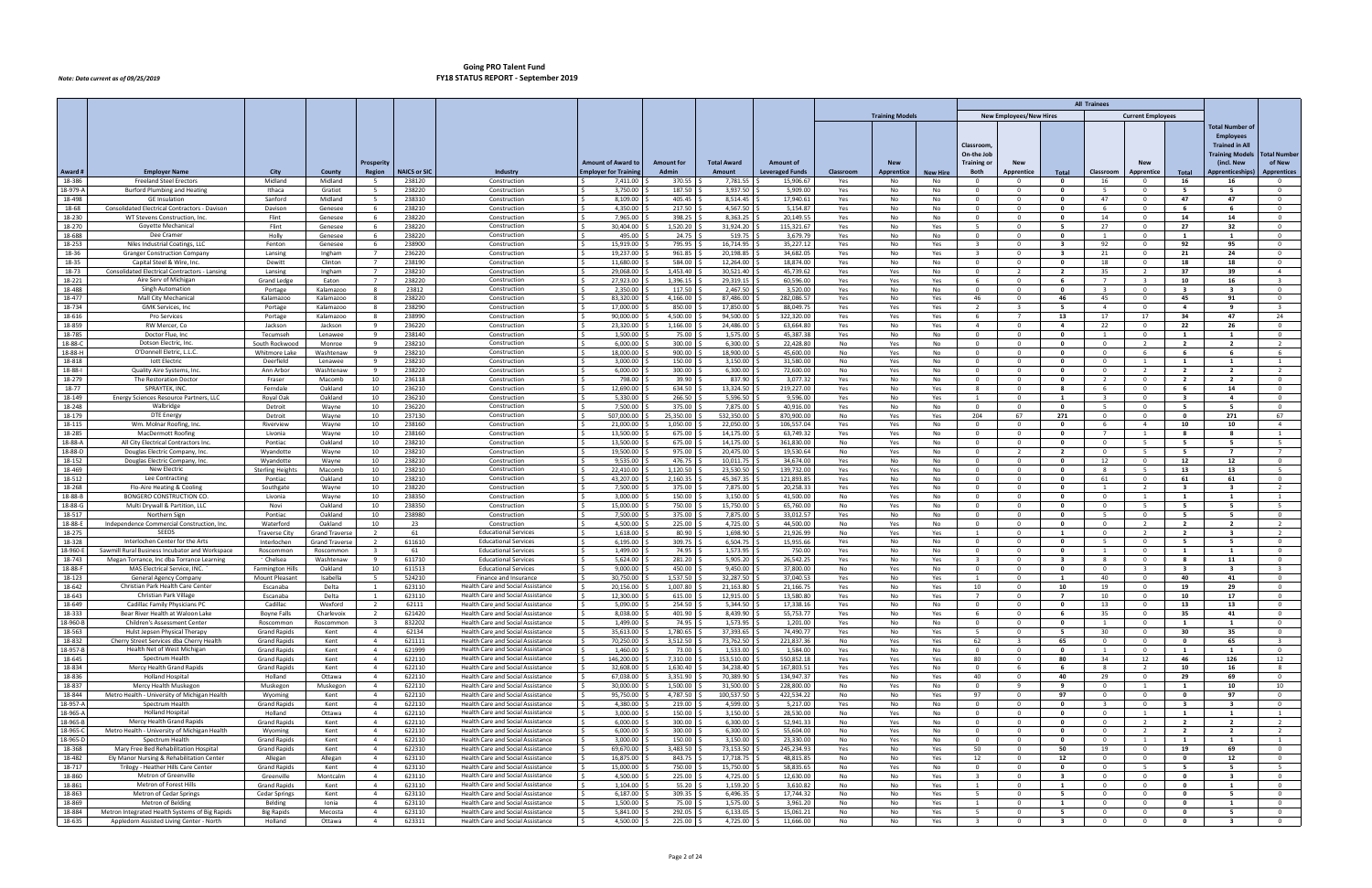|                    |                                                                                             |                                    |                        |                                           |                     |                                                                        |                                                          |                                  |                              |                                            |            |                          |                 |                         |                                |                                         | <b>All Trainees</b>          |                                           |                             |                                      |                                           |
|--------------------|---------------------------------------------------------------------------------------------|------------------------------------|------------------------|-------------------------------------------|---------------------|------------------------------------------------------------------------|----------------------------------------------------------|----------------------------------|------------------------------|--------------------------------------------|------------|--------------------------|-----------------|-------------------------|--------------------------------|-----------------------------------------|------------------------------|-------------------------------------------|-----------------------------|--------------------------------------|-------------------------------------------|
|                    |                                                                                             |                                    |                        |                                           |                     |                                                                        |                                                          |                                  |                              |                                            |            | <b>Training Models</b>   |                 |                         | <b>New Employees/New Hires</b> |                                         |                              | <b>Current Employees</b>                  |                             |                                      |                                           |
|                    |                                                                                             |                                    |                        |                                           |                     |                                                                        |                                                          |                                  |                              |                                            |            |                          |                 |                         |                                |                                         |                              |                                           |                             | Total Number of                      |                                           |
|                    |                                                                                             |                                    |                        |                                           |                     |                                                                        |                                                          |                                  |                              |                                            |            |                          |                 |                         |                                |                                         |                              |                                           |                             | <b>Employees</b>                     |                                           |
|                    |                                                                                             |                                    |                        |                                           |                     |                                                                        |                                                          |                                  |                              |                                            |            |                          |                 | Classroom               |                                |                                         |                              |                                           |                             | <b>Trained in All</b>                |                                           |
|                    |                                                                                             |                                    |                        |                                           |                     |                                                                        |                                                          |                                  |                              |                                            |            |                          |                 | On-the Job              |                                |                                         |                              |                                           |                             | <b>Training Models</b>               | <b>Total Number</b>                       |
| Award #            | <b>Employer Name</b>                                                                        | <b>City</b>                        | County                 | Prosperit<br><b>Region</b>                | <b>NAICS or SIC</b> | Industry                                                               | <b>Amount of Award to</b><br><b>Employer for Trainin</b> | <b>Amount for</b><br>Admin       | <b>Total Award</b><br>Amount | <b>Amount of</b><br><b>Leveraged Funds</b> | Classroom  | <b>New</b><br>Apprentice | <b>New Hire</b> | Training or<br>Both     | <b>New</b><br>Apprentice       | Total                                   | Classroom                    | <b>New</b><br>Apprentice                  | Total                       | (incl. New<br><b>Apprenticeships</b> | of New<br><b>Apprentices</b>              |
| 18-386             | <b>Freeland Steel Erectors</b>                                                              | Midland                            | Midland                |                                           | 238120              | Construction                                                           | 7,411.00                                                 | 370.55                           | 7,781.55                     | 15,906.67                                  | Yes        | No                       | No              |                         |                                | $\mathbf{0}$                            | 16                           | $\Omega$                                  | 16                          | 16                                   | $\mathbf{O}$                              |
| 18-979-A           | Burford Plumbing and Heating                                                                | Ithaca                             | Gratiot                |                                           | 238220              | Construction                                                           | 3,750.00                                                 | 187.50                           | 3,937.50                     | 5,909.00                                   | Yes        | No                       | No              | $\Omega$                | . റ                            | $\mathbf{0}$                            | -5                           | $\Omega$                                  | -5                          | -5                                   | $\overline{0}$                            |
| 18-498             | <b>GE</b> Insulation                                                                        | Sanford                            | Midland                | 5                                         | 238310              | Construction                                                           | 8,109.00                                                 | 405.45                           | 8,514.45                     | 17,940.61                                  | Yes        | No                       | No              | 0                       | $\mathbf 0$                    | $\mathbf{0}$                            | 47                           | $\mathbf{0}$                              | 47                          | 47                                   | $\mathbf{O}$                              |
| 18-68              | Consolidated Electrical Contractors - Davison                                               | Davison                            | Genesee                | - 6                                       | 238210              | Construction                                                           | 4,350.00                                                 | 217.50                           | 4,567.50                     | 5,154.87                                   | Yes        | No                       | No              | $\Omega$                | $\Omega$                       | $\mathbf{0}$                            | -6                           | $\mathbf{0}$                              | - 6                         | - 6                                  | $\mathbf 0$                               |
| 18-230             | WT Stevens Construction, Inc.                                                               | Flint                              | Genesee                | - 6                                       | 238220              | Construction                                                           | 7,965.00                                                 | 398.25                           | 8,363.25                     | 20,149.55                                  | Yes        | No                       | No              | $\Omega$                | . റ                            | $\mathbf{0}$                            | 14                           | $\Omega$                                  | 14                          | 14                                   | $\overline{0}$                            |
| 18-270<br>18-688   | Goyette Mechanical<br>Dee Cramer                                                            | Flint<br>Holly                     | Genesee<br>Genesee     | - 6<br>- 6                                | 238220<br>238220    | Construction<br>Construction                                           | 30,404.00<br>495.00                                      | 1,520.20 :<br>24.75              | 31,924.20<br>519.75          | 115,321.67<br>3,679.79                     | Yes<br>Yes | No<br>No                 | Yes<br>No       | -5<br>$\Omega$          | $\Omega$<br>. റ                | - 5<br>$\mathbf{0}$                     | 27                           | $\mathbf{0}$<br>$\Omega$                  | 27<br>$\mathbf{1}$          | 32                                   | $\overline{0}$<br>$\overline{0}$          |
| 18-253             | Niles Industrial Coatings, LLC                                                              | Fenton                             | Genesee                | -6                                        | 238900              | Construction                                                           | 15,919.00                                                | 795.95                           | 16,714.95                    | 35,227.12                                  | Yes        | No                       | Yes             | $\overline{3}$          | $\Omega$                       | $\overline{\mathbf{3}}$                 | 92                           | $\Omega$                                  | 92                          | 95                                   | $\overline{0}$                            |
| 18-36              | Granger Construction Company                                                                | Lansing                            | Ingham                 | $\overline{7}$                            | 236220              | Construction                                                           | 19,237.00                                                | 961.85                           | 20,198.85                    | 34,682.05                                  | Yes        | No                       | Yes             | $\mathbf{B}$            | $\mathbf{0}$                   | $\overline{\mathbf{3}}$                 | 21                           | $\overline{0}$                            | 21                          | 24                                   | $\overline{0}$                            |
| 18-35              | Capital Steel & Wire, Inc.                                                                  | Dewitt                             | Clinton                | $\overline{7}$                            | 238190              | Construction                                                           | 11,680.00                                                | 584.00                           | 12,264.00                    | 18,874.00                                  | Yes        | No                       | No              | $\Omega$                | $\Omega$                       | $\mathbf{0}$                            | 18                           | $\Omega$                                  | 18                          | 18                                   | $\mathbf 0$                               |
| 18-73              | Consolidated Electrical Contractors - Lansing                                               | Lansing                            | Ingham                 |                                           | 238210              | Construction                                                           | 29,068.00                                                | 1,453.40                         | 30,521.40                    | 45,739.62                                  | Yes        | Yes                      | No              | $\Omega$                | $\overline{\phantom{a}}$       | $\overline{2}$                          | 35                           | $\overline{2}$                            | 37                          | 39                                   | $\overline{4}$                            |
| 18-221             | Aire Serv of Michigan                                                                       | <b>Grand Ledge</b>                 | Eaton                  | 7                                         | 238220              | Construction                                                           | 27,923.00                                                | 1,396.15                         | 29,319.15                    | 60,596.00                                  | Yes        | Yes                      | Yes             | -6                      | $\Omega$                       | 6                                       | $\overline{7}$               | $\overline{\mathbf{3}}$                   | 10                          | 16                                   | $\overline{\mathbf{3}}$                   |
| 18-488<br>18-477   | <b>Singh Automation</b><br>Mall City Mechanica                                              | Portage                            | Kalamazoo              | -8                                        | 23812<br>238220     | Construction<br>Constructior                                           | 2,350.00<br>83,320.00                                    | $117.50$ \$<br>4,166.00          | 2,467.50<br>87,486.00        | 3,520.00<br>282,086.57                     | Yes        | No                       | No              | - 0<br>46               | $\Omega$                       | $\mathbf{0}$<br>46                      | -3<br>45                     | $\Omega$<br>$\Omega$                      | $\mathbf{3}$<br>45          | $\mathbf{3}$<br>91                   | $\mathbf 0$<br>$\mathbf 0$                |
| 18-734             | <b>GMK Services, Inc</b>                                                                    | Kalamazoc<br>Portage               | Kalamazoo<br>Kalamazoo | 8                                         | 238290              | Construction                                                           | 17,000.00                                                | 850.00                           | 17,850.00                    | 88,049.75                                  | Yes<br>Yes | No<br>Yes                | Yes<br>Yes      | $\overline{2}$          | -3                             | 5                                       | $\overline{4}$               | $\overline{0}$                            | 4                           | 9                                    | $\overline{\mathbf{3}}$                   |
| 18-616             | <b>Pro Services</b>                                                                         | Portage                            | Kalamazoo              | -8                                        | 238990              | Construction                                                           | 90,000.00                                                | 4,500.00                         | 94,500.00                    | 322,320.00                                 | Yes        | Yes                      | Yes             | - 6                     |                                | 13                                      | 17                           | 17                                        | 34                          | 47                                   | 24                                        |
| 18-859             | RW Mercer, Co                                                                               | Jackson                            | Jackson                |                                           | 236220              | Construction                                                           | 23,320.00                                                | 1,166.00                         | 24,486.00                    | 63,664.80                                  | Yes        | No                       | Yes             | $\overline{a}$          | - 0                            | $\overline{a}$                          | 22                           | $\overline{0}$                            | 22                          | 26                                   | $\mathbf 0$                               |
| 18-785             | Doctor Flue, Inc                                                                            | Tecumseh                           | Lenawee                | 9                                         | 238140              | Construction                                                           | 1.500.00                                                 | 75.00                            | 1,575.00                     | 45.387.38                                  | Yes        | No                       | No              | $\overline{0}$          | $\overline{0}$                 | $\overline{\mathbf{0}}$                 | $\mathbf{1}$                 | $\overline{0}$                            | $\mathbf{1}$                | $\mathbf{1}$                         | $\overline{0}$                            |
| 18-88-C            | Dotson Electric, Inc.                                                                       | South Rockwood                     | Monroe                 | q                                         | 238210              | Construction                                                           | 6,000.00                                                 | 300.00 \$                        | 6,300.00                     | 22,428.80                                  | No         | Yes                      | No              |                         | . റ                            | $\mathbf{0}$                            | $\Omega$                     | $\overline{2}$                            | $\overline{2}$              | $\overline{2}$                       | 2                                         |
| 18-88-H            | O'Donnell Eletric, L.L.C                                                                    | Whitmore Lake                      | Washtenaw              | -9                                        | 238210              | Constructior                                                           | 18,000.00                                                | 900.00                           | 18,900.00                    | 45,600.00                                  | No         | Yes                      | No              | $\Omega$                | - 0                            | $\mathbf{0}$                            | $^{\circ}$                   | - 6                                       | - 6                         | - 6                                  | -6                                        |
| 18-818<br>18-88-1  | lott Electric<br>Quality Aire Systems, Inc                                                  | Deerfield<br>Ann Arbor             | Lenawee<br>Washtenaw   | 9<br>q                                    | 238210<br>238220    | Construction<br>Construction                                           | 3.000.00<br>6,000.00                                     | 150.00<br>$300.00$ $\frac{6}{3}$ | 3,150.00<br>6,300.00         | 31.580.00<br>72,600.00                     | No<br>No   | Yes<br>Yes               | No<br>No        | $\overline{0}$          | $\overline{0}$<br>. റ          | $\bullet$<br>$\mathbf{0}$               | $\overline{0}$<br>$\Omega$   | $\mathbf{1}$<br>$\overline{2}$            | 1<br>$\overline{2}$         | $\mathbf{1}$<br>$\overline{2}$       | $\mathbf{1}$<br>2                         |
| 18-279             | The Restoration Doctor                                                                      | Fraser                             | Macomb                 | 10                                        | 236118              | Constructior                                                           | 798.00                                                   | 39.90                            | 837.90                       | 3,077.32                                   | Yes        | No                       | No              |                         |                                | $\mathbf{0}$                            |                              | $\Omega$                                  | $\overline{2}$              | $\overline{2}$                       | $\mathbf 0$                               |
| 18-77              | SPRAYTEK, INC                                                                               | Ferndale                           | Oakland                | 10                                        | 236210              | Construction                                                           | 12.690.00                                                | 634.50                           | 13,324.50                    | 219,227.00                                 | Yes        | No                       | Yes             | 8                       | $\overline{0}$                 | 8                                       | 6                            | $\overline{0}$                            | - 6                         | 14                                   | $\overline{0}$                            |
| 18-149             | Energy Sciences Resource Partners, LLC                                                      | Royal Oak                          | Oakland                | 10                                        | 236210              | Construction                                                           | 5,330.00                                                 | 266.50 \$                        | 5,596.50                     | 9,596.00                                   | Yes        | No                       | Yes             | -1                      | $\Omega$                       | $\mathbf{1}$                            | -3                           | $\Omega$                                  | $\mathbf{3}$                | $\overline{a}$                       | $\mathbf 0$                               |
| 18-248             | Walbridge                                                                                   | Detroit                            | Wayne                  | 10                                        | 236220              | Construction                                                           | 7,500.00                                                 | 375.00                           | 7,875.00                     | 40,916.00                                  | Yes        | No                       | No              | $\Omega$                | $\Omega$                       | $\mathbf{0}$                            | -5                           | $\Omega$                                  | -5.                         | - 5                                  | $\mathbf 0$                               |
| 18-179             | <b>DTE Energy</b>                                                                           | Detroit                            | Wayne                  | 10                                        | 237130              | Construction                                                           | 507,000.00                                               | 25,350.00                        | 532,350.00                   | 870,900.00                                 | No         | Yes                      | Yes             | 204                     | 67                             | 271                                     | $\overline{0}$               | $\Omega$                                  | $\mathbf{0}$                | 271                                  | 67                                        |
| 18-115<br>18-285   | Wm. Molnar Roofing, Inc<br>MacDermott Roofing                                               | Riverview                          | Wayne                  | 10<br>10                                  | 238160<br>238160    | Construction                                                           | 21,000.00<br>13,500.00                                   | 1,050.00<br>675.00 \$            | 22,050.00<br>14,175.00       | 106,557.04<br>63,749.32                    | Yes        | Yes                      | No              | - 0<br>- 0              | - 0<br>$\Omega$                | 0<br>$\mathbf{0}$                       | - 6<br>7                     | $\overline{4}$                            | 10<br>-8                    | 10<br>- 8                            | $\overline{4}$                            |
| 18-88-A            | All City Electrical Contractors Inc                                                         | Livonia<br>Pontiac                 | Wayne<br>Oakland       | 10                                        | 238210              | Construction<br>Construction                                           | 13,500.00                                                | 675.00                           | 14,175.00                    | 361,830.00                                 | Yes<br>No  | Yes<br>Yes               | No<br>No        | $\Omega$                | $\Omega$                       | $\Omega$                                | $\overline{0}$               | - 5                                       | 5                           | - 5                                  | 1<br>5                                    |
| 18-88-D            | Douglas Electric Company, Inc.                                                              | Wyandotte                          | Wayne                  | 10                                        | 238210              | Constructior                                                           | 19,500.00                                                | 975.00                           | 20,475.00                    | 19,530.64                                  | No         | Yes                      | No              | - 0                     | - 2                            | - 2                                     | $^{\circ}$                   | - 5                                       | - 5                         | $\overline{ }$                       | $\overline{7}$                            |
| 18-152             | Douglas Electric Company, Inc.                                                              | Wyandotte                          | Wayne                  | 10                                        | 238210              | Construction                                                           | 9,535.00                                                 | 476.75                           | 10,011.75                    | 34.674.00                                  | Yes        | No                       | No              | $\Omega$                | . റ                            | $\mathbf{0}$                            | 12                           | $\Omega$                                  | 12                          | 12                                   | $\overline{0}$                            |
| 18-469             | <b>New Electric</b>                                                                         | <b>Sterling Heights</b>            | Macomb                 | 10                                        | 238210              | Construction                                                           | 22,410.00                                                | 1,120.50                         | 23,530.50                    | 139,732.00                                 | Yes        | Yes                      | No              | $\Omega$                | $\Omega$                       | $\mathbf{0}$                            | $\mathbf{R}$                 | - 5                                       | 13                          | 13                                   | $-5$                                      |
| 18-512             | Lee Contracting                                                                             | Pontiac                            | Oakland                | 10                                        | 238210              | Constructior                                                           | 43,207.00                                                | 2,160.35                         | 45,367.35                    | 121,893.85                                 | Yes        | No                       | No              | $\Omega$                | $\Omega$                       | $\mathbf{0}$                            | 61                           | $\overline{0}$                            | 61                          | 61                                   | $\overline{0}$                            |
| 18-268<br>18-88-B  | Flo-Aire Heating & Cooling<br><b>BONGERO CONSTRUCTION CO</b>                                | Southgate                          | Wayne                  | 10                                        | 238220              | Construction                                                           | 7,500.00                                                 | 375.00                           | 7,875.00<br>3,150.00         | 20,258.33<br>41,500.00                     | Yes        | Yes                      | No              | $\Omega$<br>$\Omega$    | $\Omega$                       | $\mathbf{0}$<br>$\mathbf{0}$            | $\Omega$                     | $\overline{2}$                            | $\mathbf{3}$<br>1           | $\mathbf{R}$                         | $\overline{2}$                            |
| 18-88-G            | Multi Drywall & Partition, LLC                                                              | Livonia<br>Novi                    | Wayne<br>Oakland       | 10<br>10                                  | 238350<br>238350    | Construction<br>Construction                                           | 3,000.00<br>15,000.00                                    | 150.00<br>750.00                 | 15,750.00                    | 65,760.00                                  | No<br>No   | Yes<br>Yes               | No<br>No        | $\Omega$                | $\Omega$<br>$\Omega$           | $\mathbf{0}$                            | $\Omega$                     | - 5                                       | - 5                         | - 5                                  | $\overline{1}$<br>5                       |
| 18-517             | Northern Sign                                                                               | Pontiac                            | Oakland                | 10                                        | 238980              | Construction                                                           | 7,500.00                                                 | 375.00 \$                        | 7,875.00                     | 33,012.57                                  | Yes        | No                       | No              | $\Omega$                | $\Omega$                       | $\mathbf{0}$                            | -5                           | $\Omega$                                  | -5.                         | - 5                                  | $\mathbf 0$                               |
| 18-88-E            | Independence Commercial Construction, Inc.                                                  | Waterford                          | Oakland                | 10                                        | -23                 | Construction                                                           | 4,500.00                                                 | 225.00                           | 4,725.00                     | 44,500.00                                  | No         | Yes                      | No              |                         | - 0                            | $\mathbf{0}$                            | $\Omega$                     | $\overline{2}$                            | $\overline{2}$              | $\overline{\phantom{a}}$             | $\overline{2}$                            |
| 18-275             | SEEDS                                                                                       | <b>Traverse City</b>               | <b>Grand Traverse</b>  | $\overline{2}$                            | 61                  | <b>Educational Services</b>                                            | 1,618.00                                                 | 80.90                            | 1,698.90                     | 21,926.99                                  | No         | Yes                      | Yes             | $\mathbf{1}$            | $\Omega$                       | $\mathbf{1}$                            | $\Omega$                     | $\overline{2}$                            | $\overline{2}$              | $\overline{\mathbf{3}}$              | $\overline{2}$                            |
| 18-328             | Interlochen Center for the Arts                                                             | Interlochen                        | <b>Grand Traverse</b>  | 2                                         | 611610              | <b>Educational Services</b>                                            | 6,195.00                                                 | $309.75$ \$                      | 6,504.75                     | 15,955.66                                  | Yes        | No                       | No              | - 0                     | <u>__</u>                      | $\Omega$                                | -5                           | $\Omega$                                  | -5.                         | -5                                   | $\overline{0}$                            |
| 18-960-B           | Sawmill Rural Business Incubator and Workspace<br>Megan Torrance, Inc dba Torrance Learning | Roscommon                          | Roscommon              | q                                         | 61                  | <b>Educational Services</b>                                            | 1,499.00                                                 | 74.95                            | 1,573.95                     | 750.00                                     | Yes        | No                       | No              | $\mathbf{R}$            | $\Omega$<br>$\Omega$           | $\mathbf{0}$                            | $\mathbf{R}$                 | $\Omega$                                  | 1<br>-8                     | $\mathbf{1}$                         | $\mathbf 0$                               |
| 18-743<br>18-88-F  | MAS Electrical Service, INC.                                                                | Chelsea<br><b>Farmington Hills</b> | Washtenaw<br>Oakland   | 10                                        | 611710<br>611513    | <b>Educational Services</b><br><b>Educational Services</b>             | 5,624.00<br>9,000.00                                     | 281.20<br>450.00                 | 5,905.20<br>9,450.00         | 26,542.25<br>37,800.00                     | Yes<br>No  | No<br>Yes                | Yes<br>No       | $\Omega$                | <u>__</u>                      | $\overline{\mathbf{3}}$<br>$\mathbf{0}$ | $\Omega$                     | $\overline{0}$<br>$\mathbf{R}$            | $\mathbf{R}$                | 11<br>$\mathbf{R}$                   | $\overline{0}$<br>$\overline{\mathbf{3}}$ |
| 18-123             | General Agency Company                                                                      | Mount Pleasan                      | Isabella               |                                           | 524210              | Finance and Insurance                                                  | 30,750.00                                                | 1,537.50                         | 32,287.50                    | 37,040.53                                  | Yes        | No                       | Yes             |                         | - 0                            | $\mathbf{1}$                            | 40                           | $\overline{\mathbf{0}}$                   | 40                          | -41                                  | $\mathbf 0$                               |
| 18-642             | Christian Park Health Care Center                                                           | Escanaba                           | Delta                  | $\overline{1}$                            | 623110              | Health Care and Social Assistance                                      | 20.156.00                                                | 1.007.80                         | 21.163.80                    | 21,166.75                                  | Yes        | No                       | Yes             | 10                      | <u>__</u>                      | 10                                      | 19                           | $\overline{0}$                            | 19                          | 29                                   | $\overline{0}$                            |
| 18-643             | Christian Park Village                                                                      | Escanaba                           | Delta                  |                                           | 623110              | <b>Health Care and Social Assistance</b>                               | 12,300.00                                                | $615.00$ \$                      | 12,915.00                    | 13,580.80                                  | Yes        | No                       | Yes             |                         |                                |                                         | 10                           |                                           | 10                          | 17                                   | $\mathbf{0}$                              |
| 18-649             | Cadillac Family Physicians PC                                                               | Cadillac                           | Wexford                | 2                                         | 62111               | Health Care and Social Assistance                                      | 5,090.00                                                 | $254.50$ \$                      | 5,344.50                     | 17,338.16                                  | Yes        | No                       | No              | $\Omega$                | $\Omega$                       | $\mathbf{0}$                            | 13                           | $\overline{\mathbf{0}}$                   | 13                          | 13                                   | $\overline{0}$                            |
| 18-333<br>18-960-B | Bear River Health at Waloon Lake<br>Children's Assessment Center                            | <b>Boyne Falls</b>                 | Charlevoix             | $\overline{2}$                            | 621420<br>832202    | Health Care and Social Assistance<br>Health Care and Social Assistance | 8,038.00<br>l S<br>1,499.00                              | 401.90 \$<br>74.95 \$            | 8,439.90<br>1,573.95         | 55,753.77<br>1,201.00                      | Yes        | No                       | Yes             | 6<br>$\Omega$           | $\overline{0}$                 | 6                                       | 35                           | $\overline{0}$<br>$\overline{0}$          | 35                          | 41                                   | $\overline{0}$<br>$\mathbf{0}$            |
| 18-563             | Hulst Jepsen Physical Therapy                                                               | Roscommon<br><b>Grand Rapids</b>   | Roscommon<br>Kent      | $\overline{\mathbf{3}}$<br>$\overline{4}$ | 62134               | Health Care and Social Assistance                                      | 35,613.00                                                | 1,780.65 \$                      | 37,393.65                    | 74,490.77                                  | Yes<br>Yes | No<br>No                 | No<br>Yes       | -5                      | $\mathbf 0$<br>$\mathbf 0$     | $\mathbf{0}$<br>5                       | 1<br>30                      | $\overline{\mathbf{0}}$                   | 1<br>30                     | 1<br>35                              | $\overline{0}$                            |
| 18-832             | Cherry Street Services dba Cherry Health                                                    | <b>Grand Rapids</b>                | Kent                   | $\overline{4}$                            | 621111              | Health Care and Social Assistance                                      | 70,250.00                                                | 3,512.50                         | 73,762.50                    | 221,837.36                                 | No         | Yes                      | Yes             | 62                      | $\mathbf{R}$                   | 65                                      | $\overline{0}$               | $\overline{0}$                            | $\mathbf 0$                 | 65                                   | $\overline{\mathbf{3}}$                   |
| 18-957-B           | Health Net of West Michigan                                                                 | <b>Grand Rapids</b>                | Kent                   | $\overline{4}$                            | 621999              | Health Care and Social Assistance                                      | 1,460.00                                                 | 73.00 :                          | 1,533.00                     | 1,584.00                                   | Yes        | No                       | No              | 0                       | $\mathbf{O}$                   | $\mathbf{o}$                            | 1                            | $\overline{0}$                            | 1                           | 1                                    | $\overline{0}$                            |
| 18-645             | Spectrum Health                                                                             | <b>Grand Rapids</b>                | Kent                   | $\overline{4}$                            | 622110              | Health Care and Social Assistance                                      | 146,200.00                                               | 7,310.00 \$                      | 153,510.00                   | 550,852.18                                 | Yes        | Yes                      | Yes             | 80                      | $\mathbf{O}$                   | 80                                      | 34                           | 12                                        | 46                          | 126                                  | 12                                        |
| 18-834             | Mercy Health Grand Rapids                                                                   | <b>Grand Rapids</b>                | Kent                   | $\overline{4}$                            | 622110              | Health Care and Social Assistance                                      | 32,608.00                                                | 1,630.40                         | 34,238.40                    | 167,803.51                                 | Yes        | Yes                      | No              | $\Omega$                | - 6                            | 6                                       | 8                            | $\overline{2}$                            | 10                          | 16                                   | 8                                         |
| 18-836<br>18-837   | <b>Holland Hospital</b><br>Mercy Health Muskegon                                            | Holland                            | Ottawa                 | $\overline{4}$<br>$\overline{4}$          | 622110<br>622110    | Health Care and Social Assistance<br>Health Care and Social Assistance | 67,038.00<br>30,000.00                                   | 3,351.90<br>1,500.00             | 70,389.90<br>31,500.00       | 134,947.37<br>228,800.00                   | Yes<br>No  | No<br>Yes                | Yes<br>No       | 40<br>$\Omega$          | $\mathbf{O}$<br>9              | 40<br>9                                 | 29<br>$\overline{0}$         | $\overline{0}$<br>$\overline{1}$          | 29<br>1                     | 69<br>10                             | $\overline{0}$<br>10                      |
| 18-844             | Metro Health - University of Michigan Health                                                | Muskegon<br>Wyoming                | Muskegon<br>Kent       | $\overline{4}$                            | 622110              | Health Care and Social Assistance                                      | 95,750.00                                                | 4,787.50 \$                      | 100,537.50                   | 422,534.22                                 | No         | No                       | Yes             | 97                      | $\mathbf{0}$                   | 97                                      | $\overline{0}$               | $\overline{0}$                            | $\mathbf{0}$                | 97                                   | $\overline{0}$                            |
| 18-957-A           | Spectrum Health                                                                             | <b>Grand Rapids</b>                | Kent                   | $\overline{4}$                            | 622110              | Health Care and Social Assistance                                      | 4,380.00                                                 | 219.00 \$                        | 4,599.00                     | 5,217.00                                   | Yes        | No                       | No              | $\Omega$                | $\overline{0}$                 | $\bullet$                               | $\overline{\mathbf{3}}$      | $\overline{0}$                            | $\overline{\mathbf{3}}$     | $\overline{\mathbf{3}}$              | $\overline{0}$                            |
| 18-965-A           | <b>Holland Hospital</b>                                                                     | Holland                            | Ottawa                 | $\overline{4}$                            | 622110              | Health Care and Social Assistance                                      | 3,000.00                                                 | $150.00$ \$                      | 3,150.00                     | 28,530.00                                  | No         | Yes                      | No              | $\mathbf{0}$            | $\overline{0}$                 | $\mathbf{0}$                            | $\overline{0}$               | $\mathbf{1}$                              | <b>1</b>                    | $\mathbf{1}$                         | $\overline{1}$                            |
| 18-965-B           | Mercy Health Grand Rapids                                                                   | <b>Grand Rapids</b>                | Kent                   | $\overline{4}$                            | 622110              | <b>Health Care and Social Assistance</b>                               | 6,000.00                                                 | 300.00                           | 6,300.00                     | 52,941.33                                  | No         | Yes                      | No              | $\mathbf{0}$            | $\mathbf 0$                    | $\overline{\mathbf{0}}$                 | $\overline{0}$               | $\overline{2}$                            | $\overline{2}$              | $\overline{2}$                       | $\overline{2}$                            |
| 18-965-C           | Metro Health - University of Michigan Health                                                | Wyoming                            | Kent                   | $\overline{4}$                            | 622110              | Health Care and Social Assistance                                      | 6,000.00                                                 | 300.00                           | 6,300.00                     | 55,604.00                                  | No         | Yes                      | No              | $\mathbf 0$             | $\overline{0}$                 | $\bullet$                               | $\overline{0}$               | $\overline{2}$                            | $\overline{2}$              | $\overline{2}$                       | $\overline{2}$                            |
| 18-965-D<br>18-368 | Spectrum Health<br>Mary Free Bed Rehabilitation Hospital                                    | <b>Grand Rapids</b>                | Kent<br>Kent           | $\overline{4}$<br>$\overline{4}$          | 622110<br>622310    | Health Care and Social Assistance<br>Health Care and Social Assistance | 3,000.00<br>69,670.00                                    | 150.00%<br>3,483.50              | 3,150.00<br>73,153.50        | 23,330.00<br>245,234.93                    | No         | Yes                      | No              | $\Omega$<br>50          | $\mathbf{0}$<br>$\mathbf 0$    | $\mathbf{0}$<br>50                      | $\overline{0}$               | $\overline{1}$<br>$\overline{\mathbf{0}}$ | <b>1</b>                    | 1<br>69                              | $\overline{1}$<br>$\mathbf 0$             |
| 18-482             | Ely Manor Nursing & Rehabilitation Center                                                   | <b>Grand Rapids</b><br>Allegan     | Allegan                | $\overline{4}$                            | 623110              | Health Care and Social Assistance                                      | 16,875.00<br>l S                                         | 843.75 \$                        | 17,718.75                    | 48,815.85                                  | Yes<br>No  | No<br>No                 | Yes<br>Yes      | 12                      | $\overline{0}$                 | 12                                      | 19<br>$\overline{0}$         | $\overline{0}$                            | 19<br>$\mathbf{0}$          | 12                                   | $\overline{0}$                            |
| 18-717             | Trilogy - Heather Hills Care Center                                                         | <b>Grand Rapids</b>                | Kent                   | $\overline{4}$                            | 623110              | Health Care and Social Assistance                                      | 15,000.00                                                | 750.00 \$                        | 15,750.00                    | 58,835.65                                  | No         | Yes                      | No              | $\Omega$                | $\mathbf{0}$                   | $\mathbf{0}$                            | $\overline{0}$               | - 5                                       | 5                           | 5                                    | 5                                         |
| 18-860             | Metron of Greenville                                                                        | Greenville                         | Montcalm               | $\overline{4}$                            | 623110              | Health Care and Social Assistance                                      | 4,500.00                                                 | 225.00                           | 4,725.00                     | 12,630.00                                  | No         | No                       | Yes             | $\overline{3}$          | 0                              | $\overline{\mathbf{3}}$                 | $^{\circ}$                   | $\overline{\mathbf{0}}$                   | $\mathbf 0$                 | $\overline{\mathbf{3}}$              | $\mathbf{O}$                              |
| 18-861             | Metron of Forest Hills                                                                      | <b>Grand Rapids</b>                | Kent                   | $\overline{4}$                            | 623110              | Health Care and Social Assistance                                      | 1,104.00                                                 | 55.20                            | 1,159.20                     | 3,610.82                                   | No         | No                       | Yes             | 1                       | $\overline{0}$                 | $\mathbf{1}$                            | $\overline{0}$               | $\overline{0}$                            | $\mathbf{0}$                | $\mathbf{1}$                         | $\overline{0}$                            |
| 18-863             | Metron of Cedar Springs                                                                     | <b>Cedar Springs</b>               | Kent                   | $\overline{4}$                            | 623110              | Health Care and Social Assistance                                      | 6,187.00                                                 | $309.35$ \$                      | 6,496.35                     | 17,744.32                                  | No         | No                       | Yes             | -5                      | $\mathbf{0}$                   | 5                                       | $\Omega$                     | $\overline{0}$                            | $\mathbf{0}$                | 5                                    | $\mathbf{0}$                              |
| 18-869<br>18-884   | Metron of Belding<br>Metron Integrated Health Systems of Big Rapids                         | Belding<br><b>Big Rapids</b>       | Ionia<br>Mecosta       | $\overline{4}$<br>$\overline{4}$          | 623110<br>623110    | Health Care and Social Assistance<br>Health Care and Social Assistance | 1,500.00<br>5,841.00                                     | 75.00 \$<br>292.05 \$            | 1,575.00<br>6,133.05         | 3,961.20<br>15,061.21                      | No<br>No   | No<br>No                 | Yes<br>Yes      | 1<br>5                  | $\mathbf 0$<br>$\mathbf{0}$    | $\mathbf{1}$<br>5                       | $^{\circ}$<br>$\overline{0}$ | $\mathbf{0}$<br>$\overline{0}$            | $\mathbf 0$<br>$\mathbf{0}$ | 1<br>5                               | $\mathbf{0}$<br>$\overline{0}$            |
| 18-635             | Appledorn Assisted Living Center - North                                                    | Holland                            | Ottawa                 | $\overline{4}$                            | 623311              | Health Care and Social Assistance                                      | $4,500.00$ \$                                            | $225.00$ \$                      | 4,725.00 \$                  | 11,666.00                                  | No         | No                       | Yes             | $\overline{\mathbf{3}}$ | $\mathbf{0}$                   | $\overline{\mathbf{3}}$                 | $\mathbf{0}$                 | $\overline{0}$                            | $\mathbf 0$                 | $\overline{\mathbf{3}}$              | $\overline{0}$                            |
|                    |                                                                                             |                                    |                        |                                           |                     |                                                                        |                                                          |                                  |                              |                                            |            |                          |                 |                         |                                |                                         |                              |                                           |                             |                                      |                                           |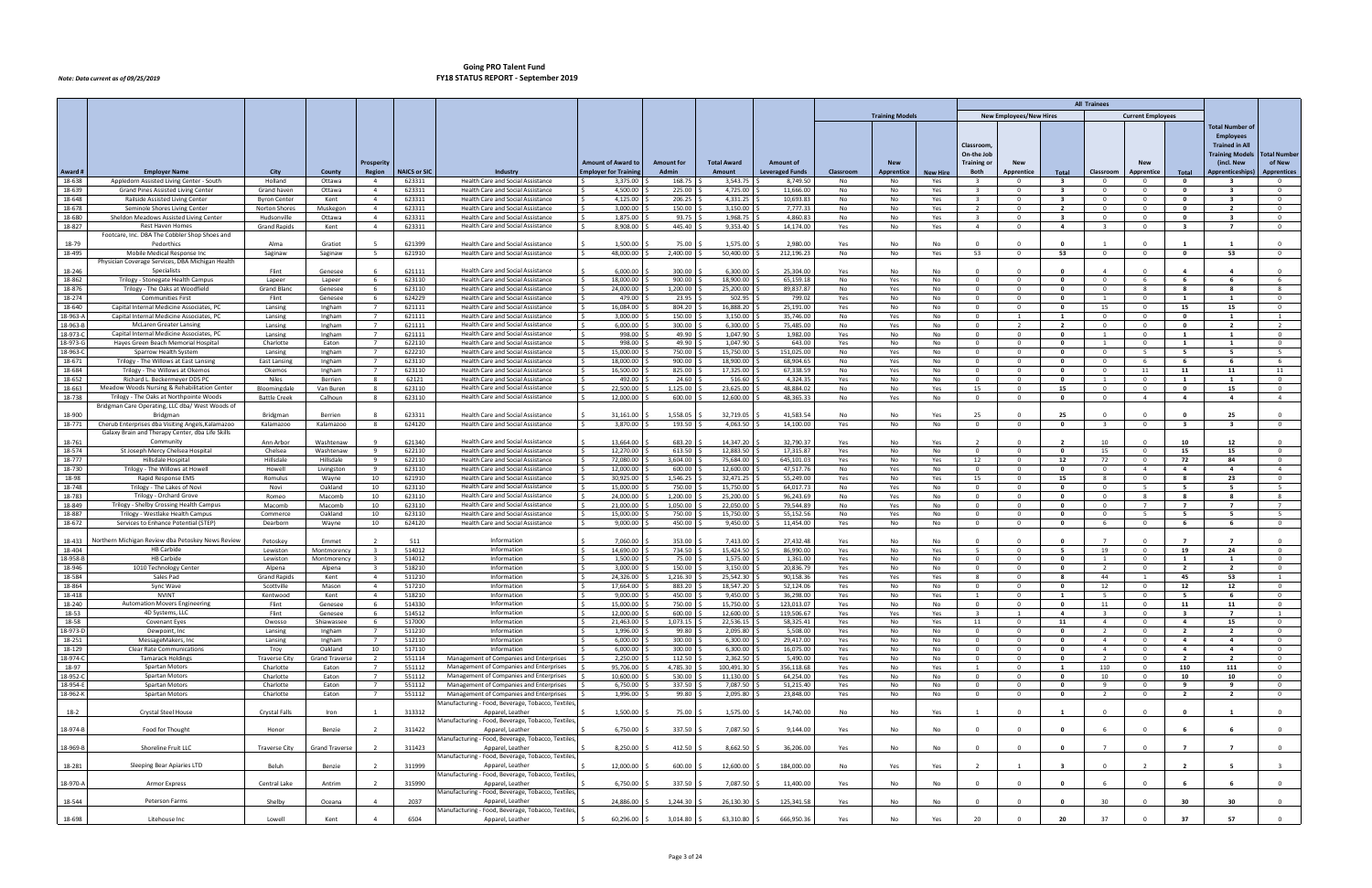|                      |                                                                                                       |                               |                       |                                  |                     |                                                                                    |                                                           |                            |                              |                                            |            |                          |                 |                               |                                 |                                         | <b>All Trainees</b>              |                                  |                                           |                                      |                                |
|----------------------|-------------------------------------------------------------------------------------------------------|-------------------------------|-----------------------|----------------------------------|---------------------|------------------------------------------------------------------------------------|-----------------------------------------------------------|----------------------------|------------------------------|--------------------------------------------|------------|--------------------------|-----------------|-------------------------------|---------------------------------|-----------------------------------------|----------------------------------|----------------------------------|-------------------------------------------|--------------------------------------|--------------------------------|
|                      |                                                                                                       |                               |                       |                                  |                     |                                                                                    |                                                           |                            |                              |                                            |            | <b>Training Models</b>   |                 |                               | <b>New Employees/New Hires</b>  |                                         |                                  | <b>Current Employees</b>         |                                           |                                      |                                |
|                      |                                                                                                       |                               |                       |                                  |                     |                                                                                    |                                                           |                            |                              |                                            |            |                          |                 |                               |                                 |                                         |                                  |                                  |                                           | Total Number of                      |                                |
|                      |                                                                                                       |                               |                       |                                  |                     |                                                                                    |                                                           |                            |                              |                                            |            |                          |                 |                               |                                 |                                         |                                  |                                  |                                           | <b>Employees</b>                     |                                |
|                      |                                                                                                       |                               |                       |                                  |                     |                                                                                    |                                                           |                            |                              |                                            |            |                          |                 | Classroom                     |                                 |                                         |                                  |                                  |                                           | <b>Trained in All</b>                |                                |
|                      |                                                                                                       |                               |                       |                                  |                     |                                                                                    |                                                           |                            |                              |                                            |            |                          |                 | On-the Job                    |                                 |                                         |                                  |                                  |                                           | <b>Training Models</b>               | Total Number                   |
| Award #              | <b>Employer Name</b>                                                                                  | City                          | County                | Prosperity<br>Region             | <b>NAICS or SIC</b> | Industry                                                                           | <b>Amount of Award to</b><br><b>Employer for Training</b> | <b>Amount for</b><br>Admin | <b>Total Award</b><br>Amount | <b>Amount of</b><br><b>Leveraged Funds</b> | Classroom  | <b>New</b><br>Apprentice | <b>New Hire</b> | <b>Training or</b><br>Both    | <b>New</b><br><b>Apprentice</b> | Total                                   | Classroom                        | <b>New</b><br>Apprentice         | Total                                     | (incl. New<br><b>Apprenticeships</b> | of New<br><b>Apprentices</b>   |
| 18-638               | Appledorn Assisted Living Center - South                                                              | Holland                       | Ottawa                | $\overline{4}$                   | 623311              | Health Care and Social Assistance                                                  | 3,375.00                                                  | 168.75                     | 3,543.7                      | 8,749.50                                   | No         | No                       | Yes             |                               |                                 | $\overline{\mathbf{3}}$                 | - 0                              | $\overline{0}$                   | $\mathbf{0}$                              |                                      | $\Omega$                       |
| 18-639               | Grand Pines Assisted Living Center                                                                    | Grand haver                   | Ottawa                | $\overline{a}$                   | 623311              | <b>Health Care and Social Assistance</b>                                           | 4,500.00                                                  | 225.00                     | 4,725.00                     | 11,666.00                                  | No         | No                       | Yes             | $\mathbf{R}$                  | $\Omega$                        | $\overline{\mathbf{3}}$                 | $\Omega$                         | $\overline{0}$                   | $\Omega$                                  | $\mathbf{R}$                         | $\mathbf{0}$                   |
| 18-648               | Railside Assisted Living Center                                                                       | <b>Byron Center</b>           | Kent                  | $\overline{4}$                   | 623311              | Health Care and Social Assistance                                                  | 4,125.00                                                  | 206.25                     | 4,331.25                     | 10,693.83                                  | No         | No                       | Yes             | $\overline{\mathbf{3}}$       | $\mathbf 0$                     | - 3                                     | $\mathbf{0}$                     | $\overline{0}$                   | 0                                         | - 3                                  | $\mathbf 0$                    |
| 18-678               | Seminole Shores Living Center                                                                         | Norton Shores                 | Muskegon              | $\overline{4}$                   | 623311              | <b>Health Care and Social Assistance</b>                                           | 3,000.00                                                  | 150.00                     | 3,150.00                     | 7,777.33                                   | No         | No                       | Yes             | <sup>2</sup>                  | $\Omega$                        | $\overline{2}$                          | $\overline{0}$                   | $\overline{0}$                   | $\mathbf{0}$                              | $\overline{2}$                       | $\mathbf 0$                    |
| 18-680               | Sheldon Meadows Assisted Living Center                                                                | Hudsonville                   | Ottawa                | $\overline{4}$                   | 623311              | Health Care and Social Assistance                                                  | 1,875.00                                                  | 93.75                      | 1,968.75                     | 4,860.83                                   | No         | No                       | Yes             | $\overline{3}$                | $\Omega$                        | $\overline{\mathbf{3}}$                 | $\mathbf{0}$                     | $\overline{0}$                   | $\Omega$                                  | $\mathbf{R}$                         | $\mathbf{0}$                   |
| 18-827               | <b>Rest Haven Homes</b><br>Footcare, Inc. DBA The Cobbler Shop Shoes and                              | <b>Grand Rapids</b>           | Kent                  | $\overline{4}$                   | 623311              | Health Care and Social Assistance                                                  | 8,908.00                                                  | 445.40                     | 9,353.40                     | 14,174.00                                  | Yes        | No                       | Yes             | $\overline{4}$                | $\mathbf{0}$                    | 4                                       | $\overline{\mathbf{3}}$          | $\overline{0}$                   | -3                                        | $\overline{7}$                       | $\mathbf 0$                    |
| 18-79                | Pedorthics                                                                                            | Alma                          | Gratiot               |                                  | 621399              | <b>Health Care and Social Assistance</b>                                           | 1,500.00                                                  | 75.00                      | 1,575.00                     | 2.980.00                                   | Yes        | No                       | No              | $\sqrt{ }$                    |                                 | $\Omega$                                |                                  | $\Omega$                         |                                           |                                      | $\Omega$                       |
| 18-495               | Mobile Medical Response Inc                                                                           | Saginaw                       | Saginaw               | 5                                | 621910              | Health Care and Social Assistance                                                  | 48,000.00                                                 | 2,400.00                   | 50,400.00                    | 212,196.23                                 | No         | No                       | Yes             | 53                            | $\mathbf 0$                     | 53                                      | $^{\circ}$                       | $\overline{0}$                   | $\mathbf{o}$                              | 53                                   | $\mathbf{0}$                   |
|                      | Physician Coverage Services, DBA Michigan Health                                                      |                               |                       |                                  |                     |                                                                                    |                                                           |                            |                              |                                            |            |                          |                 |                               |                                 |                                         |                                  |                                  |                                           |                                      |                                |
| 18-246               | Specialists                                                                                           | Flint                         | Genesee               |                                  | 621111              | Health Care and Social Assistance                                                  | 6.000.00                                                  | 300.00                     | 6.300.00                     | 25,304.00                                  | Yes        | No                       | No              |                               |                                 | $\Omega$                                |                                  | $\Omega$                         |                                           | $\mathbf{A}$                         | $\Omega$                       |
| 18-862               | Trilogy - Stonegate Health Campus                                                                     | Lapeer                        | Lapeer                | 6                                | 623110              | Health Care and Social Assistance                                                  | 18,000.00                                                 | 900.00                     | 18,900.00                    | 65,159.18                                  | No         | Yes                      | No              | 0                             | - 0                             | $\mathbf{0}$                            | $\mathbf{0}$                     | 6                                | - 6                                       | - 6                                  | 6                              |
| 18-876<br>18-274     | Trilogy - The Oaks at Woodfield<br><b>Communities First</b>                                           | <b>Grand Bland</b><br>Flint   | Genesee<br>Genesee    | 6                                | 623110<br>624229    | <b>Health Care and Social Assistance</b><br>Health Care and Social Assistance      | 24,000.00<br>479.00<br>I۹                                 | 1,200.00<br>23.95          | 25,200.00<br>502.95          | 89,837.87<br>799.02                        | No<br>Yes  | Yes<br>No                | No<br>No        | $\Omega$<br>$\Omega$          | $\Omega$                        | $\mathbf{0}$<br>$\overline{\mathbf{0}}$ | $\Omega$<br>$\mathbf{1}$         | - 8<br>$\overline{0}$            | $\mathbf{1}$                              | $\overline{1}$                       | -8<br>$\mathbf{0}$             |
| 18-640               | Capital Internal Medicine Associates, PC                                                              | Lansing                       | Ingham                | $\overline{7}$                   | 621111              | Health Care and Social Assistance                                                  | 16,084.00                                                 | 804.20 \$                  | 16,888.20                    | 25,191.00                                  | Yes        | No                       | No              | $\Omega$                      | $\Omega$                        | $\mathbf{0}$                            | 15                               | $\overline{0}$                   | 15                                        | 15                                   | $\mathbf 0$                    |
| 18-963-A             | Capital Internal Medicine Associates, PC                                                              | Lansing                       | Ingham                | $\overline{7}$                   | 621111              | <b>Health Care and Social Assistance</b>                                           | 3,000.00                                                  | 150.00                     | 3,150.00                     | 35,746.00                                  | No         | Yes                      | No              | $\Omega$                      |                                 | $\mathbf{1}$                            | $\Omega$                         | $\overline{0}$                   | $\mathbf{0}$                              |                                      | 1                              |
| 18-963-E             | <b>McLaren Greater Lansing</b>                                                                        | Lansing                       | Ingham                | $\overline{7}$                   | 621111              | Health Care and Social Assistance                                                  | 6,000.00                                                  | 300.00                     | 6,300.00                     | 75,485.00                                  | No         | Yes                      | No              | $\Omega$                      | $\overline{2}$                  | $\overline{2}$                          | $\Omega$                         | $\overline{0}$                   | $\mathbf{0}$                              | $\overline{\phantom{a}}$             | $\overline{2}$                 |
| 18-973-C             | Capital Internal Medicine Associates, PC                                                              | Lansing                       | Ingham                | $\overline{7}$                   | 621111              | Health Care and Social Assistance                                                  | 998.00<br>I S                                             | 49.90                      | 1,047.90                     | 1,982.00                                   | Yes        | No                       | No              | . റ                           | $\Omega$                        | $\mathbf{0}$                            | 1                                | $\overline{0}$                   | 1                                         | -1                                   | $\mathbf{0}$                   |
| 18-973-G             | Haves Green Beach Memorial Hospital                                                                   | Charlotte                     | Eaton                 |                                  | 622110              | <b>Health Care and Social Assistance</b>                                           | 998.00                                                    | 49.90                      | 1,047.90                     | 643.00                                     | Yes        | No                       | No              | - 0                           | $\Omega$                        | $\mathbf{0}$                            | -1                               | $\overline{0}$                   | 1                                         |                                      | $\mathbf 0$                    |
| 18-963-0             | Sparrow Health System                                                                                 | Lansing                       | Ingham                | $\overline{7}$                   | 622210              | Health Care and Social Assistance                                                  | 15,000.00                                                 | 750.00<br>$900.00$ \ \$    | 15,750.00                    | 151,025.00                                 | No         | Yes                      | No              | $\Omega$                      | $\Omega$                        | $\mathbf{0}$<br>$\mathbf{0}$            | $\Omega$                         | -5                               | -5                                        | -5                                   | -5                             |
| 18-671<br>18-684     | Trilogy - The Willows at East Lansing<br>Trilogy - The Willows at Okemos                              | <b>East Lansing</b><br>Okemos | Ingham<br>Ingham      | $\overline{7}$                   | 623110<br>623110    | Health Care and Social Assistance<br><b>Health Care and Social Assistance</b>      | 18,000.00<br>I S<br>16,500.00                             | 825.00                     | 18,900.00<br>17,325.00       | 68,904.65<br>67,338.59                     | No<br>No   | Yes<br>Yes               | No<br>No        | . റ                           | $\Omega$                        | $\Omega$                                | $\mathbf 0$<br>$\Omega$          | 6<br>11                          | - 6<br>11                                 | - 6<br>11                            | 6<br>11                        |
| 18-652               | Richard L. Beckermeyer DDS P                                                                          | Niles                         | Berrien               | -8                               | 62121               | <b>Health Care and Social Assistance</b>                                           | 492.00                                                    | 24.60                      | 516.60                       | 4,324.35                                   | Yes        | No                       | No              | $\Omega$                      |                                 | $\mathbf{0}$                            | -1                               | $\overline{0}$                   | $\mathbf{1}$                              |                                      | $\mathbf{0}$                   |
| 18-663               | Meadow Woods Nursing & Rehabilitation Center                                                          | Bloomingdale                  | Van Buren             | 8                                | 623110              | Health Care and Social Assistance                                                  | 22.500.00<br>ΙŚ                                           | 1,125.00                   | 23,625.00                    | 48.884.02                                  | No         | No                       | Yes             | 15                            | $\overline{0}$                  | 15                                      | $\overline{0}$                   | $\overline{0}$                   | $\bullet$                                 | 15                                   | $\mathbf{0}$                   |
| 18-738               | Trilogy - The Oaks at Northpointe Woods                                                               | <b>Battle Creek</b>           | Calhoun               | -8                               | 623110              | <b>Health Care and Social Assistance</b>                                           | 12,000.00                                                 | 600.00                     | 12,600.00                    | 48,365.33                                  | No         | Yes                      | No              |                               |                                 | $\Omega$                                | $\Omega$                         | $\overline{4}$                   | 4                                         | 4                                    | $\overline{4}$                 |
|                      | Bridgman Care Operating, LLC dba/ West Woods of                                                       |                               |                       |                                  |                     |                                                                                    |                                                           |                            |                              |                                            |            |                          |                 |                               |                                 |                                         |                                  |                                  |                                           |                                      |                                |
| 18-900               | Bridgman                                                                                              | Bridgman                      | Berrien               |                                  | 623311              | Health Care and Social Assistance                                                  | 31,161.00                                                 | 1,558.05                   | 32,719.05                    | 41,583.54                                  | No         | No                       | Yes             | 25                            |                                 | 25                                      | $\Omega$                         | $\Omega$                         |                                           | 25                                   | $\mathbf{0}$                   |
| 18-771               | Cherub Enterprises dba Visiting Angels, Kalamazoo<br>Galaxy Brain and Therapy Center, dba Life Skills | Kalamazoo                     | Kalamazoo             |                                  | 624120              | Health Care and Social Assistance                                                  | 3,870.00                                                  | 193.50                     | 4,063.50                     | 14,100.00                                  | Yes        | No                       | No              |                               |                                 | $\Omega$                                |                                  | $\overline{0}$                   | -3                                        |                                      | $\mathbf{0}$                   |
| 18-761               | Community                                                                                             | Ann Arbor                     | Washtenaw             |                                  | 621340              | Health Care and Social Assistance                                                  | 13,664.00                                                 | 683.20                     | 14,347.20                    | 32,790.37                                  | Yes        | No                       | Yes             | $\overline{2}$                |                                 |                                         | 10                               | $\Omega$                         | 10                                        | 12                                   | $\Omega$                       |
| 18-574               | St Joseph Mercy Chelsea Hospital                                                                      | Chelsea                       | Washtenaw             |                                  | 622110              | Health Care and Social Assistance                                                  | 12,270.00                                                 | 613.50                     | 12,883.50                    | 17,315.87                                  | Yes        | No                       | No              | റ                             | റ                               | $\mathbf{0}$                            | 15                               | $\overline{0}$                   | 15                                        | 15                                   | $\mathbf{0}$                   |
| 18-777               | Hillsdale Hospital                                                                                    | Hillsdale                     | Hillsdale             | -9                               | 622110              | <b>Health Care and Social Assistance</b>                                           | 72,080.00                                                 | 3,604.00                   | 75,684.00                    | 645,101.03                                 | Yes        | No                       | Yes             | 12                            | $\mathbf 0$                     | 12                                      | 72                               | $\overline{0}$                   | 72                                        | 84                                   | $\mathbf 0$                    |
| 18-730               | Trilogy - The Willows at Howell                                                                       | Howell                        | Livingston            | 9                                | 623110              | Health Care and Social Assistance                                                  | 12,000.00<br>ΙŚ                                           | 600.00                     | 12,600.00                    | 47,517.76                                  | No         | Yes                      | No              | $\overline{0}$                | $\Omega$                        | $\mathbf{0}$                            | $\overline{0}$                   | $\overline{4}$                   | $\overline{4}$                            | $\overline{a}$                       | $\overline{4}$                 |
| 18-98                | Rapid Response EMS                                                                                    | Romulus                       | Wayne                 | 10                               | 621910              | Health Care and Social Assistance                                                  | 30,925.00                                                 | 1,546.25                   | 32,471.25                    | 55,249.00                                  | Yes        | No                       | Yes             | 15                            | $\mathbf{0}$                    | 15                                      | -8                               | $\overline{0}$                   | -8                                        | 23                                   | $\mathbf{0}$                   |
| 18-748<br>18-783     | Trilogy - The Lakes of Nov                                                                            | Novi<br>Romeo                 | Oakland<br>Macomb     | 10<br>10                         | 623110<br>623110    | <b>Health Care and Social Assistance</b>                                           | 15,000.00<br>24,000.00                                    | 750.00<br>1,200.00         | 15,750.00<br>25,200.00       | 64,017.73<br>96,243.69                     | No<br>No   | Yes                      | No<br>No        | $\Omega$<br>$\overline{0}$    | $\Omega$<br>$\Omega$            | $\mathbf{0}$<br>$\mathbf{0}$            | $\Omega$<br>$\overline{0}$       | -5<br>8                          | 8                                         | - 8                                  | -5<br>8                        |
| 18-849               | Trilogy - Orchard Grove<br>Trilogy - Shelby Crossing Health Campus                                    | Macomb                        | Macomb                | 10                               | 623110              | Health Care and Social Assistance<br>Health Care and Social Assistance             | 21,000.00                                                 | 1,050.00                   | 22,050.00                    | 79,544.89                                  | No         | Yes<br>Yes               | No              |                               |                                 | 0                                       | $^{\circ}$                       | $\overline{7}$                   | $\mathbf{7}$                              | - 7                                  | $\overline{7}$                 |
| 18-887               | Trilogy - Westlake Health Campus                                                                      | Commerce                      | Oakland               | 10                               | 623110              | Health Care and Social Assistance                                                  | 15,000.00                                                 | 750.00                     | 15,750.00                    | 55,152.56                                  | No         | Yes                      | No              | $\Omega$                      | $\Omega$                        | $\mathbf{0}$                            | $\Omega$                         | - 5                              | - 5                                       | -5                                   | - 5                            |
| 18-672               | Services to Enhance Potential (STEP)                                                                  | Dearborn                      | Wayne                 | 10                               | 624120              | Health Care and Social Assistance                                                  | 9,000.00                                                  | 450.00                     | 9,450.00                     | 11,454.00                                  | Yes        | No                       | No              | $\overline{0}$                | $\mathbf{0}$                    | $\mathbf{0}$                            | 6                                | $\overline{0}$                   | - 6                                       | 6                                    | $\mathbf{0}$                   |
|                      |                                                                                                       |                               |                       |                                  |                     |                                                                                    |                                                           |                            |                              |                                            |            |                          |                 |                               |                                 |                                         |                                  |                                  |                                           |                                      |                                |
| 18-433               | Northern Michigan Review dba Petoskey News Review                                                     | Petoskey                      | Emmet                 |                                  | 511                 | Information                                                                        | 7,060.00                                                  | 353.00                     | 7,413.00                     | 27,432.48                                  | Yes        | No                       | No              |                               |                                 |                                         |                                  | $\Omega$                         |                                           |                                      | $\Omega$                       |
| 18-404<br>18-958-B   | <b>HB Carbide</b><br><b>HB Carbide</b>                                                                | Lewiston                      | Montmorency           | $\overline{3}$                   | 514012<br>514012    | Information<br>Information                                                         | 14,690.00<br>1,500.00                                     | 734.50                     | 15,424.50                    | 86,990.00                                  | Yes        | No                       | Yes             | - 5<br>- 0                    | $\Omega$<br>- 0                 | 5<br>$\mathbf{0}$                       | 19                               | $\overline{0}$                   | 19<br>-1                                  | 24<br>$\mathbf{1}$                   | $\mathbf{0}$                   |
| 18-946               | 1010 Technology Cente                                                                                 | Lewiston<br>Alpena            | Montmorency<br>Alpena |                                  | 518210              | Information                                                                        | 3,000.00                                                  | 75.00<br>150.00            | 1,575.00<br>3,150.00         | 1,361.00<br>20,836.79                      | Yes<br>Yes | No<br>No                 | No<br>No        | $\Omega$                      |                                 | $\mathbf{0}$                            |                                  | $\overline{0}$<br>$\overline{0}$ | $\overline{2}$                            | $\overline{2}$                       | $\mathbf{O}$<br>$\mathbf 0$    |
| 18-584               | Sales Pad                                                                                             | <b>Grand Rapids</b>           | Kent                  | $\overline{4}$                   | 511210              | Information                                                                        | 24,326.00                                                 | 1,216.30                   | 25,542.30                    | 90,158.36                                  | Yes        | Yes                      | Yes             | 8                             | $\Omega$                        | - 8                                     | 44                               | $\mathbf{1}$                     | 45                                        | 53                                   | $\overline{1}$                 |
| 18-864               | Sync Wave                                                                                             | Scottville                    | Mason                 | $\overline{4}$                   | 517210              | Information                                                                        | 17,664.00                                                 | 883.20                     | 18,547.20                    | 52,124.06                                  | Yes        | No                       | No              |                               |                                 | $\Omega$                                | 12                               | $\overline{0}$                   | 12                                        | 12                                   | $\mathbf 0$                    |
| 18-418               | <b>NVINT</b>                                                                                          | Kentwood                      | Kent                  |                                  | 518210              | Information                                                                        | 9,000.00                                                  | 450.00                     | 9,450.00                     | 36,298.00                                  | Yes        | No                       | Yes             |                               |                                 |                                         |                                  | $\Omega$                         |                                           |                                      | $\Omega$                       |
| 18-240               | <b>Automation Movers Engineering</b>                                                                  | Flint                         | Genesee               | - 6                              | 514330              | Information                                                                        | 15,000.00<br>I \$                                         | 750.00 \$                  | 15,750.00                    | 123,013.07                                 | Yes        | No                       | No              | $\Omega$                      | $\Omega$                        | $\mathbf{0}$                            | 11                               | $\overline{0}$                   | 11                                        | 11                                   | $\mathbf 0$                    |
| 18-53<br>18-58       | 4D Systems, LLC<br>Covenant Eyes                                                                      | Flint<br>Owosso               | Genesee<br>Shiawassee | - 6<br>6                         | 514512<br>517000    | Information<br>Information                                                         | 12,000.00<br>I S<br>21,463.00                             | 600.00 \$<br>$1,073.15$ \$ | 12,600.00<br>22,536.15       | 119,506.67<br>58,325.41                    | Yes<br>Yes | Yes<br>No                | Yes<br>Yes      | $\overline{\mathbf{3}}$<br>11 | 1<br>$\mathbf{O}$               | $\overline{4}$<br>11                    | $\overline{3}$<br>$\overline{4}$ | $\overline{0}$<br>$\overline{0}$ | $\overline{\mathbf{3}}$<br>$\overline{4}$ | $\overline{7}$<br>15                 | $\mathbf{1}$<br>$\overline{0}$ |
| 18-973-D             | Dewpoint, Inc                                                                                         | Lansing                       | Ingham                | $7^{\circ}$                      | 511210              | Information                                                                        | 1,996.00                                                  | 99.80                      | 2,095.80                     | 5,508.00                                   | Yes        | No                       | No              | $\Omega$                      | $\mathbf{0}$                    | $\mathbf{0}$                            | $\overline{2}$                   | $\overline{0}$                   | $\overline{2}$                            | $\overline{\mathbf{2}}$              | $\overline{0}$                 |
| 18-251               | MessageMakers, Inc                                                                                    | Lansing                       | Ingham                | $\overline{7}$                   | 512110              | Information                                                                        | 6,000.00<br>I S                                           | $300.00$ \$                | 6,300.00                     | 29,417.00                                  | Yes        | No                       | No              | $\mathbf 0$                   | $\mathbf{0}$                    | $\bullet$                               | $\overline{4}$                   | $\overline{0}$                   | $\overline{a}$                            | $\overline{a}$                       | $\mathbf 0$                    |
| 18-129               | <b>Clear Rate Communications</b>                                                                      | Troy                          | Oakland               | 10                               | 517110              | Information                                                                        | 6,000.00                                                  | 300.00                     | 6,300.00                     | 16,075.00                                  | Yes        | No                       | No              | $\Omega$                      | $\mathbf{0}$                    | $\mathbf{0}$                            | $\overline{4}$                   | $\overline{0}$                   | $\overline{4}$                            | $\overline{a}$                       | $\mathbf 0$                    |
| 18-974-C             | <b>Tamarack Holdings</b>                                                                              | <b>Traverse City</b>          | <b>Grand Traverse</b> | $\overline{2}$                   | 551114              | Management of Companies and Enterprises                                            | 2,250.00                                                  | 112.50                     | 2,362.50                     | 5,490.00                                   | Yes        | No                       | No              | $\Omega$                      | $\overline{0}$                  | $\mathbf{0}$                            | $\overline{2}$                   | $\overline{0}$                   | $\overline{2}$                            | $\overline{2}$                       | $\mathbf{0}$                   |
| 18-97                | Spartan Motors                                                                                        | Charlotte                     | Eaton                 | $\overline{7}$                   | 551112              | Management of Companies and Enterprises                                            | 95,706.00                                                 | 4,785.30 \$                | 100,491.30                   | 356,118.68                                 | Yes        | No                       | Yes             | 1                             | $\mathbf 0$                     | $\mathbf{1}$                            | 110                              | $\overline{0}$                   | 110                                       | 111                                  | $\mathbf 0$                    |
| 18-952-C<br>18-954-E | Spartan Motors<br>Spartan Motors                                                                      | Charlotte<br>Charlotte        | Eaton<br>Eaton        | $\overline{7}$<br>$\overline{7}$ | 551112<br>551112    | Management of Companies and Enterprises<br>Management of Companies and Enterprises | 10,600.00<br>6,750.00                                     | 530.00<br>337.50           | 11,130.00<br>7,087.50        | 64,254.00<br>51,215.40                     | Yes<br>Yes | No<br>No                 | No<br>No        | - 0<br>$\Omega$               | $\Omega$<br>$\mathbf 0$         | $\mathbf{0}$<br>$\mathbf{0}$            | 10 <sup>10</sup><br>9            | $\overline{0}$<br>$\overline{0}$ | 10<br>9                                   | 10<br>9                              | $\mathbf{0}$<br>$\mathbf{0}$   |
| 18-962-K             | Spartan Motors                                                                                        | Charlotte                     | Eaton                 | $\overline{7}$                   | 551112              | Management of Companies and Enterprises                                            | 1,996.00                                                  | $99.80$ \$                 | 2,095.80                     | 23,848.00                                  | Yes        | No                       | No              | $\overline{0}$                | $\overline{0}$                  | $\bullet$                               | $\overline{2}$                   | $\overline{\mathbf{0}}$          | $\overline{2}$                            | $\overline{2}$                       | $\mathbf{0}$                   |
|                      |                                                                                                       |                               |                       |                                  |                     | Manufacturing - Food, Beverage, Tobacco, Textiles,                                 |                                                           |                            |                              |                                            |            |                          |                 |                               |                                 |                                         |                                  |                                  |                                           |                                      |                                |
| $18-2$               | Crystal Steel House                                                                                   | Crystal Falls                 | Iron                  |                                  | 313312              | Apparel, Leather                                                                   | 1,500.00                                                  | 75.00                      | 1,575.00                     | 14,740.00                                  | No         | No                       | Yes             | $\overline{1}$                | $\Omega$                        | $\mathbf{1}$                            | $\overline{0}$                   | $\overline{0}$                   |                                           |                                      | $\overline{0}$                 |
|                      |                                                                                                       |                               |                       |                                  |                     | Manufacturing - Food, Beverage, Tobacco, Textiles,                                 |                                                           |                            |                              |                                            |            |                          |                 |                               |                                 |                                         |                                  |                                  |                                           |                                      |                                |
| 18-974-B             | Food for Thought                                                                                      | Honor                         | Benzie                | $\overline{2}$                   | 311422              | Apparel, Leather                                                                   | 6,750.00                                                  | 337.50                     | 7,087.50                     | 9,144.00                                   | Yes        | No                       | No              | $\Omega$                      | $\Omega$                        | $\mathbf{0}$                            | 6                                | $\overline{0}$                   |                                           | 6                                    | $\mathbf{0}$                   |
| 18-969-B             | Shoreline Fruit LLC                                                                                   | <b>Traverse City</b>          | <b>Grand Traverse</b> | $\overline{2}$                   | 311423              | Manufacturing - Food, Beverage, Tobacco, Textiles<br>Apparel, Leather              | 8,250.00                                                  | 412.50                     | 8,662.50                     | 36,206.00                                  | Yes        | No                       | No              |                               |                                 | $\Omega$                                |                                  | $\Omega$                         | - 7                                       | $\overline{7}$                       | $\mathbf 0$                    |
|                      |                                                                                                       |                               |                       |                                  |                     | Manufacturing - Food, Beverage, Tobacco, Textiles,                                 |                                                           |                            |                              |                                            |            |                          |                 |                               |                                 |                                         |                                  |                                  |                                           |                                      |                                |
| 18-281               | Sleeping Bear Apiaries LTD                                                                            | Beluh                         | Benzie                | $\overline{\phantom{a}}$         | 311999              | Apparel, Leather                                                                   | 12,000.00                                                 | 600.00                     | 12,600.00                    | 184,000.00                                 | No         | Yes                      | Yes             | $\overline{2}$                |                                 | - 3                                     | $\overline{0}$                   |                                  |                                           | - 5                                  | $\overline{\mathbf{3}}$        |
|                      |                                                                                                       |                               |                       |                                  |                     | Manufacturing - Food, Beverage, Tobacco, Textiles,                                 |                                                           |                            |                              |                                            |            |                          |                 |                               |                                 |                                         |                                  |                                  |                                           |                                      |                                |
| 18-970-A             | Armor Express                                                                                         | Central Lake                  | Antrim                |                                  | 315990              | Apparel, Leather                                                                   | 6,750.00                                                  | 337.50 \$                  | 7,087.50                     | 11,400.00                                  | Yes        | No                       | No              | $\Omega$                      |                                 | $\mathbf{0}$                            | 6                                | $\overline{0}$                   |                                           |                                      | $\mathbf{0}$                   |
| 18-544               | Peterson Farms                                                                                        | Shelby                        | Oceana                |                                  | 2037                | Manufacturing - Food, Beverage, Tobacco, Textiles<br>Apparel, Leather              | 24,886.00                                                 | 1,244.30                   | 26,130.30                    | 125,341.58                                 | Yes        | No                       | No              |                               |                                 |                                         | 30                               | $\Omega$                         | 30                                        | 30                                   | $\mathbf{0}$                   |
|                      |                                                                                                       |                               |                       |                                  |                     | Manufacturing - Food, Beverage, Tobacco, Textiles,                                 |                                                           |                            |                              |                                            |            |                          |                 |                               |                                 |                                         |                                  |                                  |                                           |                                      |                                |
| 18-698               | Litehouse Inc                                                                                         | Lowell                        | Kent                  |                                  | 6504                | Apparel, Leather                                                                   | 60,296.00 \$                                              | 3,014.80                   | 63,310.80                    | 666,950.36                                 | Yes        | No                       | Yes             | 20                            |                                 | 20                                      | 37                               | $\overline{0}$                   | 37                                        | 57                                   | $\overline{0}$                 |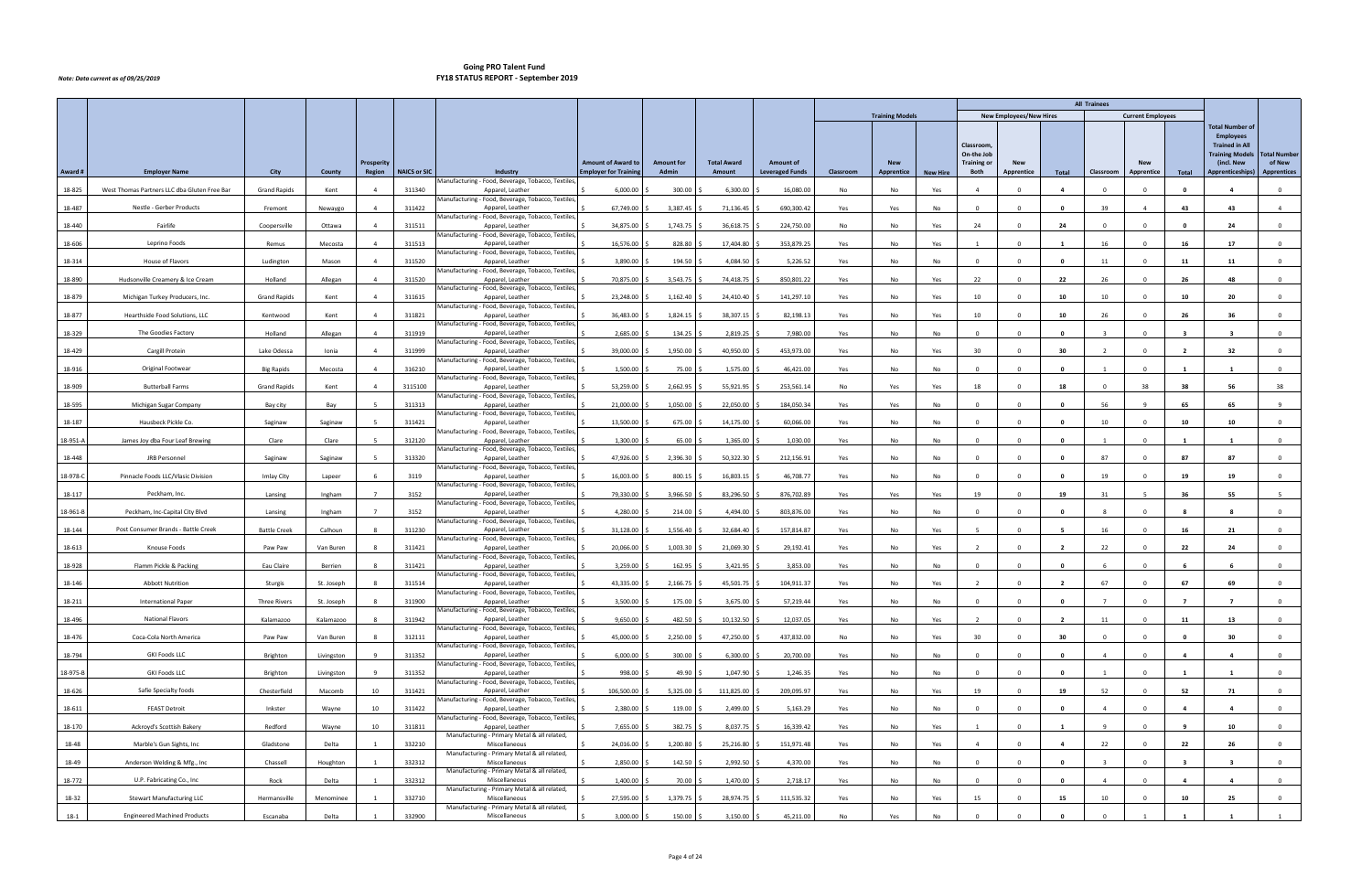| <b>New Employees/New Hires</b><br><b>Training Models</b><br><b>Current Employees</b><br><b>Total Number of</b><br><b>Employees</b><br><b>Trained in All</b><br><b>Classroom</b><br>On-the Job<br><b>Training Models</b><br>(incl. New<br>of New<br><b>Amount of Award to</b><br><b>Amount for</b><br><b>Total Award</b><br><b>Training or</b><br><b>New</b><br><b>Prosperity</b><br><b>Amount of</b><br><b>New</b><br><b>New</b><br><b>NAICS or SIC</b><br><b>Employer for Training</b><br>Award#<br><b>Employer Name</b><br>City<br>Region<br>Industry<br>Admin<br><b>Leveraged Funds</b><br>Apprenticeships)<br>County<br>Amount<br>Classroom<br><b>Apprentice</b><br>Both<br>Apprentice<br>Total<br>Classroom<br>Apprentice<br>Total<br><b>New Hire</b><br>Manufacturing - Food, Beverage, Tobacco, Textiles<br>6,000.00<br>300.00<br>18-825<br>West Thomas Partners LLC dba Gluten Free Bar<br><b>Grand Rapids</b><br>311340<br>Apparel, Leather<br>6,300.00<br>16,080.00<br>No<br>Kent<br>No<br>Yes<br>$\Omega$<br>$\Delta$<br>$\Omega$<br>Manufacturing - Food, Beverage, Tobacco, Textiles<br>Nestle - Gerber Products<br>311422<br>Apparel, Leather<br>67,749.00<br>690,300.42<br>43<br>18-487<br>Fremont<br>3,387.45<br>71,136.45<br>Yes<br>Yes<br>No<br>39<br>43<br>$\overline{4}$<br>Newaygo<br>$\Delta$<br>$\Omega$<br>$\Omega$<br>$\mathbf{0}$<br>$\overline{a}$<br>Manufacturing - Food, Beverage, Tobacco, Textiles,<br>18-440<br>Fairlife<br>311511<br>34,875.00<br>1,743.75<br>24<br>Coopersville<br>36,618.75<br>224,750.00<br>No<br>24<br>$\mathbf{0}$<br>$\Omega$<br>24<br>Ottawa<br>$\overline{4}$<br>Apparel, Leather<br>No<br>Yes<br>$\Omega$<br>$\mathbf{0}$<br>$\overline{0}$<br>Manufacturing - Food, Beverage, Tobacco, Textiles<br>Leprino Foods<br>16,576.00<br>18-606<br>311513<br>Apparel, Leather<br>828.80<br>17,404.80<br>353,879.25<br>16<br>17<br>Remus<br>Mecosta<br>Yes<br>No<br>16<br>$\Omega$<br>Yes<br>Manufacturing - Food, Beverage, Tobacco, Textiles<br>311520<br>18-314<br>House of Flavors<br>Ludington<br>Mason<br>Apparel, Leather<br>3,890.00<br>194.50<br>4,084.50<br>5,226.52<br>Yes<br>No<br>11<br>11<br>$\mathbf 0$<br>$\Delta$<br>No<br>$\Omega$<br>$\Omega$<br>$\mathbf{0}$<br>$\Omega$<br>11<br>Manufacturing - Food, Beverage, Tobacco, Textiles,<br>26<br>18-890<br>Hudsonville Creamery & Ice Cream<br>311520<br>70,875.00<br>3,543.75<br>850,801.22<br>22<br>26<br>48<br>Holland<br>Allegan<br>Apparel, Leather<br>74,418.75<br>22<br>$\overline{a}$<br>Yes<br>No<br>Yes<br>$\Omega$<br>$\Omega$<br>$\overline{0}$<br>Manufacturing - Food, Beverage, Tobacco, Textiles<br>Michigan Turkey Producers, Inc.<br>311615<br>23,248.00<br>1,162.40<br>18-879<br><b>Grand Rapids</b><br>Apparel, Leather<br>24,410.40<br>141,297.10<br>10<br>10<br>10<br>10<br>20<br>Kent<br>Yes<br>No<br>$\Omega$<br>Yes<br>Manufacturing - Food, Beverage, Tobacco, Textiles<br>18-877<br>Hearthside Food Solutions, LLC<br>Kentwood<br>Kent<br>311821<br>Apparel, Leather<br>36,483.00<br>1,824.15<br>38,307.15<br>82,198.13<br>Yes<br>No<br>10<br>10<br>26<br>$\Omega$<br>26<br>36<br>$\overline{0}$<br>$\Delta$<br>Yes<br>$\Omega$<br>Manufacturing - Food, Beverage, Tobacco, Textiles,<br>2,685.00<br>18-329<br>The Goodies Factory<br>311919<br>7,980.00<br>Holland<br>Allegan<br>Apparel, Leather<br>134.25<br>2,819.25<br>Yes<br>No<br>No<br>$\Omega$<br>$\mathbf{0}$<br>$\overline{a}$<br>$\Omega$<br>$\Omega$<br>$\mathbf{0}$<br>$\overline{\mathbf{3}}$<br>$\overline{\mathbf{3}}$<br>$\overline{\mathbf{3}}$<br>Manufacturing - Food, Beverage, Tobacco, Textiles<br>Cargill Protein<br>Lake Odessa<br>311999<br>39,000.00<br>1,950.00<br>453,973.00<br>30<br>18-429<br>Apparel, Leather<br>40,950.00<br>Yes<br>No<br>30<br>32<br>Ionia<br>Yes<br>$\Omega$<br>- 2<br>Manufacturing - Food, Beverage, Tobacco, Textiles<br>Original Footwear<br>316210<br>Apparel, Leather<br>1,500.00<br>18-916<br><b>Big Rapids</b><br>Mecosta<br>75.00<br>1,575.00<br>46,421.00<br>No<br>$\Omega$<br>$\overline{0}$<br>$\Delta$<br>Yes<br>No<br>$\Omega$<br>$\Omega$<br>$\mathbf{0}$<br>$\mathbf{1}$<br>$\overline{1}$<br>$\mathbf{1}$<br>Manufacturing - Food, Beverage, Tobacco, Textiles,<br>18-909<br><b>Butterball Farms</b><br><b>Grand Rapids</b><br>3115100<br>53,259.00<br>2,662.95<br>55,921.95<br>253,561.14<br>18<br>38<br>56<br>38<br>No<br>Yes<br>18<br>$\mathbf{0}$<br>38<br>Kent<br>$\overline{4}$<br>Apparel, Leather<br>Yes<br>$\mathbf{0}$<br>Manufacturing - Food, Beverage, Tobacco, Textiles<br>Michigan Sugar Company<br>311313<br>21,000.00<br>184,050.34<br>18-595<br>Bay<br>Apparel, Leather<br>1,050.00<br>22,050.00<br>Yes<br>Yes<br>56<br>65<br>65<br>Bay city<br><b>No</b><br>$\sqrt{2}$<br>$\Omega$<br>$\mathbf{q}$<br>Manufacturing - Food, Beverage, Tobacco, Textiles<br>Hausbeck Pickle Co.<br>311421<br>13,500.00<br>18-187<br>Saginaw<br>Saginaw<br>Apparel, Leather<br>675.00<br>14,175.00<br>60,066.00<br>Yes<br>No<br>10<br>$\Omega$<br>10<br>10<br>$\overline{0}$<br>No<br>$\Omega$<br>$\Omega$<br>0<br>Manufacturing - Food, Beverage, Tobacco, Textiles,<br>1,300.00<br>18-951-A<br>James Joy dba Four Leaf Brewing<br>Clare<br>312120<br>65.00<br>1,365.00<br>1,030.00<br>Clare<br>Apparel, Leather<br>Yes<br>No<br>No<br>$\Omega$<br>$\Omega$<br>$\mathbf 0$<br>0<br>Manufacturing - Food, Beverage, Tobacco, Textiles,<br>JRB Personnel<br>313320<br>47,926.00<br>87<br>18-448<br>Saginaw<br>Apparel, Leather<br>2,396.30<br>50,322.30<br>212,156.91<br>Yes<br>No<br>87<br>87<br>Saginaw<br><b>No</b><br>$\Omega$<br>$\Omega$<br>$\Omega$<br>$\overline{0}$<br>Manufacturing - Food, Beverage, Tobacco, Textiles<br>3119<br>16,003.00<br>Pinnacle Foods LLC/Vlasic Division<br>Apparel, Leather<br>800.15<br>16,803.15<br>46,708.77<br>19<br>19<br>19<br>18-978-C<br>Imlay City<br>Lapeer<br>Yes<br>No<br>No<br>$\Omega$<br>$\Omega$<br>$\mathbf{0}$<br>$\Omega$<br>$\mathbf 0$<br>Manufacturing - Food, Beverage, Tobacco, Textiles,<br>18-117<br>Peckham, Inc.<br>3152<br>79,330.00<br>3,966.50<br>83,296.50<br>876,702.89<br>19<br>31<br>55<br>Apparel, Leather<br>Yes<br>Yes<br>19<br>-5<br>36<br>Lansing<br>Ingham<br>Yes<br>$\Omega$<br>-5<br>Manufacturing - Food, Beverage, Tobacco, Textiles,<br>18-961-B<br>Peckham, Inc-Capital City Blvd<br>3152<br>4,280.00<br>214.00<br>4,494.00<br>803,876.00<br>Yes<br>No<br>Lansing<br>Ingham<br>Apparel, Leather<br>No<br>$\Omega$<br>$\Omega$<br>$\Omega$<br>Manufacturing - Food, Beverage, Tobacco, Textiles<br>Post Consumer Brands - Battle Creek<br>311230<br>31,128.00<br>157,814.87<br>16<br>18-144<br><b>Battle Creek</b><br>Calhoun<br>Apparel, Leather<br>1,556.40<br>32,684.40<br>16<br>21<br>Yes<br>No<br>Yes<br>$\Omega$<br>$\Omega$<br>$^{\circ}$<br>Manufacturing - Food, Beverage, Tobacco, Textiles,<br>18-613<br>20,066.00<br>1,003.30<br>21,069.30<br>29,192.41<br>22<br>22<br>Knouse Foods<br>Paw Paw<br>311421<br>Apparel, Leather<br>Yes<br>No<br>Yes<br>$\overline{2}$<br>$\Omega$<br>24<br>$\mathbf 0$<br>Van Buren<br>$\Omega$<br>$\overline{2}$<br>Manufacturing - Food, Beverage, Tobacco, Textiles,<br>Flamm Pickle & Packing<br>18-928<br>Eau Claire<br>311421<br>Apparel, Leather<br>3,259.00<br>162.95<br>3,421.95<br>3,853.00<br>Berrien<br>Yes<br>No<br><b>No</b><br>$\Omega$<br>$\Omega$<br>$\Omega$<br>$\Omega$<br>$\overline{0}$<br>Manufacturing - Food, Beverage, Tobacco, Textiles<br>67<br>18-146<br><b>Abbott Nutrition</b><br>311514<br>43,335.00<br>2,166.75<br>45,501.75 \$<br>67<br>69<br>Sturgis<br>St. Joseph<br>Apparel, Leather<br>104,911.37<br>Yes<br>No<br>$\mathbf 0$<br>Yes<br>$\overline{2}$<br>$\Omega$<br>$\overline{2}$<br>$\Omega$<br>Manufacturing - Food, Beverage, Tobacco, Textiles,<br>18-211<br><b>International Paper</b><br><b>Three Rivers</b><br>St. Joseph<br>311900<br>Apparel, Leather<br>3,500.00<br>175.00<br>3,675.00<br>57,219.44<br>Yes<br>No<br>No<br>$^{\circ}$<br>$\mathbf{0}$<br>$\mathbf 0$<br>$\overline{7}$<br>$\mathbf{0}$<br>Manufacturing - Food, Beverage, Tobacco, Textiles,<br>18-496<br><b>National Flavors</b><br>311942<br>Apparel, Leather<br>9,650.00<br>482.50<br>$10,132.50$ \$<br>12,037.05<br>Kalamazoo<br>Kalamazoo<br>Yes<br>No<br>Yes<br>$\overline{2}$<br>$\Omega$<br>11<br>$\Omega$<br>11<br>13<br>$\mathbf{0}$<br>$\overline{2}$<br>Manufacturing - Food, Beverage, Tobacco, Textiles,<br>Van Buren<br>312111<br>45,000.00<br>2,250.00<br>47,250.00 \$<br>437,832.00<br>30<br>30<br>30<br>18-476<br>Coca-Cola North America<br>Paw Paw<br>Apparel, Leather<br>No<br>No<br>Yes<br>$\Omega$<br>$\mathbf{0}$<br>$\Omega$<br>$\mathbf{0}$<br>$\mathbf{0}$<br>Manufacturing - Food, Beverage, Tobacco, Textiles,<br><b>GKI Foods LLC</b><br>18-794<br>Apparel, Leather<br>6,000.00<br>6,300.00<br>20,700.00<br>Brighton<br>Livingston<br>311352<br>300.00<br>Yes<br>No<br>No<br>$\Omega$<br>$\overline{4}$<br>$\mathbf{0}$<br>$\Omega$<br>$\Omega$<br>$\mathbf{0}$<br>$\overline{4}$<br>$\mathbf{A}$<br>Manufacturing - Food, Beverage, Tobacco, Textiles,<br>18-975-B<br>311352<br>998.00<br><b>GKI Foods LLC</b><br>Brighton<br>Apparel, Leather<br>49.90<br>1,047.90<br>1,246.35<br>Livingston<br>Yes<br>No<br>No<br>$\Omega$<br>$\Omega$<br>$\mathbf{0}$<br>1<br>$\Omega$<br>1<br>$\mathbf{1}$<br>$\overline{0}$<br>Manufacturing - Food, Beverage, Tobacco, Textiles,<br>Safie Specialty foods<br>10<br>311421<br>106,500.00<br>5,325.00<br>111,825.00 \$<br>19<br>19<br>52<br>52<br>18-626<br>Chesterfield<br>Macomb<br>Apparel, Leather<br>209,095.97<br>Yes<br>No<br>$\Omega$<br>$\Omega$<br>71<br>$\mathbf{0}$<br>Yes<br>Manufacturing - Food, Beverage, Tobacco, Textiles,<br>2,380.00<br>18-611<br><b>FEAST Detroit</b><br>Inkster<br>Wayne<br>10<br>311422<br>119.00<br>2,499.00 \$<br>5,163.29<br>Yes<br>No<br>$\mathbf{0}$<br>Apparel, Leather<br>No<br>$\Omega$<br>$\Omega$<br>$\mathbf{0}$<br>$\overline{4}$<br>$\Omega$<br>$\overline{a}$<br>$\overline{4}$<br>Manufacturing - Food, Beverage, Tobacco, Textiles,<br>7,655.00<br>18-170<br>Ackroyd's Scottish Bakery<br>Redford<br>10<br>311811<br>Apparel, Leather<br>382.75<br>8,037.75<br>16,339.42<br>-9<br>$\Omega$<br>10<br>Wayne<br>Yes<br>No<br>Yes<br>$\mathbf{1}$<br>$\Omega$<br>9<br>$\overline{0}$<br>- 1<br>Manufacturing - Primary Metal & all related,<br>Marble's Gun Sights, Inc<br>Delta<br>332210<br>Miscellaneous<br>24,016.00<br>22<br>22<br>18-48<br>Gladstone<br>1,200.80<br>25,216.80<br>151,971.48<br>Yes<br>No<br>$\overline{4}$<br>$\Omega$<br>$\Omega$<br>26<br>$\mathbf{0}$<br>Yes<br>$\overline{4}$<br>Manufacturing - Primary Metal & all related,<br>2,850.00<br>18-49<br>Anderson Welding & Mfg., Inc<br>Chassell<br>Houghton<br>332312<br>Miscellaneous<br>142.50<br>2,992.50<br>4,370.00<br>Yes<br>No<br>$\mathbf{O}$<br>No<br>$\Omega$<br>0<br>$\Omega$<br>$\mathbf{R}$<br>Manufacturing - Primary Metal & all related,<br>332312<br>18-772<br>U.P. Fabricating Co., Inc<br>Miscellaneous<br>1,400.00<br>2,718.17<br>Rock<br>Delta<br>70.00<br>1,470.00 \$<br>Yes<br>No<br>No<br>$\Omega$<br>$\mathbf 0$<br>$\mathbf{0}$<br>$\overline{4}$<br>$\Omega$<br>$\overline{4}$<br>$\overline{a}$<br>$\overline{0}$<br>Manufacturing - Primary Metal & all related,<br>18-32<br>332710<br>27,595.00<br>1,379.75<br>28,974.75<br>111,535.32<br>15<br>10<br>10<br>25<br><b>Stewart Manufacturing LLC</b><br>Hermansville<br>Menominee<br>Miscellaneous<br>Yes<br>No<br>Yes<br>$\Omega$<br>15<br>$\Omega$<br>$\mathbf{0}$<br>Manufacturing - Primary Metal & all related, |      |                                     |          |       |        |               |          |             |           |    |     |    |          |              | <b>All Trainees</b> |    |              |   |
|------------------------------------------------------------------------------------------------------------------------------------------------------------------------------------------------------------------------------------------------------------------------------------------------------------------------------------------------------------------------------------------------------------------------------------------------------------------------------------------------------------------------------------------------------------------------------------------------------------------------------------------------------------------------------------------------------------------------------------------------------------------------------------------------------------------------------------------------------------------------------------------------------------------------------------------------------------------------------------------------------------------------------------------------------------------------------------------------------------------------------------------------------------------------------------------------------------------------------------------------------------------------------------------------------------------------------------------------------------------------------------------------------------------------------------------------------------------------------------------------------------------------------------------------------------------------------------------------------------------------------------------------------------------------------------------------------------------------------------------------------------------------------------------------------------------------------------------------------------------------------------------------------------------------------------------------------------------------------------------------------------------------------------------------------------------------------------------------------------------------------------------------------------------------------------------------------------------------------------------------------------------------------------------------------------------------------------------------------------------------------------------------------------------------------------------------------------------------------------------------------------------------------------------------------------------------------------------------------------------------------------------------------------------------------------------------------------------------------------------------------------------------------------------------------------------------------------------------------------------------------------------------------------------------------------------------------------------------------------------------------------------------------------------------------------------------------------------------------------------------------------------------------------------------------------------------------------------------------------------------------------------------------------------------------------------------------------------------------------------------------------------------------------------------------------------------------------------------------------------------------------------------------------------------------------------------------------------------------------------------------------------------------------------------------------------------------------------------------------------------------------------------------------------------------------------------------------------------------------------------------------------------------------------------------------------------------------------------------------------------------------------------------------------------------------------------------------------------------------------------------------------------------------------------------------------------------------------------------------------------------------------------------------------------------------------------------------------------------------------------------------------------------------------------------------------------------------------------------------------------------------------------------------------------------------------------------------------------------------------------------------------------------------------------------------------------------------------------------------------------------------------------------------------------------------------------------------------------------------------------------------------------------------------------------------------------------------------------------------------------------------------------------------------------------------------------------------------------------------------------------------------------------------------------------------------------------------------------------------------------------------------------------------------------------------------------------------------------------------------------------------------------------------------------------------------------------------------------------------------------------------------------------------------------------------------------------------------------------------------------------------------------------------------------------------------------------------------------------------------------------------------------------------------------------------------------------------------------------------------------------------------------------------------------------------------------------------------------------------------------------------------------------------------------------------------------------------------------------------------------------------------------------------------------------------------------------------------------------------------------------------------------------------------------------------------------------------------------------------------------------------------------------------------------------------------------------------------------------------------------------------------------------------------------------------------------------------------------------------------------------------------------------------------------------------------------------------------------------------------------------------------------------------------------------------------------------------------------------------------------------------------------------------------------------------------------------------------------------------------------------------------------------------------------------------------------------------------------------------------------------------------------------------------------------------------------------------------------------------------------------------------------------------------------------------------------------------------------------------------------------------------------------------------------------------------------------------------------------------------------------------------------------------------------------------------------------------------------------------------------------------------------------------------------------------------------------------------------------------------------------------------------------------------------------------------------------------------------------------------------------------------------------------------------------------------------------------------------------------------------------------------------------------------------------------------------------------------------------------------------------------------------------------------------------------------------------------------------------------------------------------------------------------------------------------------------------------------------------------------------------------------------------------------------------------------------------------------------------------------------------------------------------------------------------------------------------------------------------------------------------------------------------------------------------------------------------------------------------------------------------------------------------------------------------------------------------------------------------------------------------------------------------------------------------------------------------------------------------------------------------------------------------------------------------------------------------------------------------------------------------------------------------------------------------------------------------------------------------------------------------------------------------------------------------------------------------------------------------------------------------------------------------------------------------------------------------------------------------------------------------------------------------------------------------------------------------------------------------------------------------------------------------------------------------------------------------------------------------------------------------------------------------------------------------------------------------------------------------------------------------------------------------------------------------------------------------------------------------------------------------------------------------------------------------------------------------------------------------------------------------------------------------------------------------------------------------------------------------------------------------------------------------------------------------------------------------------------------------------------------------------------------------------------------------------------------------------------------------------------------------------------------------------------------------------------------------------------------------------------------------------------------------------------------------------------------------------------------------------------------------------------------------------------------------------------------------------------------------------------------------------------------------------------------------------------------------------------------------------------------------------------------------------------------------------------------------------------------------------------------------------------------------------------------------------------------------------------------------------------------------------------------------------------------------------------------------------------------------------------------------------------------------------------------------------------------------------------------------------------------------------------------------------------------------------------------------------------------------------------|------|-------------------------------------|----------|-------|--------|---------------|----------|-------------|-----------|----|-----|----|----------|--------------|---------------------|----|--------------|---|
| <b>Total Number</b><br><b>Apprentices</b>                                                                                                                                                                                                                                                                                                                                                                                                                                                                                                                                                                                                                                                                                                                                                                                                                                                                                                                                                                                                                                                                                                                                                                                                                                                                                                                                                                                                                                                                                                                                                                                                                                                                                                                                                                                                                                                                                                                                                                                                                                                                                                                                                                                                                                                                                                                                                                                                                                                                                                                                                                                                                                                                                                                                                                                                                                                                                                                                                                                                                                                                                                                                                                                                                                                                                                                                                                                                                                                                                                                                                                                                                                                                                                                                                                                                                                                                                                                                                                                                                                                                                                                                                                                                                                                                                                                                                                                                                                                                                                                                                                                                                                                                                                                                                                                                                                                                                                                                                                                                                                                                                                                                                                                                                                                                                                                                                                                                                                                                                                                                                                                                                                                                                                                                                                                                                                                                                                                                                                                                                                                                                                                                                                                                                                                                                                                                                                                                                                                                                                                                                                                                                                                                                                                                                                                                                                                                                                                                                                                                                                                                                                                                                                                                                                                                                                                                                                                                                                                                                                                                                                                                                                                                                                                                                                                                                                                                                                                                                                                                                                                                                                                                                                                                                                                                                                                                                                                                                                                                                                                                                                                                                                                                                                                                                                                                                                                                                                                                                                                                                                                                                                                                                                                                                                                                                                                                                                                                                                                                                                                                                                                                                                                                                                                                                                                                                                                                                                                                                                                                                                                                                                                                                                                                                                                                                                                                                                                                                                                                                                                                                                                                                                                                                                                                                                                                                                                                                                                                                                                                                                                                                                                                                                                                                                                                                                                                                                                                                                                                                                                                                                        |      |                                     |          |       |        |               |          |             |           |    |     |    |          |              |                     |    |              |   |
|                                                                                                                                                                                                                                                                                                                                                                                                                                                                                                                                                                                                                                                                                                                                                                                                                                                                                                                                                                                                                                                                                                                                                                                                                                                                                                                                                                                                                                                                                                                                                                                                                                                                                                                                                                                                                                                                                                                                                                                                                                                                                                                                                                                                                                                                                                                                                                                                                                                                                                                                                                                                                                                                                                                                                                                                                                                                                                                                                                                                                                                                                                                                                                                                                                                                                                                                                                                                                                                                                                                                                                                                                                                                                                                                                                                                                                                                                                                                                                                                                                                                                                                                                                                                                                                                                                                                                                                                                                                                                                                                                                                                                                                                                                                                                                                                                                                                                                                                                                                                                                                                                                                                                                                                                                                                                                                                                                                                                                                                                                                                                                                                                                                                                                                                                                                                                                                                                                                                                                                                                                                                                                                                                                                                                                                                                                                                                                                                                                                                                                                                                                                                                                                                                                                                                                                                                                                                                                                                                                                                                                                                                                                                                                                                                                                                                                                                                                                                                                                                                                                                                                                                                                                                                                                                                                                                                                                                                                                                                                                                                                                                                                                                                                                                                                                                                                                                                                                                                                                                                                                                                                                                                                                                                                                                                                                                                                                                                                                                                                                                                                                                                                                                                                                                                                                                                                                                                                                                                                                                                                                                                                                                                                                                                                                                                                                                                                                                                                                                                                                                                                                                                                                                                                                                                                                                                                                                                                                                                                                                                                                                                                                                                                                                                                                                                                                                                                                                                                                                                                                                                                                                                                                                                                                                                                                                                                                                                                                                                                                                                                                                                                                                                  |      |                                     |          |       |        |               |          |             |           |    |     |    |          |              |                     |    |              |   |
|                                                                                                                                                                                                                                                                                                                                                                                                                                                                                                                                                                                                                                                                                                                                                                                                                                                                                                                                                                                                                                                                                                                                                                                                                                                                                                                                                                                                                                                                                                                                                                                                                                                                                                                                                                                                                                                                                                                                                                                                                                                                                                                                                                                                                                                                                                                                                                                                                                                                                                                                                                                                                                                                                                                                                                                                                                                                                                                                                                                                                                                                                                                                                                                                                                                                                                                                                                                                                                                                                                                                                                                                                                                                                                                                                                                                                                                                                                                                                                                                                                                                                                                                                                                                                                                                                                                                                                                                                                                                                                                                                                                                                                                                                                                                                                                                                                                                                                                                                                                                                                                                                                                                                                                                                                                                                                                                                                                                                                                                                                                                                                                                                                                                                                                                                                                                                                                                                                                                                                                                                                                                                                                                                                                                                                                                                                                                                                                                                                                                                                                                                                                                                                                                                                                                                                                                                                                                                                                                                                                                                                                                                                                                                                                                                                                                                                                                                                                                                                                                                                                                                                                                                                                                                                                                                                                                                                                                                                                                                                                                                                                                                                                                                                                                                                                                                                                                                                                                                                                                                                                                                                                                                                                                                                                                                                                                                                                                                                                                                                                                                                                                                                                                                                                                                                                                                                                                                                                                                                                                                                                                                                                                                                                                                                                                                                                                                                                                                                                                                                                                                                                                                                                                                                                                                                                                                                                                                                                                                                                                                                                                                                                                                                                                                                                                                                                                                                                                                                                                                                                                                                                                                                                                                                                                                                                                                                                                                                                                                                                                                                                                                                                                                  |      |                                     |          |       |        |               |          |             |           |    |     |    |          |              |                     |    |              |   |
|                                                                                                                                                                                                                                                                                                                                                                                                                                                                                                                                                                                                                                                                                                                                                                                                                                                                                                                                                                                                                                                                                                                                                                                                                                                                                                                                                                                                                                                                                                                                                                                                                                                                                                                                                                                                                                                                                                                                                                                                                                                                                                                                                                                                                                                                                                                                                                                                                                                                                                                                                                                                                                                                                                                                                                                                                                                                                                                                                                                                                                                                                                                                                                                                                                                                                                                                                                                                                                                                                                                                                                                                                                                                                                                                                                                                                                                                                                                                                                                                                                                                                                                                                                                                                                                                                                                                                                                                                                                                                                                                                                                                                                                                                                                                                                                                                                                                                                                                                                                                                                                                                                                                                                                                                                                                                                                                                                                                                                                                                                                                                                                                                                                                                                                                                                                                                                                                                                                                                                                                                                                                                                                                                                                                                                                                                                                                                                                                                                                                                                                                                                                                                                                                                                                                                                                                                                                                                                                                                                                                                                                                                                                                                                                                                                                                                                                                                                                                                                                                                                                                                                                                                                                                                                                                                                                                                                                                                                                                                                                                                                                                                                                                                                                                                                                                                                                                                                                                                                                                                                                                                                                                                                                                                                                                                                                                                                                                                                                                                                                                                                                                                                                                                                                                                                                                                                                                                                                                                                                                                                                                                                                                                                                                                                                                                                                                                                                                                                                                                                                                                                                                                                                                                                                                                                                                                                                                                                                                                                                                                                                                                                                                                                                                                                                                                                                                                                                                                                                                                                                                                                                                                                                                                                                                                                                                                                                                                                                                                                                                                                                                                                                                                  |      |                                     |          |       |        |               |          |             |           |    |     |    |          |              |                     |    |              |   |
|                                                                                                                                                                                                                                                                                                                                                                                                                                                                                                                                                                                                                                                                                                                                                                                                                                                                                                                                                                                                                                                                                                                                                                                                                                                                                                                                                                                                                                                                                                                                                                                                                                                                                                                                                                                                                                                                                                                                                                                                                                                                                                                                                                                                                                                                                                                                                                                                                                                                                                                                                                                                                                                                                                                                                                                                                                                                                                                                                                                                                                                                                                                                                                                                                                                                                                                                                                                                                                                                                                                                                                                                                                                                                                                                                                                                                                                                                                                                                                                                                                                                                                                                                                                                                                                                                                                                                                                                                                                                                                                                                                                                                                                                                                                                                                                                                                                                                                                                                                                                                                                                                                                                                                                                                                                                                                                                                                                                                                                                                                                                                                                                                                                                                                                                                                                                                                                                                                                                                                                                                                                                                                                                                                                                                                                                                                                                                                                                                                                                                                                                                                                                                                                                                                                                                                                                                                                                                                                                                                                                                                                                                                                                                                                                                                                                                                                                                                                                                                                                                                                                                                                                                                                                                                                                                                                                                                                                                                                                                                                                                                                                                                                                                                                                                                                                                                                                                                                                                                                                                                                                                                                                                                                                                                                                                                                                                                                                                                                                                                                                                                                                                                                                                                                                                                                                                                                                                                                                                                                                                                                                                                                                                                                                                                                                                                                                                                                                                                                                                                                                                                                                                                                                                                                                                                                                                                                                                                                                                                                                                                                                                                                                                                                                                                                                                                                                                                                                                                                                                                                                                                                                                                                                                                                                                                                                                                                                                                                                                                                                                                                                                                                                                  |      |                                     |          |       |        |               |          |             |           |    |     |    |          |              |                     |    |              |   |
|                                                                                                                                                                                                                                                                                                                                                                                                                                                                                                                                                                                                                                                                                                                                                                                                                                                                                                                                                                                                                                                                                                                                                                                                                                                                                                                                                                                                                                                                                                                                                                                                                                                                                                                                                                                                                                                                                                                                                                                                                                                                                                                                                                                                                                                                                                                                                                                                                                                                                                                                                                                                                                                                                                                                                                                                                                                                                                                                                                                                                                                                                                                                                                                                                                                                                                                                                                                                                                                                                                                                                                                                                                                                                                                                                                                                                                                                                                                                                                                                                                                                                                                                                                                                                                                                                                                                                                                                                                                                                                                                                                                                                                                                                                                                                                                                                                                                                                                                                                                                                                                                                                                                                                                                                                                                                                                                                                                                                                                                                                                                                                                                                                                                                                                                                                                                                                                                                                                                                                                                                                                                                                                                                                                                                                                                                                                                                                                                                                                                                                                                                                                                                                                                                                                                                                                                                                                                                                                                                                                                                                                                                                                                                                                                                                                                                                                                                                                                                                                                                                                                                                                                                                                                                                                                                                                                                                                                                                                                                                                                                                                                                                                                                                                                                                                                                                                                                                                                                                                                                                                                                                                                                                                                                                                                                                                                                                                                                                                                                                                                                                                                                                                                                                                                                                                                                                                                                                                                                                                                                                                                                                                                                                                                                                                                                                                                                                                                                                                                                                                                                                                                                                                                                                                                                                                                                                                                                                                                                                                                                                                                                                                                                                                                                                                                                                                                                                                                                                                                                                                                                                                                                                                                                                                                                                                                                                                                                                                                                                                                                                                                                                                                                  |      |                                     |          |       |        |               |          |             |           |    |     |    |          |              |                     |    |              |   |
|                                                                                                                                                                                                                                                                                                                                                                                                                                                                                                                                                                                                                                                                                                                                                                                                                                                                                                                                                                                                                                                                                                                                                                                                                                                                                                                                                                                                                                                                                                                                                                                                                                                                                                                                                                                                                                                                                                                                                                                                                                                                                                                                                                                                                                                                                                                                                                                                                                                                                                                                                                                                                                                                                                                                                                                                                                                                                                                                                                                                                                                                                                                                                                                                                                                                                                                                                                                                                                                                                                                                                                                                                                                                                                                                                                                                                                                                                                                                                                                                                                                                                                                                                                                                                                                                                                                                                                                                                                                                                                                                                                                                                                                                                                                                                                                                                                                                                                                                                                                                                                                                                                                                                                                                                                                                                                                                                                                                                                                                                                                                                                                                                                                                                                                                                                                                                                                                                                                                                                                                                                                                                                                                                                                                                                                                                                                                                                                                                                                                                                                                                                                                                                                                                                                                                                                                                                                                                                                                                                                                                                                                                                                                                                                                                                                                                                                                                                                                                                                                                                                                                                                                                                                                                                                                                                                                                                                                                                                                                                                                                                                                                                                                                                                                                                                                                                                                                                                                                                                                                                                                                                                                                                                                                                                                                                                                                                                                                                                                                                                                                                                                                                                                                                                                                                                                                                                                                                                                                                                                                                                                                                                                                                                                                                                                                                                                                                                                                                                                                                                                                                                                                                                                                                                                                                                                                                                                                                                                                                                                                                                                                                                                                                                                                                                                                                                                                                                                                                                                                                                                                                                                                                                                                                                                                                                                                                                                                                                                                                                                                                                                                                                                                  |      |                                     |          |       |        |               |          |             |           |    |     |    |          |              |                     |    |              |   |
|                                                                                                                                                                                                                                                                                                                                                                                                                                                                                                                                                                                                                                                                                                                                                                                                                                                                                                                                                                                                                                                                                                                                                                                                                                                                                                                                                                                                                                                                                                                                                                                                                                                                                                                                                                                                                                                                                                                                                                                                                                                                                                                                                                                                                                                                                                                                                                                                                                                                                                                                                                                                                                                                                                                                                                                                                                                                                                                                                                                                                                                                                                                                                                                                                                                                                                                                                                                                                                                                                                                                                                                                                                                                                                                                                                                                                                                                                                                                                                                                                                                                                                                                                                                                                                                                                                                                                                                                                                                                                                                                                                                                                                                                                                                                                                                                                                                                                                                                                                                                                                                                                                                                                                                                                                                                                                                                                                                                                                                                                                                                                                                                                                                                                                                                                                                                                                                                                                                                                                                                                                                                                                                                                                                                                                                                                                                                                                                                                                                                                                                                                                                                                                                                                                                                                                                                                                                                                                                                                                                                                                                                                                                                                                                                                                                                                                                                                                                                                                                                                                                                                                                                                                                                                                                                                                                                                                                                                                                                                                                                                                                                                                                                                                                                                                                                                                                                                                                                                                                                                                                                                                                                                                                                                                                                                                                                                                                                                                                                                                                                                                                                                                                                                                                                                                                                                                                                                                                                                                                                                                                                                                                                                                                                                                                                                                                                                                                                                                                                                                                                                                                                                                                                                                                                                                                                                                                                                                                                                                                                                                                                                                                                                                                                                                                                                                                                                                                                                                                                                                                                                                                                                                                                                                                                                                                                                                                                                                                                                                                                                                                                                                                                                  |      |                                     |          |       |        |               |          |             |           |    |     |    |          |              |                     |    |              |   |
|                                                                                                                                                                                                                                                                                                                                                                                                                                                                                                                                                                                                                                                                                                                                                                                                                                                                                                                                                                                                                                                                                                                                                                                                                                                                                                                                                                                                                                                                                                                                                                                                                                                                                                                                                                                                                                                                                                                                                                                                                                                                                                                                                                                                                                                                                                                                                                                                                                                                                                                                                                                                                                                                                                                                                                                                                                                                                                                                                                                                                                                                                                                                                                                                                                                                                                                                                                                                                                                                                                                                                                                                                                                                                                                                                                                                                                                                                                                                                                                                                                                                                                                                                                                                                                                                                                                                                                                                                                                                                                                                                                                                                                                                                                                                                                                                                                                                                                                                                                                                                                                                                                                                                                                                                                                                                                                                                                                                                                                                                                                                                                                                                                                                                                                                                                                                                                                                                                                                                                                                                                                                                                                                                                                                                                                                                                                                                                                                                                                                                                                                                                                                                                                                                                                                                                                                                                                                                                                                                                                                                                                                                                                                                                                                                                                                                                                                                                                                                                                                                                                                                                                                                                                                                                                                                                                                                                                                                                                                                                                                                                                                                                                                                                                                                                                                                                                                                                                                                                                                                                                                                                                                                                                                                                                                                                                                                                                                                                                                                                                                                                                                                                                                                                                                                                                                                                                                                                                                                                                                                                                                                                                                                                                                                                                                                                                                                                                                                                                                                                                                                                                                                                                                                                                                                                                                                                                                                                                                                                                                                                                                                                                                                                                                                                                                                                                                                                                                                                                                                                                                                                                                                                                                                                                                                                                                                                                                                                                                                                                                                                                                                                                                                  |      |                                     |          |       |        |               |          |             |           |    |     |    |          |              |                     |    |              |   |
|                                                                                                                                                                                                                                                                                                                                                                                                                                                                                                                                                                                                                                                                                                                                                                                                                                                                                                                                                                                                                                                                                                                                                                                                                                                                                                                                                                                                                                                                                                                                                                                                                                                                                                                                                                                                                                                                                                                                                                                                                                                                                                                                                                                                                                                                                                                                                                                                                                                                                                                                                                                                                                                                                                                                                                                                                                                                                                                                                                                                                                                                                                                                                                                                                                                                                                                                                                                                                                                                                                                                                                                                                                                                                                                                                                                                                                                                                                                                                                                                                                                                                                                                                                                                                                                                                                                                                                                                                                                                                                                                                                                                                                                                                                                                                                                                                                                                                                                                                                                                                                                                                                                                                                                                                                                                                                                                                                                                                                                                                                                                                                                                                                                                                                                                                                                                                                                                                                                                                                                                                                                                                                                                                                                                                                                                                                                                                                                                                                                                                                                                                                                                                                                                                                                                                                                                                                                                                                                                                                                                                                                                                                                                                                                                                                                                                                                                                                                                                                                                                                                                                                                                                                                                                                                                                                                                                                                                                                                                                                                                                                                                                                                                                                                                                                                                                                                                                                                                                                                                                                                                                                                                                                                                                                                                                                                                                                                                                                                                                                                                                                                                                                                                                                                                                                                                                                                                                                                                                                                                                                                                                                                                                                                                                                                                                                                                                                                                                                                                                                                                                                                                                                                                                                                                                                                                                                                                                                                                                                                                                                                                                                                                                                                                                                                                                                                                                                                                                                                                                                                                                                                                                                                                                                                                                                                                                                                                                                                                                                                                                                                                                                                                                  |      |                                     |          |       |        |               |          |             |           |    |     |    |          |              |                     |    |              |   |
|                                                                                                                                                                                                                                                                                                                                                                                                                                                                                                                                                                                                                                                                                                                                                                                                                                                                                                                                                                                                                                                                                                                                                                                                                                                                                                                                                                                                                                                                                                                                                                                                                                                                                                                                                                                                                                                                                                                                                                                                                                                                                                                                                                                                                                                                                                                                                                                                                                                                                                                                                                                                                                                                                                                                                                                                                                                                                                                                                                                                                                                                                                                                                                                                                                                                                                                                                                                                                                                                                                                                                                                                                                                                                                                                                                                                                                                                                                                                                                                                                                                                                                                                                                                                                                                                                                                                                                                                                                                                                                                                                                                                                                                                                                                                                                                                                                                                                                                                                                                                                                                                                                                                                                                                                                                                                                                                                                                                                                                                                                                                                                                                                                                                                                                                                                                                                                                                                                                                                                                                                                                                                                                                                                                                                                                                                                                                                                                                                                                                                                                                                                                                                                                                                                                                                                                                                                                                                                                                                                                                                                                                                                                                                                                                                                                                                                                                                                                                                                                                                                                                                                                                                                                                                                                                                                                                                                                                                                                                                                                                                                                                                                                                                                                                                                                                                                                                                                                                                                                                                                                                                                                                                                                                                                                                                                                                                                                                                                                                                                                                                                                                                                                                                                                                                                                                                                                                                                                                                                                                                                                                                                                                                                                                                                                                                                                                                                                                                                                                                                                                                                                                                                                                                                                                                                                                                                                                                                                                                                                                                                                                                                                                                                                                                                                                                                                                                                                                                                                                                                                                                                                                                                                                                                                                                                                                                                                                                                                                                                                                                                                                                                                                                  |      |                                     |          |       |        |               |          |             |           |    |     |    |          |              |                     |    |              |   |
|                                                                                                                                                                                                                                                                                                                                                                                                                                                                                                                                                                                                                                                                                                                                                                                                                                                                                                                                                                                                                                                                                                                                                                                                                                                                                                                                                                                                                                                                                                                                                                                                                                                                                                                                                                                                                                                                                                                                                                                                                                                                                                                                                                                                                                                                                                                                                                                                                                                                                                                                                                                                                                                                                                                                                                                                                                                                                                                                                                                                                                                                                                                                                                                                                                                                                                                                                                                                                                                                                                                                                                                                                                                                                                                                                                                                                                                                                                                                                                                                                                                                                                                                                                                                                                                                                                                                                                                                                                                                                                                                                                                                                                                                                                                                                                                                                                                                                                                                                                                                                                                                                                                                                                                                                                                                                                                                                                                                                                                                                                                                                                                                                                                                                                                                                                                                                                                                                                                                                                                                                                                                                                                                                                                                                                                                                                                                                                                                                                                                                                                                                                                                                                                                                                                                                                                                                                                                                                                                                                                                                                                                                                                                                                                                                                                                                                                                                                                                                                                                                                                                                                                                                                                                                                                                                                                                                                                                                                                                                                                                                                                                                                                                                                                                                                                                                                                                                                                                                                                                                                                                                                                                                                                                                                                                                                                                                                                                                                                                                                                                                                                                                                                                                                                                                                                                                                                                                                                                                                                                                                                                                                                                                                                                                                                                                                                                                                                                                                                                                                                                                                                                                                                                                                                                                                                                                                                                                                                                                                                                                                                                                                                                                                                                                                                                                                                                                                                                                                                                                                                                                                                                                                                                                                                                                                                                                                                                                                                                                                                                                                                                                                                                                  |      |                                     |          |       |        |               |          |             |           |    |     |    |          |              |                     |    |              |   |
|                                                                                                                                                                                                                                                                                                                                                                                                                                                                                                                                                                                                                                                                                                                                                                                                                                                                                                                                                                                                                                                                                                                                                                                                                                                                                                                                                                                                                                                                                                                                                                                                                                                                                                                                                                                                                                                                                                                                                                                                                                                                                                                                                                                                                                                                                                                                                                                                                                                                                                                                                                                                                                                                                                                                                                                                                                                                                                                                                                                                                                                                                                                                                                                                                                                                                                                                                                                                                                                                                                                                                                                                                                                                                                                                                                                                                                                                                                                                                                                                                                                                                                                                                                                                                                                                                                                                                                                                                                                                                                                                                                                                                                                                                                                                                                                                                                                                                                                                                                                                                                                                                                                                                                                                                                                                                                                                                                                                                                                                                                                                                                                                                                                                                                                                                                                                                                                                                                                                                                                                                                                                                                                                                                                                                                                                                                                                                                                                                                                                                                                                                                                                                                                                                                                                                                                                                                                                                                                                                                                                                                                                                                                                                                                                                                                                                                                                                                                                                                                                                                                                                                                                                                                                                                                                                                                                                                                                                                                                                                                                                                                                                                                                                                                                                                                                                                                                                                                                                                                                                                                                                                                                                                                                                                                                                                                                                                                                                                                                                                                                                                                                                                                                                                                                                                                                                                                                                                                                                                                                                                                                                                                                                                                                                                                                                                                                                                                                                                                                                                                                                                                                                                                                                                                                                                                                                                                                                                                                                                                                                                                                                                                                                                                                                                                                                                                                                                                                                                                                                                                                                                                                                                                                                                                                                                                                                                                                                                                                                                                                                                                                                                                                                  |      |                                     |          |       |        |               |          |             |           |    |     |    |          |              |                     |    |              |   |
|                                                                                                                                                                                                                                                                                                                                                                                                                                                                                                                                                                                                                                                                                                                                                                                                                                                                                                                                                                                                                                                                                                                                                                                                                                                                                                                                                                                                                                                                                                                                                                                                                                                                                                                                                                                                                                                                                                                                                                                                                                                                                                                                                                                                                                                                                                                                                                                                                                                                                                                                                                                                                                                                                                                                                                                                                                                                                                                                                                                                                                                                                                                                                                                                                                                                                                                                                                                                                                                                                                                                                                                                                                                                                                                                                                                                                                                                                                                                                                                                                                                                                                                                                                                                                                                                                                                                                                                                                                                                                                                                                                                                                                                                                                                                                                                                                                                                                                                                                                                                                                                                                                                                                                                                                                                                                                                                                                                                                                                                                                                                                                                                                                                                                                                                                                                                                                                                                                                                                                                                                                                                                                                                                                                                                                                                                                                                                                                                                                                                                                                                                                                                                                                                                                                                                                                                                                                                                                                                                                                                                                                                                                                                                                                                                                                                                                                                                                                                                                                                                                                                                                                                                                                                                                                                                                                                                                                                                                                                                                                                                                                                                                                                                                                                                                                                                                                                                                                                                                                                                                                                                                                                                                                                                                                                                                                                                                                                                                                                                                                                                                                                                                                                                                                                                                                                                                                                                                                                                                                                                                                                                                                                                                                                                                                                                                                                                                                                                                                                                                                                                                                                                                                                                                                                                                                                                                                                                                                                                                                                                                                                                                                                                                                                                                                                                                                                                                                                                                                                                                                                                                                                                                                                                                                                                                                                                                                                                                                                                                                                                                                                                                                                                  |      |                                     |          |       |        |               |          |             |           |    |     |    |          |              |                     |    |              |   |
|                                                                                                                                                                                                                                                                                                                                                                                                                                                                                                                                                                                                                                                                                                                                                                                                                                                                                                                                                                                                                                                                                                                                                                                                                                                                                                                                                                                                                                                                                                                                                                                                                                                                                                                                                                                                                                                                                                                                                                                                                                                                                                                                                                                                                                                                                                                                                                                                                                                                                                                                                                                                                                                                                                                                                                                                                                                                                                                                                                                                                                                                                                                                                                                                                                                                                                                                                                                                                                                                                                                                                                                                                                                                                                                                                                                                                                                                                                                                                                                                                                                                                                                                                                                                                                                                                                                                                                                                                                                                                                                                                                                                                                                                                                                                                                                                                                                                                                                                                                                                                                                                                                                                                                                                                                                                                                                                                                                                                                                                                                                                                                                                                                                                                                                                                                                                                                                                                                                                                                                                                                                                                                                                                                                                                                                                                                                                                                                                                                                                                                                                                                                                                                                                                                                                                                                                                                                                                                                                                                                                                                                                                                                                                                                                                                                                                                                                                                                                                                                                                                                                                                                                                                                                                                                                                                                                                                                                                                                                                                                                                                                                                                                                                                                                                                                                                                                                                                                                                                                                                                                                                                                                                                                                                                                                                                                                                                                                                                                                                                                                                                                                                                                                                                                                                                                                                                                                                                                                                                                                                                                                                                                                                                                                                                                                                                                                                                                                                                                                                                                                                                                                                                                                                                                                                                                                                                                                                                                                                                                                                                                                                                                                                                                                                                                                                                                                                                                                                                                                                                                                                                                                                                                                                                                                                                                                                                                                                                                                                                                                                                                                                                                                                  |      |                                     |          |       |        |               |          |             |           |    |     |    |          |              |                     |    |              |   |
|                                                                                                                                                                                                                                                                                                                                                                                                                                                                                                                                                                                                                                                                                                                                                                                                                                                                                                                                                                                                                                                                                                                                                                                                                                                                                                                                                                                                                                                                                                                                                                                                                                                                                                                                                                                                                                                                                                                                                                                                                                                                                                                                                                                                                                                                                                                                                                                                                                                                                                                                                                                                                                                                                                                                                                                                                                                                                                                                                                                                                                                                                                                                                                                                                                                                                                                                                                                                                                                                                                                                                                                                                                                                                                                                                                                                                                                                                                                                                                                                                                                                                                                                                                                                                                                                                                                                                                                                                                                                                                                                                                                                                                                                                                                                                                                                                                                                                                                                                                                                                                                                                                                                                                                                                                                                                                                                                                                                                                                                                                                                                                                                                                                                                                                                                                                                                                                                                                                                                                                                                                                                                                                                                                                                                                                                                                                                                                                                                                                                                                                                                                                                                                                                                                                                                                                                                                                                                                                                                                                                                                                                                                                                                                                                                                                                                                                                                                                                                                                                                                                                                                                                                                                                                                                                                                                                                                                                                                                                                                                                                                                                                                                                                                                                                                                                                                                                                                                                                                                                                                                                                                                                                                                                                                                                                                                                                                                                                                                                                                                                                                                                                                                                                                                                                                                                                                                                                                                                                                                                                                                                                                                                                                                                                                                                                                                                                                                                                                                                                                                                                                                                                                                                                                                                                                                                                                                                                                                                                                                                                                                                                                                                                                                                                                                                                                                                                                                                                                                                                                                                                                                                                                                                                                                                                                                                                                                                                                                                                                                                                                                                                                                                                  |      |                                     |          |       |        |               |          |             |           |    |     |    |          |              |                     |    |              |   |
|                                                                                                                                                                                                                                                                                                                                                                                                                                                                                                                                                                                                                                                                                                                                                                                                                                                                                                                                                                                                                                                                                                                                                                                                                                                                                                                                                                                                                                                                                                                                                                                                                                                                                                                                                                                                                                                                                                                                                                                                                                                                                                                                                                                                                                                                                                                                                                                                                                                                                                                                                                                                                                                                                                                                                                                                                                                                                                                                                                                                                                                                                                                                                                                                                                                                                                                                                                                                                                                                                                                                                                                                                                                                                                                                                                                                                                                                                                                                                                                                                                                                                                                                                                                                                                                                                                                                                                                                                                                                                                                                                                                                                                                                                                                                                                                                                                                                                                                                                                                                                                                                                                                                                                                                                                                                                                                                                                                                                                                                                                                                                                                                                                                                                                                                                                                                                                                                                                                                                                                                                                                                                                                                                                                                                                                                                                                                                                                                                                                                                                                                                                                                                                                                                                                                                                                                                                                                                                                                                                                                                                                                                                                                                                                                                                                                                                                                                                                                                                                                                                                                                                                                                                                                                                                                                                                                                                                                                                                                                                                                                                                                                                                                                                                                                                                                                                                                                                                                                                                                                                                                                                                                                                                                                                                                                                                                                                                                                                                                                                                                                                                                                                                                                                                                                                                                                                                                                                                                                                                                                                                                                                                                                                                                                                                                                                                                                                                                                                                                                                                                                                                                                                                                                                                                                                                                                                                                                                                                                                                                                                                                                                                                                                                                                                                                                                                                                                                                                                                                                                                                                                                                                                                                                                                                                                                                                                                                                                                                                                                                                                                                                                                                                  |      |                                     |          |       |        |               |          |             |           |    |     |    |          |              |                     |    |              |   |
|                                                                                                                                                                                                                                                                                                                                                                                                                                                                                                                                                                                                                                                                                                                                                                                                                                                                                                                                                                                                                                                                                                                                                                                                                                                                                                                                                                                                                                                                                                                                                                                                                                                                                                                                                                                                                                                                                                                                                                                                                                                                                                                                                                                                                                                                                                                                                                                                                                                                                                                                                                                                                                                                                                                                                                                                                                                                                                                                                                                                                                                                                                                                                                                                                                                                                                                                                                                                                                                                                                                                                                                                                                                                                                                                                                                                                                                                                                                                                                                                                                                                                                                                                                                                                                                                                                                                                                                                                                                                                                                                                                                                                                                                                                                                                                                                                                                                                                                                                                                                                                                                                                                                                                                                                                                                                                                                                                                                                                                                                                                                                                                                                                                                                                                                                                                                                                                                                                                                                                                                                                                                                                                                                                                                                                                                                                                                                                                                                                                                                                                                                                                                                                                                                                                                                                                                                                                                                                                                                                                                                                                                                                                                                                                                                                                                                                                                                                                                                                                                                                                                                                                                                                                                                                                                                                                                                                                                                                                                                                                                                                                                                                                                                                                                                                                                                                                                                                                                                                                                                                                                                                                                                                                                                                                                                                                                                                                                                                                                                                                                                                                                                                                                                                                                                                                                                                                                                                                                                                                                                                                                                                                                                                                                                                                                                                                                                                                                                                                                                                                                                                                                                                                                                                                                                                                                                                                                                                                                                                                                                                                                                                                                                                                                                                                                                                                                                                                                                                                                                                                                                                                                                                                                                                                                                                                                                                                                                                                                                                                                                                                                                                                                                  |      |                                     |          |       |        |               |          |             |           |    |     |    |          |              |                     |    |              |   |
|                                                                                                                                                                                                                                                                                                                                                                                                                                                                                                                                                                                                                                                                                                                                                                                                                                                                                                                                                                                                                                                                                                                                                                                                                                                                                                                                                                                                                                                                                                                                                                                                                                                                                                                                                                                                                                                                                                                                                                                                                                                                                                                                                                                                                                                                                                                                                                                                                                                                                                                                                                                                                                                                                                                                                                                                                                                                                                                                                                                                                                                                                                                                                                                                                                                                                                                                                                                                                                                                                                                                                                                                                                                                                                                                                                                                                                                                                                                                                                                                                                                                                                                                                                                                                                                                                                                                                                                                                                                                                                                                                                                                                                                                                                                                                                                                                                                                                                                                                                                                                                                                                                                                                                                                                                                                                                                                                                                                                                                                                                                                                                                                                                                                                                                                                                                                                                                                                                                                                                                                                                                                                                                                                                                                                                                                                                                                                                                                                                                                                                                                                                                                                                                                                                                                                                                                                                                                                                                                                                                                                                                                                                                                                                                                                                                                                                                                                                                                                                                                                                                                                                                                                                                                                                                                                                                                                                                                                                                                                                                                                                                                                                                                                                                                                                                                                                                                                                                                                                                                                                                                                                                                                                                                                                                                                                                                                                                                                                                                                                                                                                                                                                                                                                                                                                                                                                                                                                                                                                                                                                                                                                                                                                                                                                                                                                                                                                                                                                                                                                                                                                                                                                                                                                                                                                                                                                                                                                                                                                                                                                                                                                                                                                                                                                                                                                                                                                                                                                                                                                                                                                                                                                                                                                                                                                                                                                                                                                                                                                                                                                                                                                                                                  |      |                                     |          |       |        |               |          |             |           |    |     |    |          |              |                     |    |              |   |
|                                                                                                                                                                                                                                                                                                                                                                                                                                                                                                                                                                                                                                                                                                                                                                                                                                                                                                                                                                                                                                                                                                                                                                                                                                                                                                                                                                                                                                                                                                                                                                                                                                                                                                                                                                                                                                                                                                                                                                                                                                                                                                                                                                                                                                                                                                                                                                                                                                                                                                                                                                                                                                                                                                                                                                                                                                                                                                                                                                                                                                                                                                                                                                                                                                                                                                                                                                                                                                                                                                                                                                                                                                                                                                                                                                                                                                                                                                                                                                                                                                                                                                                                                                                                                                                                                                                                                                                                                                                                                                                                                                                                                                                                                                                                                                                                                                                                                                                                                                                                                                                                                                                                                                                                                                                                                                                                                                                                                                                                                                                                                                                                                                                                                                                                                                                                                                                                                                                                                                                                                                                                                                                                                                                                                                                                                                                                                                                                                                                                                                                                                                                                                                                                                                                                                                                                                                                                                                                                                                                                                                                                                                                                                                                                                                                                                                                                                                                                                                                                                                                                                                                                                                                                                                                                                                                                                                                                                                                                                                                                                                                                                                                                                                                                                                                                                                                                                                                                                                                                                                                                                                                                                                                                                                                                                                                                                                                                                                                                                                                                                                                                                                                                                                                                                                                                                                                                                                                                                                                                                                                                                                                                                                                                                                                                                                                                                                                                                                                                                                                                                                                                                                                                                                                                                                                                                                                                                                                                                                                                                                                                                                                                                                                                                                                                                                                                                                                                                                                                                                                                                                                                                                                                                                                                                                                                                                                                                                                                                                                                                                                                                                                                                  |      |                                     |          |       |        |               |          |             |           |    |     |    |          |              |                     |    |              |   |
|                                                                                                                                                                                                                                                                                                                                                                                                                                                                                                                                                                                                                                                                                                                                                                                                                                                                                                                                                                                                                                                                                                                                                                                                                                                                                                                                                                                                                                                                                                                                                                                                                                                                                                                                                                                                                                                                                                                                                                                                                                                                                                                                                                                                                                                                                                                                                                                                                                                                                                                                                                                                                                                                                                                                                                                                                                                                                                                                                                                                                                                                                                                                                                                                                                                                                                                                                                                                                                                                                                                                                                                                                                                                                                                                                                                                                                                                                                                                                                                                                                                                                                                                                                                                                                                                                                                                                                                                                                                                                                                                                                                                                                                                                                                                                                                                                                                                                                                                                                                                                                                                                                                                                                                                                                                                                                                                                                                                                                                                                                                                                                                                                                                                                                                                                                                                                                                                                                                                                                                                                                                                                                                                                                                                                                                                                                                                                                                                                                                                                                                                                                                                                                                                                                                                                                                                                                                                                                                                                                                                                                                                                                                                                                                                                                                                                                                                                                                                                                                                                                                                                                                                                                                                                                                                                                                                                                                                                                                                                                                                                                                                                                                                                                                                                                                                                                                                                                                                                                                                                                                                                                                                                                                                                                                                                                                                                                                                                                                                                                                                                                                                                                                                                                                                                                                                                                                                                                                                                                                                                                                                                                                                                                                                                                                                                                                                                                                                                                                                                                                                                                                                                                                                                                                                                                                                                                                                                                                                                                                                                                                                                                                                                                                                                                                                                                                                                                                                                                                                                                                                                                                                                                                                                                                                                                                                                                                                                                                                                                                                                                                                                                                                                  |      |                                     |          |       |        |               |          |             |           |    |     |    |          |              |                     |    |              |   |
|                                                                                                                                                                                                                                                                                                                                                                                                                                                                                                                                                                                                                                                                                                                                                                                                                                                                                                                                                                                                                                                                                                                                                                                                                                                                                                                                                                                                                                                                                                                                                                                                                                                                                                                                                                                                                                                                                                                                                                                                                                                                                                                                                                                                                                                                                                                                                                                                                                                                                                                                                                                                                                                                                                                                                                                                                                                                                                                                                                                                                                                                                                                                                                                                                                                                                                                                                                                                                                                                                                                                                                                                                                                                                                                                                                                                                                                                                                                                                                                                                                                                                                                                                                                                                                                                                                                                                                                                                                                                                                                                                                                                                                                                                                                                                                                                                                                                                                                                                                                                                                                                                                                                                                                                                                                                                                                                                                                                                                                                                                                                                                                                                                                                                                                                                                                                                                                                                                                                                                                                                                                                                                                                                                                                                                                                                                                                                                                                                                                                                                                                                                                                                                                                                                                                                                                                                                                                                                                                                                                                                                                                                                                                                                                                                                                                                                                                                                                                                                                                                                                                                                                                                                                                                                                                                                                                                                                                                                                                                                                                                                                                                                                                                                                                                                                                                                                                                                                                                                                                                                                                                                                                                                                                                                                                                                                                                                                                                                                                                                                                                                                                                                                                                                                                                                                                                                                                                                                                                                                                                                                                                                                                                                                                                                                                                                                                                                                                                                                                                                                                                                                                                                                                                                                                                                                                                                                                                                                                                                                                                                                                                                                                                                                                                                                                                                                                                                                                                                                                                                                                                                                                                                                                                                                                                                                                                                                                                                                                                                                                                                                                                                                                                  |      |                                     |          |       |        |               |          |             |           |    |     |    |          |              |                     |    |              |   |
|                                                                                                                                                                                                                                                                                                                                                                                                                                                                                                                                                                                                                                                                                                                                                                                                                                                                                                                                                                                                                                                                                                                                                                                                                                                                                                                                                                                                                                                                                                                                                                                                                                                                                                                                                                                                                                                                                                                                                                                                                                                                                                                                                                                                                                                                                                                                                                                                                                                                                                                                                                                                                                                                                                                                                                                                                                                                                                                                                                                                                                                                                                                                                                                                                                                                                                                                                                                                                                                                                                                                                                                                                                                                                                                                                                                                                                                                                                                                                                                                                                                                                                                                                                                                                                                                                                                                                                                                                                                                                                                                                                                                                                                                                                                                                                                                                                                                                                                                                                                                                                                                                                                                                                                                                                                                                                                                                                                                                                                                                                                                                                                                                                                                                                                                                                                                                                                                                                                                                                                                                                                                                                                                                                                                                                                                                                                                                                                                                                                                                                                                                                                                                                                                                                                                                                                                                                                                                                                                                                                                                                                                                                                                                                                                                                                                                                                                                                                                                                                                                                                                                                                                                                                                                                                                                                                                                                                                                                                                                                                                                                                                                                                                                                                                                                                                                                                                                                                                                                                                                                                                                                                                                                                                                                                                                                                                                                                                                                                                                                                                                                                                                                                                                                                                                                                                                                                                                                                                                                                                                                                                                                                                                                                                                                                                                                                                                                                                                                                                                                                                                                                                                                                                                                                                                                                                                                                                                                                                                                                                                                                                                                                                                                                                                                                                                                                                                                                                                                                                                                                                                                                                                                                                                                                                                                                                                                                                                                                                                                                                                                                                                                                                                  |      |                                     |          |       |        |               |          |             |           |    |     |    |          |              |                     |    |              |   |
|                                                                                                                                                                                                                                                                                                                                                                                                                                                                                                                                                                                                                                                                                                                                                                                                                                                                                                                                                                                                                                                                                                                                                                                                                                                                                                                                                                                                                                                                                                                                                                                                                                                                                                                                                                                                                                                                                                                                                                                                                                                                                                                                                                                                                                                                                                                                                                                                                                                                                                                                                                                                                                                                                                                                                                                                                                                                                                                                                                                                                                                                                                                                                                                                                                                                                                                                                                                                                                                                                                                                                                                                                                                                                                                                                                                                                                                                                                                                                                                                                                                                                                                                                                                                                                                                                                                                                                                                                                                                                                                                                                                                                                                                                                                                                                                                                                                                                                                                                                                                                                                                                                                                                                                                                                                                                                                                                                                                                                                                                                                                                                                                                                                                                                                                                                                                                                                                                                                                                                                                                                                                                                                                                                                                                                                                                                                                                                                                                                                                                                                                                                                                                                                                                                                                                                                                                                                                                                                                                                                                                                                                                                                                                                                                                                                                                                                                                                                                                                                                                                                                                                                                                                                                                                                                                                                                                                                                                                                                                                                                                                                                                                                                                                                                                                                                                                                                                                                                                                                                                                                                                                                                                                                                                                                                                                                                                                                                                                                                                                                                                                                                                                                                                                                                                                                                                                                                                                                                                                                                                                                                                                                                                                                                                                                                                                                                                                                                                                                                                                                                                                                                                                                                                                                                                                                                                                                                                                                                                                                                                                                                                                                                                                                                                                                                                                                                                                                                                                                                                                                                                                                                                                                                                                                                                                                                                                                                                                                                                                                                                                                                                                                                                  |      |                                     |          |       |        |               |          |             |           |    |     |    |          |              |                     |    |              |   |
|                                                                                                                                                                                                                                                                                                                                                                                                                                                                                                                                                                                                                                                                                                                                                                                                                                                                                                                                                                                                                                                                                                                                                                                                                                                                                                                                                                                                                                                                                                                                                                                                                                                                                                                                                                                                                                                                                                                                                                                                                                                                                                                                                                                                                                                                                                                                                                                                                                                                                                                                                                                                                                                                                                                                                                                                                                                                                                                                                                                                                                                                                                                                                                                                                                                                                                                                                                                                                                                                                                                                                                                                                                                                                                                                                                                                                                                                                                                                                                                                                                                                                                                                                                                                                                                                                                                                                                                                                                                                                                                                                                                                                                                                                                                                                                                                                                                                                                                                                                                                                                                                                                                                                                                                                                                                                                                                                                                                                                                                                                                                                                                                                                                                                                                                                                                                                                                                                                                                                                                                                                                                                                                                                                                                                                                                                                                                                                                                                                                                                                                                                                                                                                                                                                                                                                                                                                                                                                                                                                                                                                                                                                                                                                                                                                                                                                                                                                                                                                                                                                                                                                                                                                                                                                                                                                                                                                                                                                                                                                                                                                                                                                                                                                                                                                                                                                                                                                                                                                                                                                                                                                                                                                                                                                                                                                                                                                                                                                                                                                                                                                                                                                                                                                                                                                                                                                                                                                                                                                                                                                                                                                                                                                                                                                                                                                                                                                                                                                                                                                                                                                                                                                                                                                                                                                                                                                                                                                                                                                                                                                                                                                                                                                                                                                                                                                                                                                                                                                                                                                                                                                                                                                                                                                                                                                                                                                                                                                                                                                                                                                                                                                                                                  |      |                                     |          |       |        |               |          |             |           |    |     |    |          |              |                     |    |              |   |
|                                                                                                                                                                                                                                                                                                                                                                                                                                                                                                                                                                                                                                                                                                                                                                                                                                                                                                                                                                                                                                                                                                                                                                                                                                                                                                                                                                                                                                                                                                                                                                                                                                                                                                                                                                                                                                                                                                                                                                                                                                                                                                                                                                                                                                                                                                                                                                                                                                                                                                                                                                                                                                                                                                                                                                                                                                                                                                                                                                                                                                                                                                                                                                                                                                                                                                                                                                                                                                                                                                                                                                                                                                                                                                                                                                                                                                                                                                                                                                                                                                                                                                                                                                                                                                                                                                                                                                                                                                                                                                                                                                                                                                                                                                                                                                                                                                                                                                                                                                                                                                                                                                                                                                                                                                                                                                                                                                                                                                                                                                                                                                                                                                                                                                                                                                                                                                                                                                                                                                                                                                                                                                                                                                                                                                                                                                                                                                                                                                                                                                                                                                                                                                                                                                                                                                                                                                                                                                                                                                                                                                                                                                                                                                                                                                                                                                                                                                                                                                                                                                                                                                                                                                                                                                                                                                                                                                                                                                                                                                                                                                                                                                                                                                                                                                                                                                                                                                                                                                                                                                                                                                                                                                                                                                                                                                                                                                                                                                                                                                                                                                                                                                                                                                                                                                                                                                                                                                                                                                                                                                                                                                                                                                                                                                                                                                                                                                                                                                                                                                                                                                                                                                                                                                                                                                                                                                                                                                                                                                                                                                                                                                                                                                                                                                                                                                                                                                                                                                                                                                                                                                                                                                                                                                                                                                                                                                                                                                                                                                                                                                                                                                                                                  |      |                                     |          |       |        |               |          |             |           |    |     |    |          |              |                     |    |              |   |
|                                                                                                                                                                                                                                                                                                                                                                                                                                                                                                                                                                                                                                                                                                                                                                                                                                                                                                                                                                                                                                                                                                                                                                                                                                                                                                                                                                                                                                                                                                                                                                                                                                                                                                                                                                                                                                                                                                                                                                                                                                                                                                                                                                                                                                                                                                                                                                                                                                                                                                                                                                                                                                                                                                                                                                                                                                                                                                                                                                                                                                                                                                                                                                                                                                                                                                                                                                                                                                                                                                                                                                                                                                                                                                                                                                                                                                                                                                                                                                                                                                                                                                                                                                                                                                                                                                                                                                                                                                                                                                                                                                                                                                                                                                                                                                                                                                                                                                                                                                                                                                                                                                                                                                                                                                                                                                                                                                                                                                                                                                                                                                                                                                                                                                                                                                                                                                                                                                                                                                                                                                                                                                                                                                                                                                                                                                                                                                                                                                                                                                                                                                                                                                                                                                                                                                                                                                                                                                                                                                                                                                                                                                                                                                                                                                                                                                                                                                                                                                                                                                                                                                                                                                                                                                                                                                                                                                                                                                                                                                                                                                                                                                                                                                                                                                                                                                                                                                                                                                                                                                                                                                                                                                                                                                                                                                                                                                                                                                                                                                                                                                                                                                                                                                                                                                                                                                                                                                                                                                                                                                                                                                                                                                                                                                                                                                                                                                                                                                                                                                                                                                                                                                                                                                                                                                                                                                                                                                                                                                                                                                                                                                                                                                                                                                                                                                                                                                                                                                                                                                                                                                                                                                                                                                                                                                                                                                                                                                                                                                                                                                                                                                                                                  |      |                                     |          |       |        |               |          |             |           |    |     |    |          |              |                     |    |              |   |
|                                                                                                                                                                                                                                                                                                                                                                                                                                                                                                                                                                                                                                                                                                                                                                                                                                                                                                                                                                                                                                                                                                                                                                                                                                                                                                                                                                                                                                                                                                                                                                                                                                                                                                                                                                                                                                                                                                                                                                                                                                                                                                                                                                                                                                                                                                                                                                                                                                                                                                                                                                                                                                                                                                                                                                                                                                                                                                                                                                                                                                                                                                                                                                                                                                                                                                                                                                                                                                                                                                                                                                                                                                                                                                                                                                                                                                                                                                                                                                                                                                                                                                                                                                                                                                                                                                                                                                                                                                                                                                                                                                                                                                                                                                                                                                                                                                                                                                                                                                                                                                                                                                                                                                                                                                                                                                                                                                                                                                                                                                                                                                                                                                                                                                                                                                                                                                                                                                                                                                                                                                                                                                                                                                                                                                                                                                                                                                                                                                                                                                                                                                                                                                                                                                                                                                                                                                                                                                                                                                                                                                                                                                                                                                                                                                                                                                                                                                                                                                                                                                                                                                                                                                                                                                                                                                                                                                                                                                                                                                                                                                                                                                                                                                                                                                                                                                                                                                                                                                                                                                                                                                                                                                                                                                                                                                                                                                                                                                                                                                                                                                                                                                                                                                                                                                                                                                                                                                                                                                                                                                                                                                                                                                                                                                                                                                                                                                                                                                                                                                                                                                                                                                                                                                                                                                                                                                                                                                                                                                                                                                                                                                                                                                                                                                                                                                                                                                                                                                                                                                                                                                                                                                                                                                                                                                                                                                                                                                                                                                                                                                                                                                                                                  |      |                                     |          |       |        |               |          |             |           |    |     |    |          |              |                     |    |              |   |
|                                                                                                                                                                                                                                                                                                                                                                                                                                                                                                                                                                                                                                                                                                                                                                                                                                                                                                                                                                                                                                                                                                                                                                                                                                                                                                                                                                                                                                                                                                                                                                                                                                                                                                                                                                                                                                                                                                                                                                                                                                                                                                                                                                                                                                                                                                                                                                                                                                                                                                                                                                                                                                                                                                                                                                                                                                                                                                                                                                                                                                                                                                                                                                                                                                                                                                                                                                                                                                                                                                                                                                                                                                                                                                                                                                                                                                                                                                                                                                                                                                                                                                                                                                                                                                                                                                                                                                                                                                                                                                                                                                                                                                                                                                                                                                                                                                                                                                                                                                                                                                                                                                                                                                                                                                                                                                                                                                                                                                                                                                                                                                                                                                                                                                                                                                                                                                                                                                                                                                                                                                                                                                                                                                                                                                                                                                                                                                                                                                                                                                                                                                                                                                                                                                                                                                                                                                                                                                                                                                                                                                                                                                                                                                                                                                                                                                                                                                                                                                                                                                                                                                                                                                                                                                                                                                                                                                                                                                                                                                                                                                                                                                                                                                                                                                                                                                                                                                                                                                                                                                                                                                                                                                                                                                                                                                                                                                                                                                                                                                                                                                                                                                                                                                                                                                                                                                                                                                                                                                                                                                                                                                                                                                                                                                                                                                                                                                                                                                                                                                                                                                                                                                                                                                                                                                                                                                                                                                                                                                                                                                                                                                                                                                                                                                                                                                                                                                                                                                                                                                                                                                                                                                                                                                                                                                                                                                                                                                                                                                                                                                                                                                                                                  |      |                                     |          |       |        |               |          |             |           |    |     |    |          |              |                     |    |              |   |
|                                                                                                                                                                                                                                                                                                                                                                                                                                                                                                                                                                                                                                                                                                                                                                                                                                                                                                                                                                                                                                                                                                                                                                                                                                                                                                                                                                                                                                                                                                                                                                                                                                                                                                                                                                                                                                                                                                                                                                                                                                                                                                                                                                                                                                                                                                                                                                                                                                                                                                                                                                                                                                                                                                                                                                                                                                                                                                                                                                                                                                                                                                                                                                                                                                                                                                                                                                                                                                                                                                                                                                                                                                                                                                                                                                                                                                                                                                                                                                                                                                                                                                                                                                                                                                                                                                                                                                                                                                                                                                                                                                                                                                                                                                                                                                                                                                                                                                                                                                                                                                                                                                                                                                                                                                                                                                                                                                                                                                                                                                                                                                                                                                                                                                                                                                                                                                                                                                                                                                                                                                                                                                                                                                                                                                                                                                                                                                                                                                                                                                                                                                                                                                                                                                                                                                                                                                                                                                                                                                                                                                                                                                                                                                                                                                                                                                                                                                                                                                                                                                                                                                                                                                                                                                                                                                                                                                                                                                                                                                                                                                                                                                                                                                                                                                                                                                                                                                                                                                                                                                                                                                                                                                                                                                                                                                                                                                                                                                                                                                                                                                                                                                                                                                                                                                                                                                                                                                                                                                                                                                                                                                                                                                                                                                                                                                                                                                                                                                                                                                                                                                                                                                                                                                                                                                                                                                                                                                                                                                                                                                                                                                                                                                                                                                                                                                                                                                                                                                                                                                                                                                                                                                                                                                                                                                                                                                                                                                                                                                                                                                                                                                                                                  |      |                                     |          |       |        |               |          |             |           |    |     |    |          |              |                     |    |              |   |
|                                                                                                                                                                                                                                                                                                                                                                                                                                                                                                                                                                                                                                                                                                                                                                                                                                                                                                                                                                                                                                                                                                                                                                                                                                                                                                                                                                                                                                                                                                                                                                                                                                                                                                                                                                                                                                                                                                                                                                                                                                                                                                                                                                                                                                                                                                                                                                                                                                                                                                                                                                                                                                                                                                                                                                                                                                                                                                                                                                                                                                                                                                                                                                                                                                                                                                                                                                                                                                                                                                                                                                                                                                                                                                                                                                                                                                                                                                                                                                                                                                                                                                                                                                                                                                                                                                                                                                                                                                                                                                                                                                                                                                                                                                                                                                                                                                                                                                                                                                                                                                                                                                                                                                                                                                                                                                                                                                                                                                                                                                                                                                                                                                                                                                                                                                                                                                                                                                                                                                                                                                                                                                                                                                                                                                                                                                                                                                                                                                                                                                                                                                                                                                                                                                                                                                                                                                                                                                                                                                                                                                                                                                                                                                                                                                                                                                                                                                                                                                                                                                                                                                                                                                                                                                                                                                                                                                                                                                                                                                                                                                                                                                                                                                                                                                                                                                                                                                                                                                                                                                                                                                                                                                                                                                                                                                                                                                                                                                                                                                                                                                                                                                                                                                                                                                                                                                                                                                                                                                                                                                                                                                                                                                                                                                                                                                                                                                                                                                                                                                                                                                                                                                                                                                                                                                                                                                                                                                                                                                                                                                                                                                                                                                                                                                                                                                                                                                                                                                                                                                                                                                                                                                                                                                                                                                                                                                                                                                                                                                                                                                                                                                                                                  |      |                                     |          |       |        |               |          |             |           |    |     |    |          |              |                     |    |              |   |
|                                                                                                                                                                                                                                                                                                                                                                                                                                                                                                                                                                                                                                                                                                                                                                                                                                                                                                                                                                                                                                                                                                                                                                                                                                                                                                                                                                                                                                                                                                                                                                                                                                                                                                                                                                                                                                                                                                                                                                                                                                                                                                                                                                                                                                                                                                                                                                                                                                                                                                                                                                                                                                                                                                                                                                                                                                                                                                                                                                                                                                                                                                                                                                                                                                                                                                                                                                                                                                                                                                                                                                                                                                                                                                                                                                                                                                                                                                                                                                                                                                                                                                                                                                                                                                                                                                                                                                                                                                                                                                                                                                                                                                                                                                                                                                                                                                                                                                                                                                                                                                                                                                                                                                                                                                                                                                                                                                                                                                                                                                                                                                                                                                                                                                                                                                                                                                                                                                                                                                                                                                                                                                                                                                                                                                                                                                                                                                                                                                                                                                                                                                                                                                                                                                                                                                                                                                                                                                                                                                                                                                                                                                                                                                                                                                                                                                                                                                                                                                                                                                                                                                                                                                                                                                                                                                                                                                                                                                                                                                                                                                                                                                                                                                                                                                                                                                                                                                                                                                                                                                                                                                                                                                                                                                                                                                                                                                                                                                                                                                                                                                                                                                                                                                                                                                                                                                                                                                                                                                                                                                                                                                                                                                                                                                                                                                                                                                                                                                                                                                                                                                                                                                                                                                                                                                                                                                                                                                                                                                                                                                                                                                                                                                                                                                                                                                                                                                                                                                                                                                                                                                                                                                                                                                                                                                                                                                                                                                                                                                                                                                                                                                                                                  |      |                                     |          |       |        |               |          |             |           |    |     |    |          |              |                     |    |              |   |
|                                                                                                                                                                                                                                                                                                                                                                                                                                                                                                                                                                                                                                                                                                                                                                                                                                                                                                                                                                                                                                                                                                                                                                                                                                                                                                                                                                                                                                                                                                                                                                                                                                                                                                                                                                                                                                                                                                                                                                                                                                                                                                                                                                                                                                                                                                                                                                                                                                                                                                                                                                                                                                                                                                                                                                                                                                                                                                                                                                                                                                                                                                                                                                                                                                                                                                                                                                                                                                                                                                                                                                                                                                                                                                                                                                                                                                                                                                                                                                                                                                                                                                                                                                                                                                                                                                                                                                                                                                                                                                                                                                                                                                                                                                                                                                                                                                                                                                                                                                                                                                                                                                                                                                                                                                                                                                                                                                                                                                                                                                                                                                                                                                                                                                                                                                                                                                                                                                                                                                                                                                                                                                                                                                                                                                                                                                                                                                                                                                                                                                                                                                                                                                                                                                                                                                                                                                                                                                                                                                                                                                                                                                                                                                                                                                                                                                                                                                                                                                                                                                                                                                                                                                                                                                                                                                                                                                                                                                                                                                                                                                                                                                                                                                                                                                                                                                                                                                                                                                                                                                                                                                                                                                                                                                                                                                                                                                                                                                                                                                                                                                                                                                                                                                                                                                                                                                                                                                                                                                                                                                                                                                                                                                                                                                                                                                                                                                                                                                                                                                                                                                                                                                                                                                                                                                                                                                                                                                                                                                                                                                                                                                                                                                                                                                                                                                                                                                                                                                                                                                                                                                                                                                                                                                                                                                                                                                                                                                                                                                                                                                                                                                                                                  |      |                                     |          |       |        |               |          |             |           |    |     |    |          |              |                     |    |              |   |
|                                                                                                                                                                                                                                                                                                                                                                                                                                                                                                                                                                                                                                                                                                                                                                                                                                                                                                                                                                                                                                                                                                                                                                                                                                                                                                                                                                                                                                                                                                                                                                                                                                                                                                                                                                                                                                                                                                                                                                                                                                                                                                                                                                                                                                                                                                                                                                                                                                                                                                                                                                                                                                                                                                                                                                                                                                                                                                                                                                                                                                                                                                                                                                                                                                                                                                                                                                                                                                                                                                                                                                                                                                                                                                                                                                                                                                                                                                                                                                                                                                                                                                                                                                                                                                                                                                                                                                                                                                                                                                                                                                                                                                                                                                                                                                                                                                                                                                                                                                                                                                                                                                                                                                                                                                                                                                                                                                                                                                                                                                                                                                                                                                                                                                                                                                                                                                                                                                                                                                                                                                                                                                                                                                                                                                                                                                                                                                                                                                                                                                                                                                                                                                                                                                                                                                                                                                                                                                                                                                                                                                                                                                                                                                                                                                                                                                                                                                                                                                                                                                                                                                                                                                                                                                                                                                                                                                                                                                                                                                                                                                                                                                                                                                                                                                                                                                                                                                                                                                                                                                                                                                                                                                                                                                                                                                                                                                                                                                                                                                                                                                                                                                                                                                                                                                                                                                                                                                                                                                                                                                                                                                                                                                                                                                                                                                                                                                                                                                                                                                                                                                                                                                                                                                                                                                                                                                                                                                                                                                                                                                                                                                                                                                                                                                                                                                                                                                                                                                                                                                                                                                                                                                                                                                                                                                                                                                                                                                                                                                                                                                                                                                                                                  |      |                                     |          |       |        |               |          |             |           |    |     |    |          |              |                     |    |              |   |
|                                                                                                                                                                                                                                                                                                                                                                                                                                                                                                                                                                                                                                                                                                                                                                                                                                                                                                                                                                                                                                                                                                                                                                                                                                                                                                                                                                                                                                                                                                                                                                                                                                                                                                                                                                                                                                                                                                                                                                                                                                                                                                                                                                                                                                                                                                                                                                                                                                                                                                                                                                                                                                                                                                                                                                                                                                                                                                                                                                                                                                                                                                                                                                                                                                                                                                                                                                                                                                                                                                                                                                                                                                                                                                                                                                                                                                                                                                                                                                                                                                                                                                                                                                                                                                                                                                                                                                                                                                                                                                                                                                                                                                                                                                                                                                                                                                                                                                                                                                                                                                                                                                                                                                                                                                                                                                                                                                                                                                                                                                                                                                                                                                                                                                                                                                                                                                                                                                                                                                                                                                                                                                                                                                                                                                                                                                                                                                                                                                                                                                                                                                                                                                                                                                                                                                                                                                                                                                                                                                                                                                                                                                                                                                                                                                                                                                                                                                                                                                                                                                                                                                                                                                                                                                                                                                                                                                                                                                                                                                                                                                                                                                                                                                                                                                                                                                                                                                                                                                                                                                                                                                                                                                                                                                                                                                                                                                                                                                                                                                                                                                                                                                                                                                                                                                                                                                                                                                                                                                                                                                                                                                                                                                                                                                                                                                                                                                                                                                                                                                                                                                                                                                                                                                                                                                                                                                                                                                                                                                                                                                                                                                                                                                                                                                                                                                                                                                                                                                                                                                                                                                                                                                                                                                                                                                                                                                                                                                                                                                                                                                                                                                                                                  |      |                                     |          |       |        |               |          |             |           |    |     |    |          |              |                     |    |              |   |
|                                                                                                                                                                                                                                                                                                                                                                                                                                                                                                                                                                                                                                                                                                                                                                                                                                                                                                                                                                                                                                                                                                                                                                                                                                                                                                                                                                                                                                                                                                                                                                                                                                                                                                                                                                                                                                                                                                                                                                                                                                                                                                                                                                                                                                                                                                                                                                                                                                                                                                                                                                                                                                                                                                                                                                                                                                                                                                                                                                                                                                                                                                                                                                                                                                                                                                                                                                                                                                                                                                                                                                                                                                                                                                                                                                                                                                                                                                                                                                                                                                                                                                                                                                                                                                                                                                                                                                                                                                                                                                                                                                                                                                                                                                                                                                                                                                                                                                                                                                                                                                                                                                                                                                                                                                                                                                                                                                                                                                                                                                                                                                                                                                                                                                                                                                                                                                                                                                                                                                                                                                                                                                                                                                                                                                                                                                                                                                                                                                                                                                                                                                                                                                                                                                                                                                                                                                                                                                                                                                                                                                                                                                                                                                                                                                                                                                                                                                                                                                                                                                                                                                                                                                                                                                                                                                                                                                                                                                                                                                                                                                                                                                                                                                                                                                                                                                                                                                                                                                                                                                                                                                                                                                                                                                                                                                                                                                                                                                                                                                                                                                                                                                                                                                                                                                                                                                                                                                                                                                                                                                                                                                                                                                                                                                                                                                                                                                                                                                                                                                                                                                                                                                                                                                                                                                                                                                                                                                                                                                                                                                                                                                                                                                                                                                                                                                                                                                                                                                                                                                                                                                                                                                                                                                                                                                                                                                                                                                                                                                                                                                                                                                                                                  |      |                                     |          |       |        |               |          |             |           |    |     |    |          |              |                     |    |              |   |
|                                                                                                                                                                                                                                                                                                                                                                                                                                                                                                                                                                                                                                                                                                                                                                                                                                                                                                                                                                                                                                                                                                                                                                                                                                                                                                                                                                                                                                                                                                                                                                                                                                                                                                                                                                                                                                                                                                                                                                                                                                                                                                                                                                                                                                                                                                                                                                                                                                                                                                                                                                                                                                                                                                                                                                                                                                                                                                                                                                                                                                                                                                                                                                                                                                                                                                                                                                                                                                                                                                                                                                                                                                                                                                                                                                                                                                                                                                                                                                                                                                                                                                                                                                                                                                                                                                                                                                                                                                                                                                                                                                                                                                                                                                                                                                                                                                                                                                                                                                                                                                                                                                                                                                                                                                                                                                                                                                                                                                                                                                                                                                                                                                                                                                                                                                                                                                                                                                                                                                                                                                                                                                                                                                                                                                                                                                                                                                                                                                                                                                                                                                                                                                                                                                                                                                                                                                                                                                                                                                                                                                                                                                                                                                                                                                                                                                                                                                                                                                                                                                                                                                                                                                                                                                                                                                                                                                                                                                                                                                                                                                                                                                                                                                                                                                                                                                                                                                                                                                                                                                                                                                                                                                                                                                                                                                                                                                                                                                                                                                                                                                                                                                                                                                                                                                                                                                                                                                                                                                                                                                                                                                                                                                                                                                                                                                                                                                                                                                                                                                                                                                                                                                                                                                                                                                                                                                                                                                                                                                                                                                                                                                                                                                                                                                                                                                                                                                                                                                                                                                                                                                                                                                                                                                                                                                                                                                                                                                                                                                                                                                                                                                                                                  |      |                                     |          |       |        |               |          |             |           |    |     |    |          |              |                     |    |              |   |
|                                                                                                                                                                                                                                                                                                                                                                                                                                                                                                                                                                                                                                                                                                                                                                                                                                                                                                                                                                                                                                                                                                                                                                                                                                                                                                                                                                                                                                                                                                                                                                                                                                                                                                                                                                                                                                                                                                                                                                                                                                                                                                                                                                                                                                                                                                                                                                                                                                                                                                                                                                                                                                                                                                                                                                                                                                                                                                                                                                                                                                                                                                                                                                                                                                                                                                                                                                                                                                                                                                                                                                                                                                                                                                                                                                                                                                                                                                                                                                                                                                                                                                                                                                                                                                                                                                                                                                                                                                                                                                                                                                                                                                                                                                                                                                                                                                                                                                                                                                                                                                                                                                                                                                                                                                                                                                                                                                                                                                                                                                                                                                                                                                                                                                                                                                                                                                                                                                                                                                                                                                                                                                                                                                                                                                                                                                                                                                                                                                                                                                                                                                                                                                                                                                                                                                                                                                                                                                                                                                                                                                                                                                                                                                                                                                                                                                                                                                                                                                                                                                                                                                                                                                                                                                                                                                                                                                                                                                                                                                                                                                                                                                                                                                                                                                                                                                                                                                                                                                                                                                                                                                                                                                                                                                                                                                                                                                                                                                                                                                                                                                                                                                                                                                                                                                                                                                                                                                                                                                                                                                                                                                                                                                                                                                                                                                                                                                                                                                                                                                                                                                                                                                                                                                                                                                                                                                                                                                                                                                                                                                                                                                                                                                                                                                                                                                                                                                                                                                                                                                                                                                                                                                                                                                                                                                                                                                                                                                                                                                                                                                                                                                                                                  |      |                                     |          |       |        |               |          |             |           |    |     |    |          |              |                     |    |              |   |
|                                                                                                                                                                                                                                                                                                                                                                                                                                                                                                                                                                                                                                                                                                                                                                                                                                                                                                                                                                                                                                                                                                                                                                                                                                                                                                                                                                                                                                                                                                                                                                                                                                                                                                                                                                                                                                                                                                                                                                                                                                                                                                                                                                                                                                                                                                                                                                                                                                                                                                                                                                                                                                                                                                                                                                                                                                                                                                                                                                                                                                                                                                                                                                                                                                                                                                                                                                                                                                                                                                                                                                                                                                                                                                                                                                                                                                                                                                                                                                                                                                                                                                                                                                                                                                                                                                                                                                                                                                                                                                                                                                                                                                                                                                                                                                                                                                                                                                                                                                                                                                                                                                                                                                                                                                                                                                                                                                                                                                                                                                                                                                                                                                                                                                                                                                                                                                                                                                                                                                                                                                                                                                                                                                                                                                                                                                                                                                                                                                                                                                                                                                                                                                                                                                                                                                                                                                                                                                                                                                                                                                                                                                                                                                                                                                                                                                                                                                                                                                                                                                                                                                                                                                                                                                                                                                                                                                                                                                                                                                                                                                                                                                                                                                                                                                                                                                                                                                                                                                                                                                                                                                                                                                                                                                                                                                                                                                                                                                                                                                                                                                                                                                                                                                                                                                                                                                                                                                                                                                                                                                                                                                                                                                                                                                                                                                                                                                                                                                                                                                                                                                                                                                                                                                                                                                                                                                                                                                                                                                                                                                                                                                                                                                                                                                                                                                                                                                                                                                                                                                                                                                                                                                                                                                                                                                                                                                                                                                                                                                                                                                                                                                                                                  |      |                                     |          |       |        |               |          |             |           |    |     |    |          |              |                     |    |              |   |
| $3,150.00$ \$                                                                                                                                                                                                                                                                                                                                                                                                                                                                                                                                                                                                                                                                                                                                                                                                                                                                                                                                                                                                                                                                                                                                                                                                                                                                                                                                                                                                                                                                                                                                                                                                                                                                                                                                                                                                                                                                                                                                                                                                                                                                                                                                                                                                                                                                                                                                                                                                                                                                                                                                                                                                                                                                                                                                                                                                                                                                                                                                                                                                                                                                                                                                                                                                                                                                                                                                                                                                                                                                                                                                                                                                                                                                                                                                                                                                                                                                                                                                                                                                                                                                                                                                                                                                                                                                                                                                                                                                                                                                                                                                                                                                                                                                                                                                                                                                                                                                                                                                                                                                                                                                                                                                                                                                                                                                                                                                                                                                                                                                                                                                                                                                                                                                                                                                                                                                                                                                                                                                                                                                                                                                                                                                                                                                                                                                                                                                                                                                                                                                                                                                                                                                                                                                                                                                                                                                                                                                                                                                                                                                                                                                                                                                                                                                                                                                                                                                                                                                                                                                                                                                                                                                                                                                                                                                                                                                                                                                                                                                                                                                                                                                                                                                                                                                                                                                                                                                                                                                                                                                                                                                                                                                                                                                                                                                                                                                                                                                                                                                                                                                                                                                                                                                                                                                                                                                                                                                                                                                                                                                                                                                                                                                                                                                                                                                                                                                                                                                                                                                                                                                                                                                                                                                                                                                                                                                                                                                                                                                                                                                                                                                                                                                                                                                                                                                                                                                                                                                                                                                                                                                                                                                                                                                                                                                                                                                                                                                                                                                                                                                                                                                                                                                    | 18-1 | <b>Engineered Machined Products</b> | Escanaba | Delta | 332900 | Miscellaneous | 3,000.00 | $150.00$ \$ | 45,211.00 | No | Yes | No | $\Omega$ | $\mathbf{0}$ | $\Omega$            | -1 | $\mathbf{1}$ | 1 |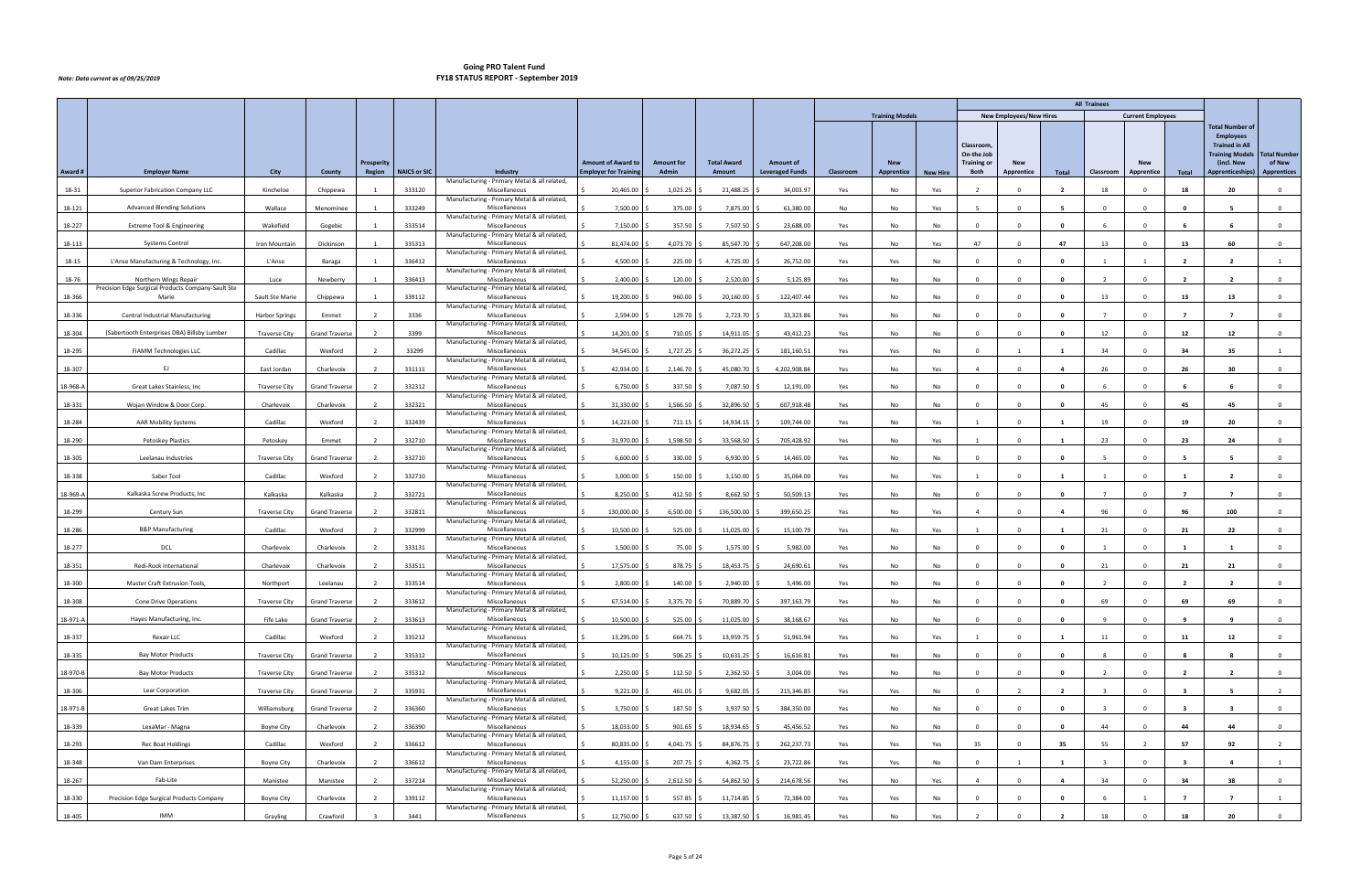|          |                                                    |                       |                       |                   |                     |                                                               |                             |                   |                    |                        |           |                        |                 |                                                      |                                |                         | <b>All Trainees</b>     |                          |                         |                                                                                                             |                               |
|----------|----------------------------------------------------|-----------------------|-----------------------|-------------------|---------------------|---------------------------------------------------------------|-----------------------------|-------------------|--------------------|------------------------|-----------|------------------------|-----------------|------------------------------------------------------|--------------------------------|-------------------------|-------------------------|--------------------------|-------------------------|-------------------------------------------------------------------------------------------------------------|-------------------------------|
|          |                                                    |                       |                       |                   |                     |                                                               |                             |                   |                    |                        |           | <b>Training Models</b> |                 |                                                      | <b>New Employees/New Hires</b> |                         |                         | <b>Current Employees</b> |                         |                                                                                                             |                               |
|          |                                                    |                       |                       | <b>Prosperity</b> |                     |                                                               | <b>Amount of Award to</b>   | <b>Amount for</b> | <b>Total Award</b> | <b>Amount of</b>       |           | <b>New</b>             |                 | <b>Classroom</b><br>On-the Job<br><b>Training or</b> | <b>New</b>                     |                         |                         | <b>New</b>               |                         | <b>Total Number of</b><br><b>Employees</b><br><b>Trained in All</b><br><b>Training Models</b><br>(incl. New | <b>Total Number</b><br>of New |
| Award #  | <b>Employer Name</b>                               | City                  | County                | Region            | <b>NAICS or SIC</b> | Industry<br>Manufacturing - Primary Metal & all related,      | <b>Employer for Trainin</b> | Admin             | Amount             | <b>Leveraged Funds</b> | Classroom | Apprentice             | <b>New Hire</b> | Both                                                 | Apprentice                     | Total                   | Classroom               | Apprentice               | Total                   | Apprenticeships)                                                                                            | <b>Apprentices</b>            |
| 18-31    | Superior Fabrication Company LLC                   | Kincheloe             | Chippewa              |                   | 333120              | Miscellaneous                                                 | 20,465.00                   | 1,023.25          | 21,488.25          | 34,003.97              | Yes       | No                     | Yes             |                                                      |                                |                         | 18                      |                          | 18                      | 20                                                                                                          | $\Omega$                      |
| 18-121   | <b>Advanced Blending Solutions</b>                 | Wallace               | Menominee             |                   | 333249              | Manufacturing - Primary Metal & all related,<br>Miscellaneous | 7,500.00                    | 375.00            | 7,875.00           | 61,380.00              | No        | No                     | Yes             |                                                      | $\Omega$                       | -5                      | $\Omega$                | $\Omega$                 | $\Omega$                | -5                                                                                                          | $\overline{0}$                |
| 18-227   | Extreme Tool & Engineering                         | Wakefield             | Gogebic               |                   | 333514              | Manufacturing - Primary Metal & all related,<br>Miscellaneous | 7,150.00                    | 357.50            | 7,507.50           | 23,688.00              | Yes       | No                     | No              | $\Omega$                                             | $\Omega$                       | $\mathbf{0}$            | -6                      | $\Omega$                 | - 6                     | - 6                                                                                                         | $\overline{0}$                |
| 18-113   | <b>Systems Control</b>                             | Iron Mountain         | Dickinson             |                   | 335313              | Manufacturing - Primary Metal & all related,<br>Miscellaneous | 81,474.00                   | 4,073.70          | 85,547.70          | 647,208.00             | Yes       | No                     | Yes             | 47                                                   |                                | 47                      | 13                      |                          | 13                      | 60                                                                                                          | $\Omega$                      |
| 18-15    | L'Anse Manufacturing & Technology, Inc.            | L'Anse                | Baraga                |                   | 336412              | Manufacturing - Primary Metal & all related,<br>Miscellaneous | 4,500.00                    | 225.00            | 4,725.00           | 26,752.00              | Yes       | Yes                    | No              | $\Omega$                                             | $\Omega$                       | $\mathbf{0}$            |                         |                          | $\overline{2}$          | $\overline{2}$                                                                                              |                               |
| 18-76    | Northern Wings Repair                              | Luce                  | Newberry              |                   | 336413              | Manufacturing - Primary Metal & all related,<br>Miscellaneous | 2,400.00                    | 120.00            | 2,520.00           | 5,125.89               | Yes       | No                     | No              | $\Omega$                                             | $\Omega$                       | $\mathbf{0}$            | $\overline{2}$          | $\Omega$                 | $\overline{2}$          | $\overline{2}$                                                                                              | $\overline{0}$                |
|          | Precision Edge Surgical Products Company-Sault Ste |                       |                       |                   |                     | Manufacturing - Primary Metal & all related,                  |                             |                   |                    |                        |           |                        |                 |                                                      |                                | - 0                     |                         |                          |                         |                                                                                                             |                               |
| 18-366   | Marie                                              | Sault Ste Marie       | Chippewa              |                   | 339112              | Miscellaneous<br>Manufacturing - Primary Metal & all related, | 19,200.00                   | 960.00            | 20,160.00          | 122,407.44             | Yes       | No                     | No              |                                                      |                                |                         | 13                      |                          | 13                      | 13                                                                                                          | $\Omega$                      |
| 18-336   | Central Industrial Manufacturing                   | <b>Harbor Springs</b> | Emmet                 |                   | 3336                | Miscellaneous<br>Manufacturing - Primary Metal & all related, | 2,594.00                    | 129.70            | 2,723.70           | 33,323.86              | Yes       | No                     | No              | $\Omega$                                             |                                | $\mathbf{0}$            | $\overline{7}$          | $\Omega$                 | $\overline{ }$          | $\overline{7}$                                                                                              | $\overline{0}$                |
| 18-304   | (Sabertooth Enterprises DBA) Billsby Lumber        | <b>Traverse City</b>  | <b>Grand Traverse</b> |                   | 3399                | Miscellaneous<br>Manufacturing - Primary Metal & all related, | 14,201.00                   | 710.05            | 14,911.05          | 43,412.23              | Yes       | No                     | No              | $\Omega$                                             |                                | $\mathbf{0}$            | 12                      | $^{\circ}$               | 12                      | 12                                                                                                          | $\overline{0}$                |
| 18-295   | FIAMM Technologies LLC                             | Cadillac              | Wexford               |                   | 33299               | Miscellaneous                                                 | 34,545.00                   | 1,727.25          | 36,272.25          | 181,160.51             | Yes       | Yes                    | No              |                                                      |                                |                         | 34                      |                          | 34                      | 35                                                                                                          |                               |
| 18-307   | -EJ                                                | East Jordan           | Charlevoix            |                   | 331111              | Manufacturing - Primary Metal & all related,<br>Miscellaneous | 42,934.00                   | 2,146.70          | 45,080.70          | 4,202,908.84           | Yes       | No                     | Yes             | $\overline{a}$                                       | $\Omega$                       | $\overline{\mathbf{4}}$ | 26                      | $\Omega$                 | 26                      | 30                                                                                                          | $\overline{0}$                |
| 18-968-A | Great Lakes Stainless, Inc.                        | <b>Traverse City</b>  | <b>Grand Traverse</b> | 2                 | 332312              | Manufacturing - Primary Metal & all related,<br>Miscellaneous | 6,750.00                    | 337.50            | 7,087.50           | 12,191.00              | Yes       | No                     | No              | $\overline{0}$                                       | $\Omega$                       | $\mathbf{0}$            | 6                       | $\mathbf 0$              | - 6                     | - 6                                                                                                         | $\mathbf 0$                   |
| 18-331   | Wojan Window & Door Corp.                          | Charlevoix            | Charlevoix            |                   | 332321              | Manufacturing - Primary Metal & all related,<br>Miscellaneous | 31,330.00                   | 1,566.50          | 32,896.50          | 607,918.48             | Yes       | No                     | No.             | $\Omega$                                             |                                | - 0                     | 45                      |                          | 45                      | 45                                                                                                          | $\Omega$                      |
| 18-284   | <b>AAR Mobility Systems</b>                        | Cadillac              | Wexford               |                   | 332439              | Manufacturing - Primary Metal & all related,<br>Miscellaneous | 14,223.00                   | 711.15            | 14,934.15          | 109,744.00             | Yes       | No                     | Yes             | $\overline{1}$                                       |                                | $\mathbf{1}$            | 19                      | $\Omega$                 | 19                      | 20                                                                                                          | $\overline{0}$                |
| 18-290   | Petoskey Plastics                                  | Petoskey              | Emmet                 |                   | 332710              | Manufacturing - Primary Metal & all related,<br>Miscellaneous | 31,970.00                   | 1,598.50          | 33,568.50          | 705,428.92             | Yes       | No                     | Yes             |                                                      |                                |                         | 23                      |                          | 23                      | 24                                                                                                          | $\mathbf{0}$                  |
| 18-305   | Leelanau Industries                                | <b>Traverse City</b>  | <b>Grand Traverse</b> |                   | 332710              | Manufacturing - Primary Metal & all related,<br>Miscellaneous | 6,600.00                    | 330.00            | 6,930.00           | 14,465.00              | Yes       | No                     | No              | $\Omega$                                             |                                | - 0                     |                         | $\Omega$                 | -5                      |                                                                                                             | $\overline{0}$                |
| 18-338   | Saber Tool                                         | Cadillac              | Wexford               |                   | 332710              | Manufacturing - Primary Metal & all related,<br>Miscellaneous | 3,000.00                    | 150.00            | 3,150.00           | 35,064.00              | Yes       | No                     | Yes             | -1                                                   |                                | - 1                     |                         | $\Omega$                 | -1                      | $\overline{2}$                                                                                              | $\mathbf 0$                   |
| 18-969-A | Kalkaska Screw Products, Inc                       | Kalkaska              | Kalkaska              |                   | 332721              | Manufacturing - Primary Metal & all related,<br>Miscellaneous | 8,250.00                    | 412.50            | 8,662.50           | 50,509.13              |           |                        |                 | $\Omega$                                             |                                | $\mathbf{0}$            | $\overline{7}$          | $\Omega$                 | $\overline{7}$          | $\overline{7}$                                                                                              |                               |
|          |                                                    |                       |                       |                   |                     | Manufacturing - Primary Metal & all related,                  |                             |                   |                    |                        | Yes       | No                     | No              |                                                      |                                |                         |                         |                          |                         |                                                                                                             | $\mathbf 0$                   |
| 18-299   | Century Sun                                        | <b>Traverse City</b>  | <b>Grand Traverse</b> |                   | 332811              | Miscellaneous<br>Manufacturing - Primary Metal & all related, | 130,000.00                  | 6,500.00          | 136,500.00         | 399,650.25             | Yes       | No                     | Yes             |                                                      |                                |                         | 96                      |                          |                         | 100                                                                                                         | $\Omega$                      |
| 18-286   | <b>B&amp;P Manufacturing</b>                       | Cadillac              | Wexford               |                   | 332999              | Miscellaneous<br>Manufacturing - Primary Metal & all related, | 10,500.00                   | 525.00            | 11,025.00          | 15,100.79              | Yes       | No                     | Yes             | $\overline{1}$                                       |                                |                         | 21                      | $\Omega$                 | 21                      | 22                                                                                                          | $\mathbf 0$                   |
| 18-277   | <b>DCL</b>                                         | Charlevoix            | Charlevoix            |                   | 333131              | Miscellaneous<br>Manufacturing - Primary Metal & all related, | 1,500.00                    | 75.00             | 1,575.00           | 5,982.00               | Yes       | No                     | No              | $\Omega$                                             |                                | $\mathbf{0}$            | $\overline{1}$          | $\Omega$                 | $\mathbf{1}$            | $\overline{1}$                                                                                              | $\mathbf 0$                   |
| 18-351   | Redi-Rock International                            | Charlevoix            | Charlevoix            |                   | 333511              | Miscellaneous<br>Manufacturing - Primary Metal & all related, | 17,575.00                   | 878.75            | 18,453.75          | 24,690.61              | Yes       | No                     | No              | $\Omega$                                             |                                | $\mathbf{0}$            | 21                      | $\Omega$                 | 21                      | 21                                                                                                          | $\overline{0}$                |
| 18-300   | <b>Master Craft Extrusion Tools</b>                | Northport             | Leelanau              | $\overline{2}$    | 333514              | Miscellaneous                                                 | 2,800.00                    | 140.00 \$         | $2,940.00$ \$      | 5,496.00               | Yes       | No                     | No              | $\Omega$                                             | $\Omega$                       | $\mathbf{0}$            | $\overline{2}$          | $\Omega$                 | $\overline{2}$          | $\overline{2}$                                                                                              | $\mathbf 0$                   |
| 18-308   | <b>Cone Drive Operations</b>                       | <b>Traverse City</b>  | <b>Grand Traverse</b> |                   | 333612              | Manufacturing - Primary Metal & all related,<br>Miscellaneous | 67,514.00                   | 3,375.70          | 70,889.70          | 397,163.79             | Yes       | No                     | No              |                                                      | $\mathbf 0$                    | $\mathbf{0}$            | 69                      |                          | 69                      | 69                                                                                                          | $\mathbf 0$                   |
| 18-971-A | Hayes Manufacturing, Inc.                          | Fife Lake             | <b>Grand Traverse</b> |                   | 333613              | Manufacturing - Primary Metal & all related,<br>Miscellaneous | 10,500.00                   | $525.00$ \$       | 11,025.00 \$       | 38,168.67              | Yes       | No                     | No              | $\overline{0}$                                       | $\Omega$                       | $\mathbf{0}$            | -9                      | $\Omega$                 | -9                      | 9                                                                                                           | $\overline{0}$                |
| 18-337   | Rexair LLC                                         | Cadillac              | Wexford               |                   | 335212              | Manufacturing - Primary Metal & all related,<br>Miscellaneous | 13,295.00                   | 664.75 \$         | 13,959.75 \$       | 51,961.94              | Yes       | No                     | Yes             | $\overline{1}$                                       | $\Omega$                       | - 1                     | 11                      | $\Omega$                 | 11                      | 12                                                                                                          | $\mathbf{0}$                  |
| 18-335   | <b>Bay Motor Products</b>                          | <b>Traverse City</b>  | <b>Grand Traverse</b> |                   | 335312              | Manufacturing - Primary Metal & all related,<br>Miscellaneous | 10,125.00                   | 506.25            | 10,631.25          | 16,616.81              | Yes       | No                     | No              | $\Omega$                                             | $\Omega$                       | $\mathbf{0}$            | -8                      | $\Omega$                 | $\mathbf{R}$            | -8                                                                                                          | $\overline{0}$                |
| 18-970-B | <b>Bay Motor Products</b>                          | <b>Traverse City</b>  | Grand Traverse        |                   | 335312              | Manufacturing - Primary Metal & all related,<br>Miscellaneous | 2,250.00                    | 112.50            | 2,362.50           | 3,004.00               | Yes       | No                     | No              | $\Omega$                                             | $\Omega$                       | $\mathbf{0}$            | $\overline{2}$          | $\Omega$                 | $\overline{2}$          | $\overline{2}$                                                                                              | $\overline{0}$                |
| 18-306   | Lear Corporation                                   | <b>Traverse City</b>  | <b>Grand Traverse</b> |                   | 335931              | Manufacturing - Primary Metal & all related,<br>Miscellaneous | 9,221.00                    | 461.05            | $9,682.05$ \$      | 215,346.85             | Yes       | Yes                    | No              | $\Omega$                                             |                                | $\overline{\mathbf{2}}$ | $\overline{\mathbf{3}}$ | $\Omega$                 | - 3                     |                                                                                                             | $\overline{2}$                |
| 18-971-B | Great Lakes Trim                                   | Williamsburg          | <b>Grand Traverse</b> |                   | 336360              | Manufacturing - Primary Metal & all related,<br>Miscellaneous | 3,750.00                    | 187.50            | 3,937.50 \$        | 384,350.00             | Yes       | No                     | No              | $\Omega$                                             |                                | $\mathbf{0}$            | $\overline{\mathbf{3}}$ | $\Omega$                 | $\overline{\mathbf{3}}$ | $\overline{\mathbf{3}}$                                                                                     | $\overline{0}$                |
|          |                                                    |                       |                       |                   |                     | Manufacturing - Primary Metal & all related,                  |                             |                   |                    |                        |           |                        |                 |                                                      |                                |                         |                         |                          |                         |                                                                                                             |                               |
| 18-339   | LexaMar - Magna                                    | <b>Boyne City</b>     | Charlevoix            |                   | 336390              | Miscellaneous<br>Manufacturing - Primary Metal & all related, | 18,033.00                   | 901.65            | 18,934.65          | 45,456.52              | Yes       | No                     | No              | $\overline{0}$                                       | $\Omega$                       | $\mathbf{0}$            | 44                      | $\Omega$                 | 44                      | 44                                                                                                          | $\overline{0}$                |
| 18-293   | Rec Boat Holdings                                  | Cadillac              | Wexford               |                   | 336612              | Miscellaneous<br>Manufacturing - Primary Metal & all related, | 80,835.00                   | 4,041.75          | 84,876.75          | 262,237.73             | Yes       | Yes                    | Yes             | 35                                                   | $\cap$                         | 35                      | 55                      |                          | 57                      | 92                                                                                                          | $\overline{2}$                |
| 18-348   | Van Dam Enterprises                                | <b>Boyne City</b>     | Charlevoix            |                   | 336612              | Miscellaneous<br>Manufacturing - Primary Metal & all related, | 4,155.00                    | 207.75            | 4,362.75           | 23,722.86              | Yes       | Yes                    | No              | $\Omega$                                             |                                | - 1                     |                         | $\Omega$                 |                         | 4                                                                                                           | $\mathbf{1}$                  |
| 18-267   | Fab-Lite                                           | Manistee              | Manistee              |                   | 337214              | Miscellaneous<br>Manufacturing - Primary Metal & all related, | 52,250.00                   | 2,612.50 \$       | 54,862.50 \$       | 214,678.56             | Yes       | No                     | Yes             | $\overline{4}$                                       | $\Omega$                       | 4                       | 34                      | $\Omega$                 | 34                      | 38                                                                                                          | $\overline{0}$                |
| 18-330   | Precision Edge Surgical Products Company           | <b>Boyne City</b>     | Charlevoix            |                   | 339112              | Miscellaneous<br>Manufacturing - Primary Metal & all related, | 11,157.00                   | 557.85            | 11,714.85          | 72,384.00              | Yes       | Yes                    | No              | $\Omega$                                             |                                | $\mathbf{0}$            | -6                      |                          | $\overline{7}$          |                                                                                                             | 1                             |
| 18-405   | IMM                                                | Grayling              | Crawford              |                   | 3441                | Miscellaneous                                                 | 12,750.00                   | 637.50 \$         | 13,387.50 \$       | 16,981.45              | Yes       | No                     | Yes             |                                                      |                                | -2                      | 18                      | $\Omega$                 | 18                      | 20                                                                                                          | $\overline{0}$                |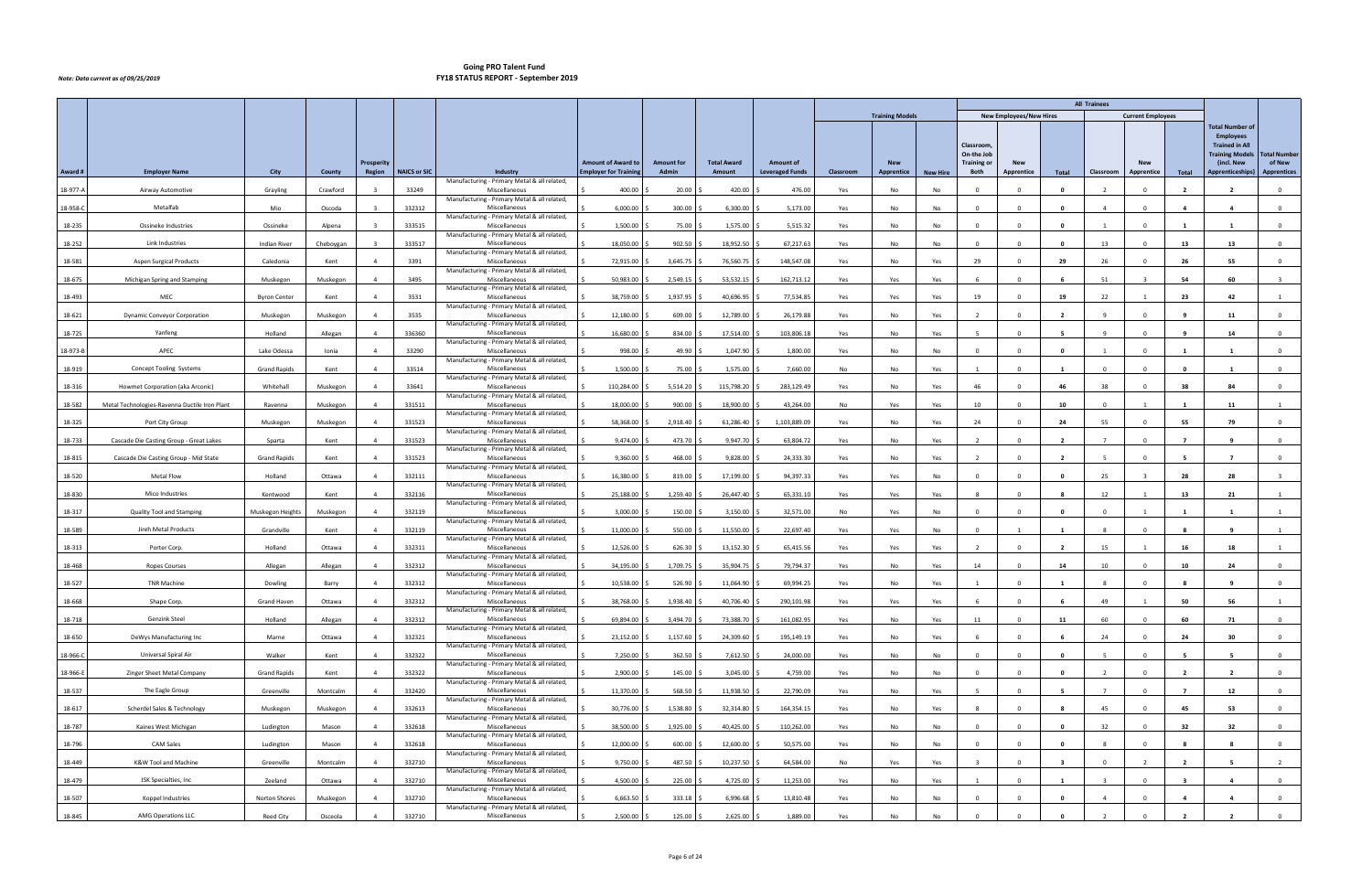|          |                                               |                     |           |                   |                     |                                                               |                             |                   |                    |                        |           |                        |                 |                                               |                                |                          | <b>All Trainees</b>     |                          |                         |                                                                                                             |                               |
|----------|-----------------------------------------------|---------------------|-----------|-------------------|---------------------|---------------------------------------------------------------|-----------------------------|-------------------|--------------------|------------------------|-----------|------------------------|-----------------|-----------------------------------------------|--------------------------------|--------------------------|-------------------------|--------------------------|-------------------------|-------------------------------------------------------------------------------------------------------------|-------------------------------|
|          |                                               |                     |           |                   |                     |                                                               |                             |                   |                    |                        |           | <b>Training Models</b> |                 |                                               | <b>New Employees/New Hires</b> |                          |                         | <b>Current Employees</b> |                         |                                                                                                             |                               |
|          |                                               |                     |           | <b>Prosperity</b> |                     |                                                               | <b>Amount of Award to</b>   | <b>Amount for</b> | <b>Total Award</b> | <b>Amount of</b>       |           | <b>New</b>             |                 | Classroom<br>On-the Job<br><b>Training or</b> | <b>New</b>                     |                          |                         | <b>New</b>               |                         | <b>Total Number of</b><br><b>Employees</b><br><b>Trained in All</b><br><b>Training Models</b><br>(incl. New | <b>Total Number</b><br>of New |
| Award #  | <b>Employer Name</b>                          | City                | County    | Region            | <b>NAICS or SIC</b> | Industry<br>Manufacturing - Primary Metal & all related,      | <b>Employer for Trainin</b> | Admin             | Amount             | <b>Leveraged Funds</b> | Classroom | Apprentice             | <b>New Hire</b> | Both                                          | Apprentice                     | Total                    | Classroom               | Apprentice               | Total                   | Apprenticeships)                                                                                            | <b>Apprentices</b>            |
| 18-977-A | Airway Automotive                             | Grayling            | Crawford  |                   | 33249               | Miscellaneous                                                 | 400.00                      | 20.00             | 420.00             | 476.00                 | Yes       | No                     | No              |                                               |                                | - 0                      |                         |                          |                         |                                                                                                             | $\Omega$                      |
| 18-958-C | Metalfab                                      | Mio                 | Oscoda    |                   | 332312              | Manufacturing - Primary Metal & all related,<br>Miscellaneous | 6,000.00                    | 300.00            | 6,300.00           | 5,173.00               | Yes       | No                     | No              | $\Omega$                                      | $\Omega$                       | $\mathbf{0}$             | $\overline{a}$          | $\Omega$                 | $\overline{a}$          | $\overline{4}$                                                                                              | $\overline{0}$                |
| 18-235   | Ossineke Industries                           | Ossineke            | Alpena    |                   | 333515              | Manufacturing - Primary Metal & all related,<br>Miscellaneous | 1,500.00                    | 75.00             | 1,575.00           | 5,515.32               | Yes       | No                     | No              | $\Omega$                                      | $\Omega$                       | $\mathbf{0}$             | 1                       | $\Omega$                 | $\mathbf{1}$            | -1                                                                                                          | $\overline{0}$                |
| 18-252   | Link Industries                               | <b>Indian River</b> | Cheboygan |                   | 333517              | Manufacturing - Primary Metal & all related,<br>Miscellaneous | 18,050.00                   | 902.50            | 18,952.50          | 67,217.63              | Yes       | No                     | No              |                                               |                                |                          | 13                      |                          | 13                      | 13                                                                                                          | $\Omega$                      |
|          |                                               |                     |           |                   |                     | Manufacturing - Primary Metal & all related,                  |                             |                   |                    |                        |           |                        |                 |                                               |                                |                          |                         |                          |                         |                                                                                                             |                               |
| 18-581   | Aspen Surgical Products                       | Caledonia           | Kent      | $\overline{4}$    | 3391                | Miscellaneous<br>Manufacturing - Primary Metal & all related, | 72,915.00                   | 3,645.75          | 76,560.75          | 148,547.08             | Yes       | No                     | Yes             | 29                                            | $\Omega$                       | 29                       | 26                      | $\Omega$                 | 26                      | 55                                                                                                          | $\mathbf 0$                   |
| 18-675   | Michigan Spring and Stamping                  | Muskegon            | Muskegon  | $\overline{4}$    | 3495                | Miscellaneous<br>Manufacturing - Primary Metal & all related, | 50,983.00                   | 2,549.15          | 53,532.15          | 162,713.12             | Yes       | Yes                    | Yes             | - 6                                           |                                | - 6                      | 51                      | $\overline{3}$           | 54                      | 60                                                                                                          | $\overline{\mathbf{3}}$       |
| 18-493   | MEC                                           | <b>Byron Center</b> | Kent      |                   | 3531                | Miscellaneous<br>Manufacturing - Primary Metal & all related, | 38,759.00                   | 1,937.95          | 40,696.95          | 77,534.85              | Yes       | Yes                    | Yes             | 19                                            |                                | 19                       | 22                      |                          | 23                      | 42                                                                                                          |                               |
| 18-621   | <b>Dynamic Conveyor Corporation</b>           | Muskegon            | Muskegon  | $\overline{a}$    | 3535                | Miscellaneous<br>Manufacturing - Primary Metal & all related, | 12,180.00                   | 609.00            | 12,789.00          | 26,179.88              | Yes       | No                     | Yes             | $\overline{2}$                                |                                | $\overline{\mathbf{2}}$  | $\mathbf{q}$            | $\Omega$                 | - q                     | 11                                                                                                          | $\overline{0}$                |
| 18-725   | Yanfeng                                       | Holland             | Allegan   | $\overline{4}$    | 336360              | Miscellaneous                                                 | 16,680.00                   | 834.00            | 17,514.00          | 103,806.18             | Yes       | No                     | Yes             | -5                                            |                                | - 5                      | $\overline{9}$          | $\Omega$                 | -9                      | 14                                                                                                          | $\mathbf 0$                   |
| 18-973-B | APEC                                          | Lake Odessa         | Ionia     |                   | 33290               | Manufacturing - Primary Metal & all related,<br>Miscellaneous | 998.00                      | 49.90             | 1,047.90           | 1,800.00               | Yes       | No                     | No              | $\Omega$                                      |                                | - 0                      |                         |                          |                         |                                                                                                             | $\Omega$                      |
| 18-919   | <b>Concept Tooling Systems</b>                | <b>Grand Rapids</b> | Kent      | $\overline{4}$    | 33514               | Manufacturing - Primary Metal & all related,<br>Miscellaneous | 1,500.00                    | 75.00             | 1,575.00           | 7,660.00               | No        | No                     | Yes             | $\overline{1}$                                | n                              | $\mathbf{1}$             | $\Omega$                | $\Omega$                 | 0                       | $\blacksquare$                                                                                              | $\overline{0}$                |
| 18-316   | Howmet Corporation (aka Arconic)              | Whitehall           | Muskegon  | $\overline{4}$    | 33641               | Manufacturing - Primary Metal & all related,<br>Miscellaneous | 110,284.00                  | 5,514.20          | 115,798.20         | 283,129.49             | Yes       | No                     | Yes             | 46                                            | $\Omega$                       | 46                       | 38                      | $\mathbf 0$              | 38                      | 84                                                                                                          | $\mathbf 0$                   |
| 18-582   | Metal Technologies-Ravenna Ductile Iron Plant | Ravenna             | Muskegon  |                   | 331511              | Manufacturing - Primary Metal & all related,<br>Miscellaneous | 18,000.00                   | 900.00            | 18,900.00          | 43,264.00              | No        | Yes                    | Yes             | 10                                            |                                | 10                       | $\Omega$                |                          |                         | -11                                                                                                         |                               |
| 18-325   | Port City Group                               | Muskegon            | Muskegon  | $\overline{a}$    | 331523              | Manufacturing - Primary Metal & all related,<br>Miscellaneous | 58,368.00                   | 2,918.40          | 61,286.40          | 1,103,889.09           |           | No                     |                 | 24                                            |                                | 24                       | 55                      | $\Omega$                 | 55                      | 79                                                                                                          | $\overline{0}$                |
|          |                                               |                     |           |                   |                     | Manufacturing - Primary Metal & all related,                  |                             |                   |                    |                        | Yes       |                        | Yes             |                                               |                                |                          |                         |                          |                         |                                                                                                             |                               |
| 18-733   | Cascade Die Casting Group - Great Lakes       | Sparta              | Kent      | $\overline{4}$    | 331523              | Miscellaneous<br>Manufacturing - Primary Metal & all related, | 9,474.00                    | 473.70            | 9,947.70           | 63,804.72              | Yes       | No                     | Yes             | $\overline{2}$                                |                                | - 2                      |                         |                          | $\overline{ }$          | <b>q</b>                                                                                                    | $\mathbf 0$                   |
| 18-815   | Cascade Die Casting Group - Mid State         | <b>Grand Rapids</b> | Kent      |                   | 331523              | Miscellaneous<br>Manufacturing - Primary Metal & all related, | 9,360.00                    | 468.00            | 9,828.00           | 24,333.30              | Yes       | No                     | Yes             | $\overline{2}$                                |                                | $\overline{\phantom{a}}$ |                         | $\Omega$                 | -5                      | $\overline{\phantom{a}}$                                                                                    | $\overline{0}$                |
| 18-520   | <b>Metal Flow</b>                             | Holland             | Ottawa    | $\overline{4}$    | 332111              | Miscellaneous<br>Manufacturing - Primary Metal & all related, | 16,380.00                   | 819.00            | 17,199.00          | 94,397.33              | Yes       | Yes                    | No              | $\Omega$                                      |                                | $\mathbf{0}$             | 25                      |                          | 28                      | 28                                                                                                          | $\overline{\mathbf{3}}$       |
| 18-830   | Mico Industries                               | Kentwood            | Kent      | $\overline{4}$    | 332116              | Miscellaneous<br>Manufacturing - Primary Metal & all related, | 25,188.00                   | 1,259.40          | 26,447.40          | 65,331.10              | Yes       | Yes                    | Yes             |                                               |                                | -8                       | 12                      |                          | 13                      | 21                                                                                                          |                               |
| 18-317   | Quality Tool and Stamping                     | Muskegon Heights    | Muskegon  |                   | 332119              | Miscellaneous<br>Manufacturing - Primary Metal & all related, | 3,000.00                    | 150.00            | 3,150.00           | 32,571.00              | No        | Yes                    | No              | $\Omega$                                      |                                | $\mathbf{0}$             | $\Omega$                |                          |                         |                                                                                                             |                               |
| 18-589   | Jireh Metal Products                          | Grandville          | Kent      | $\overline{4}$    | 332119              | Miscellaneous                                                 | 11,000.00                   | 550.00            | 11,550.00          | 22,697.40              | Yes       | Yes                    | No              | $\Omega$                                      |                                | - 1                      |                         |                          |                         |                                                                                                             |                               |
| 18-313   | Porter Corp.                                  | Holland             | Ottawa    | $\overline{4}$    | 332311              | Manufacturing - Primary Metal & all related,<br>Miscellaneous | 12,526.00                   | 626.30            | 13,152.30          | 65,415.56              | Yes       | Yes                    | Yes             | $\overline{2}$                                |                                | $\overline{2}$           | 15                      |                          | 16                      | 18                                                                                                          | $\overline{1}$                |
| 18-468   | Ropes Courses                                 | Allegan             | Allegan   |                   | 332312              | Manufacturing - Primary Metal & all related,<br>Miscellaneous | 34,195.00                   | 1,709.75          | 35,904.75          | 79,794.37              | Yes       | No                     | Yes             | 14                                            |                                | 14                       | 10                      | $\Omega$                 | 10                      | 24                                                                                                          | $\overline{0}$                |
| 18-527   | <b>TNR Machine</b>                            | Dowling             | Barry     | $\overline{4}$    | 332312              | Manufacturing - Primary Metal & all related,<br>Miscellaneous | 10,538.00                   | 526.90            | 11,064.90 \$       | 69,994.25              | Yes       | No                     | Yes             |                                               |                                |                          | -8                      |                          |                         | 9                                                                                                           | $\mathbf 0$                   |
| 18-668   | Shape Corp.                                   | Grand Haven         | Ottawa    | $\overline{4}$    | 332312              | Manufacturing - Primary Metal & all related,<br>Miscellaneous | 38,768.00                   | 1,938.40          | 40,706.40          | 290,101.98             | Yes       | Yes                    | Yes             |                                               | $\mathbf 0$                    | 6                        | 49                      |                          | 50                      | 56                                                                                                          |                               |
|          | Genzink Steel                                 |                     |           |                   |                     | Manufacturing - Primary Metal & all related,                  |                             |                   |                    |                        |           |                        |                 |                                               |                                |                          |                         |                          |                         |                                                                                                             |                               |
| 18-718   |                                               | Holland             | Allegan   | $\overline{4}$    | 332312              | Miscellaneous<br>Manufacturing - Primary Metal & all related, | 69,894.00                   | 3,494.70 \$       | 73,388.70 \$       | 161,082.95             | Yes       | No                     | Yes             | 11                                            | $\Omega$                       | 11                       | 60                      | $\Omega$                 | 60                      | 71                                                                                                          | $\overline{0}$                |
| 18-650   | DeWys Manufacturing Inc                       | Marne               | Ottawa    | $\overline{4}$    | 332321              | Miscellaneous<br>Manufacturing - Primary Metal & all related, | 23,152.00                   | 1,157.60 \$       | 24,309.60 \$       | 195,149.19             | Yes       | No                     | Yes             | - 6                                           | $\Omega$                       | - 6                      | 24                      | $\Omega$                 | 24                      | 30                                                                                                          | $\mathbf{0}$                  |
| 18-966-C | Universal Spiral Air                          | Walker              | Kent      | $\overline{4}$    | 332322              | Miscellaneous<br>Manufacturing - Primary Metal & all related, | 7,250.00                    | 362.50            | 7,612.50           | 24,000.00              | Yes       | No                     | No              | $\overline{0}$                                | $\Omega$                       | $\mathbf{0}$             | $\overline{5}$          | $\Omega$                 | -5                      | -5.                                                                                                         | $\overline{0}$                |
| 18-966-E | Zinger Sheet Metal Company                    | <b>Grand Rapids</b> | Kent      | $\overline{4}$    | 332322              | Miscellaneous<br>Manufacturing - Primary Metal & all related, | 2,900.00                    | 145.00            | 3,045.00           | 4,759.00               | Yes       | No                     | No              | $\overline{0}$                                | $\Omega$                       | 0                        | $\overline{2}$          | $\Omega$                 | $\overline{2}$          | $\overline{2}$                                                                                              | $\overline{0}$                |
| 18-537   | The Eagle Group                               | Greenville          | Montcalm  | $\overline{4}$    | 332420              | Miscellaneous<br>Manufacturing - Primary Metal & all related, | 11,370.00                   | 568.50 \$         | 11,938.50          | 22,790.09              | Yes       | No                     | Yes             |                                               |                                | - 5                      | $\overline{7}$          | $\Omega$                 | $\overline{7}$          | 12                                                                                                          | $\mathbf{0}$                  |
| 18-617   | Scherdel Sales & Technology                   | Muskegon            | Muskegon  | $\overline{4}$    | 332613              | Miscellaneous                                                 | 30,776.00                   | 1,538.80          | 32,314.80          | 164,354.15             | Yes       | No                     | Yes             | -8                                            |                                | 8                        | 45                      | $\Omega$                 | 45                      | 53                                                                                                          | $\overline{0}$                |
| 18-787   | Kaines West Michigan                          | Ludington           | Mason     | $\overline{4}$    | 332618              | Manufacturing - Primary Metal & all related,<br>Miscellaneous | 38,500.00                   | 1,925.00          | 40,425.00          | 110,262.00             | Yes       | No                     | No              | $\overline{0}$                                | $\Omega$                       | 0                        | 32                      | $\Omega$                 | 32                      | 32                                                                                                          | $\overline{0}$                |
| 18-796   | <b>CAM Sales</b>                              | Ludington           | Mason     | $\overline{4}$    | 332618              | Manufacturing - Primary Metal & all related,<br>Miscellaneous | 12,000.00                   | 600.00            | 12,600.00          | 50,575.00              | Yes       | No                     | No              | $\Omega$                                      |                                | 0                        | -8                      | $\Omega$                 | - 8                     | - 8                                                                                                         | $\mathbf{0}$                  |
| 18-449   | K&W Tool and Machine                          | Greenville          | Montcalm  | $\overline{4}$    | 332710              | Manufacturing - Primary Metal & all related,<br>Miscellaneous | 9,750.00                    | 487.50            | 10,237.50          | 64,584.00              | No        | Yes                    | Yes             |                                               |                                | - 3                      | $\Omega$                |                          | $\overline{2}$          | -5                                                                                                          | $\overline{2}$                |
| 18-479   | JSK Specialties, Inc.                         | Zeeland             | Ottawa    | $\overline{4}$    | 332710              | Manufacturing - Primary Metal & all related,<br>Miscellaneous | 4,500.00                    | 225.00 \$         | 4,725.00 \$        | 11,253.00              | Yes       | No                     | Yes             | $\overline{1}$                                | $\Omega$                       | - 1                      | $\overline{\mathbf{3}}$ | $\Omega$                 | $\overline{\mathbf{3}}$ | $\overline{a}$                                                                                              | $\overline{0}$                |
| 18-507   | Koppel Industries                             | Norton Shores       | Muskegon  | $\overline{a}$    | 332710              | Manufacturing - Primary Metal & all related,<br>Miscellaneous | 6,663.50                    | $333.18$ \$       | 6,996.68           | 13,810.48              | Yes       | No                     | No              | $\Omega$                                      |                                | $\mathbf{0}$             | $\overline{4}$          | $\Omega$                 | $\overline{4}$          | -4                                                                                                          | $\mathbf{0}$                  |
| 18-845   | AMG Operations LLC                            | Reed City           | Osceola   | $\overline{4}$    | 332710              | Manufacturing - Primary Metal & all related,<br>Miscellaneous | 2,500.00                    | 125.00%           | 2,625.00 \$        | 1,889.00               | Yes       | No                     | No              | $\overline{0}$                                |                                | $\mathbf{0}$             |                         | $\Omega$                 | $\overline{2}$          | $\overline{2}$                                                                                              | $\overline{0}$                |
|          |                                               |                     |           |                   |                     |                                                               |                             |                   |                    |                        |           |                        |                 |                                               |                                |                          |                         |                          |                         |                                                                                                             |                               |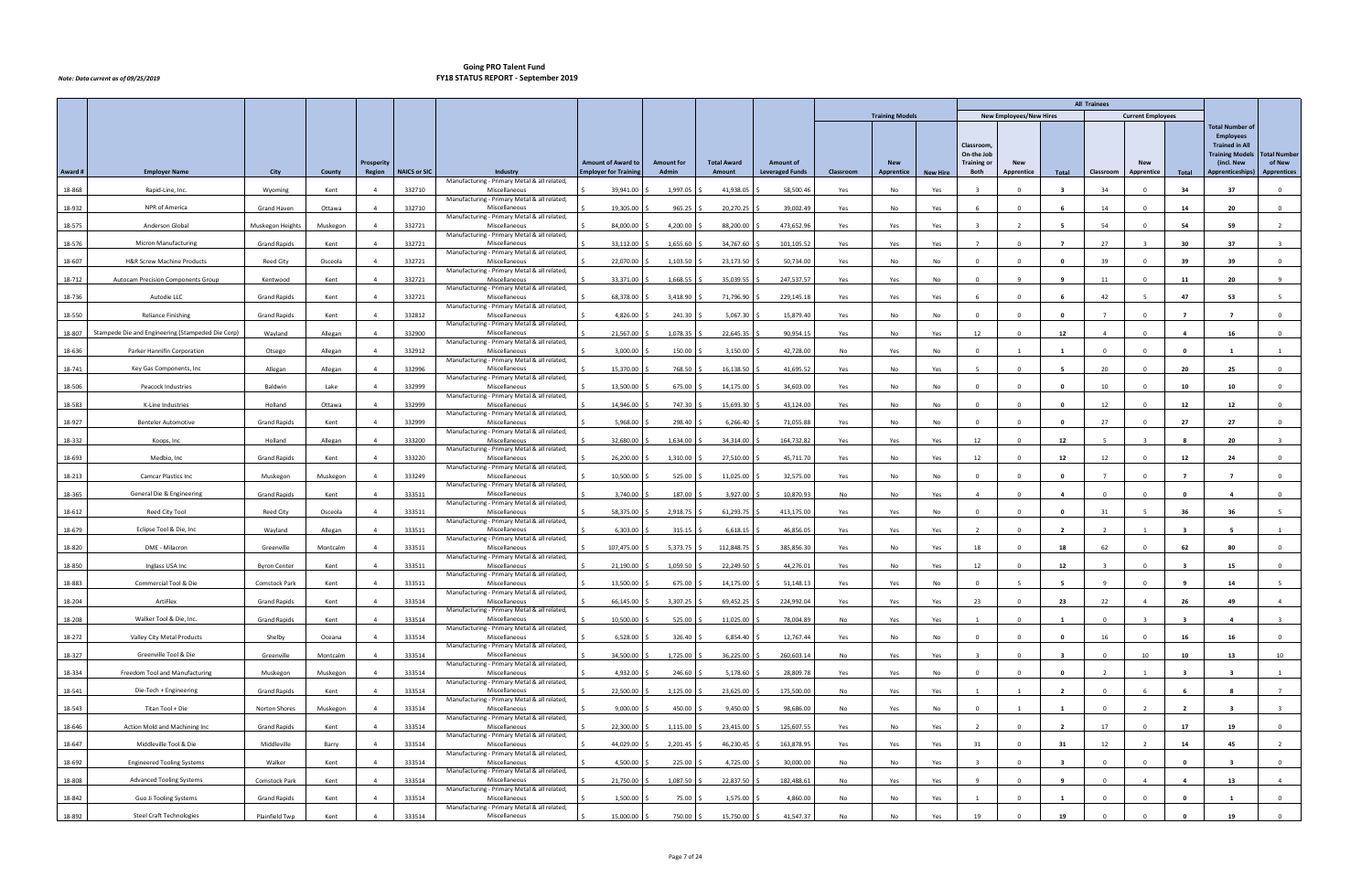|         |                                                   |                      |          |                             |                     |                                                               |                                                           |                                   |                              |                                            |           |                          |                 |                                |                                |                         | <b>All Trainees</b> |                          |                         |                                                                                               |                               |
|---------|---------------------------------------------------|----------------------|----------|-----------------------------|---------------------|---------------------------------------------------------------|-----------------------------------------------------------|-----------------------------------|------------------------------|--------------------------------------------|-----------|--------------------------|-----------------|--------------------------------|--------------------------------|-------------------------|---------------------|--------------------------|-------------------------|-----------------------------------------------------------------------------------------------|-------------------------------|
|         |                                                   |                      |          |                             |                     |                                                               |                                                           |                                   |                              |                                            |           | <b>Training Models</b>   |                 |                                | <b>New Employees/New Hires</b> |                         |                     | <b>Current Employees</b> |                         |                                                                                               |                               |
|         |                                                   |                      |          |                             |                     |                                                               |                                                           |                                   |                              |                                            |           |                          |                 | <b>Classroom</b><br>On-the Job |                                |                         |                     |                          |                         | <b>Total Number of</b><br><b>Employees</b><br><b>Trained in All</b><br><b>Training Models</b> | <b>Total Number</b><br>of New |
| Award # | <b>Employer Name</b>                              | City                 | County   | <b>Prosperity</b><br>Region | <b>NAICS or SIC</b> | Industry                                                      | <b>Amount of Award to</b><br><b>Employer for Training</b> | <b>Amount for</b><br><b>Admin</b> | <b>Total Award</b><br>Amount | <b>Amount of</b><br><b>Leveraged Funds</b> | Classroom | <b>New</b><br>Apprentice | <b>New Hire</b> | <b>Training or</b><br>Both     | <b>New</b><br>Apprentice       | Total                   | Classroom           | <b>New</b><br>Apprentice | Total                   | (incl. New<br><b>Apprenticeships)</b>                                                         | <b>Apprentices</b>            |
| 18-868  | Rapid-Line, Inc.                                  | Wyoming              | Kent     | $\overline{4}$              | 332710              | Manufacturing - Primary Metal & all related,<br>Miscellaneous | 39,941.00                                                 | 1,997.05                          | 41,938.05                    | 58,500.46                                  | Yes       | No                       | Yes             |                                |                                |                         | 34                  | $\Omega$                 | 34                      | 37                                                                                            | $\Omega$                      |
|         | NPR of America                                    |                      |          |                             |                     | Manufacturing - Primary Metal & all related,<br>Miscellaneous |                                                           |                                   |                              |                                            |           |                          |                 |                                |                                |                         |                     |                          |                         |                                                                                               |                               |
| 18-932  |                                                   | <b>Grand Haven</b>   | Ottawa   |                             | 332710              | Manufacturing - Primary Metal & all related,                  | 19,305.00                                                 | 965.25                            | 20,270.25                    | 39,002.49                                  | Yes       | No                       | Yes             |                                |                                |                         | 14                  |                          | 14                      | 20                                                                                            | $\mathbf 0$                   |
| 18-575  | Anderson Global                                   | Muskegon Heights     | Muskegon | $\Delta$                    | 332721              | Miscellaneous<br>Manufacturing - Primary Metal & all related, | 84,000.00                                                 | 4,200.00                          | 88,200.00                    | 473,652.96                                 | Yes       | Yes                      | Yes             | $\mathbf{R}$                   |                                |                         | 54                  | $\Omega$                 | 54                      | 59                                                                                            | $\overline{2}$                |
| 18-576  | <b>Micron Manufacturing</b>                       | <b>Grand Rapids</b>  | Kent     |                             | 332721              | Miscellaneous<br>Manufacturing - Primary Metal & all related, | 33,112.00                                                 | 1,655.60                          | 34,767.60                    | 101,105.52                                 | Yes       | Yes                      | Yes             | $\overline{7}$                 |                                |                         | 27                  |                          | 30                      | 37                                                                                            |                               |
| 18-607  | <b>H&amp;R Screw Machine Products</b>             | <b>Reed City</b>     | Osceola  | $\overline{a}$              | 332721              | Miscellaneous                                                 | 22,070.00                                                 | 1,103.50                          | 23,173.50                    | 50,734.00                                  | Yes       | No                       | No              | $\Omega$                       | $\Omega$                       | $\mathbf{0}$            | 39                  | $\Omega$                 | 39                      | 39                                                                                            | $\mathbf 0$                   |
| 18-712  | <b>Autocam Precision Components Group</b>         | Kentwood             | Kent     | $\overline{a}$              | 332721              | Manufacturing - Primary Metal & all related,<br>Miscellaneous | 33,371.00                                                 | 1,668.55                          | 35,039.55                    | 247,537.57                                 | Yes       | Yes                      | No              | $\Omega$                       |                                |                         | 11                  | $\Omega$                 | 11                      | 20                                                                                            | $\mathbf{q}$                  |
| 18-736  | Autodie LLC                                       | <b>Grand Rapids</b>  | Kent     |                             | 332721              | Manufacturing - Primary Metal & all related,<br>Miscellaneous | 68,378.00                                                 | 3,418.90                          | 71,796.90                    | 229,145.18                                 | Yes       | Yes                      | Yes             |                                |                                |                         | 42                  |                          | 47                      | -53                                                                                           |                               |
| 18-550  | <b>Reliance Finishing</b>                         | <b>Grand Rapids</b>  | Kent     | $\overline{a}$              | 332812              | Manufacturing - Primary Metal & all related,<br>Miscellaneous | 4,826.00                                                  | 241.30                            | 5,067.30                     | 15,879.40                                  | Yes       | No                       | No              | $\Omega$                       | $\Omega$                       | $\mathbf{0}$            | $\overline{7}$      |                          | $\overline{7}$          | $\overline{7}$                                                                                | $\overline{0}$                |
| 18-807  | Stampede Die and Engineering (Stampeded Die Corp) | Wayland              | Allegan  | $\overline{4}$              | 332900              | Manufacturing - Primary Metal & all related,<br>Miscellaneous | 21,567.00                                                 | 1,078.35                          | 22,645.35                    | 90,954.15                                  | Yes       | No                       | Yes             | 12                             | $\Omega$                       | 12                      | $\overline{4}$      | $\Omega$                 | $\overline{a}$          | 16                                                                                            | $\overline{0}$                |
| 18-636  | Parker Hannifin Corporation                       | Otsego               | Allegan  | 4                           | 332912              | Manufacturing - Primary Metal & all related,<br>Miscellaneous | 3,000.00                                                  | 150.00                            | 3,150.00                     | 42,728.00                                  | No        | Yes                      | No              | <b>0</b>                       |                                |                         | $\Omega$            |                          | - 0                     |                                                                                               | $\overline{1}$                |
|         |                                                   |                      |          |                             |                     | Manufacturing - Primary Metal & all related,                  |                                                           |                                   |                              |                                            |           |                          |                 |                                |                                |                         |                     |                          |                         |                                                                                               |                               |
| 18-741  | Key Gas Components, Inc.                          | Allegan              | Allegan  | $\overline{a}$              | 332996              | Miscellaneous<br>Manufacturing - Primary Metal & all related, | 15,370.00                                                 | 768.50                            | 16,138.50                    | 41,695.52                                  | Yes       | No                       | Yes             |                                | $\Omega$                       | -5                      | 20                  | $\Omega$                 | 20                      | 25                                                                                            | $\overline{0}$                |
| 18-506  | <b>Peacock Industries</b>                         | Baldwin              | Lake     | $\overline{4}$              | 332999              | Miscellaneous<br>Manufacturing - Primary Metal & all related, | 13,500.00                                                 | 675.00                            | 14,175.00                    | 34,603.00                                  | Yes       | No                       | No              | $\overline{0}$                 | $\Omega$                       | $\mathbf{0}$            | 10                  | $^{\circ}$               | 10                      | 10                                                                                            | $\overline{0}$                |
| 18-583  | K-Line Industries                                 | Holland              | Ottawa   |                             | 332999              | Miscellaneous<br>Manufacturing - Primary Metal & all related, | 14,946.00                                                 | 747.30                            | 15,693.30                    | 43,124.00                                  | Yes       | No                       | No              |                                |                                |                         | 12                  |                          | 12                      | 12                                                                                            | $\Omega$                      |
| 18-927  | <b>Benteler Automotive</b>                        | <b>Grand Rapids</b>  | Kent     | $\overline{a}$              | 332999              | Miscellaneous<br>Manufacturing - Primary Metal & all related, | 5,968.00                                                  | 298.40                            | 6,266.40                     | 71,055.88                                  | Yes       | No                       | No              | $\Omega$                       | $\Omega$                       | $\mathbf{0}$            | 27                  | $\Omega$                 | 27                      | 27                                                                                            | $\overline{0}$                |
| 18-332  | Koops, Inc                                        | Holland              | Allegan  | $\overline{4}$              | 333200              | Miscellaneous                                                 | 32,680.00                                                 | 1,634.00                          | 34,314.00                    | 164,732.82                                 | Yes       | Yes                      | Yes             | 12                             | $\Omega$                       | 12                      | -5                  | $\overline{\mathbf{3}}$  | -8                      | 20                                                                                            | $\overline{3}$                |
| 18-693  | Medbio, Inc                                       | <b>Grand Rapids</b>  | Kent     |                             | 333220              | Manufacturing - Primary Metal & all related,<br>Miscellaneous | 26,200.00                                                 | 1,310.00                          | 27,510.00                    | 45,711.70                                  | Yes       | No                       | Yes             | 12                             |                                | 12                      | 12                  |                          | 12                      | 24                                                                                            | $\Omega$                      |
| 18-213  | <b>Camcar Plastics Inc</b>                        | Muskegon             | Muskegon |                             | 333249              | Manufacturing - Primary Metal & all related,<br>Miscellaneous | 10,500.00                                                 | 525.00                            | 11,025.00                    | 32,575.00                                  | Yes       | No                       | No              | $\Omega$                       |                                | $\mathbf{0}$            | $\overline{7}$      | $\Omega$                 | $\overline{7}$          | $\overline{7}$                                                                                | $\overline{0}$                |
| 18-365  | General Die & Engineering                         | <b>Grand Rapids</b>  | Kent     | $\overline{4}$              | 333511              | Manufacturing - Primary Metal & all related,<br>Miscellaneous | 3,740.00                                                  | 187.00                            | 3,927.00                     | 10,870.93                                  | No        | No                       | Yes             | $\overline{4}$                 | $\Omega$                       | 4                       | $\Omega$            | $\Omega$                 | $\mathbf{0}$            | $\overline{\mathbf{4}}$                                                                       | $\overline{0}$                |
| 18-612  | Reed City Tool                                    | <b>Reed City</b>     | Osceola  |                             | 333511              | Manufacturing - Primary Metal & all related,<br>Miscellaneous | 58,375.00                                                 | 2,918.75                          | 61,293.75                    | 413,175.00                                 | Yes       | Yes                      | No              | $\Omega$                       |                                | - 0                     | 31                  |                          | 36                      | 36                                                                                            |                               |
| 18-679  | Eclipse Tool & Die, Inc                           | Wayland              | Allegan  | $\overline{4}$              | 333511              | Manufacturing - Primary Metal & all related,<br>Miscellaneous | 6,303.00                                                  | 315.15                            | 6,618.15                     | 46,856.05                                  | Yes       | Yes                      | Yes             | $\overline{2}$                 | $\Omega$                       | $\overline{\mathbf{2}}$ | $\overline{2}$      |                          | $\overline{\mathbf{3}}$ | -5                                                                                            | $\overline{1}$                |
| 18-820  | DME - Milacron                                    | Greenville           | Montcalm | $\overline{4}$              | 333511              | Manufacturing - Primary Metal & all related,<br>Miscellaneous | 107,475.00                                                | 5,373.75                          | 112,848.75                   | 385,856.30                                 | Yes       | No                       | Yes             | 18                             | $\Omega$                       | 18                      | 62                  | $^{\circ}$               | 62                      | 80                                                                                            | $\mathbf 0$                   |
|         | Inglass USA Inc                                   | <b>Byron Center</b>  |          |                             |                     | Manufacturing - Primary Metal & all related,<br>Miscellaneous | 21,190.00                                                 |                                   |                              |                                            |           | No                       |                 | 12                             |                                | 12                      |                     |                          |                         |                                                                                               | $\Omega$                      |
| 18-850  |                                                   |                      | Kent     |                             | 333511              | Manufacturing - Primary Metal & all related,                  |                                                           | 1,059.50                          | 22,249.50                    | 44,276.01                                  | Yes       |                          | Yes             |                                |                                |                         |                     |                          |                         | 15                                                                                            |                               |
| 18-883  | Commercial Tool & Die                             | <b>Comstock Park</b> | Kent     | $\overline{4}$              | 333511              | Miscellaneous<br>Manufacturing - Primary Metal & all related, | 13,500.00                                                 | 675.00 \$                         | 14,175.00 \$                 | 51,148.13                                  | Yes       | Yes                      | No              | $\overline{0}$                 |                                | -5                      | $\overline{9}$      | $\Omega$                 | - 9                     | 14                                                                                            |                               |
| 18-204  | ArtiFlex                                          | <b>Grand Rapids</b>  | Kent     | $\overline{4}$              | 333514              | Miscellaneous<br>Manufacturing - Primary Metal & all related, | 66,145.00                                                 | $3,307.25$ \$                     | 69,452.25 \$                 | 224,992.04                                 | Yes       | Yes                      | Yes             | 23                             | $\mathbf 0$                    | 23                      | 22                  | $\overline{4}$           | 26                      | 49                                                                                            | $\overline{4}$                |
| 18-208  | Walker Tool & Die, Inc.                           | <b>Grand Rapids</b>  | Kent     | $\overline{a}$              | 333514              | Miscellaneous<br>Manufacturing - Primary Metal & all related, | 10,500.00                                                 | 525.00                            | 11,025.00                    | 78,004.89                                  | No        | Yes                      | Yes             |                                | $\Omega$                       | - 1                     | $\Omega$            |                          | $\overline{\mathbf{3}}$ | $\overline{4}$                                                                                | $\overline{\mathbf{3}}$       |
| 18-272  | Valley City Metal Products                        | Shelby               | Oceana   | $\overline{4}$              | 333514              | Miscellaneous                                                 | 6,528.00                                                  | 326.40                            | 6,854.40                     | 12,767.44                                  | Yes       | No                       | No              | $\overline{0}$                 | $\Omega$                       | $\mathbf 0$             | 16                  | $\Omega$                 | 16                      | 16                                                                                            | $\overline{0}$                |
| 18-327  | Greenville Tool & Die                             | Greenville           | Montcalm | $\overline{4}$              | 333514              | Manufacturing - Primary Metal & all related,<br>Miscellaneous | 34,500.00                                                 | 1,725.00                          | 36,225.00                    | 260,603.14                                 | No        | Yes                      | Yes             |                                |                                | - 3                     | $^{\circ}$          | 10                       | 10                      | 13                                                                                            | 10                            |
| 18-334  | Freedom Tool and Manufacturing                    | Muskegon             | Muskegon | $\overline{4}$              | 333514              | Manufacturing - Primary Metal & all related,<br>Miscellaneous | 4,932.00                                                  | 246.60                            | 5,178.60                     | 28,809.78                                  | Yes       | Yes                      | No              | $\Omega$                       | $\Omega$                       | $\mathbf{0}$            | $\overline{2}$      |                          | - 3                     | $\overline{\mathbf{3}}$                                                                       | 1                             |
| 18-541  | Die-Tech + Engineering                            | <b>Grand Rapids</b>  | Kent     | $\overline{4}$              | 333514              | Manufacturing - Primary Metal & all related,<br>Miscellaneous | 22,500.00                                                 | 1,125.00                          | 23,625.00                    | 175,500.00                                 | No        | Yes                      | Yes             | $\overline{1}$                 |                                | $\overline{\mathbf{2}}$ | $\mathbf{0}$        |                          |                         | - 8                                                                                           | $\overline{7}$                |
| 18-543  | Titan Tool + Die                                  | Norton Shores        | Muskegon | $\overline{4}$              | 333514              | Manufacturing - Primary Metal & all related,<br>Miscellaneous | 9,000.00                                                  | 450.00                            | 9,450.00                     | 98,686.00                                  | No        | Yes                      | No              | $\overline{\mathbf{0}}$        |                                | $\mathbf{1}$            | $\mathbf{0}$        | $\overline{2}$           | $\overline{2}$          | $\overline{\mathbf{3}}$                                                                       | $\overline{\mathbf{3}}$       |
| 18-646  | Action Mold and Machining Inc                     | <b>Grand Rapids</b>  | Kent     | $\overline{a}$              | 333514              | Manufacturing - Primary Metal & all related,<br>Miscellaneous | 22,300.00                                                 | 1,115.00                          | 23,415.00                    | 125,607.55                                 | Yes       | No                       | Yes             | $\overline{2}$                 |                                | $\overline{\mathbf{2}}$ | 17                  | $\Omega$                 | 17                      | 19                                                                                            | $\overline{0}$                |
| 18-647  | Middleville Tool & Die                            | Middleville          | Barry    | $\overline{a}$              | 333514              | Manufacturing - Primary Metal & all related,<br>Miscellaneous | 44,029.00                                                 | 2,201.45                          | 46,230.45 \$                 | 163,878.95                                 | Yes       | Yes                      | Yes             | 31                             | $\Omega$                       | 31                      | 12                  |                          | 14                      | 45                                                                                            | $\overline{2}$                |
|         |                                                   |                      |          |                             |                     | Manufacturing - Primary Metal & all related,                  |                                                           |                                   |                              |                                            |           |                          |                 |                                |                                |                         |                     |                          |                         |                                                                                               |                               |
| 18-692  | <b>Engineered Tooling Systems</b>                 | Walker               | Kent     | $\overline{a}$              | 333514              | Miscellaneous<br>Manufacturing - Primary Metal & all related, | 4,500.00                                                  | 225.00                            | 4,725.00                     | 30,000.00                                  | No        | No                       | Yes             | $\overline{\mathbf{a}}$        |                                | $\mathbf{3}$            | $\Omega$            |                          | $\mathbf{0}$            | $\overline{\mathbf{3}}$                                                                       | $\mathbf 0$                   |
| 18-808  | <b>Advanced Tooling Systems</b>                   | Comstock Park        | Kent     | $\overline{4}$              | 333514              | Miscellaneous<br>Manufacturing - Primary Metal & all related, | 21,750.00                                                 | 1,087.50                          | 22,837.50                    | 182,488.61                                 | No        | Yes                      | Yes             | $\mathbf{q}$                   | $\Omega$                       | 9                       | $\Omega$            | $\overline{4}$           | $\overline{4}$          | 13                                                                                            | $\overline{4}$                |
| 18-842  | Guo Ji Tooling Systems                            | <b>Grand Rapids</b>  | Kent     | $\overline{4}$              | 333514              | Miscellaneous<br>Manufacturing - Primary Metal & all related, | 1,500.00                                                  | 75.00 \$                          | 1,575.00                     | 4,860.00                                   | No        | No                       | Yes             | $\overline{1}$                 | $\Omega$                       | - 1                     | $\mathbf{0}$        | $\Omega$                 | $\mathbf{0}$            | -1                                                                                            | $\overline{0}$                |
| 18-892  | <b>Steel Craft Technologies</b>                   | Plainfield Twp       | Kent     | $\overline{4}$              | 333514              | Miscellaneous                                                 | 15,000.00                                                 | 750.00 \$                         | 15,750.00 \$                 | 41,547.37                                  | No        | No                       | Yes             | 19                             |                                | 19                      | $^{\circ}$          |                          |                         | 19                                                                                            | $\overline{0}$                |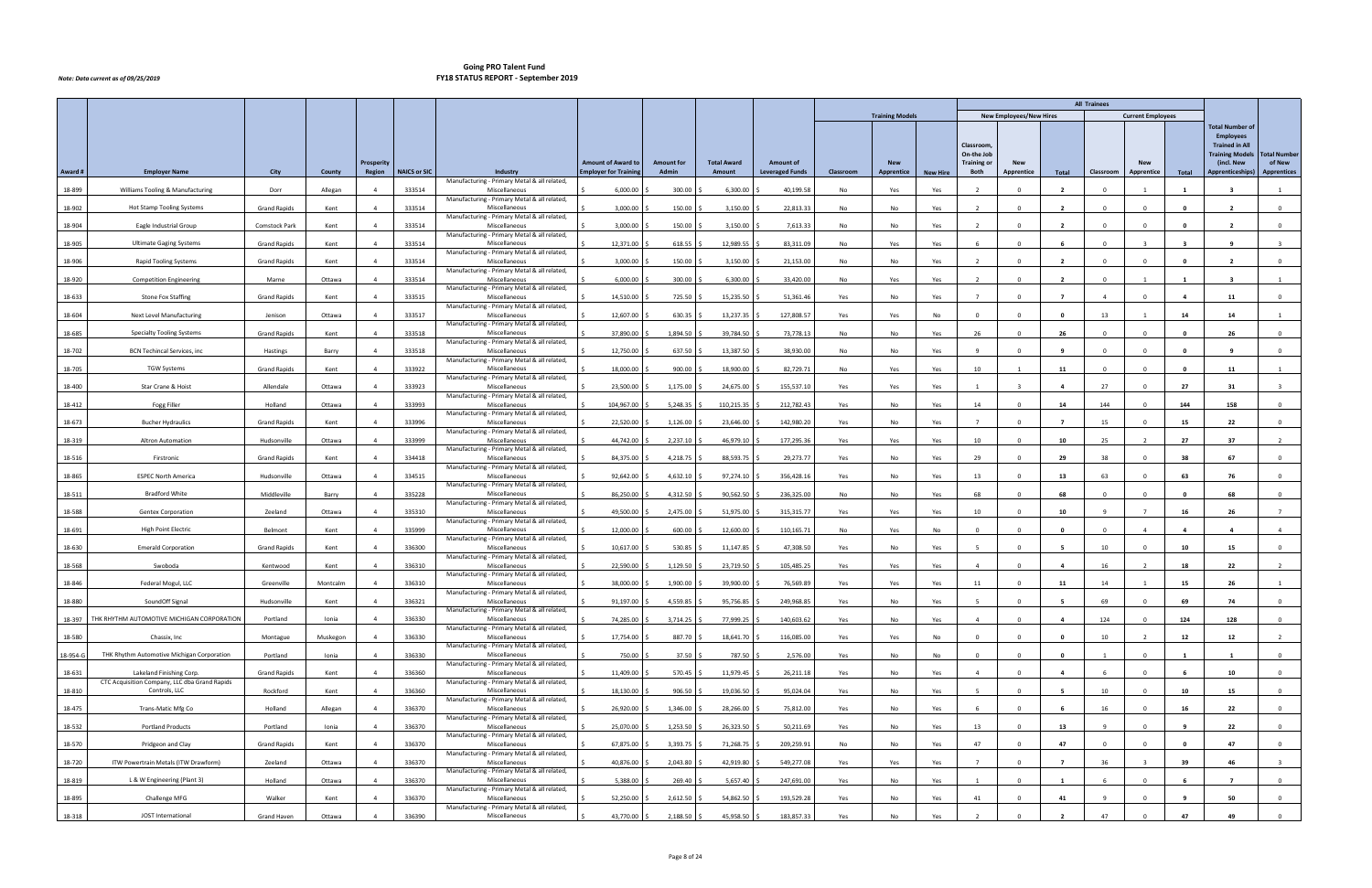|          |                                                                           |                     |          |                |                     |                                                               |                              |                   |                    |                        |           |                        |                 |                          |                                |                         | <b>All Trainees</b> |                          |              |                                                                                               |                         |
|----------|---------------------------------------------------------------------------|---------------------|----------|----------------|---------------------|---------------------------------------------------------------|------------------------------|-------------------|--------------------|------------------------|-----------|------------------------|-----------------|--------------------------|--------------------------------|-------------------------|---------------------|--------------------------|--------------|-----------------------------------------------------------------------------------------------|-------------------------|
|          |                                                                           |                     |          |                |                     |                                                               |                              |                   |                    |                        |           | <b>Training Models</b> |                 |                          | <b>New Employees/New Hires</b> |                         |                     | <b>Current Employees</b> |              |                                                                                               |                         |
|          |                                                                           |                     |          |                |                     |                                                               |                              |                   |                    |                        |           |                        |                 | Classroom,<br>On-the Job |                                |                         |                     |                          |              | <b>Total Number of</b><br><b>Employees</b><br><b>Trained in All</b><br><b>Training Models</b> | <b>Total Number</b>     |
|          |                                                                           |                     |          | Prosperity     |                     |                                                               | <b>Amount of Award to</b>    | <b>Amount for</b> | <b>Total Award</b> | <b>Amount of</b>       |           | <b>New</b>             |                 | <b>Training or</b>       | New                            |                         |                     | <b>New</b>               |              | (incl. New                                                                                    | of New                  |
| Award #  | <b>Employer Name</b>                                                      | City                | County   | Region         | <b>NAICS or SIC</b> | Industry<br>Manufacturing - Primary Metal & all related,      | <b>Employer for Training</b> | Admin             | Amount             | <b>Leveraged Funds</b> | Classroom | Apprentice             | <b>New Hire</b> | Both                     | Apprentice                     | Total                   | Classroom           | Apprentice               | Total        | <b>Apprenticeships)</b>                                                                       | <b>Apprentices</b>      |
| 18-899   | Williams Tooling & Manufacturing                                          | Dorr                | Allegan  | $\overline{4}$ | 333514              | Miscellaneous<br>Manufacturing - Primary Metal & all related, | 6,000.00                     | 300.00            | 6,300.00           | 40,199.58              | No        | Yes                    | Yes             | $\overline{2}$           |                                | $\overline{2}$          | $\Omega$            |                          |              |                                                                                               |                         |
| 18-902   | Hot Stamp Tooling Systems                                                 | <b>Grand Rapids</b> | Kent     |                | 333514              | Miscellaneous                                                 | 3,000.00                     | 150.00            | 3,150.00           | 22,813.33              | No        | No                     | Yes             | $\overline{\phantom{a}}$ |                                | $\overline{\mathbf{2}}$ | $^{\circ}$          |                          |              | $\overline{\phantom{a}}$                                                                      | $\mathbf 0$             |
| 18-904   | Eagle Industrial Group                                                    | Comstock Park       | Kent     | $\overline{4}$ | 333514              | Manufacturing - Primary Metal & all related,<br>Miscellaneous | 3,000.00                     | 150.00            | 3,150.00           | 7,613.33               | No        | No                     | Yes             | $\overline{2}$           |                                | $\overline{\mathbf{2}}$ | $\Omega$            | $\Omega$                 | - 0          | $\overline{2}$                                                                                | $\overline{0}$          |
| 18-905   | <b>Ultimate Gaging Systems</b>                                            | <b>Grand Rapids</b> | Kent     | $\overline{4}$ | 333514              | Manufacturing - Primary Metal & all related,<br>Miscellaneous | 12,371.00                    | 618.55            | 12,989.55          | 83,311.09              | No        | Yes                    | Yes             |                          |                                |                         | $\Omega$            |                          |              |                                                                                               |                         |
|          |                                                                           |                     |          |                |                     | Manufacturing - Primary Metal & all related,                  |                              |                   |                    |                        |           |                        |                 |                          |                                |                         |                     |                          |              |                                                                                               |                         |
| 18-906   | <b>Rapid Tooling Systems</b>                                              | <b>Grand Rapids</b> | Kent     | $\overline{4}$ | 333514              | Miscellaneous<br>Manufacturing - Primary Metal & all related, | 3,000.00                     | 150.00            | 3,150.00           | 21,153.00              | No        | No                     | Yes             | $\overline{\phantom{a}}$ | $\Omega$                       | $\overline{\mathbf{2}}$ | $\Omega$            | $\Omega$                 | 0            | $\overline{2}$                                                                                | $\mathbf 0$             |
| 18-920   | <b>Competition Engineering</b>                                            | Marne               | Ottawa   | $\overline{4}$ | 333514              | Miscellaneous<br>Manufacturing - Primary Metal & all related, | 6,000.00                     | 300.00            | 6,300.00           | 33,420.00              | No        | Yes                    | Yes             | $\overline{2}$           |                                | $\overline{\mathbf{2}}$ | $\Omega$            |                          |              |                                                                                               |                         |
| 18-633   | <b>Stone Fox Staffing</b>                                                 | <b>Grand Rapids</b> | Kent     |                | 333515              | Miscellaneous<br>Manufacturing - Primary Metal & all related, | 14,510.00                    | 725.50            | 15,235.50          | 51,361.46              | Yes       | No                     | Yes             | $\overline{7}$           |                                |                         |                     |                          |              | 11                                                                                            | $\Omega$                |
| 18-604   | Next Level Manufacturing                                                  | Jenison             | Ottawa   | $\overline{a}$ | 333517              | Miscellaneous                                                 | 12,607.00                    | 630.35            | 13,237.35          | 127,808.57             | Yes       | Yes                    | No              | $\Omega$                 |                                | $\mathbf{0}$            | 13                  |                          | 14           | 14                                                                                            |                         |
| 18-685   | <b>Specialty Tooling Systems</b>                                          | <b>Grand Rapids</b> | Kent     | $\overline{4}$ | 333518              | Manufacturing - Primary Metal & all related,<br>Miscellaneous | 37,890.00                    | 1,894.50          | 39,784.50          | 73,778.13              | No        | No                     | Yes             | 26                       | $\Omega$                       | 26                      | $\mathbf{0}$        | $\Omega$                 | $\mathbf{0}$ | 26                                                                                            | $\mathbf{0}$            |
| 18-702   | <b>BCN Techincal Services, inc</b>                                        | Hastings            | Barry    | $\overline{4}$ | 333518              | Manufacturing - Primary Metal & all related,<br>Miscellaneous | 12,750.00                    | 637.50            | 13,387.50          | 38,930.00              | No        | No                     | Yes             |                          |                                |                         | $\Omega$            |                          | - 0          |                                                                                               | $^{\circ}$              |
| 18-705   | <b>TGW Systems</b>                                                        | <b>Grand Rapids</b> | Kent     | $\overline{a}$ | 333922              | Manufacturing - Primary Metal & all related,<br>Miscellaneous | 18,000.00                    | 900.00            | 18,900.00          | 82,729.71              | No        | Yes                    | Yes             | 10                       |                                | 11                      | $\Omega$            | $\Omega$                 | 0            | 11                                                                                            | $\overline{1}$          |
|          |                                                                           |                     |          |                |                     | Manufacturing - Primary Metal & all related,                  |                              |                   |                    |                        |           |                        |                 |                          |                                |                         |                     |                          |              |                                                                                               |                         |
| 18-400   | Star Crane & Hoist                                                        | Allendale           | Ottawa   | $\overline{4}$ | 333923              | Miscellaneous<br>Manufacturing - Primary Metal & all related, | 23,500.00                    | 1,175.00          | 24,675.00          | 155,537.10             | Yes       | Yes                    | Yes             | $\overline{1}$           |                                | 4                       | 27                  | $^{\circ}$               | 27           | 31                                                                                            | $\overline{\mathbf{3}}$ |
| 18-412   | Fogg Filler                                                               | Holland             | Ottawa   | $\overline{4}$ | 333993              | Miscellaneous<br>Manufacturing - Primary Metal & all related, | 104,967.00                   | 5,248.35          | 110,215.35         | 212,782.43             | Yes       | No                     | Yes             | 14                       |                                | 14                      | 144                 |                          | 144          | 158                                                                                           | $\Omega$                |
| 18-673   | <b>Bucher Hydraulics</b>                                                  | <b>Grand Rapids</b> | Kent     | $\overline{a}$ | 333996              | Miscellaneous                                                 | 22,520.00                    | 1,126.00          | 23,646.00          | 142,980.20             | Yes       | No                     | Yes             | $\overline{7}$           | $\Omega$                       | $\overline{7}$          | 15                  | $\Omega$                 | 15           | 22                                                                                            | $\mathbf{O}$            |
| 18-319   | Altron Automation                                                         | Hudsonville         | Ottawa   | $\overline{4}$ | 333999              | Manufacturing - Primary Metal & all related,<br>Miscellaneous | 44,742.00                    | 2,237.10          | 46,979.10          | 177,295.36             | Yes       | Yes                    | Yes             | 10                       | $\Omega$                       | 10                      | 25                  | $\overline{2}$           | 27           | 37                                                                                            | $\overline{2}$          |
| 18-516   | Firstronic                                                                | <b>Grand Rapids</b> | Kent     |                | 334418              | Manufacturing - Primary Metal & all related,<br>Miscellaneous | 84,375.00                    | 4,218.75          | 88,593.75          | 29,273.77              | Yes       | No                     | Yes             | 29                       |                                | 29                      | 38                  |                          | 38           | 67                                                                                            | $^{\circ}$              |
| 18-865   | <b>ESPEC North America</b>                                                | Hudsonville         | Ottawa   |                | 334515              | Manufacturing - Primary Metal & all related,<br>Miscellaneous | 92,642.00                    | 4,632.10          | 97,274.10          | 356,428.16             | Yes       | No                     | Yes             | 13                       |                                | 13                      | 63                  | $\Omega$                 | 63           | 76                                                                                            | $\overline{0}$          |
| 18-511   | <b>Bradford White</b>                                                     | Middleville         | Barry    | $\overline{4}$ | 335228              | Manufacturing - Primary Metal & all related,<br>Miscellaneous | 86,250.00                    | 4,312.50          | 90,562.50          | 236,325.00             | No        | No                     | Yes             | 68                       | $\Omega$                       | 68                      | $\Omega$            | $\Omega$                 | 0            | 68                                                                                            | $\overline{0}$          |
|          |                                                                           |                     |          |                |                     | Manufacturing - Primary Metal & all related,                  |                              |                   |                    |                        |           |                        |                 |                          |                                |                         |                     |                          |              |                                                                                               |                         |
| 18-588   | <b>Gentex Corporation</b>                                                 | Zeeland             | Ottawa   |                | 335310              | Miscellaneous<br>Manufacturing - Primary Metal & all related, | 49,500.00                    | 2,475.00          | 51,975.00          | 315,315.77             | Yes       | Yes                    | Yes             | 10                       |                                | 10                      |                     |                          | 16           | 26                                                                                            |                         |
| 18-691   | <b>High Point Electric</b>                                                | Belmont             | Kent     | $\overline{4}$ | 335999              | Miscellaneous<br>Manufacturing - Primary Metal & all related, | 12,000.00                    | 600.00            | 12,600.00          | 110,165.71             | No        | Yes                    | No              | $\overline{0}$           |                                | $\mathbf{0}$            | $\Omega$            | $\overline{4}$           | 4            | $\overline{4}$                                                                                | $\overline{4}$          |
| 18-630   | <b>Emerald Corporation</b>                                                | <b>Grand Rapids</b> | Kent     | $\overline{4}$ | 336300              | Miscellaneous<br>Manufacturing - Primary Metal & all related, | 10,617.00                    | 530.85            | 11,147.85          | 47,308.50              | Yes       | No                     | Yes             | 5                        | $\Omega$                       | - 5                     | 10                  | $^{\circ}$               | 10           | 15                                                                                            | $\overline{0}$          |
| 18-568   | Swoboda                                                                   | Kentwood            | Kent     |                | 336310              | Miscellaneous                                                 | 22,590.00                    | 1,129.50          | 23,719.50          | 105,485.25             | Yes       | Yes                    | Yes             |                          |                                |                         | 16                  |                          | 18           | 22                                                                                            |                         |
| 18-846   | Federal Mogul, LLC                                                        | Greenville          | Montcalm | $\overline{4}$ | 336310              | Manufacturing - Primary Metal & all related,<br>Miscellaneous | 38,000.00                    | $1,900.00$ \$     | 39,900.00          | 76,569.89              | Yes       | Yes                    | Yes             | 11                       | $\Omega$                       | 11                      | 14                  |                          | 15           | 26                                                                                            | $\overline{1}$          |
| 18-880   | SoundOff Signal                                                           | Hudsonville         | Kent     | $\overline{4}$ | 336321              | Manufacturing - Primary Metal & all related,<br>Miscellaneous | 91,197.00                    | $4,559.85$ \$     | 95,756.85 \$       | 249,968.85             | Yes       | No                     | Yes             |                          | $\mathbf 0$                    | 5.                      | 69                  | $\mathbf 0$              | 69           | 74                                                                                            | $\mathbf 0$             |
|          | 18-397   THK RHYTHM AUTOMOTIVE MICHIGAN CORPORATION                       | Portland            | Ionia    | $\overline{a}$ | 336330              | Manufacturing - Primary Metal & all related,<br>Miscellaneous | 74,285.00                    | 3,714.25          | 77,999.25          | 140,603.62             | Yes       | No                     |                 | $\overline{4}$           | $\Omega$                       | $\overline{a}$          | 124                 |                          | 124          | 128                                                                                           | $\overline{0}$          |
|          |                                                                           |                     |          |                |                     | Manufacturing - Primary Metal & all related,                  |                              |                   |                    |                        |           |                        | Yes             |                          |                                |                         |                     |                          |              |                                                                                               |                         |
| 18-580   | Chassix, Inc                                                              | Montague            | Muskegon | $\overline{4}$ | 336330              | Miscellaneous<br>Manufacturing - Primary Metal & all related, | 17,754.00                    | 887.70 \$         | 18,641.70          | 116,085.00             | Yes       | Yes                    | No              | $\overline{0}$           | $\Omega$                       | 0                       | 10                  | $\overline{2}$           | 12           | 12                                                                                            | $\overline{2}$          |
| 18-954-G | THK Rhythm Automotive Michigan Corporation                                | Portland            | Ionia    | $\overline{4}$ | 336330              | Miscellaneous<br>Manufacturing - Primary Metal & all related, | 750.00                       | 37.50             | 787.50             | 2,576.00               | Yes       | No                     | No              | $^{\circ}$               |                                | $\mathbf 0$             |                     |                          |              |                                                                                               | $\mathbf{0}$            |
| 18-631   | Lakeland Finishing Corp.<br>CTC Acquisition Company, LLC dba Grand Rapids | <b>Grand Rapids</b> | Kent     | $\overline{4}$ | 336360              | Miscellaneous<br>Manufacturing - Primary Metal & all related, | 11,409.00                    | 570.45            | 11,979.45          | 26,211.18              | Yes       | No                     | Yes             | $\overline{4}$           |                                | 4                       | -6                  | $\Omega$                 |              | 10                                                                                            | $\mathbf{O}$            |
| 18-810   | Controls, LLC                                                             | Rockford            | Kent     | $\overline{4}$ | 336360              | Miscellaneous                                                 | 18,130.00                    | 906.50            | 19,036.50          | 95,024.04              | Yes       | No                     | Yes             | - 5                      |                                | - 5                     | 10                  | $\Omega$                 | 10           | 15                                                                                            | $\overline{0}$          |
| 18-475   | Trans-Matic Mfg Co                                                        | Holland             | Allegan  | $\overline{4}$ | 336370              | Manufacturing - Primary Metal & all related,<br>Miscellaneous | 26,920.00                    | 1,346.00          | 28,266.00          | 75,812.00              | Yes       | No                     | Yes             |                          | $\Omega$                       | - 6                     | 16                  | $\Omega$                 | 16           | 22                                                                                            | $\overline{0}$          |
| 18-532   | <b>Portland Products</b>                                                  | Portland            | Ionia    | $\overline{a}$ | 336370              | Manufacturing - Primary Metal & all related,<br>Miscellaneous | 25,070.00                    | 1,253.50          | 26,323.50          | 50,211.69              | Yes       | No                     | Yes             | 13                       |                                | 13                      | $\mathbf{q}$        | $\Omega$                 |              | 22                                                                                            | $\overline{0}$          |
| 18-570   | Pridgeon and Clay                                                         | <b>Grand Rapids</b> | Kent     | $\overline{4}$ | 336370              | Manufacturing - Primary Metal & all related,<br>Miscellaneous | 67,875.00                    | $3,393.75$ \$     | 71,268.75 \$       | 209,259.91             | No        | No                     | Yes             | 47                       |                                | 47                      | $\mathbf 0$         |                          | 0            | 47                                                                                            | $\mathbf{0}$            |
| 18-720   | ITW Powertrain Metals (ITW Drawform)                                      | Zeeland             | Ottawa   | $\overline{4}$ | 336370              | Manufacturing - Primary Metal & all related,<br>Miscellaneous | 40,876.00                    | 2,043.80          | 42,919.80          | 549,277.08             | Yes       | Yes                    | Yes             | $\overline{7}$           |                                | $\overline{ }$          | 36                  |                          | 39           | 46                                                                                            | $\overline{\mathbf{3}}$ |
|          |                                                                           |                     |          |                |                     | Manufacturing - Primary Metal & all related,                  |                              |                   |                    |                        |           |                        |                 |                          |                                |                         |                     |                          |              |                                                                                               |                         |
| 18-819   | L & W Engineering (Plant 3)                                               | Holland             | Ottawa   | $\overline{4}$ | 336370              | Miscellaneous<br>Manufacturing - Primary Metal & all related, | 5,388.00                     | 269.40            | 5,657.40           | 247,691.00             | Yes       | No                     | Yes             | $\mathbf{1}$             | $\Omega$                       | $\mathbf{1}$            | - 6                 | $\Omega$                 | - 6          | $\overline{7}$                                                                                | $\overline{0}$          |
| 18-895   | Challenge MFG                                                             | Walker              | Kent     | $\overline{4}$ | 336370              | Miscellaneous<br>Manufacturing - Primary Metal & all related, | 52,250.00                    | 2,612.50          | 54,862.50          | 193,529.28             | Yes       | No                     | Yes             | 41                       |                                | 41                      | $\mathbf{q}$        | $\Omega$                 | 9            | 50                                                                                            | $\mathbf{0}$            |
| 18-318   | JOST International                                                        | Grand Haven         | Ottawa   | $\overline{4}$ | 336390              | Miscellaneous                                                 | 43,770.00                    | $2,188.50$ \$     | 45,958.50          | 183,857.33             | Yes       | No                     | Yes             | $\overline{2}$           |                                | $\overline{\mathbf{2}}$ | 47                  |                          | 47           | 49                                                                                            | $\overline{0}$          |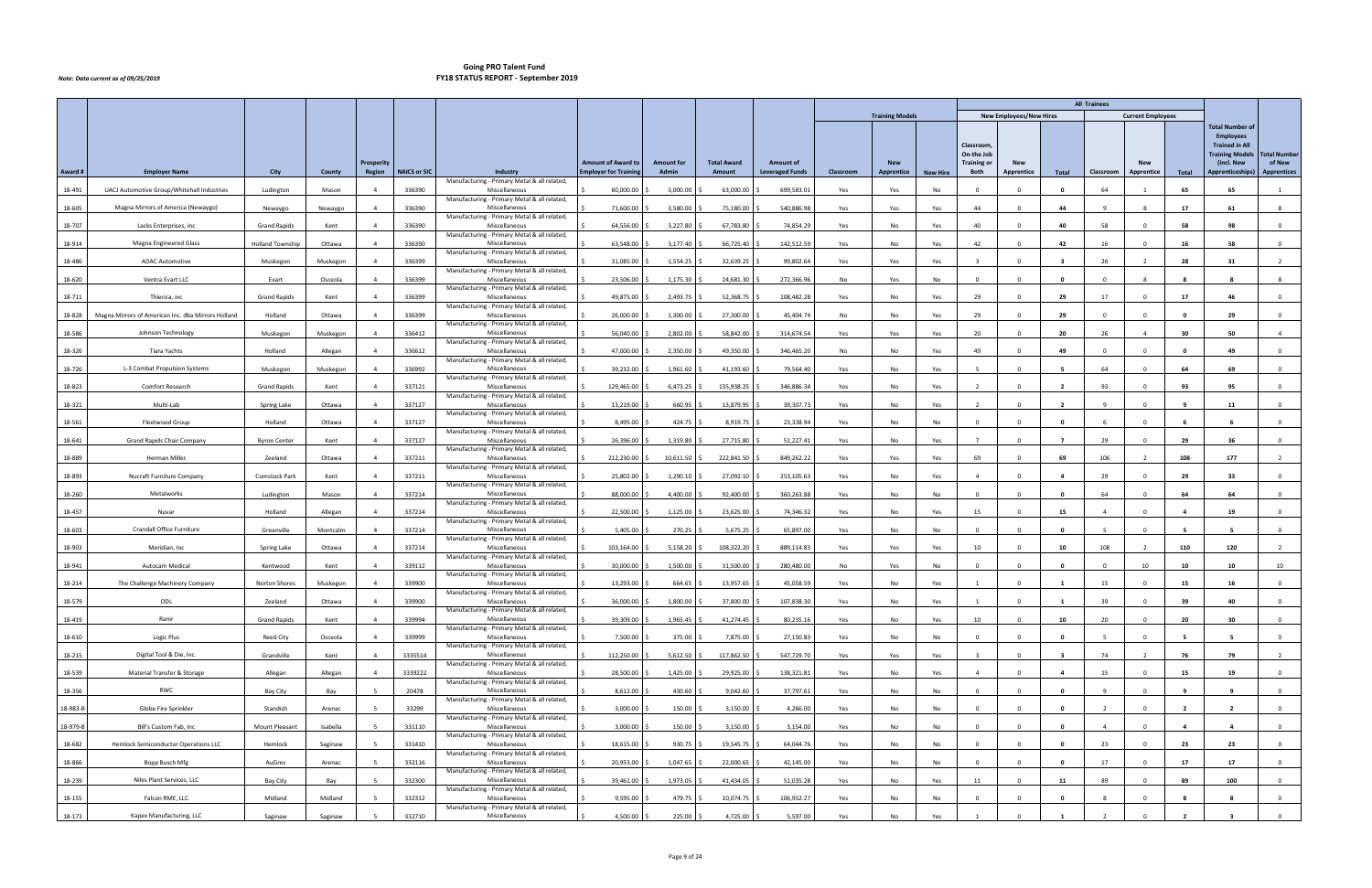|          |                                                    |                         |          |                   |                     |                                                               |                              |                   |                    |                        |           |                        |                 |                                                      |                                |                         | <b>All Trainees</b> |                          |                |                                                                                                             |                               |
|----------|----------------------------------------------------|-------------------------|----------|-------------------|---------------------|---------------------------------------------------------------|------------------------------|-------------------|--------------------|------------------------|-----------|------------------------|-----------------|------------------------------------------------------|--------------------------------|-------------------------|---------------------|--------------------------|----------------|-------------------------------------------------------------------------------------------------------------|-------------------------------|
|          |                                                    |                         |          |                   |                     |                                                               |                              |                   |                    |                        |           | <b>Training Models</b> |                 |                                                      | <b>New Employees/New Hires</b> |                         |                     | <b>Current Employees</b> |                |                                                                                                             |                               |
|          |                                                    |                         |          | <b>Prosperity</b> |                     |                                                               | <b>Amount of Award to</b>    | <b>Amount for</b> | <b>Total Award</b> | <b>Amount of</b>       |           | <b>New</b>             |                 | <b>Classroom</b><br>On-the Job<br><b>Training or</b> | <b>New</b>                     |                         |                     | <b>New</b>               |                | <b>Total Number of</b><br><b>Employees</b><br><b>Trained in All</b><br><b>Training Models</b><br>(incl. New | <b>Total Number</b><br>of New |
| Award #  | <b>Employer Name</b>                               | City                    | County   | Region            | <b>NAICS or SIC</b> | Industry                                                      | <b>Employer for Training</b> | <b>Admin</b>      | Amount             | <b>Leveraged Funds</b> | Classroom | Apprentice             | <b>New Hire</b> | Both                                                 | Apprentice                     | Total                   | Classroom           | Apprentice               | Total          | <b>Apprenticeships)</b>                                                                                     | <b>Apprentices</b>            |
| 18-491   | UACJ Automotive Group/Whitehall Industries         | Ludington               | Mason    |                   | 336390              | Manufacturing - Primary Metal & all related,<br>Miscellaneous | 60,000.00                    | 3,000.00          | 63,000.00          | 699,583.01             | Yes       | Yes                    | No              | $\Omega$                                             |                                | 0                       | 64                  |                          | 65             | 65                                                                                                          |                               |
| 18-605   | Magna Mirrors of America (Newaygo)                 | Newaygo                 | Newaygo  |                   | 336390              | Manufacturing - Primary Metal & all related,<br>Miscellaneous | 71,600.00                    | 3,580.00          | 75,180.00          | 540,886.98             | Yes       | Yes                    | Yes             | 44                                                   | $\Omega$                       | 44                      | 9                   |                          | 17             | 61                                                                                                          | 8                             |
| 18-707   | Lacks Enterprises, inc                             | <b>Grand Rapids</b>     | Kent     | $\Delta$          | 336390              | Manufacturing - Primary Metal & all related,<br>Miscellaneous | 64,556.00                    | 3,227.80          | 67,783.80          | 74,854.29              | Yes       | No                     | Yes             | 40                                                   | $\Omega$                       | 40                      | 58                  | $\Omega$                 | 58             | 98                                                                                                          | $\overline{0}$                |
| 18-914   | Magna Engineered Glass                             | <b>Holland Township</b> | Ottawa   |                   | 336390              | Manufacturing - Primary Metal & all related,<br>Miscellaneous | 63,548.00                    | 3,177.40          | 66,725.40          | 142,512.59             | Yes       | No                     | Yes             | 42                                                   |                                | 42                      | 16                  |                          | 16             | -58                                                                                                         | $\Omega$                      |
| 18-486   | <b>ADAC Automotive</b>                             | Muskegon                | Muskegon | $\Delta$          | 336399              | Manufacturing - Primary Metal & all related,<br>Miscellaneous | 31,085.00                    | 1,554.25          | 32,639.25          | 99,802.64              | Yes       | Yes                    | Yes             |                                                      | $\Omega$                       | - 3                     | 26                  | $\overline{2}$           | 28             | 31                                                                                                          | $\overline{2}$                |
| 18-620   | Ventra Evart LLC                                   | Evart                   | Osceola  | $\Delta$          | 336399              | Manufacturing - Primary Metal & all related,<br>Miscellaneous | 23,506.00                    | 1,175.30          | 24,681.30          | 272,366.96             | No        | Yes                    | No              | $\Omega$                                             | $\Omega$                       | $\mathbf{0}$            | $\Omega$            | -8                       |                | R                                                                                                           | 8                             |
| 18-711   | Thierica, inc                                      | <b>Grand Rapids</b>     | Kent     |                   | 336399              | Manufacturing - Primary Metal & all related,<br>Miscellaneous | 49,875.00                    | 2,493.75          | 52,368.75          | 108,482.28             | Yes       | No                     | Yes             | 29                                                   |                                | 29                      | 17                  |                          | 17             | 46                                                                                                          | $\Omega$                      |
| 18-828   | Magna Mirrors of American Inc. dba Mirrors Holland | Holland                 | Ottawa   |                   | 336399              | Manufacturing - Primary Metal & all related,<br>Miscellaneous | 26,000.00                    | 1,300.00          | 27,300.00          | 45,404.74              | No        | No                     | Yes             | 29                                                   | $\Omega$                       | 29                      | $\Omega$            |                          | $\mathbf{0}$   | 29                                                                                                          | $\Omega$                      |
| 18-586   | Johnson Technology                                 | Muskegon                | Muskegon | $\overline{4}$    | 336412              | Manufacturing - Primary Metal & all related,<br>Miscellaneous | 56,040.00                    | 2,802.00          | 58,842.00          | 314,674.54             | Yes       | Yes                    | Yes             | 20                                                   | $\Omega$                       | 20                      | 26                  | $\overline{4}$           | 30             | 50                                                                                                          | $\overline{4}$                |
| 18-326   | Tiara Yachts                                       | Holland                 | Allegan  |                   | 336612              | Manufacturing - Primary Metal & all related,<br>Miscellaneous | 47,000.00                    | 2,350.00          | 49,350.00          | 346,465.20             | No        | No                     | Yes             | 49                                                   |                                | 49                      | $\Omega$            | $\Omega$                 | - 0            | 49                                                                                                          | $\mathbf 0$                   |
| 18-726   | L-3 Combat Propulsion Systems                      | Muskegon                | Muskegon | $\Delta$          | 336992              | Manufacturing - Primary Metal & all related,<br>Miscellaneous | 39,232.00                    | 1,961.60          | 41,193.60          | 79,564.40              | Yes       | No                     | Yes             |                                                      | $\Omega$                       |                         | 64                  | $\Omega$                 | 64             | 69                                                                                                          | $\overline{0}$                |
| 18-823   | Comfort Research                                   | <b>Grand Rapids</b>     | Kent     | $\overline{4}$    | 337121              | Manufacturing - Primary Metal & all related,<br>Miscellaneous | 129,465.00                   | 6,473.25          | 135,938.25         | 346,886.34             | Yes       | No                     | Yes             | $\overline{2}$                                       | $\Omega$                       | $\overline{\mathbf{2}}$ | 93                  | $^{\circ}$               | 93             | 95                                                                                                          | $\overline{0}$                |
| 18-321   | Multi-Lab                                          | Spring Lake             | Ottawa   |                   | 337127              | Manufacturing - Primary Metal & all related,<br>Miscellaneous | 13,219.00                    | 660.95            | 13,879.95          | 39,307.73              | Yes       | No                     | Yes             |                                                      |                                |                         |                     |                          |                | -11                                                                                                         | $\Omega$                      |
| 18-561   | Fleetwood Group                                    | Holland                 | Ottawa   | $\overline{a}$    | 337127              | Manufacturing - Primary Metal & all related,<br>Miscellaneous | 8,495.00                     | 424.75            | 8,919.75           | 23,338.94              | Yes       | No                     | No              | $\Omega$                                             | $\Omega$                       | $\mathbf{0}$            | -6                  | $\Omega$                 | - 6            | - 6                                                                                                         | $\overline{0}$                |
| 18-641   | Grand Rapids Chair Company                         | <b>Byron Center</b>     | Kent     | $\overline{4}$    | 337127              | Manufacturing - Primary Metal & all related,<br>Miscellaneous | 26,396.00                    | 1,319.80          | 27,715.80          | 51,227.41              | Yes       | No                     | Yes             | $\overline{7}$                                       | $\Omega$                       | $\overline{7}$          | 29                  | $\Omega$                 | 29             | 36                                                                                                          | $\overline{0}$                |
| 18-889   | Herman Miller                                      | Zeeland                 | Ottawa   |                   | 337211              | Manufacturing - Primary Metal & all related,<br>Miscellaneous | 212,230.00                   | 10,611.50         | 222,841.50         | 849,262.22             | Yes       | Yes                    | Yes             | 69                                                   |                                | 69                      | 106                 |                          | 108            | 177                                                                                                         |                               |
| 18-893   | Nucraft Furniture Company                          | <b>Comstock Park</b>    | Kent     |                   | 337211              | Manufacturing - Primary Metal & all related,<br>Miscellaneous | 25,802.00                    | 1,290.10          | 27,092.10          | 253,105.63             | Yes       | No                     | Yes             |                                                      | $\Omega$                       | $\overline{a}$          | 29                  | $\Omega$                 | 29             | 33                                                                                                          | $\overline{0}$                |
| 18-260   | Metalworks                                         | Ludington               | Mason    | $\overline{4}$    | 337214              | Manufacturing - Primary Metal & all related,<br>Miscellaneous | 88,000.00                    | 4,400.00          | 92,400.00          | 360,263.88             | Yes       | No                     | No              | $\Omega$                                             | $\Omega$                       | $\mathbf{0}$            | 64                  | $\Omega$                 | 64             | 64                                                                                                          | $\overline{0}$                |
| 18-457   | Nuvar                                              | Holland                 | Allegan  |                   | 337214              | Manufacturing - Primary Metal & all related,<br>Miscellaneous | 22,500.00                    | 1,125.00          | 23,625.00          | 74,346.32              | Yes       | No                     | Yes             | 15                                                   |                                | 15                      |                     |                          |                | 19                                                                                                          | $\Omega$                      |
| 18-603   | Crandall Office Furniture                          | Greenville              | Montcalm | $\Delta$          | 337214              | Manufacturing - Primary Metal & all related,<br>Miscellaneous | 5,405.00                     | 270.25            | 5,675.25           | 65,897.00              | Yes       | No                     | No              | $\Omega$                                             | $\Omega$                       | $\mathbf{0}$            |                     | $\Omega$                 | - 5            | -5                                                                                                          | $\overline{0}$                |
| 18-903   | Meridian, Inc.                                     | Spring Lake             | Ottawa   | $\overline{4}$    | 337214              | Manufacturing - Primary Metal & all related,<br>Miscellaneous | 103,164.00                   | 5,158.20          | 108,322.20         | 889,114.83             | Yes       | Yes                    | Yes             | 10                                                   | $\overline{\mathbf{0}}$        | 10                      | 108                 | $\overline{2}$           | 110            | 120                                                                                                         | $\overline{2}$                |
| 18-941   | <b>Autocam Medical</b>                             | Kentwood                | Kent     |                   | 339112              | Manufacturing - Primary Metal & all related,<br>Miscellaneous | 30,000.00                    | 1,500.00          | 31,500.00          | 280,480.00             | No        | Yes                    | No              |                                                      |                                |                         | $\Omega$            | 10                       |                | 10                                                                                                          | 10                            |
| 18-214   | The Challenge Machinery Company                    | Norton Shores           | Muskegon | $\overline{4}$    | 339900              | Manufacturing - Primary Metal & all related<br>Miscellaneous  | 13,293.00                    | 664.65            | $13,957.65$ \$     | 45,058.59              | Yes       | No                     | Yes             | $\overline{1}$                                       | $\overline{0}$                 | $\mathbf{1}$            | 15                  | $\Omega$                 | 15             | 16                                                                                                          | $\overline{0}$                |
| 18-579   | ODL                                                | Zeeland                 | Ottawa   | $\overline{4}$    | 339900              | Manufacturing - Primary Metal & all related,<br>Miscellaneous | 36,000.00                    | 1,800.00          | 37,800.00 \$       | 107,838.30             | Yes       | No                     | Yes             |                                                      | $\mathbf 0$                    | 1                       | 39                  | $\mathbf 0$              | 39             | 40                                                                                                          | $\mathbf 0$                   |
| 18-419   | Ranir                                              | <b>Grand Rapids</b>     | Kent     |                   | 339994              | Manufacturing - Primary Metal & all related,<br>Miscellaneous | 39,309.00                    | 1,965.45          | 41,274.45          | 80,235.16              | Yes       | No                     | Yes             | 10                                                   | $\Omega$                       | 10                      | 20                  | $\Omega$                 | 20             | 30                                                                                                          | $\overline{0}$                |
| 18-610   | Logic Plus                                         | Reed City               | Osceola  | $\overline{4}$    | 339999              | Manufacturing - Primary Metal & all related,<br>Miscellaneous | 7,500.00                     | 375.00            | 7,875.00 \$        | 27,150.83              | Yes       | No                     | No              | $\Omega$                                             | $\Omega$                       | $\mathbf 0$             | -5                  | $\Omega$                 | - 5            | 5                                                                                                           | $\mathbf{0}$                  |
| 18-215   | Digital Tool & Die, Inc.                           | Grandville              | Kent     | $\overline{4}$    | 3335514             | Manufacturing - Primary Metal & all related,<br>Miscellaneous | 112,250.00                   | 5,612.50          | 117,862.50         | 547,729.70             | Yes       | Yes                    | Yes             | $\mathbf{R}$                                         | $\Omega$                       | -3                      | 74                  | $\overline{2}$           | 76             | 79                                                                                                          | $\overline{2}$                |
| 18-539   | Material Transfer & Storage                        | Allegan                 | Allegan  | $\overline{a}$    | 3339222             | Manufacturing - Primary Metal & all related,<br>Miscellaneous | 28,500.00                    | 1,425.00          | 29,925.00 \$       | 138,321.81             | Yes       | No                     | Yes             | $\overline{4}$                                       | $\Omega$                       | 4                       | 15                  | $\Omega$                 | 15             | 19                                                                                                          | $\overline{0}$                |
| 18-356   | RWC                                                | Bay City                | Bay      |                   | 20478               | Manufacturing - Primary Metal & all related,<br>Miscellaneous | 8,612.00                     | 430.60            | $9,042.60$ \$      | 37,797.61              | Yes       | No                     | No              | $\Omega$                                             | $\Omega$                       | $\mathbf{0}$            | -9                  | $\Omega$                 | -9             | 9                                                                                                           | $\mathbf{0}$                  |
| 18-983-B | Globe Fire Sprinkler                               | Standish                | Arenac   |                   | 33299               | Manufacturing - Primary Metal & all related,<br>Miscellaneous | 3,000.00                     | 150.00            | 3,150.00           | 4,266.00               | Yes       | No                     | No              | $\Omega$                                             | $\Omega$                       | $\mathbf{0}$            | $\overline{2}$      | $\Omega$                 | $\overline{2}$ | $\overline{2}$                                                                                              | $\overline{0}$                |
| 18-979-B | Bill's Custom Fab, Inc                             | Mount Pleasant          | Isabella |                   | 331110              | Manufacturing - Primary Metal & all related,<br>Miscellaneous | 3,000.00                     | 150.00            | 3,150.00           | 3,154.00               | Yes       | No                     | No              | $\Omega$                                             | $\Omega$                       | $\mathbf{0}$            | $\overline{4}$      | $\Omega$                 | $\overline{a}$ | $\overline{4}$                                                                                              | $\overline{0}$                |
| 18-682   | Hemlock Semiconductor Operations LLC               | Hemlock                 | Saginaw  |                   | 331410              | Manufacturing - Primary Metal & all related,<br>Miscellaneous | 18,615.00                    | 930.75 \$         | 19,545.75 \$       | 64,044.76              | Yes       | No                     | No              | $\Omega$                                             | $\Omega$                       | $\mathbf 0$             | 23                  | $\Omega$                 | 23             | 23                                                                                                          | $\mathbf{0}$                  |
| 18-866   | Bopp Busch Mfg                                     | AuGres                  | Arenac   |                   | 332116              | Manufacturing - Primary Metal & all related,<br>Miscellaneous | 20,953.00                    | 1,047.65          | 22,000.65          | 42,145.00              | Yes       | No                     | No              | $\Omega$                                             | $\Omega$                       | $\mathbf{0}$            | 17                  | $\Omega$                 | 17             | 17                                                                                                          | $\mathbf 0$                   |
| 18-239   | Niles Plant Services, LLC                          | Bay City                | Bay      |                   | 332300              | Manufacturing - Primary Metal & all related,<br>Miscellaneous | 39,461.00                    | 1,973.05          | 41,434.05          | 51,035.28              | Yes       | No                     | Yes             | 11                                                   | $\overline{0}$                 | 11                      | 89                  | $\Omega$                 | 89             | 100                                                                                                         | $\overline{0}$                |
| 18-155   | Falcon RME, LLC                                    | Midland                 | Midland  |                   | 332312              | Manufacturing - Primary Metal & all related,<br>Miscellaneous | 9,595.00                     | 479.75            | 10,074.75          | 106,952.27             | Yes       | No                     | No              | $\Omega$                                             | $\Omega$                       | $\mathbf{0}$            | -8                  | $\Omega$                 | -8             | - 8                                                                                                         | $\overline{0}$                |
| 18-173   | Kapex Manufacturing, LLC                           | Saginaw                 | Saginaw  |                   | 332710              | Manufacturing - Primary Metal & all related,<br>Miscellaneous | 4,500.00                     | 225.00 \$         | 4,725.00 \$        | 5,597.00               | Yes       | No                     | Yes             |                                                      | $\Omega$                       |                         |                     |                          | $\overline{2}$ | $\overline{\mathbf{3}}$                                                                                     | $\overline{0}$                |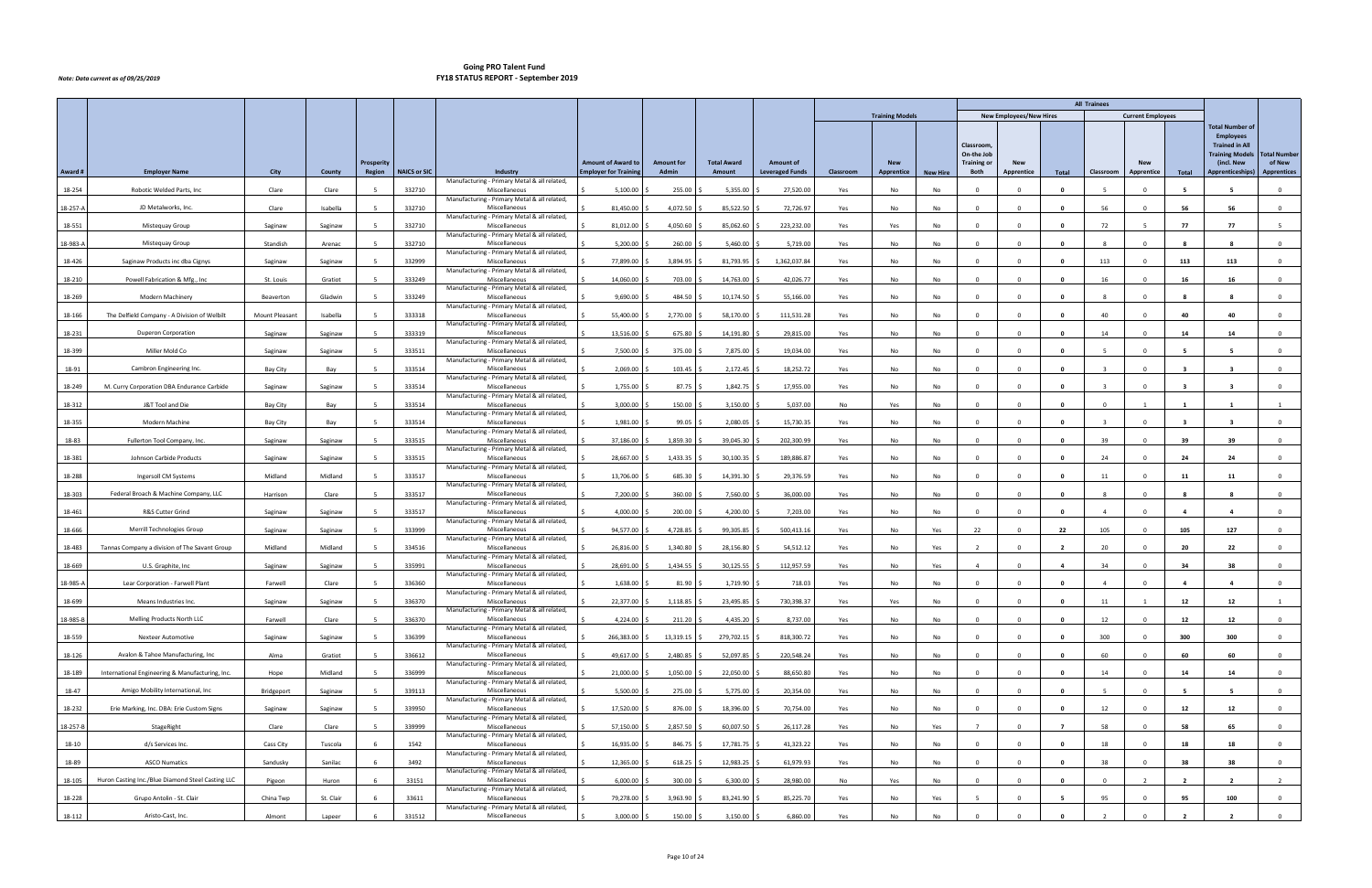|          |                                                   |                |                    |                             |                     |                                                               |                                                           |                                   |                              |                        |           |                        |                 |                                |                                |                         | <b>All Trainees</b>     |                          |                         |                                                                                               |                     |
|----------|---------------------------------------------------|----------------|--------------------|-----------------------------|---------------------|---------------------------------------------------------------|-----------------------------------------------------------|-----------------------------------|------------------------------|------------------------|-----------|------------------------|-----------------|--------------------------------|--------------------------------|-------------------------|-------------------------|--------------------------|-------------------------|-----------------------------------------------------------------------------------------------|---------------------|
|          |                                                   |                |                    |                             |                     |                                                               |                                                           |                                   |                              |                        |           | <b>Training Models</b> |                 |                                | <b>New Employees/New Hires</b> |                         |                         | <b>Current Employees</b> |                         |                                                                                               |                     |
|          |                                                   |                |                    |                             |                     |                                                               |                                                           |                                   |                              |                        |           |                        |                 | <b>Classroom</b><br>On-the Job |                                |                         |                         |                          |                         | <b>Total Number of</b><br><b>Employees</b><br><b>Trained in All</b><br><b>Training Models</b> | <b>Total Number</b> |
| Award #  |                                                   | City           | County             | <b>Prosperity</b><br>Region | <b>NAICS or SIC</b> | Industry                                                      | <b>Amount of Award to</b><br><b>Employer for Training</b> | <b>Amount for</b><br><b>Admin</b> | <b>Total Award</b><br>Amount | <b>Amount of</b>       |           | <b>New</b>             |                 | <b>Training or</b><br>Both     | <b>New</b><br>Apprentice       |                         | Classroom               | <b>New</b>               |                         | (incl. New<br><b>Apprenticeships)</b>                                                         | of New              |
|          | <b>Employer Name</b>                              |                |                    |                             |                     | Manufacturing - Primary Metal & all related,                  |                                                           |                                   |                              | <b>Leveraged Funds</b> | Classroom | Apprentice             | <b>New Hire</b> |                                |                                | Total                   |                         | Apprentice               | Total                   |                                                                                               | <b>Apprentices</b>  |
| 18-254   | Robotic Welded Parts, Inc.                        | Clare          | Clare              |                             | 332710              | Miscellaneous<br>Manufacturing - Primary Metal & all related, | 5,100.00                                                  | 255.00                            | 5,355.00                     | 27,520.00              | Yes       | No                     | No              | $\Omega$                       |                                | - 0                     |                         | $\Omega$                 |                         |                                                                                               | $\Omega$            |
| 18-257-A | JD Metalworks, Inc.                               | Clare          | Isabella           |                             | 332710              | Miscellaneous                                                 | 81,450.00                                                 | 4,072.50                          | 85,522.50                    | 72,726.97              | Yes       | No                     | No              | $\Omega$                       | $\Omega$                       | $\mathbf 0$             | 56                      |                          | 56                      | 56                                                                                            | $\mathbf 0$         |
| 18-551   | Mistequay Group                                   | Saginaw        | Saginaw            |                             | 332710              | Manufacturing - Primary Metal & all related,<br>Miscellaneous | 81,012.00                                                 | 4,050.60                          | 85,062.60                    | 223,232.00             | Yes       | Yes                    | No              | $\Omega$                       | $\Omega$                       | $\mathbf{0}$            | 72                      | -5                       | 77                      | 77                                                                                            | -5                  |
| 18-983-A | Mistequay Group                                   | Standish       | Arenac             |                             | 332710              | Manufacturing - Primary Metal & all related,<br>Miscellaneous | 5,200.00                                                  | 260.00                            | 5,460.00                     | 5,719.00               | Yes       | No                     | No              |                                |                                |                         |                         |                          |                         |                                                                                               | $\Omega$            |
| 18-426   | Saginaw Products inc dba Cignys                   | Saginaw        | Saginaw            |                             | 332999              | Manufacturing - Primary Metal & all related,<br>Miscellaneous | 77,899.00                                                 | 3,894.95                          | 81,793.95                    | 1,362,037.84           | Yes       | No                     | No              | $\Omega$                       | $\Omega$                       | $\mathbf 0$             | 113                     | $\Omega$                 | 113                     | 113                                                                                           | $\mathbf 0$         |
| 18-210   | Powell Fabrication & Mfg., Inc                    | St. Louis      | Gratiot            |                             | 333249              | Manufacturing - Primary Metal & all related,<br>Miscellaneous | 14,060.00                                                 | 703.00                            | 14,763.00                    | 42,026.77              | Yes       | No                     | No              | $\Omega$                       |                                | $\mathbf{0}$            | 16                      | $\Omega$                 | 16                      | 16                                                                                            | $\overline{0}$      |
|          |                                                   |                |                    |                             |                     | Manufacturing - Primary Metal & all related,                  |                                                           |                                   |                              |                        |           |                        |                 |                                |                                |                         |                         |                          |                         |                                                                                               |                     |
| 18-269   | <b>Modern Machinery</b>                           | Beaverton      | Gladwin            |                             | 333249              | Miscellaneous<br>Manufacturing - Primary Metal & all related, | 9,690.00                                                  | 484.50                            | 10,174.50                    | 55,166.00              | Yes       | No                     | No              | $\Omega$                       |                                |                         |                         |                          |                         |                                                                                               | $\Omega$            |
| 18-166   | The Delfield Company - A Division of Welbilt      | Mount Pleasant | Isabella           |                             | 333318              | Miscellaneous<br>Manufacturing - Primary Metal & all related, | 55,400.00                                                 | 2,770.00                          | 58,170.00                    | 111,531.28             | Yes       | No                     | No              | $\Omega$                       |                                | $\mathbf{0}$            | 40                      |                          | 40                      | 40                                                                                            | $\overline{0}$      |
| 18-231   | <b>Duperon Corporation</b>                        | Saginaw        | Saginaw            |                             | 333319              | Miscellaneous<br>Manufacturing - Primary Metal & all related, | 13,516.00                                                 | 675.80                            | 14,191.80                    | 29,815.00              | Yes       | No                     | No              | $\overline{0}$                 | $\Omega$                       | $\mathbf{0}$            | 14                      | $\Omega$                 | 14                      | 14                                                                                            | $\mathbf{0}$        |
| 18-399   | Miller Mold Co                                    | Saginaw        | Saginaw            |                             | 333511              | Miscellaneous                                                 | 7,500.00                                                  | 375.00                            | 7,875.00                     | 19,034.00              | Yes       | No                     | No              | <b>0</b>                       |                                | - 0                     |                         |                          |                         |                                                                                               | $\Omega$            |
| 18-91    | Cambron Engineering Inc.                          | Bay City       | Bay                |                             | 333514              | Manufacturing - Primary Metal & all related,<br>Miscellaneous | 2,069.00                                                  | 103.45                            | 2,172.45                     | 18,252.72              | Yes       | No                     | No              | $\Omega$                       | $\Omega$                       | $\mathbf{0}$            |                         | $\Omega$                 | -3                      | $\overline{\mathbf{3}}$                                                                       | $\overline{0}$      |
| 18-249   | M. Curry Corporation DBA Endurance Carbide        | Saginaw        | Saginaw            |                             | 333514              | Manufacturing - Primary Metal & all related,<br>Miscellaneous | 1,755.00                                                  | 87.75                             | 1,842.75                     | 17,955.00              | Yes       | No                     | No              | $\overline{0}$                 | $\Omega$                       | $\mathbf{0}$            | $\overline{\mathbf{3}}$ | $^{\circ}$               | $\overline{\mathbf{3}}$ | $\overline{\mathbf{3}}$                                                                       | $\overline{0}$      |
| 18-312   | J&T Tool and Die                                  | Bay City       | Bay                |                             | 333514              | Manufacturing - Primary Metal & all related,<br>Miscellaneous | 3,000.00                                                  | 150.00                            | 3,150.00                     | 5,037.00               | No        | Yes                    | No              |                                |                                |                         | $\Omega$                |                          |                         |                                                                                               |                     |
| 18-355   | Modern Machine                                    | Bay City       | Bay                |                             | 333514              | Manufacturing - Primary Metal & all related,<br>Miscellaneous | 1,981.00                                                  | 99.05                             | 2,080.05                     | 15,730.35              | Yes       | No                     | No              | $\Omega$                       | $\Omega$                       | $\mathbf{0}$            | $\mathbf{R}$            | $\Omega$                 | $\mathbf{R}$            | $\overline{\mathbf{3}}$                                                                       | $\mathbf{O}$        |
| 18-83    | Fullerton Tool Company, Inc.                      | Saginaw        | Saginaw            |                             | 333515              | Manufacturing - Primary Metal & all related,<br>Miscellaneous | 37,186.00                                                 | 1,859.30                          | 39,045.30                    | 202,300.99             | Yes       | No                     | No              | $\Omega$                       | $\Omega$                       | $\mathbf{0}$            | 39                      | $\Omega$                 | 39                      | 39                                                                                            | $\overline{0}$      |
| 18-381   | Johnson Carbide Products                          | Saginaw        |                    |                             | 333515              | Manufacturing - Primary Metal & all related,<br>Miscellaneous | 28,667.00                                                 | 1,433.35                          | 30,100.35                    | 189,886.87             | Yes       | No                     | No              |                                |                                |                         | 24                      |                          | 24                      | 24                                                                                            | $^{\circ}$          |
|          |                                                   | Midland        | Saginaw<br>Midland |                             |                     | Manufacturing - Primary Metal & all related,<br>Miscellaneous |                                                           |                                   |                              |                        |           | No                     |                 | $\Omega$                       |                                | $\mathbf{0}$            |                         | $\Omega$                 | 11                      |                                                                                               | $\overline{0}$      |
| 18-288   | Ingersoll CM Systems                              |                |                    |                             | 333517              | Manufacturing - Primary Metal & all related,                  | 13,706.00                                                 | 685.30                            | 14,391.30                    | 29,376.59              | Yes       |                        | No              |                                |                                |                         | 11                      |                          |                         | 11                                                                                            |                     |
| 18-303   | Federal Broach & Machine Company, LLC             | Harrison       | Clare              |                             | 333517              | Miscellaneous<br>Manufacturing - Primary Metal & all related, | 7,200.00                                                  | 360.00                            | 7,560.00                     | 36,000.00              | Yes       | No                     | No              | $\Omega$                       | $\Omega$                       | $\mathbf{0}$            | -8                      | $\Omega$                 | -8                      | - 8                                                                                           | $\mathbf{0}$        |
| 18-461   | R&S Cutter Grind                                  | Saginaw        | Saginaw            |                             | 333517              | Miscellaneous<br>Manufacturing - Primary Metal & all related, | 4,000.00                                                  | 200.00                            | 4,200.00                     | 7,203.00               | Yes       | No                     | No              | $\sqrt{ }$                     |                                | - 0                     |                         |                          |                         |                                                                                               | $\Omega$            |
| 18-666   | Merrill Technologies Group                        | Saginaw        | Saginaw            |                             | 333999              | Miscellaneous<br>Manufacturing - Primary Metal & all related, | 94,577.00                                                 | 4,728.85                          | 99,305.85                    | 500,413.16             | Yes       | No                     | Yes             | 22                             | $\Omega$                       | 22                      | 105                     | $\Omega$                 | 105                     | 127                                                                                           | $\overline{0}$      |
| 18-483   | Tannas Company a division of The Savant Group     | Midland        | Midland            |                             | 334516              | Miscellaneous<br>Manufacturing - Primary Metal & all related, | 26,816.00                                                 | 1,340.80                          | 28,156.80                    | 54,512.12              | Yes       | No                     | Yes             | $\overline{2}$                 | $\Omega$                       | $\overline{\mathbf{2}}$ | 20                      | $^{\circ}$               | 20                      | 22                                                                                            | $\overline{0}$      |
| 18-669   | U.S. Graphite, Inc.                               | Saginaw        | Saginaw            |                             | 335991              | Miscellaneous<br>Manufacturing - Primary Metal & all related, | 28,691.00                                                 | 1,434.55                          | 30,125.55                    | 112,957.59             | Yes       | No                     | Yes             |                                |                                |                         | 34                      |                          | 34                      | 38                                                                                            | $\Omega$            |
| 18-985-A | Lear Corporation - Farwell Plant                  | Farwell        | Clare              |                             | 336360              | Miscellaneous                                                 | 1,638.00                                                  | 81.90                             | 1,719.90 \$                  | 718.03                 | Yes       | No                     | No              | $\overline{0}$                 | $\Omega$                       | $\mathbf{0}$            | $\overline{4}$          | $\Omega$                 | 4                       | $\overline{4}$                                                                                | $\mathbf{O}$        |
| 18-699   | Means Industries Inc.                             | Saginaw        | Saginaw            |                             | 336370              | Manufacturing - Primary Metal & all related,<br>Miscellaneous | 22,377.00 \$                                              | $1,118.85$ \$                     | 23,495.85 \$                 | 730,398.37             | Yes       | Yes                    | No              | $\overline{\mathbf{0}}$        | $\mathbf 0$                    | $\mathbf 0$             | 11                      | 1                        | 12                      | 12                                                                                            | 1                   |
| 18-985-B | Melling Products North LLC                        | Farwell        | Clare              |                             | 336370              | Manufacturing - Primary Metal & all related,<br>Miscellaneous | 4,224.00                                                  | 211.20                            | 4,435.20                     | 8,737.00               | Yes       | No                     | No              | $\Omega$                       | $\Omega$                       | $\Omega$                | 12                      | $\Omega$                 | 12                      | 12                                                                                            | $\overline{0}$      |
| 18-559   | Nexteer Automotive                                | Saginaw        | Saginaw            |                             | 336399              | Manufacturing - Primary Metal & all related,<br>Miscellaneous | 266,383.00                                                | 13,319.15                         | 279,702.15 \$                | 818,300.72             | Yes       | No                     | No              | $\overline{0}$                 | $\Omega$                       | $\mathbf 0$             | 300                     | $\Omega$                 | 300                     | 300                                                                                           | $\overline{0}$      |
| 18-126   | Avalon & Tahoe Manufacturing, Inc                 | Alma           | Gratiot            |                             | 336612              | Manufacturing - Primary Metal & all related,<br>Miscellaneous | 49,617.00                                                 | 2,480.85                          | 52,097.85                    | 220,548.24             | Yes       | No                     | No              | $\overline{\mathbf{0}}$        |                                | $\mathbf 0$             | 60                      | $\Omega$                 | 60                      | 60                                                                                            | $\overline{0}$      |
| 18-189   | International Engineering & Manufacturing, Inc.   | Hope           | Midland            |                             | 336999              | Manufacturing - Primary Metal & all related,<br>Miscellaneous | 21,000.00                                                 | 1,050.00                          | 22,050.00                    | 88,650.80              | Yes       | No                     | No              | $\Omega$                       | $\Omega$                       | - 0                     | 14                      | $\Omega$                 | 14                      | 14                                                                                            | $\mathbf{0}$        |
| 18-47    | Amigo Mobility International, Inc                 | Bridgeport     | Saginaw            |                             | 339113              | Manufacturing - Primary Metal & all related,<br>Miscellaneous | 5,500.00                                                  | 275.00                            | 5,775.00                     | 20,354.00              | Yes       | No                     | No              | $\Omega$                       |                                | $\mathbf 0$             | - 5                     | $\Omega$                 | - 5                     | - 5                                                                                           | $\mathbf{0}$        |
|          |                                                   |                |                    |                             |                     | Manufacturing - Primary Metal & all related,                  |                                                           |                                   |                              |                        |           |                        |                 |                                |                                |                         |                         |                          |                         |                                                                                               |                     |
| 18-232   | Erie Marking, Inc. DBA: Erie Custom Signs         | Saginaw        | Saginaw            |                             | 339950              | Miscellaneous<br>Manufacturing - Primary Metal & all related, | 17,520.00                                                 | 876.00                            | 18,396.00                    | 70,754.00              | Yes       | No                     | No              | $\Omega$                       | $\Omega$                       | $\mathbf 0$             | 12                      | $\mathbf 0$              | 12                      | 12                                                                                            | $\overline{0}$      |
| 18-257-B | StageRight                                        | Clare          | Clare              |                             | 339999              | Miscellaneous<br>Manufacturing - Primary Metal & all related, | 57,150.00                                                 | 2,857.50                          | 60,007.50                    | 26,117.28              | Yes       | No                     | Yes             | $\overline{7}$                 |                                | $\overline{7}$          | 58                      | $\Omega$                 | 58                      | 65                                                                                            | $\overline{0}$      |
| 18-10    | d/s Services Inc.                                 | Cass City      | Tuscola            |                             | 1542                | Miscellaneous<br>Manufacturing - Primary Metal & all related, | 16,935.00                                                 | 846.75 \$                         | 17,781.75 \$                 | 41,323.22              | Yes       | No                     | No              | $\Omega$                       |                                | $\mathbf 0$             | 18                      |                          | 18                      | 18                                                                                            | $\mathbf{0}$        |
| 18-89    | <b>ASCO Numatics</b>                              | Sandusky       | Sanilac            |                             | 3492                | Miscellaneous                                                 | 12,365.00                                                 | 618.25                            | 12,983.25                    | 61,979.93              | Yes       | No                     | No              | $\Omega$                       |                                | $\mathbf{0}$            | 38                      |                          | 38                      | 38                                                                                            | $\mathbf 0$         |
| 18-105   | Huron Casting Inc./Blue Diamond Steel Casting LLC | Pigeon         | Huron              |                             | 33151               | Manufacturing - Primary Metal & all related,<br>Miscellaneous | 6,000.00                                                  | 300.00                            | 6,300.00                     | 28,980.00              | No        | Yes                    | No              | $\overline{0}$                 | $\Omega$                       | $\mathbf{0}$            | $\Omega$                | $\overline{2}$           | $\overline{2}$          | $\overline{2}$                                                                                | $\overline{2}$      |
| 18-228   | Grupo Antolin - St. Clair                         | China Twp      | St. Clair          |                             | 33611               | Manufacturing - Primary Metal & all related,<br>Miscellaneous | 79,278.00                                                 | 3,963.90                          | 83,241.90                    | 85,225.70              | Yes       | No                     | Yes             | -5                             | $\Omega$                       | -5                      | 95                      | $\Omega$                 | 95                      | 100                                                                                           | $\mathbf{0}$        |
| 18-112   | Aristo-Cast, Inc.                                 | Almont         | Lapeer             |                             | 331512              | Manufacturing - Primary Metal & all related,<br>Miscellaneous | 3,000.00                                                  | 150.00 \$                         | $3,150.00$ \$                | 6,860.00               | Yes       | No                     | No              | $\Omega$                       |                                | $\mathbf{0}$            |                         |                          | $\overline{2}$          | $\overline{2}$                                                                                | $\overline{0}$      |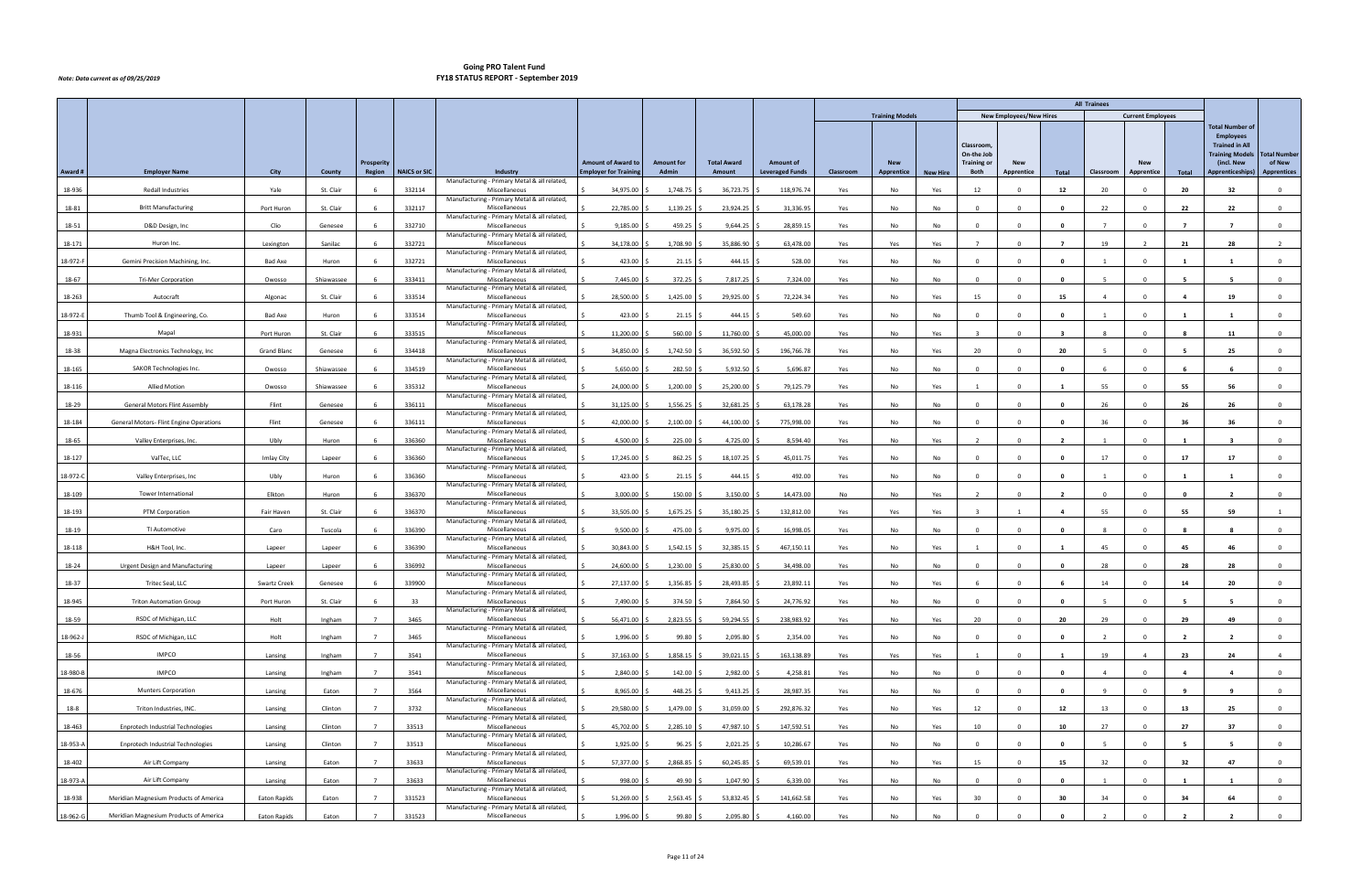|          |                                          |                    |            |                   |                     |                                                               |                             |                   |                    |                        |           |                        |                 |                                               |                                |                         | <b>All Trainees</b> |                          |                |                                                                                                             |                               |
|----------|------------------------------------------|--------------------|------------|-------------------|---------------------|---------------------------------------------------------------|-----------------------------|-------------------|--------------------|------------------------|-----------|------------------------|-----------------|-----------------------------------------------|--------------------------------|-------------------------|---------------------|--------------------------|----------------|-------------------------------------------------------------------------------------------------------------|-------------------------------|
|          |                                          |                    |            |                   |                     |                                                               |                             |                   |                    |                        |           | <b>Training Models</b> |                 |                                               | <b>New Employees/New Hires</b> |                         |                     | <b>Current Employees</b> |                |                                                                                                             |                               |
|          |                                          |                    |            | <b>Prosperity</b> |                     |                                                               | <b>Amount of Award to</b>   | <b>Amount for</b> | <b>Total Award</b> | <b>Amount of</b>       |           | <b>New</b>             |                 | <b>Classroom</b><br>On-the Job<br>Training or | <b>New</b>                     |                         |                     | <b>New</b>               |                | <b>Total Number of</b><br><b>Employees</b><br><b>Trained in All</b><br><b>Training Models</b><br>(incl. New | <b>Total Number</b><br>of New |
| Award #  | <b>Employer Name</b>                     | City               | County     | Region            | <b>NAICS or SIC</b> | Industry<br>Manufacturing - Primary Metal & all related,      | <b>Employer for Trainin</b> | Admin             | Amount             | <b>Leveraged Funds</b> | Classroom | Apprentice             | <b>New Hire</b> | Both                                          | Apprentice                     | Total                   | Classroom           | Apprentice               | Total          | Apprenticeships)                                                                                            | <b>Apprentices</b>            |
| 18-936   | <b>Redall Industries</b>                 | Yale               | St. Clair  |                   | 332114              | Miscellaneous                                                 | 34,975.00                   | 1,748.75          | 36,723.75          | 118,976.74             | Yes       | No                     | Yes             | 12                                            |                                | 12                      | 20                  |                          | 20             | 32                                                                                                          | $\Omega$                      |
| 18-81    | <b>Britt Manufacturing</b>               | Port Huron         | St. Clair  |                   | 332117              | Manufacturing - Primary Metal & all related,<br>Miscellaneous | 22,785.00                   | 1,139.25          | 23,924.25          | 31,336.95              | Yes       | No                     | No              | $\Omega$                                      | $\Omega$                       | $\mathbf{0}$            | 22                  | $\Omega$                 | 22             | 22                                                                                                          | $\overline{0}$                |
| 18-51    | D&D Design, Inc                          | Clio               | Genesee    |                   | 332710              | Manufacturing - Primary Metal & all related,<br>Miscellaneous | 9,185.00                    | 459.25            | 9,644.25           | 28,859.15              | Yes       | No                     | No              | $\Omega$                                      | $\Omega$                       | $\mathbf{0}$            | $\overline{7}$      | $\Omega$                 | $\overline{7}$ | $\overline{7}$                                                                                              | $\overline{0}$                |
| 18-171   | Huron Inc.                               | Lexington          | Sanilac    |                   | 332721              | Manufacturing - Primary Metal & all related,<br>Miscellaneous | 34,178.00                   | 1,708.90          | 35,886.90          | 63,478.00              | Yes       | Yes                    | Yes             |                                               |                                |                         | 19                  |                          | 21             | 28                                                                                                          |                               |
| 18-972-F | Gemini Precision Machining, Inc.         | <b>Bad Axe</b>     | Huron      |                   | 332721              | Manufacturing - Primary Metal & all related,<br>Miscellaneous | 423.00                      | 21.15             | 444.15             | 528.00                 | Yes       | No                     | No              | $\Omega$                                      | $\Omega$                       | $\mathbf{0}$            |                     | $\Omega$                 | $\mathbf{1}$   |                                                                                                             | $\mathbf 0$                   |
| 18-67    | <b>Tri-Mer Corporation</b>               | Owosso             | Shiawassee |                   | 333411              | Manufacturing - Primary Metal & all related,<br>Miscellaneous | 7,445.00                    | 372.25            | 7,817.25           | 7,324.00               | Yes       | No                     | No              | $\Omega$                                      |                                | $\mathbf{0}$            | - 5                 | $\Omega$                 | - 5            | - 5                                                                                                         | $\overline{0}$                |
| 18-263   | Autocraft                                | Algonac            | St. Clair  |                   | 333514              | Manufacturing - Primary Metal & all related,<br>Miscellaneous | 28,500.00                   | 1,425.00          | 29,925.00          | 72,224.34              | Yes       | No                     | Yes             | 15                                            |                                | 15                      |                     |                          |                | 19                                                                                                          | $\Omega$                      |
|          |                                          |                    |            |                   |                     | Manufacturing - Primary Metal & all related,                  |                             |                   |                    |                        |           |                        |                 |                                               |                                |                         |                     |                          |                |                                                                                                             |                               |
| 18-972-E | Thumb Tool & Engineering, Co.            | <b>Bad Axe</b>     | Huron      |                   | 333514              | Miscellaneous<br>Manufacturing - Primary Metal & all related, | 423.00                      | 21.15             | 444.15             | 549.60                 | Yes       | No                     | No              | $\Omega$                                      |                                | $\mathbf{0}$            |                     | $\Omega$                 | $\blacksquare$ |                                                                                                             | $\overline{0}$                |
| 18-931   | Mapal                                    | Port Huron         | St. Clair  |                   | 333515              | Miscellaneous<br>Manufacturing - Primary Metal & all related, | 11,200.00                   | 560.00            | 11,760.00          | 45,000.00              | Yes       | No                     | Yes             | $\overline{3}$                                | $\Omega$                       | $\overline{\mathbf{3}}$ | -8                  | $\Omega$                 | -8             | 11                                                                                                          | $\overline{0}$                |
| 18-38    | Magna Electronics Technology, Inc        | <b>Grand Bland</b> | Genesee    |                   | 334418              | Miscellaneous<br>Manufacturing - Primary Metal & all related, | 34,850.00                   | 1,742.50          | 36,592.50          | 196,766.78             | Yes       | No                     | Yes             | 20                                            |                                | 20                      |                     |                          |                | 25                                                                                                          | $\Omega$                      |
| 18-165   | SAKOR Technologies Inc.                  | Owosso             | Shiawassee |                   | 334519              | Miscellaneous<br>Manufacturing - Primary Metal & all related, | 5,650.00                    | 282.50            | 5,932.50           | 5,696.87               | Yes       | No                     | No              | $\overline{0}$                                | $\Omega$                       | $\mathbf{0}$            | -6                  | $\Omega$                 | - 6            | - 6                                                                                                         | $\overline{0}$                |
| 18-116   | <b>Allied Motion</b>                     | Owosso             | Shiawassee |                   | 335312              | Miscellaneous<br>Manufacturing - Primary Metal & all related, | 24,000.00                   | 1,200.00          | 25,200.00          | 79,125.79              | Yes       | No                     | Yes             | 1                                             | $\Omega$                       | - 1                     | 55                  | $^{\circ}$               | 55             | 56                                                                                                          | $\mathbf 0$                   |
| 18-29    | <b>General Motors Flint Assembly</b>     | Flint              | Genesee    |                   | 336111              | Miscellaneous<br>Manufacturing - Primary Metal & all related, | 31,125.00                   | 1,556.25          | 32,681.25          | 63,178.28              | Yes       | No                     | <b>No</b>       | $\Omega$                                      |                                | - 0                     | 26                  |                          | 26             | 26                                                                                                          | $\Omega$                      |
| 18-184   | General Motors- Flint Engine Operations  | Flint              | Genesee    |                   | 336111              | Miscellaneous                                                 | 42,000.00                   | 2,100.00          | 44,100.00          | 775,998.00             | Yes       | No                     | No              | $\Omega$                                      |                                | $\mathbf{0}$            | 36                  | $\Omega$                 | 36             | 36                                                                                                          | $\overline{0}$                |
| 18-65    | Valley Enterprises, Inc.                 | Ubly               | Huron      |                   | 336360              | Manufacturing - Primary Metal & all related,<br>Miscellaneous | 4,500.00                    | 225.00            | 4,725.00           | 8,594.40               | Yes       | No                     | Yes             | $\overline{\phantom{a}}$                      |                                | $\overline{2}$          |                     |                          |                |                                                                                                             | $\mathbf{0}$                  |
| 18-127   | ValTec, LLC                              | Imlay City         | Lapeer     |                   | 336360              | Manufacturing - Primary Metal & all related,<br>Miscellaneous | 17,245.00                   | 862.25            | 18,107.25          | 45,011.75              | Yes       | No                     | <b>No</b>       | $\Omega$                                      |                                | $\Omega$                | 17                  | $\Omega$                 | 17             | 17                                                                                                          | $\overline{0}$                |
| 18-972-C | Valley Enterprises, Inc.                 | Ubly               | Huron      |                   | 336360              | Manufacturing - Primary Metal & all related,<br>Miscellaneous | 423.00                      | 21.15             | 444.15             | 492.00                 | Yes       | No                     | No              | $\Omega$                                      |                                | $\mathbf{0}$            |                     | $\Omega$                 | -1             |                                                                                                             | $\mathbf 0$                   |
| 18-109   | Tower International                      | Elkton             | Huron      |                   | 336370              | Manufacturing - Primary Metal & all related,<br>Miscellaneous | 3,000.00                    | 150.00            | 3,150.00           | 14,473.00              | No        | No                     | Yes             | $\overline{\phantom{a}}$                      |                                | $\overline{2}$          | $\Omega$            | $\Omega$                 | $\mathbf{0}$   | $\overline{\phantom{a}}$                                                                                    | $\mathbf 0$                   |
| 18-193   | PTM Corporation                          | Fair Haven         | St. Clair  |                   | 336370              | Manufacturing - Primary Metal & all related,<br>Miscellaneous | 33,505.00                   | 1,675.25          | 35,180.25          | 132,812.00             | Yes       | Yes                    | Yes             |                                               |                                |                         | 55                  | $\Omega$                 | 55             | 59                                                                                                          |                               |
| 18-19    | TI Automotive                            | Caro               | Tuscola    |                   | 336390              | Manufacturing - Primary Metal & all related,<br>Miscellaneous | 9,500.00                    | 475.00            | 9,975.00           | 16,998.05              | Yes       | No                     | No              | $\Omega$                                      |                                | - 0                     |                     |                          |                | -8                                                                                                          | $\mathbf 0$                   |
| 18-118   | H&H Tool, Inc.                           | Lapeer             | Lapeer     |                   | 336390              | Manufacturing - Primary Metal & all related,<br>Miscellaneous | 30,843.00                   | 1,542.15          | 32,385.15          | 467,150.11             | Yes       | No                     | Yes             | $\overline{1}$                                |                                | - 1                     | 45                  | $\Omega$                 | 45             | 46                                                                                                          | $\mathbf 0$                   |
| 18-24    | <b>Urgent Design and Manufacturing</b>   | Lapeer             | Lapeer     |                   | 336992              | Manufacturing - Primary Metal & all related,<br>Miscellaneous | 24,600.00                   | 1,230.00          | 25,830.00          | 34,498.00              | Yes       | No                     | No              | $\Omega$                                      |                                | $\mathbf{0}$            | 28                  | $\Omega$                 | 28             | 28                                                                                                          | $\overline{0}$                |
| 18-37    | Tritec Seal, LLC                         | Swartz Creek       | Genesee    |                   | 339900              | Manufacturing - Primary Metal & all related,<br>Miscellaneous | 27,137.00                   | 1,356.85          | 28,493.85 \$       | 23,892.11              | Yes       | No                     | Yes             |                                               | $\Omega$                       |                         | 14                  | $\Omega$                 | 14             | 20                                                                                                          | $\mathbf 0$                   |
| 18-945   | <b>Triton Automation Group</b>           | Port Huron         | St. Clair  |                   | 33                  | Manufacturing - Primary Metal & all related,<br>Miscellaneous | 7,490.00                    | 374.50            | 7,864.50           | 24,776.92              | Yes       | No                     | No              |                                               | $\Omega$                       | $\mathbf{0}$            |                     |                          |                |                                                                                                             | $\mathbf 0$                   |
| 18-59    | RSDC of Michigan, LLC                    | Holt               | Ingham     |                   | 3465                | Manufacturing - Primary Metal & all related,<br>Miscellaneous | 56,471.00                   | 2,823.55 \$       | 59,294.55 \$       | 238,983.92             | Yes       | No                     | Yes             | 20                                            | $\Omega$                       | 20                      | 29                  | $\Omega$                 | 29             | 49                                                                                                          | $\overline{0}$                |
| 18-962-J | RSDC of Michigan, LLC                    | Holt               | Ingham     |                   | 3465                | Manufacturing - Primary Metal & all related,<br>Miscellaneous | 1,996.00                    | 99.80 \$          | 2,095.80           | 2,354.00               | Yes       | No                     | No              | $\overline{0}$                                | $\Omega$                       | $\mathbf{0}$            | $\overline{2}$      | $\Omega$                 | $\overline{2}$ | $\overline{2}$                                                                                              | $\mathbf{0}$                  |
| 18-56    | <b>IMPCO</b>                             | Lansing            | Ingham     | $\overline{7}$    | 3541                | Manufacturing - Primary Metal & all related,<br>Miscellaneous | 37,163.00                   | 1,858.15          | 39,021.15          | 163,138.89             | Yes       | Yes                    | Yes             | $\overline{1}$                                | $\Omega$                       | $\mathbf{1}$            | 19                  | $\overline{a}$           | 23             | 24                                                                                                          | $\overline{4}$                |
| 18-980-B | <b>IMPCO</b>                             | Lansing            | Ingham     |                   | 3541                | Manufacturing - Primary Metal & all related,<br>Miscellaneous | 2,840.00                    | 142.00            | 2,982.00           | 4,258.81               | Yes       | No                     | No              | $\overline{0}$                                | $\Omega$                       | $\mathbf{0}$            | $\overline{4}$      | $\Omega$                 | $\overline{4}$ | $\overline{a}$                                                                                              | $\overline{0}$                |
| 18-676   | <b>Munters Corporation</b>               | Lansing            | Eaton      |                   | 3564                | Manufacturing - Primary Metal & all related,<br>Miscellaneous | 8,965.00                    | 448.25            | $9,413.25$ \$      | 28,987.35              | Yes       | No                     | No              | $\Omega$                                      |                                | - 0                     | $\overline{9}$      |                          | -9             | 9                                                                                                           | $\mathbf{0}$                  |
|          |                                          |                    |            |                   |                     | Manufacturing - Primary Metal & all related,                  |                             |                   |                    |                        |           |                        |                 |                                               |                                |                         |                     |                          |                |                                                                                                             |                               |
| $18 - 8$ | Triton Industries, INC.                  | Lansing            | Clinton    |                   | 3732                | Miscellaneous<br>Manufacturing - Primary Metal & all related, | 29,580.00                   | 1,479.00          | 31,059.00          | 292,876.32             | Yes       | No                     | Yes             | 12                                            | $\Omega$                       | 12                      | 13                  | $\Omega$                 | 13             | 25                                                                                                          | $\overline{0}$                |
| 18-463   | <b>Enprotech Industrial Technologies</b> | Lansing            | Clinton    |                   | 33513               | Miscellaneous<br>Manufacturing - Primary Metal & all related, | 45,702.00                   | 2,285.10          | 47,987.10 \$       | 147,592.51             | Yes       | No                     | Yes             | 10                                            | $\Omega$                       | 10                      | 27                  | $\Omega$                 | 27             | 37                                                                                                          | $\overline{0}$                |
| 18-953-A | <b>Enprotech Industrial Technologies</b> | Lansing            | Clinton    |                   | 33513               | Miscellaneous<br>Manufacturing - Primary Metal & all related, | 1,925.00                    | 96.25             | 2,021.25           | 10,286.67              | Yes       | No                     | No              | $\Omega$                                      | $\cap$                         | $\mathbf{0}$            | -5                  | $\Omega$                 | - 5            | - 5                                                                                                         | $\mathbf{0}$                  |
| 18-402   | Air Lift Company                         | Lansing            | Eaton      |                   | 33633               | Miscellaneous<br>Manufacturing - Primary Metal & all related, | 57,377.00                   | 2,868.85          | 60,245.85          | 69,539.01              | Yes       | No                     | Yes             | 15                                            |                                | 15                      | 32                  | $\Omega$                 | 32             | 47                                                                                                          | $\overline{0}$                |
| 18-973-A | Air Lift Company                         | Lansing            | Eaton      |                   | 33633               | Miscellaneous<br>Manufacturing - Primary Metal & all related, | 998.00                      | 49.90             | 1,047.90 \$        | 6,339.00               | Yes       | No                     | No              | $\overline{0}$                                | $\Omega$                       | 0                       |                     | $\Omega$                 | -1             | - 1                                                                                                         | $\overline{0}$                |
| 18-938   | Meridian Magnesium Products of America   | Eaton Rapids       | Eaton      |                   | 331523              | Miscellaneous<br>Manufacturing - Primary Metal & all related, | 51,269.00                   | 2,563.45          | 53,832.45          | 141,662.58             | Yes       | No                     | Yes             | 30                                            |                                | 30                      | 34                  |                          | 34             | 64                                                                                                          | $\mathbf{0}$                  |
| 18-962-G | Meridian Magnesium Products of America   | Eaton Rapids       | Eaton      | $\overline{7}$    | 331523              | Miscellaneous                                                 | 1,996.00                    | $99.80$ \$        | 2,095.80 \$        | 4,160.00               | Yes       | No                     | No              | $\Omega$                                      |                                | $\mathbf{0}$            |                     | $\Omega$                 | $\overline{2}$ | $\overline{2}$                                                                                              | $\overline{0}$                |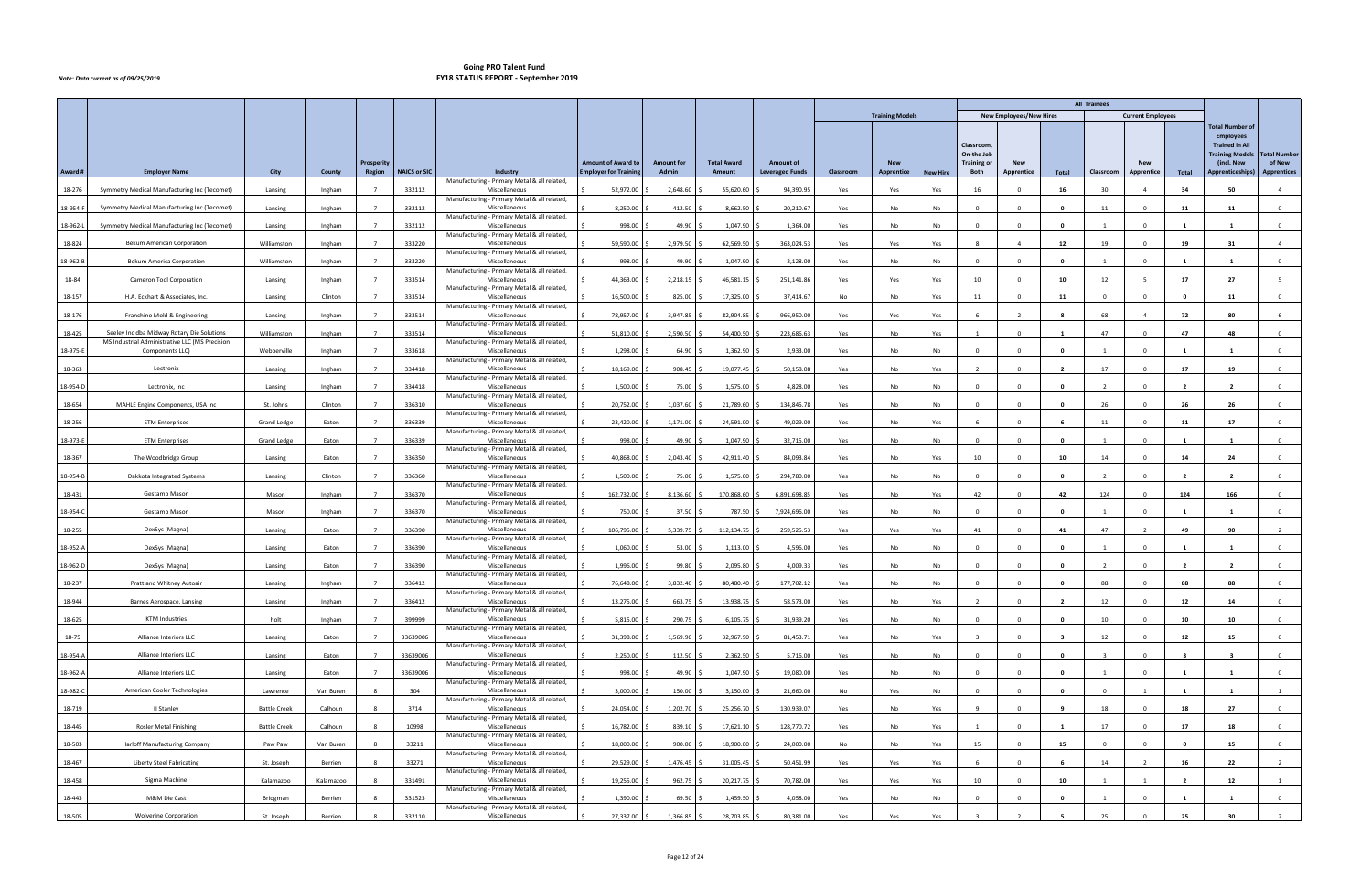|          |                                                                                              |                     |           |                             |                     |                                                               |                                                           |                            |                              |                                            |           |                          |                 |                                |                                |                         | <b>All Trainees</b>     |                                 |                |                                                                                               |                              |
|----------|----------------------------------------------------------------------------------------------|---------------------|-----------|-----------------------------|---------------------|---------------------------------------------------------------|-----------------------------------------------------------|----------------------------|------------------------------|--------------------------------------------|-----------|--------------------------|-----------------|--------------------------------|--------------------------------|-------------------------|-------------------------|---------------------------------|----------------|-----------------------------------------------------------------------------------------------|------------------------------|
|          |                                                                                              |                     |           |                             |                     |                                                               |                                                           |                            |                              |                                            |           | <b>Training Models</b>   |                 |                                | <b>New Employees/New Hires</b> |                         |                         | <b>Current Employees</b>        |                |                                                                                               |                              |
|          |                                                                                              |                     |           |                             |                     |                                                               |                                                           |                            |                              |                                            |           |                          |                 | <b>Classroom</b><br>On-the Job |                                |                         |                         |                                 |                | <b>Total Number of</b><br><b>Employees</b><br><b>Trained in All</b><br><b>Training Models</b> | <b>Total Number</b>          |
| Award #  | <b>Employer Name</b>                                                                         | City                | County    | <b>Prosperity</b><br>Region | <b>NAICS or SIC</b> | Industry                                                      | <b>Amount of Award to</b><br><b>Employer for Training</b> | <b>Amount for</b><br>Admin | <b>Total Award</b><br>Amount | <b>Amount of</b><br><b>Leveraged Funds</b> | Classroom | <b>New</b><br>Apprentice | <b>New Hire</b> | <b>Training or</b><br>Both     | <b>New</b><br>Apprentice       | Total                   | Classroom               | <b>New</b><br><b>Apprentice</b> | Total          | (incl. New<br><b>Apprenticeships)</b>                                                         | of New<br><b>Apprentices</b> |
|          |                                                                                              |                     |           |                             |                     | Manufacturing - Primary Metal & all related,                  |                                                           |                            |                              |                                            |           |                          |                 |                                |                                |                         |                         |                                 |                |                                                                                               |                              |
| 18-276   | Symmetry Medical Manufacturing Inc (Tecomet)                                                 | Lansing             | Ingham    |                             | 332112              | Miscellaneous<br>Manufacturing - Primary Metal & all related, | 52,972.00                                                 | 2,648.60                   | 55,620.60                    | 94,390.95                                  | Yes       | Yes                      | Yes             | 16                             |                                | 16                      | 30                      | $\overline{4}$                  | 34             | 50                                                                                            | $\overline{4}$               |
| 18-954-F | Symmetry Medical Manufacturing Inc (Tecomet)                                                 | Lansing             | Ingham    |                             | 332112              | Miscellaneous<br>Manufacturing - Primary Metal & all related, | 8,250.00                                                  | 412.50                     | 8,662.50                     | 20,210.67                                  | Yes       | No                       | No              | $\Omega$                       |                                | $\mathbf 0$             | 11                      | $\Omega$                        | 11             | -11                                                                                           | $\mathbf 0$                  |
| 18-962-L | Symmetry Medical Manufacturing Inc (Tecomet)                                                 | Lansing             | Ingham    |                             | 332112              | Miscellaneous                                                 | 998.00                                                    | 49.90                      | 1,047.90                     | 1,364.00                                   | Yes       | No                       | No              | $\Omega$                       | $\Omega$                       | $\mathbf{0}$            |                         | $\Omega$                        | $\mathbf{1}$   |                                                                                               | $\overline{0}$               |
| 18-824   | <b>Bekum American Corporation</b>                                                            | Williamston         | Ingham    |                             | 333220              | Manufacturing - Primary Metal & all related,<br>Miscellaneous | 59,590.00                                                 | 2,979.50                   | 62,569.50                    | 363,024.53                                 | Yes       | Yes                      | Yes             |                                |                                | 12                      | 19                      |                                 | 19             | -31                                                                                           | $\overline{4}$               |
| 18-962-B | Bekum America Corporation                                                                    | Williamston         | Ingham    |                             | 333220              | Manufacturing - Primary Metal & all related,<br>Miscellaneous | 998.00                                                    | 49.90                      | 1,047.90                     | 2,128.00                                   | Yes       | No                       | No              | $\Omega$                       | $\Omega$                       | $\mathbf 0$             | $\mathbf{1}$            | $\Omega$                        | -1             | - 1                                                                                           | $\mathbf 0$                  |
| 18-84    | Cameron Tool Corporation                                                                     | Lansing             | Ingham    |                             | 333514              | Manufacturing - Primary Metal & all related,<br>Miscellaneous | 44,363.00                                                 | 2,218.15                   | 46,581.15                    | 251,141.86                                 | Yes       | Yes                      | Yes             | 10                             |                                | 10                      | 12                      |                                 | 17             | 27                                                                                            |                              |
| 18-157   | H.A. Eckhart & Associates, Inc.                                                              | Lansing             | Clinton   |                             | 333514              | Manufacturing - Primary Metal & all related,<br>Miscellaneous | 16,500.00                                                 | 825.00                     | 17,325.00                    | 37,414.67                                  | No        | No                       | Yes             | 11                             |                                | 11                      | $\Omega$                |                                 |                | 11                                                                                            | $\Omega$                     |
|          | Franchino Mold & Engineering                                                                 |                     |           |                             |                     | Manufacturing - Primary Metal & all related,                  |                                                           |                            |                              |                                            |           |                          |                 |                                |                                |                         | 68                      | $\overline{a}$                  |                | 80                                                                                            | -6                           |
| 18-176   |                                                                                              | Lansing             | Ingham    |                             | 333514              | Miscellaneous<br>Manufacturing - Primary Metal & all related, | 78,957.00                                                 | 3,947.85                   | 82,904.85                    | 966,950.00                                 | Yes       | Yes                      | Yes             |                                |                                |                         |                         |                                 | 72             |                                                                                               |                              |
| 18-425   | Seeley Inc dba Midway Rotary Die Solutions<br>MS Industrial Administrative LLC (MS Precision | Williamston         | Ingham    |                             | 333514              | Miscellaneous<br>Manufacturing - Primary Metal & all related, | 51,810.00                                                 | 2,590.50                   | 54,400.50                    | 223,686.63                                 | Yes       | No                       | Yes             | $\mathbf{1}$                   | $\Omega$                       | $\mathbf{1}$            | 47                      | $\Omega$                        | 47             | 48                                                                                            | $\mathbf{0}$                 |
| 18-975-E | Components LLC)                                                                              | Webberville         | Ingham    |                             | 333618              | Miscellaneous<br>Manufacturing - Primary Metal & all related, | 1,298.00                                                  | 64.90                      | 1,362.90                     | 2,933.00                                   | Yes       | No                       | No              | n                              |                                | - 0                     |                         |                                 |                |                                                                                               | $^{\circ}$                   |
| 18-363   | Lectronix                                                                                    | Lansing             | Ingham    |                             | 334418              | Miscellaneous<br>Manufacturing - Primary Metal & all related, | 18,169.00                                                 | 908.45                     | 19,077.45                    | 50,158.08                                  | Yes       | No                       | Yes             | $\overline{\phantom{a}}$       | $\Omega$                       | $\overline{\mathbf{2}}$ | 17                      | $\Omega$                        | 17             | 19                                                                                            | $\overline{0}$               |
| 18-954-D | Lectronix, Inc                                                                               | Lansing             | Ingham    |                             | 334418              | Miscellaneous<br>Manufacturing - Primary Metal & all related, | 1,500.00                                                  | 75.00                      | 1,575.00                     | 4,828.00                                   | Yes       | No                       | No              | $\overline{0}$                 | $\Omega$                       | $\mathbf{0}$            | $\overline{2}$          | $^{\circ}$                      | $\overline{2}$ | $\overline{2}$                                                                                | $\overline{0}$               |
| 18-654   | MAHLE Engine Components, USA Inc                                                             | St. Johns           | Clinton   |                             | 336310              | Miscellaneous                                                 | 20,752.00                                                 | 1,037.60                   | 21,789.60                    | 134,845.78                                 | Yes       | No                       | No              |                                |                                |                         | 26                      |                                 | 26             | 26                                                                                            | $\Omega$                     |
| 18-256   | <b>ETM Enterprises</b>                                                                       | <b>Grand Ledge</b>  | Eaton     |                             | 336339              | Manufacturing - Primary Metal & all related,<br>Miscellaneous | 23,420.00                                                 | 1,171.00                   | 24,591.00                    | 49,029.00                                  | Yes       | No                       | Yes             |                                | $\Omega$                       | 6                       | 11                      | $\Omega$                        | 11             | 17                                                                                            | $\overline{0}$               |
| 18-973-E | <b>ETM Enterprises</b>                                                                       | <b>Grand Ledge</b>  | Eaton     |                             | 336339              | Manufacturing - Primary Metal & all related,<br>Miscellaneous | 998.00                                                    | 49.90                      | 1,047.90                     | 32,715.00                                  | Yes       | No                       | No              | $\Omega$                       | $\Omega$                       | $\mathbf{0}$            | 1                       | $\Omega$                        | $\mathbf{1}$   | $\mathbf{1}$                                                                                  | $\overline{0}$               |
| 18-367   | The Woodbridge Group                                                                         | Lansing             | Eaton     |                             | 336350              | Manufacturing - Primary Metal & all related,<br>Miscellaneous | 40,868.00                                                 | 2,043.40                   | 42,911.40                    | 84,093.84                                  | Yes       | No                       | Yes             | 10                             |                                | 10                      | 14                      |                                 | 14             | 24                                                                                            | $\Omega$                     |
| 18-954-B | Dakkota Integrated Systems                                                                   | Lansing             | Clinton   |                             | 336360              | Manufacturing - Primary Metal & all related,<br>Miscellaneous | 1,500.00                                                  | 75.00                      | 1,575.00                     | 294,780.00                                 | Yes       | No                       | No              | $\Omega$                       |                                | $\mathbf{0}$            | $\overline{2}$          | $\Omega$                        | $\overline{2}$ | $\overline{\phantom{a}}$                                                                      | $\overline{0}$               |
| 18-431   | Gestamp Mason                                                                                | Mason               | Ingham    |                             | 336370              | Manufacturing - Primary Metal & all related,<br>Miscellaneous | 162,732.00                                                | 8,136.60                   | 170,868.60                   | 6,891,698.85                               | Yes       | No                       | Yes             | 42                             | $\Omega$                       | 42                      | 124                     | $\Omega$                        | 124            | 166                                                                                           | $\overline{0}$               |
| 18-954-C | Gestamp Mason                                                                                | Mason               | Ingham    |                             | 336370              | Manufacturing - Primary Metal & all related,<br>Miscellaneous | 750.00                                                    | 37.50                      | 787.50                       | 7,924,696.00                               | Yes       | No                       | No              | $\sqrt{ }$                     |                                |                         |                         |                                 |                |                                                                                               | $\Omega$                     |
| 18-255   | DexSys (Magna)                                                                               | Lansing             | Eaton     |                             | 336390              | Manufacturing - Primary Metal & all related,<br>Miscellaneous | 106,795.00                                                | 5,339.75                   | 112,134.75                   | 259,525.53                                 | Yes       | Yes                      | Yes             | 41                             |                                | 41                      | 47                      | $\overline{2}$                  | 49             | 90                                                                                            | 2                            |
| 18-952-A | DexSys (Magna)                                                                               | Lansing             | Eaton     |                             | 336390              | Manufacturing - Primary Metal & all related,<br>Miscellaneous | 1,060.00                                                  | 53.00                      | 1,113.00                     | 4,596.00                                   | Yes       | No                       | No              | $\overline{\mathbf{0}}$        | $\Omega$                       | $\mathbf{0}$            | -1                      | $^{\circ}$                      | 1              | - 1                                                                                           | $\mathbf 0$                  |
| 18-962-D | DexSys (Magna)                                                                               |                     |           |                             | 336390              | Manufacturing - Primary Metal & all related,<br>Miscellaneous | 1,996.00                                                  | 99.80                      | 2,095.80                     | 4,009.33                                   | Yes       | No                       | No              |                                |                                |                         |                         |                                 |                |                                                                                               | $\Omega$                     |
|          |                                                                                              | Lansing             | Eaton     |                             |                     | Manufacturing - Primary Metal & all related,                  |                                                           |                            |                              |                                            |           |                          |                 |                                |                                |                         |                         |                                 |                |                                                                                               |                              |
| 18-237   | Pratt and Whitney Autoair                                                                    | Lansing             | Ingham    |                             | 336412              | Miscellaneous<br>Manufacturing - Primary Metal & all related, | 76,648.00                                                 | 3,832.40                   | 80,480.40                    | 177,702.12                                 | Yes       | No                       | No              | $\overline{0}$                 | $\Omega$                       | $\mathbf{0}$            | 88                      | $\Omega$                        | 88             | 88                                                                                            | $\overline{0}$               |
| 18-944   | Barnes Aerospace, Lansing                                                                    | Lansing             | Ingham    |                             | 336412              | Miscellaneous<br>Manufacturing - Primary Metal & all related, | 13,275.00                                                 | $663.75$ $\frac{1}{5}$     | $13,938.75$ \$               | 58,573.00                                  | Yes       | No                       | Yes             | $\overline{2}$                 | $\mathbf 0$                    | $\overline{2}$          | 12                      | $\mathbf 0$                     | 12             | 14                                                                                            | $\mathbf 0$                  |
| 18-625   | <b>KTM Industries</b>                                                                        | holt                | Ingham    |                             | 399999              | Miscellaneous<br>Manufacturing - Primary Metal & all related, | 5,815.00                                                  | 290.75                     | $6,105.75$ \$                | 31,939.20                                  | Yes       | No                       | No              | $\Omega$                       | $\Omega$                       | $\Omega$                | 10                      | $\Omega$                        | 10             | 10                                                                                            | $\overline{0}$               |
| 18-75    | Alliance Interiors LLC                                                                       | Lansing             | Eaton     | $\overline{7}$              | 33639006            | Miscellaneous                                                 | 31,398.00                                                 | 1,569.90                   | 32,967.90                    | 81,453.71                                  | Yes       | No                       | Yes             | $\mathbf{R}$                   | $\Omega$                       | - 3                     | 12                      | $\Omega$                        | 12             | 15                                                                                            | $\overline{0}$               |
| 18-954-A | Alliance Interiors LLC                                                                       | Lansing             | Eaton     |                             | 33639006            | Manufacturing - Primary Metal & all related,<br>Miscellaneous | 2,250.00                                                  | 112.50                     | 2,362.50                     | 5,716.00                                   | Yes       | No                       | No              | $\overline{\mathbf{0}}$        |                                | $\mathbf 0$             | $\overline{\mathbf{3}}$ | $\Omega$                        | - 3            |                                                                                               | $\overline{0}$               |
| 18-962-A | Alliance Interiors LLC                                                                       | Lansing             | Eaton     |                             | 33639006            | Manufacturing - Primary Metal & all related,<br>Miscellaneous | 998.00                                                    | 49.90                      | 1,047.90                     | 19,080.00                                  | Yes       | No                       | No              | $\Omega$                       | $\Omega$                       | $\mathbf{0}$            |                         | $\Omega$                        | - 1            |                                                                                               | $\overline{0}$               |
| 18-982-C | American Cooler Technologies                                                                 | Lawrence            | Van Buren | 8                           | 304                 | Manufacturing - Primary Metal & all related,<br>Miscellaneous | 3,000.00                                                  | 150.00                     | 3,150.00                     | 21,660.00                                  | No        | Yes                      | No              | $\Omega$                       |                                | $\mathbf{0}$            | $\mathbf 0$             |                                 | -1             | -1                                                                                            | $\mathbf{1}$                 |
| 18-719   | II Stanley                                                                                   | <b>Battle Creek</b> | Calhoun   | 8                           | 3714                | Manufacturing - Primary Metal & all related,<br>Miscellaneous | 24,054.00                                                 | 1,202.70                   | 25,256.70                    | 130,939.07                                 | Yes       | No                       | Yes             | $\mathbf{q}$                   | $\Omega$                       | -9                      | 18                      | $\Omega$                        | 18             | 27                                                                                            | $\overline{0}$               |
| 18-445   | <b>Rosler Metal Finishing</b>                                                                | <b>Battle Creek</b> | Calhoun   |                             | 10998               | Manufacturing - Primary Metal & all related,<br>Miscellaneous | 16,782.00                                                 | 839.10                     | 17,621.10                    | 128,770.72                                 | Yes       | No                       | Yes             |                                |                                | - 1                     | 17                      | $\Omega$                        | 17             | 18                                                                                            | $\overline{0}$               |
| 18-503   | Harloff Manufacturing Company                                                                | Paw Paw             | Van Buren | 8                           | 33211               | Manufacturing - Primary Metal & all related,<br>Miscellaneous | 18,000.00                                                 | $900.00$ \$                | 18,900.00 \$                 | 24,000.00                                  | No        | No                       | Yes             | 15                             | $\Omega$                       | 15                      | $\mathbf 0$             | $\Omega$                        | $\mathbf{0}$   | 15                                                                                            | $\overline{0}$               |
| 18-467   | <b>Liberty Steel Fabricating</b>                                                             | St. Joseph          | Berrien   |                             | 33271               | Manufacturing - Primary Metal & all related,<br>Miscellaneous | 29,529.00                                                 | 1,476.45                   | 31,005.45                    | 50,451.99                                  | Yes       | Yes                      | Yes             |                                |                                |                         | 14                      |                                 | 16             | 22                                                                                            | $\overline{2}$               |
| 18-458   | Sigma Machine                                                                                | Kalamazoo           | Kalamazoo | -8                          | 331491              | Manufacturing - Primary Metal & all related,<br>Miscellaneous | 19,255.00                                                 | 962.75                     | 20,217.75 \$                 | 70,782.00                                  | Yes       | Yes                      | Yes             | 10                             | $\Omega$                       | 10                      | 1                       | 1                               | $\overline{2}$ | 12                                                                                            | $\mathbf{1}$                 |
|          | M&M Die Cast                                                                                 |                     |           |                             | 331523              | Manufacturing - Primary Metal & all related,<br>Miscellaneous | 1,390.00                                                  |                            |                              |                                            |           | No                       |                 | $\Omega$                       | $\Omega$                       | $\mathbf{0}$            | 1                       | $\Omega$                        | $\mathbf{1}$   |                                                                                               | $\mathbf{0}$                 |
| 18-443   |                                                                                              | Bridgman            | Berrien   |                             |                     | Manufacturing - Primary Metal & all related,                  |                                                           | 69.50                      | 1,459.50                     | 4,058.00                                   | Yes       |                          | No              |                                |                                |                         |                         |                                 |                | -1                                                                                            |                              |
| 18-505   | <b>Wolverine Corporation</b>                                                                 | St. Joseph          | Berrien   | 8                           | 332110              | Miscellaneous                                                 | 27,337.00                                                 | $1,366.85$ \$              | 28,703.85 \$                 | 80,381.00                                  | Yes       | Yes                      | Yes             |                                |                                |                         | 25                      | $\Omega$                        | 25             | 30                                                                                            | $\overline{2}$               |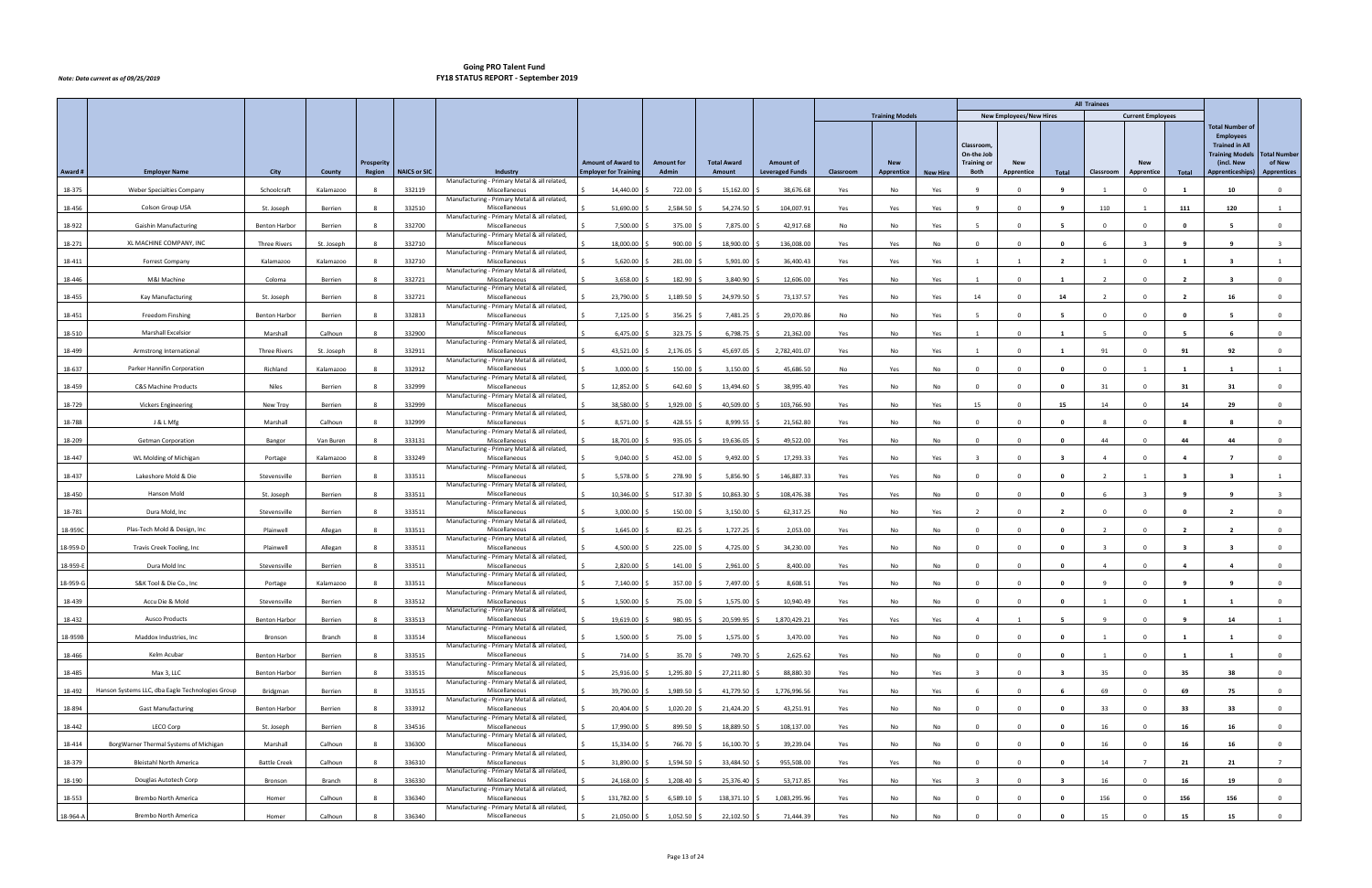|          |                                                  |                      |            |                   |                     |                                                               |                             |                   |                    |                        |           |                        |                 |                                                |                                |                         | <b>All Trainees</b> |                          |                |                                                                                                             |                               |
|----------|--------------------------------------------------|----------------------|------------|-------------------|---------------------|---------------------------------------------------------------|-----------------------------|-------------------|--------------------|------------------------|-----------|------------------------|-----------------|------------------------------------------------|--------------------------------|-------------------------|---------------------|--------------------------|----------------|-------------------------------------------------------------------------------------------------------------|-------------------------------|
|          |                                                  |                      |            |                   |                     |                                                               |                             |                   |                    |                        |           | <b>Training Models</b> |                 |                                                | <b>New Employees/New Hires</b> |                         |                     | <b>Current Employees</b> |                |                                                                                                             |                               |
|          |                                                  |                      |            | <b>Prosperity</b> |                     |                                                               | <b>Amount of Award to</b>   | <b>Amount for</b> | <b>Total Award</b> | <b>Amount of</b>       |           | <b>New</b>             |                 | Classroom,<br>On-the Job<br><b>Training or</b> | <b>New</b>                     |                         |                     | <b>New</b>               |                | <b>Total Number of</b><br><b>Employees</b><br><b>Trained in All</b><br><b>Training Models</b><br>(incl. New | <b>Total Number</b><br>of New |
| Award #  | <b>Employer Name</b>                             | City                 | County     | Region            | <b>NAICS or SIC</b> | Industry                                                      | <b>Employer for Trainin</b> | Admin             | Amount             | <b>Leveraged Funds</b> | Classroom | Apprentice             | <b>New Hire</b> | Both                                           | Apprentice                     | Total                   | Classroom           | Apprentice               | Total          | Apprenticeships)                                                                                            | <b>Apprentices</b>            |
| 18-375   | Weber Specialties Company                        | Schoolcraft          | Kalamazoo  |                   | 332119              | Manufacturing - Primary Metal & all related,<br>Miscellaneous | 14,440.00                   | 722.00            | 15,162.00          | 38,676.68              | Yes       | No                     | Yes             |                                                |                                |                         |                     |                          |                | 10                                                                                                          | $\Omega$                      |
| 18-456   | Colson Group USA                                 | St. Joseph           | Berrien    | $\mathbf{R}$      | 332510              | Manufacturing - Primary Metal & all related,<br>Miscellaneous | 51,690.00                   | 2,584.50          | 54,274.50          | 104,007.91             | Yes       | Yes                    | Yes             | $\mathbf{q}$                                   | $\Omega$                       | <b>q</b>                | 110                 |                          | 111            | 120                                                                                                         | $\overline{1}$                |
|          |                                                  |                      |            |                   |                     | Manufacturing - Primary Metal & all related,                  |                             |                   |                    |                        |           |                        |                 |                                                |                                |                         |                     |                          |                |                                                                                                             |                               |
| 18-922   | Gaishin Manufacturing                            | <b>Benton Harbor</b> | Berrien    | -8                | 332700              | Miscellaneous<br>Manufacturing - Primary Metal & all related, | 7,500.00                    | 375.00            | 7,875.00           | 42,917.68              | No        | No                     | Yes             | $\overline{5}$                                 | $\Omega$                       | -5                      | $\Omega$            | $\Omega$                 | $\mathbf{0}$   | - 5                                                                                                         | $\overline{0}$                |
| 18-271   | XL MACHINE COMPANY, INC                          | <b>Three Rivers</b>  | St. Joseph |                   | 332710              | Miscellaneous<br>Manufacturing - Primary Metal & all related, | 18,000.00                   | 900.00            | 18,900.00          | 136,008.00             | Yes       | Yes                    | No              |                                                |                                |                         |                     |                          |                |                                                                                                             |                               |
| 18-411   | <b>Forrest Company</b>                           | Kalamazoo            | Kalamazoo  | -8                | 332710              | Miscellaneous<br>Manufacturing - Primary Metal & all related, | 5,620.00                    | 281.00            | 5,901.00           | 36,400.43              | Yes       | Yes                    | Yes             | $\overline{1}$                                 |                                | $\overline{\mathbf{2}}$ |                     | $\Omega$                 | -1             | $\overline{\mathbf{3}}$                                                                                     |                               |
| 18-446   | M&I Machine                                      | Coloma               | Berrien    | 8                 | 332721              | Miscellaneous                                                 | 3,658.00                    | 182.90            | 3,840.90           | 12,606.00              | Yes       | No                     | Yes             | $\mathbf{1}$                                   |                                | - 1                     | $\overline{2}$      | $\Omega$                 | $\overline{2}$ | $\overline{\mathbf{3}}$                                                                                     | $\overline{0}$                |
| 18-455   | Kay Manufacturing                                | St. Joseph           | Berrien    |                   | 332721              | Manufacturing - Primary Metal & all related,<br>Miscellaneous | 23,790.00                   | 1,189.50          | 24,979.50          | 73,137.57              | Yes       | No                     | Yes             | 14                                             |                                | 14                      |                     |                          | - 2            | 16                                                                                                          | $\Omega$                      |
| 18-451   | Freedom Finshing                                 | <b>Benton Harbor</b> | Berrien    |                   | 332813              | Manufacturing - Primary Metal & all related,<br>Miscellaneous | 7,125.00                    | 356.25            | 7,481.25           | 29,070.86              | No        | No                     | Yes             |                                                |                                |                         | $\Omega$            | $\Omega$                 | 0              |                                                                                                             | $\overline{0}$                |
| 18-510   | <b>Marshall Excelsior</b>                        | Marshall             | Calhoun    | - 8               | 332900              | Manufacturing - Primary Metal & all related,<br>Miscellaneous | 6,475.00                    | 323.75            | 6,798.75           | 21,362.00              | Yes       | No                     | Yes             | $\overline{1}$                                 |                                | $\mathbf{1}$            | -5                  | $\Omega$                 | - 5            | - 6                                                                                                         | $\overline{0}$                |
| 18-499   | Armstrong International                          | <b>Three Rivers</b>  | St. Joseph |                   | 332911              | Manufacturing - Primary Metal & all related,<br>Miscellaneous | 43,521.00                   | 2,176.05          | 45,697.05          | 2,782,401.07           | Yes       | No                     | Yes             |                                                |                                |                         | 91                  |                          | 91             | 92                                                                                                          | $\Omega$                      |
|          |                                                  |                      |            |                   |                     | Manufacturing - Primary Metal & all related,                  |                             |                   |                    |                        |           |                        |                 |                                                |                                |                         |                     |                          |                |                                                                                                             |                               |
| 18-637   | Parker Hannifin Corporation                      | Richland             | Kalamazoo  | $\mathbf{R}$      | 332912              | Miscellaneous<br>Manufacturing - Primary Metal & all related, | 3,000.00                    | 150.00            | 3,150.00           | 45,686.50              | No        | Yes                    | No              | $\overline{0}$                                 | $\Omega$                       | $\mathbf{0}$            | $\Omega$            |                          | $\mathbf{1}$   | $\blacksquare$                                                                                              | 1                             |
| 18-459   | <b>C&amp;S Machine Products</b>                  | <b>Niles</b>         | Berrien    | 8                 | 332999              | Miscellaneous<br>Manufacturing - Primary Metal & all related, | 12,852.00                   | 642.60            | 13,494.60          | 38,995.40              | Yes       | No                     | No              | $\overline{\mathbf{0}}$                        | $\Omega$                       | $\mathbf{0}$            | 31                  | $^{\circ}$               | 31             | 31                                                                                                          | $\mathbf 0$                   |
| 18-729   | Vickers Engineering                              | New Troy             | Berrien    |                   | 332999              | Miscellaneous<br>Manufacturing - Primary Metal & all related, | 38,580.00                   | 1,929.00          | 40,509.00          | 103,766.90             | Yes       | No                     | Yes             | 15                                             |                                | 15                      | 14                  | $\Omega$                 | 14             | 29                                                                                                          | $\Omega$                      |
| 18-788   | J & L Mfg                                        | Marshall             | Calhoun    |                   | 332999              | Miscellaneous<br>Manufacturing - Primary Metal & all related, | 8,571.00                    | 428.55            | 8,999.55           | 21,562.80              | Yes       | No                     | No              | $\Omega$                                       |                                | $\mathbf{0}$            | 8                   | $\Omega$                 | - 8            | - 8                                                                                                         | $\overline{0}$                |
| 18-209   | <b>Getman Corporation</b>                        | Bangor               | Van Buren  |                   | 333131              | Miscellaneous                                                 | 18,701.00                   | 935.05            | 19,636.05          | 49,522.00              | Yes       | No                     | No              | $\mathbf{0}$                                   |                                | $\mathbf 0$             | 44                  |                          | 44             | 44                                                                                                          | $\mathbf 0$                   |
| 18-447   | WL Molding of Michigan                           | Portage              | Kalamazoo  |                   | 333249              | Manufacturing - Primary Metal & all related,<br>Miscellaneous | 9,040.00                    | 452.00            | 9,492.00           | 17,293.33              | Yes       | No                     | Yes             | $\mathbf{R}$                                   |                                | -3                      | $\mathbf{A}$        | $\Omega$                 |                |                                                                                                             | $\overline{0}$                |
| 18-437   | Lakeshore Mold & Die                             | Stevensville         | Berrien    |                   | 333511              | Manufacturing - Primary Metal & all related,<br>Miscellaneous | 5,578.00                    | 278.90            | 5,856.90           | 146,887.33             | Yes       | Yes                    | No              | $\Omega$                                       |                                | $\mathbf{0}$            | $\overline{2}$      |                          | - 3            |                                                                                                             | $\overline{1}$                |
| 18-450   | Hanson Mold                                      | St. Joseph           | Berrien    |                   | 333511              | Manufacturing - Primary Metal & all related,<br>Miscellaneous | 10,346.00                   | 517.30            | 10,863.30          | 108,476.38             | Yes       | Yes                    | No              | $\Omega$                                       |                                | $\mathbf{0}$            | -6                  |                          | <b>q</b>       | <b>q</b>                                                                                                    |                               |
| 18-781   | Dura Mold, Inc                                   | Stevensville         | Berrien    |                   | 333511              | Manufacturing - Primary Metal & all related,<br>Miscellaneous | 3,000.00                    | 150.00            | 3,150.00           | 62,317.25              | No        | No                     | Yes             |                                                |                                | - 2                     | $\Omega$            |                          |                |                                                                                                             | $\Omega$                      |
| 18-959C  | Plas-Tech Mold & Design, Inc.                    | Plainwell            | Allegan    | 8                 | 333511              | Manufacturing - Primary Metal & all related,<br>Miscellaneous | 1,645.00                    | 82.25             | 1,727.25           | 2,053.00               | Yes       | No                     | No              | $\Omega$                                       |                                | $\mathbf{0}$            |                     |                          | - 2            |                                                                                                             | $\Omega$                      |
|          |                                                  |                      |            |                   |                     | Manufacturing - Primary Metal & all related,                  |                             |                   |                    |                        |           |                        |                 |                                                |                                |                         |                     |                          |                |                                                                                                             |                               |
| 18-959-D | Travis Creek Tooling, Inc                        | Plainwell            | Allegan    | -8                | 333511              | Miscellaneous<br>Manufacturing - Primary Metal & all related, | 4,500.00                    | 225.00            | 4,725.00           | 34,230.00              | Yes       | No                     | No              | $\Omega$                                       |                                | $\mathbf{0}$            | $\mathbf{R}$        | $\Omega$                 | - 3            | $\overline{\mathbf{3}}$                                                                                     | $\mathbf 0$                   |
| 18-959-E | Dura Mold Inc                                    | Stevensville         | Berrien    |                   | 333511              | Miscellaneous<br>Manufacturing - Primary Metal & all related, | 2,820.00                    | 141.00            | 2,961.00           | 8,400.00               | Yes       | No                     | No              | $\Omega$                                       |                                | $\mathbf{0}$            | $\mathbf{A}$        | $\Omega$                 |                | $\overline{\mathbf{4}}$                                                                                     | $\overline{0}$                |
| 18-959-G | S&K Tool & Die Co., Inc                          | Portage              | Kalamazoo  | -8                | 333511              | Miscellaneous<br>Manufacturing - Primary Metal & all related, | 7,140.00                    | 357.00 \$         | 7,497.00 \$        | 8,608.51               | Yes       | No                     | No              | $\overline{0}$                                 |                                | $\mathbf{0}$            | - 9                 | $\Omega$                 | -9             | 9                                                                                                           | $\mathbf 0$                   |
| 18-439   | Accu Die & Mold                                  | Stevensville         | Berrien    |                   | 333512              | Miscellaneous<br>Manufacturing - Primary Metal & all related, | 1,500.00                    | 75.00             | 1,575.00           | 10,940.49              | Yes       | No                     | No              | $\Omega$                                       | $\Omega$                       | $\mathbf{0}$            |                     |                          |                |                                                                                                             | $\mathbf 0$                   |
| 18-432   | <b>Ausco Products</b>                            | <b>Benton Harbor</b> | Berrien    | -8                | 333513              | Miscellaneous                                                 | 19,619.00                   | $980.95$ \$       | 20,599.95 \$       | 1,870,429.21           | Yes       | Yes                    | Yes             | $\overline{4}$                                 | $\overline{1}$                 | - 5                     | $\overline{9}$      | $\Omega$                 | - 9            | 14                                                                                                          | 1                             |
| 18-959B  | Maddox Industries, Inc                           | Bronson              | Branch     | -8                | 333514              | Manufacturing - Primary Metal & all related,<br>Miscellaneous | 1,500.00                    | 75.00 \$          | $1,575.00$ \$      | 3,470.00               | Yes       | No                     | No              | $\overline{0}$                                 | $\Omega$                       | 0                       | 1                   | $\Omega$                 | -1             | - 1                                                                                                         | $\mathbf{0}$                  |
| 18-466   | Kelm Acubar                                      | <b>Benton Harbor</b> | Berrien    | -8                | 333515              | Manufacturing - Primary Metal & all related,<br>Miscellaneous | 714.00                      | 35.70             | 749.70             | 2,625.62               | Yes       | No                     | No              | $\Omega$                                       | $\Omega$                       | $\mathbf{0}$            |                     | $\Omega$                 | $\overline{1}$ | $\overline{1}$                                                                                              | $\overline{0}$                |
| 18-485   | Max 3, LLC                                       | <b>Benton Harbor</b> | Berrien    |                   | 333515              | Manufacturing - Primary Metal & all related,<br>Miscellaneous | 25,916.00                   | 1,295.80          | 27,211.80          | 88,880.30              | Yes       | No                     | Yes             |                                                | $\Omega$                       | - 3                     | 35                  | $\Omega$                 | 35             | 38                                                                                                          | $\overline{0}$                |
| 18-492   | Hanson Systems LLC, dba Eagle Technologies Group | Bridgman             | Berrien    |                   | 333515              | Manufacturing - Primary Metal & all related,<br>Miscellaneous | 39,790.00                   | 1,989.50          | 41,779.50 \$       | 1,776,996.56           | Yes       | No                     | Yes             |                                                |                                |                         | 69                  |                          | 69             | 75                                                                                                          | $\mathbf{0}$                  |
|          |                                                  |                      |            |                   |                     | Manufacturing - Primary Metal & all related,                  |                             |                   |                    |                        |           |                        |                 |                                                |                                |                         |                     |                          |                |                                                                                                             |                               |
| 18-894   | <b>Gast Manufacturing</b>                        | <b>Benton Harbor</b> | Berrien    | -8                | 333912              | Miscellaneous<br>Manufacturing - Primary Metal & all related, | 20,404.00                   | 1,020.20          | 21,424.20          | 43,251.91              | Yes       | No                     | No              | $\overline{0}$                                 |                                | $\mathbf 0$             | 33                  | $\Omega$                 | 33             | 33                                                                                                          | $\overline{0}$                |
| 18-442   | LECO Corp                                        | St. Joseph           | Berrien    | -8                | 334516              | Miscellaneous<br>Manufacturing - Primary Metal & all related, | 17,990.00                   | 899.50            | 18,889.50          | 108,137.00             | Yes       | No                     | No              | $\overline{0}$                                 | $\Omega$                       | 0                       | 16                  | $\Omega$                 | 16             | 16                                                                                                          | $\overline{0}$                |
| 18-414   | BorgWarner Thermal Systems of Michigan           | Marshall             | Calhoun    |                   | 336300              | Miscellaneous<br>Manufacturing - Primary Metal & all related, | 15,334.00                   | 766.70            | 16,100.70          | 39,239.04              | Yes       | No                     | No              | $\Omega$                                       |                                | $\mathbf{0}$            | 16                  | $\Omega$                 | 16             | 16                                                                                                          | $\overline{0}$                |
| 18-379   | Bleistahl North America                          | <b>Battle Creek</b>  | Calhoun    |                   | 336310              | Miscellaneous<br>Manufacturing - Primary Metal & all related, | 31,890.00                   | 1,594.50          | 33,484.50          | 955,508.00             | Yes       | Yes                    | No              | $\Omega$                                       |                                | $\mathbf{0}$            | 14                  | $\overline{7}$           | 21             | 21                                                                                                          | $\overline{7}$                |
| 18-190   | Douglas Autotech Corp                            | Bronson              | Branch     | -8                | 336330              | Miscellaneous                                                 | 24,168.00                   | 1,208.40          | 25,376.40 \$       | 53,717.85              | Yes       | No                     | Yes             | $\overline{3}$                                 | $\Omega$                       | $\mathbf{3}$            | 16                  | $\Omega$                 | 16             | 19                                                                                                          | $\overline{0}$                |
| 18-553   | Brembo North America                             | Homer                | Calhoun    |                   | 336340              | Manufacturing - Primary Metal & all related,<br>Miscellaneous | 131,782.00                  | $6,589.10$ \$     | 138,371.10         | 1,083,295.96           | Yes       | No                     | No              | $\Omega$                                       |                                | $\mathbf{0}$            | 156                 |                          | 156            | 156                                                                                                         | $\mathbf{0}$                  |
| 18-964-A | Brembo North America                             | Homer                | Calhoun    | -8                | 336340              | Manufacturing - Primary Metal & all related,<br>Miscellaneous | 21,050.00                   | $1,052.50$ \$     | 22,102.50 \$       | 71,444.39              | Yes       | No                     | No              | $\overline{0}$                                 |                                | $\mathbf{0}$            | 15                  | $\Omega$                 | 15             | 15                                                                                                          | $\overline{0}$                |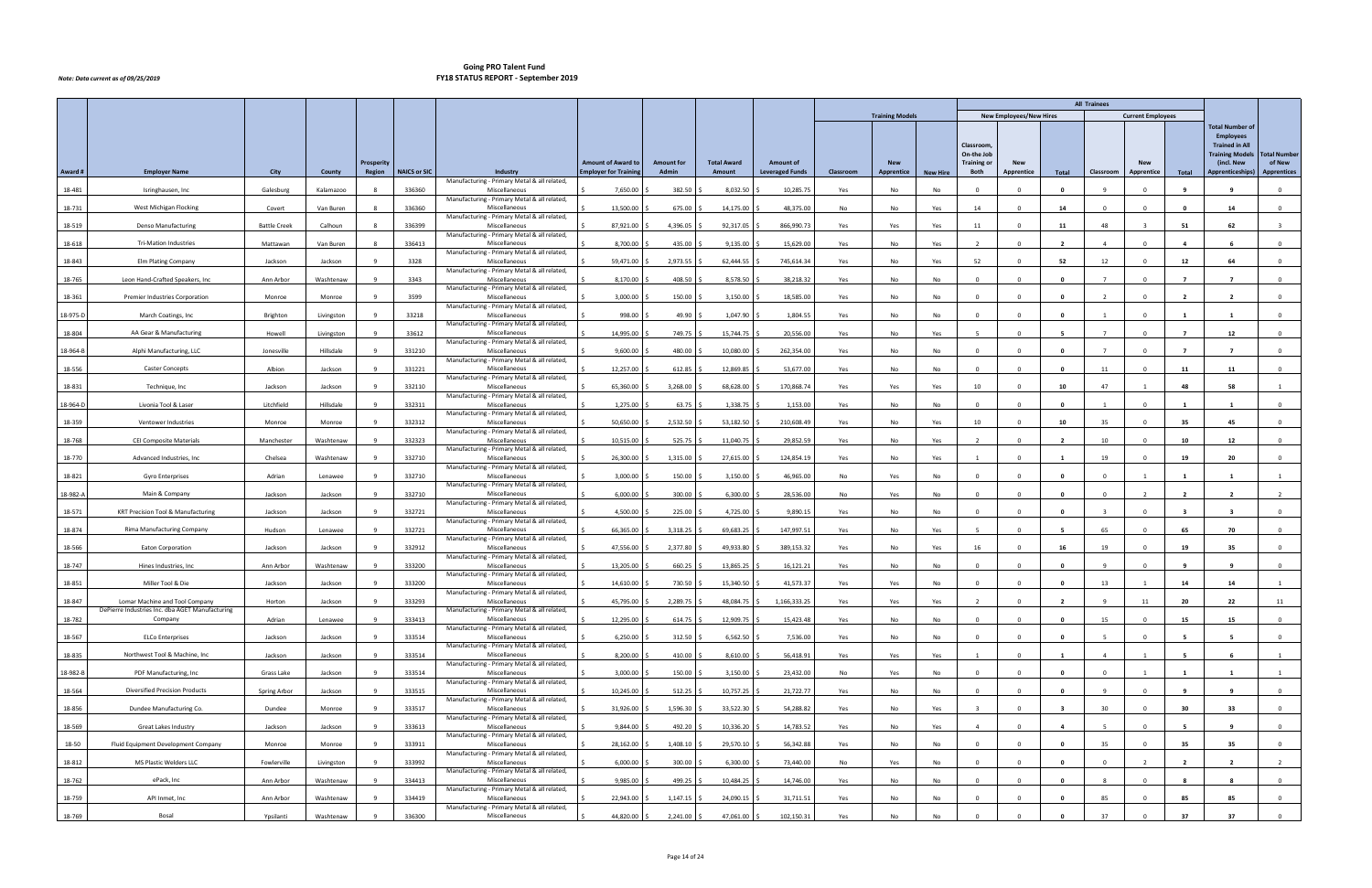|          |                                                                                   |                     |            |                   |                     |                                                               |                             |                   |                    |                        |           |                        |                 |                                               |                                |                         | <b>All Trainees</b> |                          |                |                                                                                                             |                               |
|----------|-----------------------------------------------------------------------------------|---------------------|------------|-------------------|---------------------|---------------------------------------------------------------|-----------------------------|-------------------|--------------------|------------------------|-----------|------------------------|-----------------|-----------------------------------------------|--------------------------------|-------------------------|---------------------|--------------------------|----------------|-------------------------------------------------------------------------------------------------------------|-------------------------------|
|          |                                                                                   |                     |            |                   |                     |                                                               |                             |                   |                    |                        |           | <b>Training Models</b> |                 |                                               | <b>New Employees/New Hires</b> |                         |                     | <b>Current Employees</b> |                |                                                                                                             |                               |
|          |                                                                                   |                     |            | <b>Prosperity</b> |                     |                                                               | <b>Amount of Award to</b>   | <b>Amount for</b> | <b>Total Award</b> | <b>Amount of</b>       |           | <b>New</b>             |                 | Classroom<br>On-the Job<br><b>Training or</b> | <b>New</b>                     |                         |                     | <b>New</b>               |                | <b>Total Number of</b><br><b>Employees</b><br><b>Trained in All</b><br><b>Training Models</b><br>(incl. New | <b>Total Number</b><br>of New |
| Award #  | <b>Employer Name</b>                                                              | City                | County     | Region            | <b>NAICS or SIC</b> | Industry<br>Manufacturing - Primary Metal & all related,      | <b>Employer for Trainin</b> | Admin             | Amount             | <b>Leveraged Funds</b> | Classroom | Apprentice             | <b>New Hire</b> | Both                                          | Apprentice                     | Total                   | Classroom           | Apprentice               | Total          | Apprenticeships)                                                                                            | <b>Apprentices</b>            |
| 18-481   | Isringhausen, Inc                                                                 | Galesburg           | Kalamazoo  |                   | 336360              | Miscellaneous                                                 | 7,650.00                    | 382.50            | 8,032.50           | 10,285.75              | Yes       | No                     | No              |                                               |                                | - 0                     |                     |                          |                |                                                                                                             | $\Omega$                      |
| 18-731   | West Michigan Flocking                                                            | Covert              | Van Buren  |                   | 336360              | Manufacturing - Primary Metal & all related,<br>Miscellaneous | 13,500.00                   | 675.00            | 14,175.00          | 48,375.00              | No        | No                     | Yes             | 14                                            | $\Omega$                       | 14                      | $\Omega$            | $\Omega$                 | 0              | 14                                                                                                          | $\overline{0}$                |
| 18-519   | <b>Denso Manufacturing</b>                                                        | <b>Battle Creek</b> | Calhoun    | -8                | 336399              | Manufacturing - Primary Metal & all related,<br>Miscellaneous | 87,921.00                   | 4,396.05          | 92,317.05          | 866,990.73             | Yes       | Yes                    | Yes             | 11                                            | $\Omega$                       | 11                      | 48                  |                          | 51             | 62                                                                                                          | $\overline{\mathbf{3}}$       |
| 18-618   | <b>Tri-Mation Industries</b>                                                      | Mattawan            | Van Buren  |                   | 336413              | Manufacturing - Primary Metal & all related,<br>Miscellaneous | 8,700.00                    | 435.00            | 9,135.00           | 15,629.00              | Yes       | No                     | Yes             |                                               |                                |                         |                     |                          |                |                                                                                                             | $\Omega$                      |
| 18-843   | <b>Elm Plating Company</b>                                                        | Jackson             | Jackson    | $\mathbf{q}$      | 3328                | Manufacturing - Primary Metal & all related,<br>Miscellaneous | 59,471.00                   | 2,973.55          | 62,444.55          | 745,614.34             | Yes       | No                     | Yes             | 52                                            |                                | 52                      | 12                  | $\Omega$                 | 12             | 64                                                                                                          | $\mathbf 0$                   |
| 18-765   | Leon Hand-Crafted Speakers, Inc.                                                  |                     |            | -9                | 3343                | Manufacturing - Primary Metal & all related,<br>Miscellaneous | 8,170.00                    | 408.50            | 8,578.50           | 38,218.32              |           |                        |                 |                                               |                                | $\mathbf{0}$            | $\overline{7}$      | $\Omega$                 | $\overline{7}$ | $\overline{7}$                                                                                              |                               |
|          |                                                                                   | Ann Arbor           | Washtenaw  |                   |                     | Manufacturing - Primary Metal & all related,                  |                             |                   |                    |                        | Yes       | No                     | No              | $\mathbf 0$                                   |                                |                         |                     |                          |                |                                                                                                             | $\overline{0}$                |
| 18-361   | Premier Industries Corporation                                                    | Monroe              | Monroe     |                   | 3599                | Miscellaneous<br>Manufacturing - Primary Metal & all related, | 3,000.00                    | 150.00            | 3,150.00           | 18,585.00              | Yes       | No                     | No              | $\sqrt{ }$                                    |                                | - 0                     |                     |                          | - 7            |                                                                                                             | $\Omega$                      |
| 18-975-D | March Coatings, Inc                                                               | Brighton            | Livingston |                   | 33218               | Miscellaneous<br>Manufacturing - Primary Metal & all related, | 998.00                      | 49.90             | 1,047.90           | 1,804.55               | Yes       | No                     | No              | $\Omega$                                      |                                | $\mathbf{0}$            |                     | $\Omega$                 | $\blacksquare$ |                                                                                                             | $\overline{0}$                |
| 18-804   | AA Gear & Manufacturing                                                           | Howell              | Livingston | -9                | 33612               | Miscellaneous<br>Manufacturing - Primary Metal & all related, | 14,995.00                   | 749.75            | 15,744.75          | 20,556.00              | Yes       | No                     | Yes             | - 5                                           |                                | -5                      |                     | $\Omega$                 | $\overline{7}$ | 12                                                                                                          | $\mathbf 0$                   |
| 18-964-B | Alphi Manufacturing, LLC                                                          | Jonesville          | Hillsdale  |                   | 331210              | Miscellaneous                                                 | 9,600.00                    | 480.00            | 10,080.00          | 262,354.00             | Yes       | No                     | No              | $\Omega$                                      |                                | - 0                     |                     |                          |                |                                                                                                             | $\Omega$                      |
| 18-556   | <b>Caster Concepts</b>                                                            | Albion              | Jackson    | $\mathbf{q}$      | 331221              | Manufacturing - Primary Metal & all related,<br>Miscellaneous | 12,257.00                   | 612.85            | 12,869.85          | 53,677.00              | Yes       | No                     | No              | $\overline{0}$                                | $\Omega$                       | $\mathbf{0}$            | 11                  | $\Omega$                 | 11             | 11                                                                                                          | $\overline{0}$                |
| 18-831   | Technique, Inc                                                                    | Jackson             | Jackson    | -9                | 332110              | Manufacturing - Primary Metal & all related,<br>Miscellaneous | 65,360.00                   | 3,268.00          | 68,628.00          | 170,868.74             | Yes       | Yes                    | Yes             | 10                                            | $\Omega$                       | 10                      | 47                  | 1                        | 48             | 58                                                                                                          | $\mathbf{1}$                  |
| 18-964-D | Livonia Tool & Laser                                                              | Litchfield          | Hillsdale  |                   | 332311              | Manufacturing - Primary Metal & all related,<br>Miscellaneous | 1,275.00                    | 63.75             | 1,338.75           | 1,153.00               | Yes       | No                     | No              | $\Omega$                                      |                                | - 0                     |                     |                          |                |                                                                                                             | $\Omega$                      |
| 18-359   | Ventower Industries                                                               | Monroe              | Monroe     |                   | 332312              | Manufacturing - Primary Metal & all related,<br>Miscellaneous | 50,650.00                   | 2,532.50          | 53,182.50          | 210,608.49             | Yes       | No                     | Yes             | 10                                            |                                | 10                      | 35                  | $\Omega$                 | 35             | 45                                                                                                          | $\overline{0}$                |
| 18-768   | <b>CEI Composite Materials</b>                                                    | Manchester          | Washtenaw  |                   | 332323              | Manufacturing - Primary Metal & all related,<br>Miscellaneous | 10,515.00                   | 525.75            | 11,040.75          | 29,852.59              | Yes       | No                     | Yes             | $\overline{\phantom{a}}$                      |                                | - 2                     | 10                  |                          | 10             | 12                                                                                                          | $\mathbf{0}$                  |
| 18-770   | Advanced Industries, Inc.                                                         | Chelsea             | Washtenaw  |                   | 332710              | Manufacturing - Primary Metal & all related,<br>Miscellaneous | 26,300.00                   | 1,315.00          | 27,615.00          | 124,854.19             | Yes       | No                     | Yes             | $\overline{1}$                                |                                | $\overline{\mathbf{1}}$ | 19                  | $\Omega$                 | 19             | 20                                                                                                          | $\overline{0}$                |
| 18-821   | <b>Gyro Enterprises</b>                                                           | Adrian              | Lenawee    | -9                | 332710              | Manufacturing - Primary Metal & all related,<br>Miscellaneous | 3,000.00                    | 150.00            | 3,150.00           | 46,965.00              | No        | Yes                    | No              | $\Omega$                                      |                                | $\mathbf{0}$            | $\Omega$            |                          | -1             |                                                                                                             | $\overline{1}$                |
| 18-982-A | Main & Company                                                                    | Jackson             | Jackson    | $\mathbf{q}$      | 332710              | Manufacturing - Primary Metal & all related,<br>Miscellaneous | 6,000.00                    | 300.00            | 6,300.00           | 28,536.00              | No        | Yes                    | No              | $\Omega$                                      |                                | $\mathbf 0$             | $\Omega$            | $\overline{2}$           | $\overline{2}$ | $\overline{2}$                                                                                              | $\overline{2}$                |
| 18-571   | KRT Precision Tool & Manufacturing                                                | Jackson             | Jackson    |                   | 332721              | Manufacturing - Primary Metal & all related,<br>Miscellaneous | 4,500.00                    | 225.00            | 4,725.00           | 9,890.15               | Yes       | No                     | No              | $\Omega$                                      |                                | $\mathbf{0}$            |                     |                          |                |                                                                                                             | $\Omega$                      |
| 18-874   | Rima Manufacturing Company                                                        |                     |            |                   | 332721              | Manufacturing - Primary Metal & all related,<br>Miscellaneous | 66,365.00                   | 3,318.25          | 69,683.25          | 147,997.51             |           |                        |                 |                                               |                                |                         | 65                  |                          | 65             | 70                                                                                                          | $^{\circ}$                    |
|          |                                                                                   | Hudson              | Lenawee    |                   |                     | Manufacturing - Primary Metal & all related,                  |                             |                   |                    |                        | Yes       | No                     | Yes             |                                               |                                |                         |                     |                          |                |                                                                                                             |                               |
| 18-566   | Eaton Corporation                                                                 | Jackson             | Jackson    |                   | 332912              | Miscellaneous<br>Manufacturing - Primary Metal & all related, | 47,556.00                   | 2,377.80          | 49,933.80          | 389,153.32             | Yes       | No                     | Yes             | 16                                            |                                | 16                      | 19                  | $\Omega$                 | 19             | 35                                                                                                          | $\mathbf 0$                   |
| 18-747   | Hines Industries, Inc.                                                            | Ann Arbor           | Washtenaw  |                   | 333200              | Miscellaneous<br>Manufacturing - Primary Metal & all related, | 13,205.00                   | 660.25            | 13,865.25          | 16,121.21              | Yes       | No                     | No              | $\Omega$                                      |                                | $\mathbf{0}$            | q                   | $\Omega$                 |                |                                                                                                             | $\overline{0}$                |
| 18-851   | Miller Tool & Die                                                                 | Jackson             | Jackson    | -9                | 333200              | Miscellaneous<br>Manufacturing - Primary Metal & all related, | 14,610.00                   | 730.50            | 15,340.50 \$       | 41,573.37              | Yes       | Yes                    | No              | $\overline{0}$                                |                                | $\mathbf{0}$            | 13                  |                          | 14             | 14                                                                                                          |                               |
| 18-847   | Lomar Machine and Tool Company<br>DePierre Industries Inc. dba AGET Manufacturing | Horton              | Jackson    |                   | 333293              | Miscellaneous<br>Manufacturing - Primary Metal & all related, | 45,795.00                   | 2,289.75          | 48,084.75 \$       | 1,166,333.25           | Yes       | Yes                    | Yes             |                                               | $\mathbf 0$                    | $\overline{2}$          | $\overline{9}$      | 11                       | 20             | 22                                                                                                          | 11                            |
| 18-782   | Company                                                                           | Adrian              | Lenawee    |                   | 333413              | Miscellaneous<br>Manufacturing - Primary Metal & all related, | 12,295.00                   | $614.75$ \$       | 12,909.75 \$       | 15,423.48              | Yes       | No                     | No              | $\overline{0}$                                | $\Omega$                       | $\mathbf{0}$            | 15                  | $\Omega$                 | 15             | 15                                                                                                          | $\overline{0}$                |
| 18-567   | <b>ELCo Enterprises</b>                                                           | Jackson             | Jackson    |                   | 333514              | Miscellaneous                                                 | 6,250.00                    | $312.50$ \$       | 6,562.50           | 7,536.00               | Yes       | No                     | No              | $\overline{0}$                                | $\Omega$                       | 0                       | -5                  | $\Omega$                 | - 5            | - 5                                                                                                         | $\mathbf{0}$                  |
| 18-835   | Northwest Tool & Machine, Inc                                                     | Jackson             | Jackson    | $\mathbf{q}$      | 333514              | Manufacturing - Primary Metal & all related,<br>Miscellaneous | 8,200.00                    | 410.00            | 8,610.00           | 56,418.91              | Yes       | Yes                    | Yes             | $\overline{1}$                                | $\Omega$                       | $\mathbf{1}$            | $\overline{a}$      |                          | -5             | -6                                                                                                          | $\mathbf{1}$                  |
| 18-982-B | PDF Manufacturing, Inc                                                            | Grass Lake          | Jackson    |                   | 333514              | Manufacturing - Primary Metal & all related,<br>Miscellaneous | 3,000.00                    | 150.00            | 3,150.00           | 23,432.00              | No        | Yes                    | No              | $\overline{0}$                                | $\Omega$                       | 0                       | $\mathbf{0}$        |                          | 1              | $\mathbf{1}$                                                                                                | $\mathbf{1}$                  |
| 18-564   | <b>Diversified Precision Products</b>                                             | Spring Arbor        | Jackson    |                   | 333515              | Manufacturing - Primary Metal & all related,<br>Miscellaneous | 10,245.00                   | $512.25$ \$       | 10,757.25          | 21,722.77              | Yes       | No                     | No              | $\Omega$                                      |                                | $\mathbf{0}$            | $\overline{9}$      |                          | -9             | 9                                                                                                           | $\mathbf{0}$                  |
| 18-856   | Dundee Manufacturing Co.                                                          | Dundee              | Monroe     | - 9               | 333517              | Manufacturing - Primary Metal & all related,<br>Miscellaneous | 31,926.00                   | 1,596.30          | 33,522.30          | 54,288.82              | Yes       | No                     | Yes             | $\overline{\mathbf{3}}$                       |                                | - 3                     | 30                  | $\Omega$                 | 30             | 33                                                                                                          | $\overline{0}$                |
| 18-569   | Great Lakes Industry                                                              | Jackson             | Jackson    |                   | 333613              | Manufacturing - Primary Metal & all related,<br>Miscellaneous | 9,844.00                    | 492.20            | 10,336.20          | 14,783.52              | Yes       | No                     | Yes             | $\overline{4}$                                | $\Omega$                       | 4                       | - 5                 | $\Omega$                 | 5              | 9                                                                                                           | $\overline{0}$                |
| 18-50    | Fluid Equipment Development Company                                               | Monroe              | Monroe     |                   | 333911              | Manufacturing - Primary Metal & all related,<br>Miscellaneous | 28,162.00                   | 1,408.10          | 29,570.10          | 56,342.88              | Yes       | No                     | No              | $\Omega$                                      |                                | 0                       | 35                  | $\Omega$                 | 35             | 35                                                                                                          | $\overline{0}$                |
| 18-812   | MS Plastic Welders LLC                                                            | Fowlerville         | Livingston |                   | 333992              | Manufacturing - Primary Metal & all related,<br>Miscellaneous | 6,000.00                    | 300.00            | 6,300.00           | 73,440.00              | No        | Yes                    | No              | $\Omega$                                      |                                | $\mathbf{0}$            | $\Omega$            |                          | $\overline{2}$ | $\overline{2}$                                                                                              | $\overline{2}$                |
| 18-762   | ePack, Inc                                                                        | Ann Arbor           | Washtenaw  |                   | 334413              | Manufacturing - Primary Metal & all related,<br>Miscellaneous | 9,985.00                    | 499.25 \$         | 10,484.25 \$       | 14,746.00              | Yes       | No                     | No              | $\overline{\mathbf{0}}$                       | $\Omega$                       | 0                       | - 8                 | $\Omega$                 | - 8            | 8                                                                                                           | $\overline{0}$                |
|          |                                                                                   |                     |            |                   |                     | Manufacturing - Primary Metal & all related,                  |                             |                   |                    |                        |           |                        |                 | $\Omega$                                      |                                |                         |                     |                          |                |                                                                                                             |                               |
| 18-759   | API Inmet, Inc                                                                    | Ann Arbor           | Washtenaw  |                   | 334419              | Miscellaneous<br>Manufacturing - Primary Metal & all related, | 22,943.00                   | $1,147.15$ \$     | 24,090.15          | 31,711.51              | Yes       | No                     | No              |                                               |                                | $\mathbf{0}$            | 85                  |                          | 85             | 85                                                                                                          | $\mathbf{0}$                  |
| 18-769   | Bosal                                                                             | Ypsilanti           | Washtenaw  | -9                | 336300              | Miscellaneous                                                 | 44,820.00                   | $2,241.00$ \$     | 47,061.00 \$       | 102,150.31             | Yes       | No                     | No              | $\overline{0}$                                |                                | $\mathbf{0}$            | 37                  | $\Omega$                 | 37             | 37                                                                                                          | $\overline{0}$                |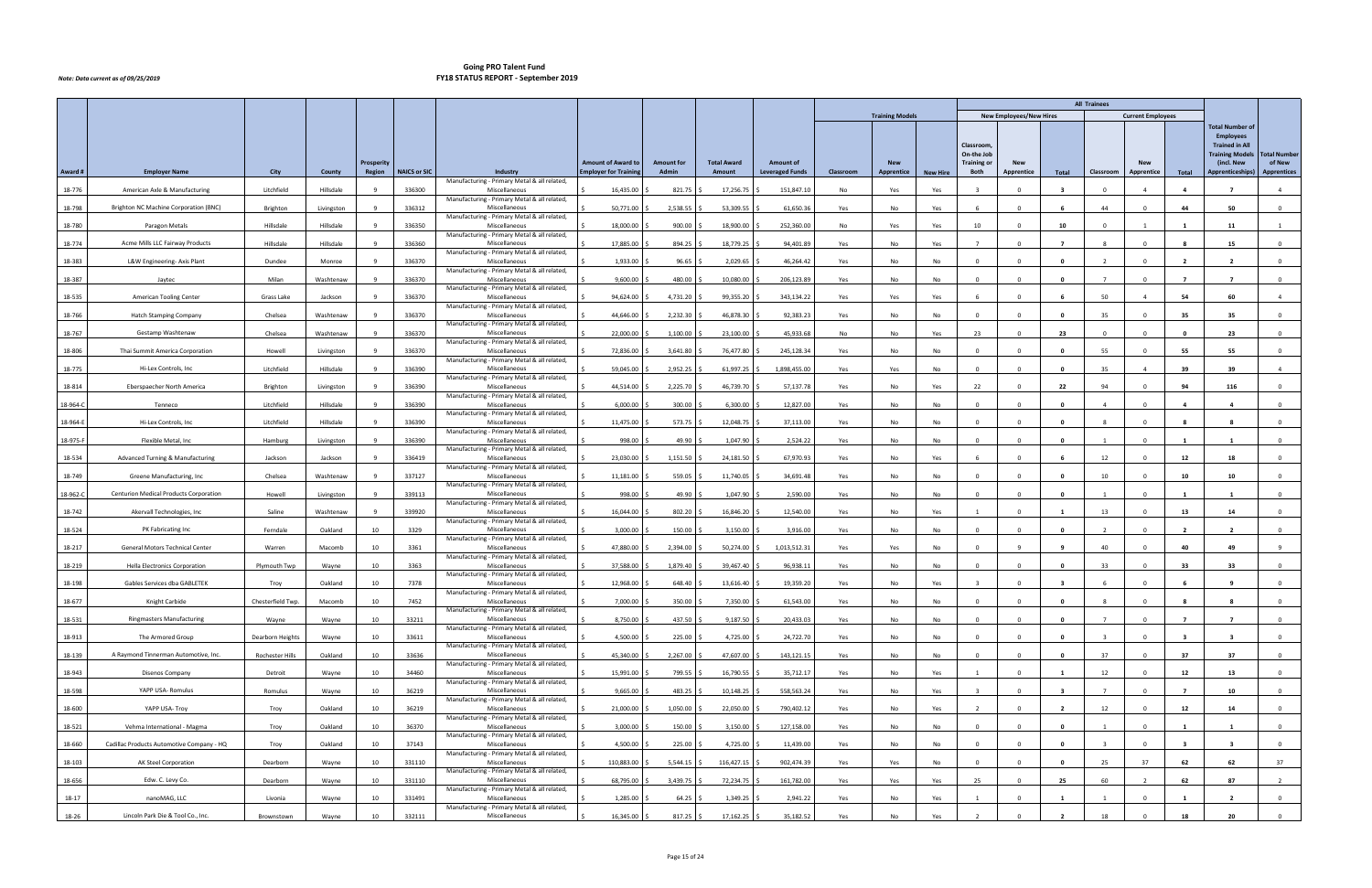|          |                                           |                   |            |                   |                     |                                                               |                              |                   |                    |                        |           |                        |                 |                                               |                                |                         | <b>All Trainees</b>     |                          |                         |                                                                                                             |                               |
|----------|-------------------------------------------|-------------------|------------|-------------------|---------------------|---------------------------------------------------------------|------------------------------|-------------------|--------------------|------------------------|-----------|------------------------|-----------------|-----------------------------------------------|--------------------------------|-------------------------|-------------------------|--------------------------|-------------------------|-------------------------------------------------------------------------------------------------------------|-------------------------------|
|          |                                           |                   |            |                   |                     |                                                               |                              |                   |                    |                        |           | <b>Training Models</b> |                 |                                               | <b>New Employees/New Hires</b> |                         |                         | <b>Current Employees</b> |                         |                                                                                                             |                               |
|          |                                           |                   |            | <b>Prosperity</b> |                     |                                                               | <b>Amount of Award to</b>    | <b>Amount for</b> | <b>Total Award</b> | <b>Amount of</b>       |           | <b>New</b>             |                 | <b>Classroom</b><br>On-the Job<br>Training or | <b>New</b>                     |                         |                         | <b>New</b>               |                         | <b>Total Number of</b><br><b>Employees</b><br><b>Trained in All</b><br><b>Training Models</b><br>(incl. New | <b>Total Number</b><br>of New |
| Award #  | <b>Employer Name</b>                      | City              | County     | Region            | <b>NAICS or SIC</b> | Industry<br>Manufacturing - Primary Metal & all related,      | <b>Employer for Training</b> | Admin             | Amount             | <b>Leveraged Funds</b> | Classroom | Apprentice             | <b>New Hire</b> | Both                                          | Apprentice                     | Total                   | Classroom               | Apprentice               | Total                   | Apprenticeships)                                                                                            | <b>Apprentices</b>            |
| 18-776   | American Axle & Manufacturing             | Litchfield        | Hillsdale  |                   | 336300              | Miscellaneous<br>Manufacturing - Primary Metal & all related, | 16,435.00                    | 821.75            | 17,256.75          | 151,847.10             | No        | Yes                    | Yes             |                                               |                                |                         | $\Omega$                | $\mathbf{A}$             |                         |                                                                                                             | $\overline{4}$                |
| 18-798   | Brighton NC Machine Corporation (BNC)     | Brighton          | Livingston |                   | 336312              | Miscellaneous                                                 | 50,771.00                    | 2,538.55          | 53,309.55          | 61,650.36              | Yes       | No                     | Yes             |                                               | $\Omega$                       | 6                       | 44                      | $\Omega$                 | 44                      | 50                                                                                                          | $\overline{0}$                |
| 18-780   | Paragon Metals                            | Hillsdale         | Hillsdale  |                   | 336350              | Manufacturing - Primary Metal & all related,<br>Miscellaneous | 18,000.00                    | 900.00            | 18,900.00          | 252,360.00             | No        | Yes                    | Yes             | 10                                            | $\Omega$                       | 10                      | $\mathbf{0}$            |                          | $\mathbf{1}$            | 11                                                                                                          | 1                             |
| 18-774   | Acme Mills LLC Fairway Products           | Hillsdale         | Hillsdale  |                   | 336360              | Manufacturing - Primary Metal & all related,<br>Miscellaneous | 17,885.00                    | 894.25            | 18,779.25          | 94,401.89              | Yes       | No                     | Yes             |                                               |                                |                         |                         |                          |                         | -15                                                                                                         | $\Omega$                      |
| 18-383   | L&W Engineering-Axis Plant                | Dundee            | Monroe     |                   | 336370              | Manufacturing - Primary Metal & all related,<br>Miscellaneous | 1,933.00                     | 96.65             | 2,029.65           | 46,264.42              | Yes       | No                     | No              | $\Omega$                                      | $\Omega$                       | $\mathbf{0}$            | $\overline{2}$          | $\Omega$                 | $\overline{2}$          | $\overline{2}$                                                                                              | $\mathbf 0$                   |
| 18-387   | Jaytec                                    | Milan             | Washtenaw  |                   | 336370              | Manufacturing - Primary Metal & all related,<br>Miscellaneous | 9,600.00                     | 480.00            | 10,080.00          | 206,123.89             | Yes       | No                     | No              | $\Omega$                                      | $\Omega$                       | $\mathbf{0}$            | $\overline{7}$          | $\Omega$                 | $\overline{7}$          | $\overline{7}$                                                                                              | $\overline{0}$                |
|          | American Tooling Center                   |                   |            |                   | 336370              | Manufacturing - Primary Metal & all related,<br>Miscellaneous | 94,624.00                    | 4,731.20          | 99,355.20          | 343,134.22             |           | Yes                    |                 |                                               |                                |                         | 50                      |                          | 54                      | 60                                                                                                          | $\overline{4}$                |
| 18-535   |                                           | Grass Lake        | Jackson    |                   |                     | Manufacturing - Primary Metal & all related                   |                              |                   |                    |                        | Yes       |                        | Yes             |                                               |                                |                         |                         |                          |                         |                                                                                                             |                               |
| 18-766   | <b>Hatch Stamping Company</b>             | Chelsea           | Washtenaw  |                   | 336370              | Miscellaneous<br>Manufacturing - Primary Metal & all related, | 44,646.00                    | 2,232.30          | 46,878.30          | 92,383.23              | Yes       | No                     | No              |                                               | $\Omega$                       | $\mathbf{0}$            | 35                      | $\Omega$                 | 35                      | 35                                                                                                          | $\overline{0}$                |
| 18-767   | Gestamp Washtenaw                         | Chelsea           | Washtenaw  |                   | 336370              | Miscellaneous<br>Manufacturing - Primary Metal & all related, | 22,000.00                    | 1,100.00          | 23,100.00          | 45,933.68              | No        | No                     | Yes             | 23                                            | $\Omega$                       | 23                      | $\mathbf 0$             | $\Omega$                 | $\mathbf{0}$            | 23                                                                                                          | $\overline{0}$                |
| 18-806   | Thai Summit America Corporation           | Howell            | Livingston |                   | 336370              | Miscellaneous<br>Manufacturing - Primary Metal & all related, | 72,836.00                    | 3,641.80          | 76,477.80          | 245,128.34             | Yes       | No                     | No              |                                               |                                | $\mathbf{r}$            | 55                      |                          | 55                      | 55                                                                                                          | $\Omega$                      |
| 18-775   | Hi-Lex Controls, Inc                      | Litchfield        | Hillsdale  |                   | 336390              | Miscellaneous                                                 | 59,045.00                    | 2,952.25          | 61,997.25          | 1,898,455.00           | Yes       | Yes                    | No              | $\Omega$                                      | $\Omega$                       | $\mathbf{0}$            | 35                      | $\overline{4}$           | 39                      | 39                                                                                                          | $\overline{4}$                |
| 18-814   | Eberspaecher North America                | Brighton          | Livingston |                   | 336390              | Manufacturing - Primary Metal & all related,<br>Miscellaneous | 44,514.00                    | 2,225.70          | 46,739.70          | 57,137.78              | Yes       | No                     | Yes             | 22                                            | $\mathbf{0}$                   | 22                      | 94                      | $^{\circ}$               | 94                      | 116                                                                                                         | $\mathbf 0$                   |
| 18-964-C | Tenneco                                   | Litchfield        | Hillsdale  |                   | 336390              | Manufacturing - Primary Metal & all related,<br>Miscellaneous | 6,000.00                     | 300.00            | 6,300.00           | 12,827.00              | Yes       | No                     | No              | $\sqrt{2}$                                    |                                | $\Omega$                |                         |                          |                         |                                                                                                             | $\Omega$                      |
| 18-964-E | Hi-Lex Controls, Inc                      | Litchfield        | Hillsdale  |                   | 336390              | Manufacturing - Primary Metal & all related<br>Miscellaneous  | 11,475.00                    | 573.75            | 12,048.75          | 37,113.00              | Yes       | No                     | No              | $\Omega$                                      | $\Omega$                       | 0                       | -8                      | $\Omega$                 | -8                      | - 8                                                                                                         | $\overline{0}$                |
| 18-975-F | Flexible Metal, Inc                       | Hamburg           | Livingston |                   | 336390              | Manufacturing - Primary Metal & all related,<br>Miscellaneous | 998.00                       | 49.90             | 1,047.90           | 2,524.22               | Yes       | No                     | No              | $\Omega$                                      |                                | 0                       |                         | $\Omega$                 |                         |                                                                                                             | $\mathbf{0}$                  |
|          | Advanced Turning & Manufacturing          |                   |            |                   | 336419              | Manufacturing - Primary Metal & all related,<br>Miscellaneous | 23,030.00                    |                   |                    | 67,970.93              |           |                        |                 |                                               |                                |                         |                         | $\Omega$                 | 12                      |                                                                                                             |                               |
| 18-534   |                                           | Jackson           | Jackson    |                   |                     | Manufacturing - Primary Metal & all related,                  |                              | 1,151.50          | 24,181.50          |                        | Yes       | No                     | Yes             |                                               |                                |                         | 12                      |                          |                         | 18                                                                                                          | $\overline{0}$                |
| 18-749   | Greene Manufacturing, Inc                 | Chelsea           | Washtenaw  |                   | 337127              | Miscellaneous<br>Manufacturing - Primary Metal & all related, | 11,181.00                    | 559.05            | 11,740.05          | 34,691.48              | Yes       | No                     | No              | $\Omega$                                      | $\Omega$                       | $\mathbf{0}$            | 10                      | $\Omega$                 | 10                      | 10                                                                                                          | $\mathbf 0$                   |
| 18-962-C | Centurion Medical Products Corporation    | Howell            | Livingston |                   | 339113              | Miscellaneous<br>Manufacturing - Primary Metal & all related, | 998.00                       | 49.90             | 1,047.90           | 2,590.00               | Yes       | No                     | No              | $\Omega$                                      | $\Omega$                       | $\mathbf{0}$            |                         | $\Omega$                 |                         |                                                                                                             | $\mathbf 0$                   |
| 18-742   | Akervall Technologies, Inc                | Saline            | Washtenaw  |                   | 339920              | Miscellaneous<br>Manufacturing - Primary Metal & all related, | 16,044.00                    | 802.20            | 16,846.20          | 12,540.00              | Yes       | No                     | Yes             |                                               |                                |                         | 13                      | $\Omega$                 | 13                      | 14                                                                                                          | $\Omega$                      |
| 18-524   | PK Fabricating Inc                        | Ferndale          | Oakland    | 10                | 3329                | Miscellaneous<br>Manufacturing - Primary Metal & all related, | 3,000.00                     | 150.00            | 3,150.00           | 3,916.00               | Yes       | No                     | No              | $\Omega$                                      | $\Omega$                       | 0                       |                         | $\Omega$                 | 2                       |                                                                                                             | $^{\circ}$                    |
| 18-217   | General Motors Technical Center           | Warren            | Macomb     | 10                | 3361                | Miscellaneous                                                 | 47,880.00                    | 2,394.00          | 50,274.00          | 1,013,512.31           | Yes       | Yes                    | No              | $\Omega$                                      |                                | q                       | 40                      | $\Omega$                 | 40                      | 49                                                                                                          | $\mathbf{q}$                  |
| 18-219   | <b>Hella Electronics Corporation</b>      | Plymouth Twp      | Wayne      | 10                | 3363                | Manufacturing - Primary Metal & all related,<br>Miscellaneous | 37,588.00                    | 1,879.40          | 39,467.40          | 96,938.11              | Yes       | No                     | No.             | $\Omega$                                      | $\Omega$                       | $\mathbf{0}$            | 33                      | $\Omega$                 | 33                      | 33                                                                                                          | $\overline{0}$                |
| 18-198   | Gables Services dba GABLETEK              | Troy              | Oakland    | 10                | 7378                | Manufacturing - Primary Metal & all related,<br>Miscellaneous | 12,968.00                    | 648.40            | 13,616.40          | 19,359.20              | Yes       | No                     | Yes             | $\overline{\mathbf{3}}$                       | $\Omega$                       | -3                      |                         | $\Omega$                 |                         | - 9                                                                                                         | $\mathbf 0$                   |
| 18-677   | Knight Carbide                            | Chesterfield Twp. | Macomb     | 10                | 7452                | Manufacturing - Primary Metal & all related,<br>Miscellaneous | 7,000.00                     | 350.00            | 7,350.00           | 61,543.00              | Yes       | No                     | No              |                                               | $^{\circ}$                     | $\mathbf{0}$            |                         |                          |                         | 8                                                                                                           | $\mathbf 0$                   |
| 18-531   | <b>Ringmasters Manufacturing</b>          | Wayne             | Wayne      | 10                | 33211               | Manufacturing - Primary Metal & all related,<br>Miscellaneous | 8,750.00                     | 437.50            | $9,187.50$ \$      | 20,433.03              | Yes       | No                     | No              | $\Omega$                                      | $\Omega$                       | $\mathbf{0}$            | $\overline{7}$          | $\Omega$                 | $\overline{7}$          | $\overline{7}$                                                                                              | $\overline{0}$                |
| 18-913   | The Armored Group                         | Dearborn Heights  | Wayne      | 10                | 33611               | Manufacturing - Primary Metal & all related,<br>Miscellaneous | 4,500.00                     | 225.00            | $4,725.00$ \$      | 24,722.70              | Yes       | No                     | No              | $\Omega$                                      | $\Omega$                       | $\mathbf{0}$            | $\overline{\mathbf{3}}$ | $\Omega$                 | $\overline{\mathbf{3}}$ | $\overline{\mathbf{3}}$                                                                                     | $\mathbf{0}$                  |
|          | A Raymond Tinnerman Automotive, Inc.      |                   |            |                   |                     | Manufacturing - Primary Metal & all related,<br>Miscellaneous |                              |                   |                    |                        |           |                        |                 | $\Omega$                                      | $\Omega$                       |                         |                         | $\Omega$                 |                         |                                                                                                             |                               |
| 18-139   |                                           | Rochester Hills   | Oakland    | 10                | 33636               | Manufacturing - Primary Metal & all related,                  | 45,340.00                    | 2,267.00          | 47,607.00          | 143,121.15             | Yes       | No                     | No              |                                               |                                | $\mathbf{0}$            | 37                      |                          | 37                      | 37                                                                                                          | $\mathbf{O}$                  |
| 18-943   | Disenos Company                           | Detroit           | Wayne      | 10                | 34460               | Miscellaneous<br>Manufacturing - Primary Metal & all related, | 15,991.00                    | 799.55            | 16,790.55          | 35,712.17              | Yes       | No                     | Yes             |                                               | $\Omega$                       | - 1                     | 12                      | $\Omega$                 | 12                      | 13                                                                                                          | $\overline{0}$                |
| 18-598   | YAPP USA- Romulus                         | Romulus           | Wayne      | 10                | 36219               | Miscellaneous<br>Manufacturing - Primary Metal & all related, | 9,665.00                     | 483.25            | 10,148.25          | 558,563.24             | Yes       | No                     | Yes             |                                               | $\Omega$                       | -3                      | $\overline{7}$          | $\Omega$                 | $\overline{7}$          | 10                                                                                                          | $\mathbf{0}$                  |
| 18-600   | YAPP USA- Troy                            | Troy              | Oakland    | 10                | 36219               | Miscellaneous<br>Manufacturing - Primary Metal & all related, | 21,000.00                    | 1,050.00          | 22,050.00 \$       | 790,402.12             | Yes       | No                     | Yes             | $\overline{2}$                                | $\Omega$                       | $\overline{\mathbf{2}}$ | 12                      | $\Omega$                 | 12                      | 14                                                                                                          | $\overline{0}$                |
| 18-521   | Vehma International - Magma               | Troy              | Oakland    | 10                | 36370               | Miscellaneous                                                 | 3,000.00                     | 150.00            | 3,150.00           | 127,158.00             | Yes       | No                     | No              | $\Omega$                                      | $\Omega$                       | $\mathbf{0}$            | 1                       | $\Omega$                 | -1                      | 1                                                                                                           | $\overline{0}$                |
| 18-660   | Cadillac Products Automotive Company - HQ | Troy              | Oakland    | 10                | 37143               | Manufacturing - Primary Metal & all related,<br>Miscellaneous | 4,500.00                     | 225.00            | 4,725.00           | 11,439.00              | Yes       | No                     | No              | $\Omega$                                      | $\Omega$                       | $\mathbf{0}$            |                         | $\Omega$                 | -3                      | - 3                                                                                                         | $\mathbf{0}$                  |
| 18-103   | AK Steel Corporation                      | Dearborn          | Wayne      | 10                | 331110              | Manufacturing - Primary Metal & all related,<br>Miscellaneous | 110,883.00                   | 5,544.15          | 116,427.15         | 902,474.39             | Yes       | Yes                    | No              |                                               |                                | $\Omega$                | 25                      | 37                       | 62                      | 62                                                                                                          | 37                            |
| 18-656   | Edw. C. Levy Co.                          | Dearborn          | Wayne      | 10                | 331110              | Manufacturing - Primary Metal & all related,<br>Miscellaneous | 68,795.00                    | 3,439.75          | 72,234.75 \$       | 161,782.00             | Yes       | Yes                    | Yes             | 25                                            | $\overline{0}$                 | 25                      | 60                      | $\overline{2}$           | 62                      | 87                                                                                                          | $\overline{2}$                |
| 18-17    | nanoMAG, LLC                              | Livonia           | Wayne      | 10                | 331491              | Manufacturing - Primary Metal & all related,<br>Miscellaneous | 1,285.00                     | 64.25             | 1,349.25           | 2,941.22               | Yes       | No                     | Yes             |                                               | $\Omega$                       |                         |                         | $\Omega$                 | - 1                     |                                                                                                             | $\mathbf{0}$                  |
| 18-26    | Lincoln Park Die & Tool Co., Inc.         | Brownstown        | Wayne      | 10                | 332111              | Manufacturing - Primary Metal & all related,<br>Miscellaneous | 16,345.00                    | $817.25$ \$       | $17,162.25$ \$     | 35,182.52              | Yes       | No                     | Yes             |                                               | $\Omega$                       | $\overline{2}$          | 18                      | $\Omega$                 | 18                      | 20                                                                                                          | $\overline{0}$                |
|          |                                           |                   |            |                   |                     |                                                               |                              |                   |                    |                        |           |                        |                 |                                               |                                |                         |                         |                          |                         |                                                                                                             |                               |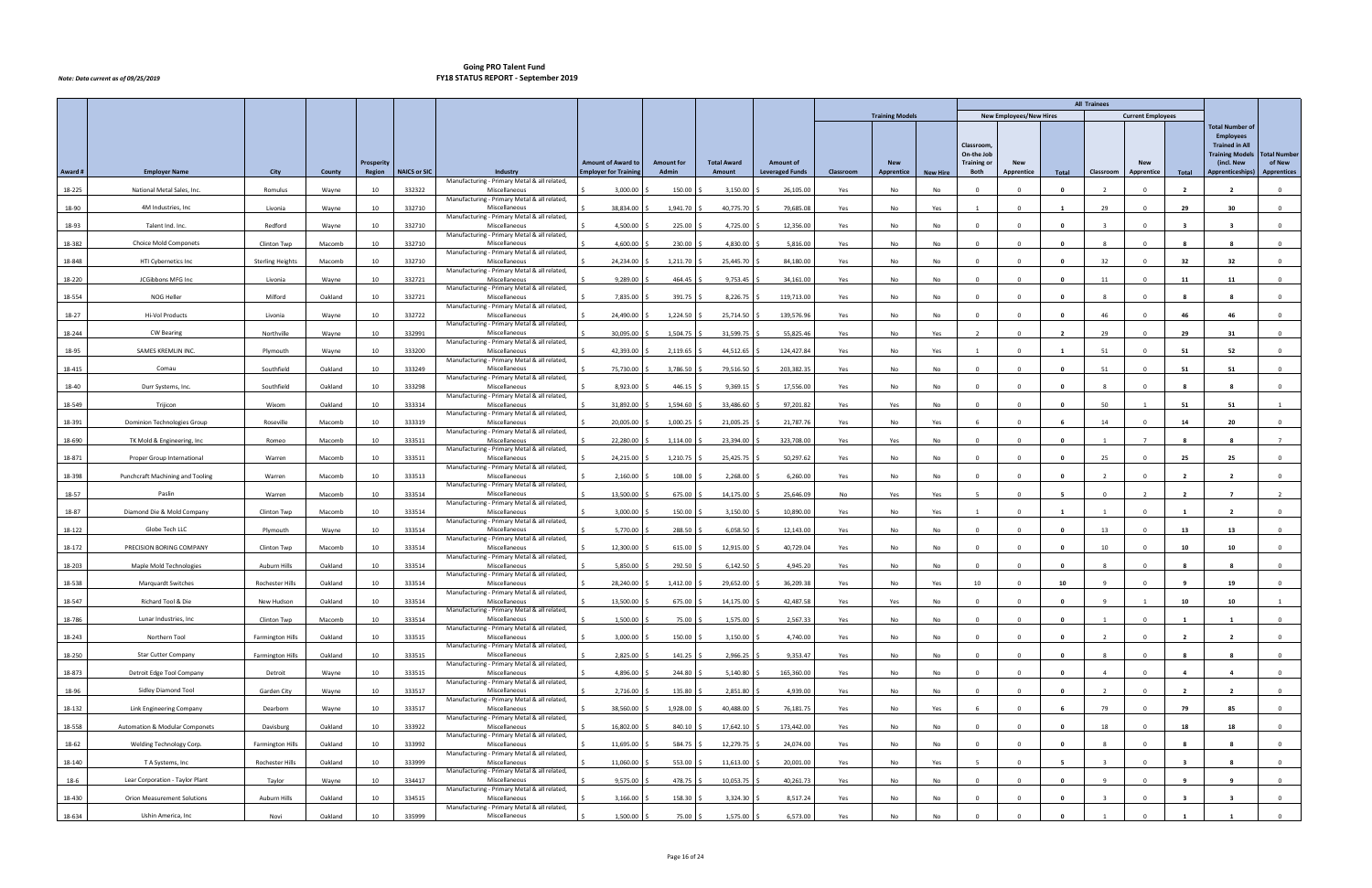|         |                                           |                         |         |            |                     |                                                               |                             |                   |                    |                        |           |                        |                 |                                               |                                |                         | <b>All Trainees</b> |                          |                         |                                                                                                             |                               |
|---------|-------------------------------------------|-------------------------|---------|------------|---------------------|---------------------------------------------------------------|-----------------------------|-------------------|--------------------|------------------------|-----------|------------------------|-----------------|-----------------------------------------------|--------------------------------|-------------------------|---------------------|--------------------------|-------------------------|-------------------------------------------------------------------------------------------------------------|-------------------------------|
|         |                                           |                         |         |            |                     |                                                               |                             |                   |                    |                        |           | <b>Training Models</b> |                 |                                               | <b>New Employees/New Hires</b> |                         |                     | <b>Current Employees</b> |                         |                                                                                                             |                               |
|         |                                           |                         |         | Prosperity |                     |                                                               | <b>Amount of Award to</b>   | <b>Amount for</b> | <b>Total Award</b> | <b>Amount of</b>       |           | <b>New</b>             |                 | Classroom<br>On-the Job<br><b>Training or</b> | <b>New</b>                     |                         |                     | <b>New</b>               |                         | <b>Total Number of</b><br><b>Employees</b><br><b>Trained in All</b><br><b>Training Models</b><br>(incl. New | <b>Total Number</b><br>of New |
| Award # | <b>Employer Name</b>                      | City                    | County  | Region     | <b>NAICS or SIC</b> | Industry                                                      | <b>Employer for Trainin</b> | Admin             | Amount             | <b>Leveraged Funds</b> | Classroom | Apprentice             | <b>New Hire</b> | Both                                          | Apprentice                     | Total                   | Classroom           | Apprentice               | Total                   | Apprenticeships)                                                                                            | <b>Apprentices</b>            |
| 18-225  | National Metal Sales, Inc.                | Romulus                 | Wayne   | 10         | 332322              | Manufacturing - Primary Metal & all related,<br>Miscellaneous | 3,000.00                    | 150.00            | 3,150.00           | 26,105.00              | Yes       | No                     | No              |                                               |                                |                         |                     |                          |                         |                                                                                                             | $\Omega$                      |
| 18-90   | 4M Industries, Inc.                       | Livonia                 | Wayne   | 10         | 332710              | Manufacturing - Primary Metal & all related,<br>Miscellaneous | 38,834.00                   | 1,941.70          | 40,775.70          | 79,685.08              | Yes       | No                     | Yes             | $\overline{1}$                                | $\Omega$                       | $\mathbf{1}$            | 29                  | $\Omega$                 | 29                      | 30                                                                                                          | $\overline{0}$                |
| 18-93   |                                           |                         |         |            | 332710              | Manufacturing - Primary Metal & all related,                  | 4,500.00                    |                   |                    |                        |           |                        |                 | $\mathbf{0}$                                  | $\Omega$                       | $\mathbf{0}$            | $\mathbf{R}$        | $\Omega$                 | $\overline{\mathbf{3}}$ | $\overline{\mathbf{3}}$                                                                                     |                               |
|         | Talent Ind. Inc.                          | Redford                 | Wayne   | 10         |                     | Miscellaneous<br>Manufacturing - Primary Metal & all related, |                             | 225.00            | 4,725.00           | 12,356.00              | Yes       | No                     | No              |                                               |                                |                         |                     |                          |                         |                                                                                                             | $\overline{0}$                |
| 18-382  | <b>Choice Mold Componets</b>              | Clinton Twp             | Macomb  | 10         | 332710              | Miscellaneous<br>Manufacturing - Primary Metal & all related, | 4,600.00                    | 230.00            | 4,830.00           | 5,816.00               | Yes       | No                     | No              |                                               |                                |                         |                     |                          |                         |                                                                                                             | $\Omega$                      |
| 18-848  | HTI Cybernetics Inc                       | <b>Sterling Heights</b> | Macomb  | 10         | 332710              | Miscellaneous<br>Manufacturing - Primary Metal & all related, | 24,234.00                   | 1,211.70          | 25,445.70          | 84,180.00              | Yes       | No                     | No              | $\Omega$                                      | $\Omega$                       | 0                       | 32                  | $\Omega$                 | 32                      | 32                                                                                                          | $\mathbf 0$                   |
| 18-220  | JCGibbons MFG Inc                         | Livonia                 | Wayne   | 10         | 332721              | Miscellaneous<br>Manufacturing - Primary Metal & all related, | 9,289.00                    | 464.45            | 9,753.45           | 34,161.00              | Yes       | No                     | No              | $\overline{0}$                                |                                | $\mathbf{0}$            | 11                  | $\Omega$                 | 11                      | 11                                                                                                          | $\overline{0}$                |
| 18-554  | NOG Heller                                | Milford                 | Oakland | 10         | 332721              | Miscellaneous<br>Manufacturing - Primary Metal & all related, | 7,835.00                    | 391.75            | 8,226.75           | 119,713.00             | Yes       | No                     | No              | $\sqrt{ }$                                    |                                | - 0                     |                     |                          |                         |                                                                                                             | $\Omega$                      |
| 18-27   | Hi-Vol Products                           | Livonia                 | Wayne   | 10         | 332722              | Miscellaneous                                                 | 24,490.00                   | 1,224.50          | 25,714.50          | 139,576.96             | Yes       | No                     | No              | $\Omega$                                      |                                | $\mathbf{0}$            | 46                  | $\Omega$                 | 46                      | 46                                                                                                          | $\overline{0}$                |
| 18-244  | <b>CW Bearing</b>                         | Northville              | Wayne   | 10         | 332991              | Manufacturing - Primary Metal & all related,<br>Miscellaneous | 30,095.00                   | 1,504.75          | 31,599.75          | 55,825.46              | Yes       | No                     | Yes             | $\overline{2}$                                |                                | $\overline{\mathbf{2}}$ | 29                  | $\Omega$                 | 29                      | 31                                                                                                          | $\overline{0}$                |
| 18-95   | SAMES KREMLIN INC                         | Plymouth                | Wayne   | 10         | 333200              | Manufacturing - Primary Metal & all related,<br>Miscellaneous | 42,393.00                   | 2,119.65          | 44,512.65          | 124,427.84             | Yes       | No                     | Yes             |                                               |                                |                         | 51                  |                          | 51                      | -52                                                                                                         | $\Omega$                      |
| 18-415  | Comau                                     | Southfield              | Oakland | 10         | 333249              | Manufacturing - Primary Metal & all related,<br>Miscellaneous | 75,730.00                   | 3,786.50          | 79,516.50          | 203,382.35             | Yes       | No                     | No              | $\overline{0}$                                | $\Omega$                       | $\mathbf{0}$            | 51                  | $\Omega$                 | 51                      | 51                                                                                                          | $\overline{0}$                |
| 18-40   | Durr Systems, Inc.                        | Southfield              | Oakland | 10         | 333298              | Manufacturing - Primary Metal & all related,<br>Miscellaneous | 8,923.00                    | 446.15            | 9,369.15           | 17,556.00              | Yes       | No                     | No              | $\overline{\mathbf{0}}$                       | $\Omega$                       | $\mathbf{0}$            | -8                  | $\mathbf 0$              | - 8                     | - 8                                                                                                         | $\mathbf 0$                   |
| 18-549  | Trijicon                                  | Wixom                   | Oakland | 10         | 333314              | Manufacturing - Primary Metal & all related,<br>Miscellaneous | 31,892.00                   | 1,594.60          | 33,486.60          | 97,201.82              | Yes       | Yes                    | No              | $\Omega$                                      |                                | - 0                     | 50                  |                          | 51                      | 51                                                                                                          |                               |
|         |                                           |                         |         |            |                     | Manufacturing - Primary Metal & all related,                  |                             |                   |                    |                        |           |                        |                 |                                               |                                |                         |                     | $\Omega$                 |                         |                                                                                                             |                               |
| 18-391  | Dominion Technologies Group               | Roseville               | Macomb  | 10         | 333319              | Miscellaneous<br>Manufacturing - Primary Metal & all related, | 20,005.00                   | 1,000.25          | 21,005.25          | 21,787.76              | Yes       | No                     | Yes             |                                               |                                |                         | 14                  |                          | 14                      | 20                                                                                                          | $\overline{0}$                |
| 18-690  | TK Mold & Engineering, Inc                | Romeo                   | Macomb  | 10         | 333511              | Miscellaneous<br>Manufacturing - Primary Metal & all related, | 22,280.00                   | 1,114.00          | 23,394.00          | 323,708.00             | Yes       | Yes                    | No              | $^{\circ}$                                    |                                | $\mathbf{0}$            |                     |                          |                         | - 8                                                                                                         |                               |
| 18-871  | Proper Group International                | Warren                  | Macomb  | 10         | 333511              | Miscellaneous<br>Manufacturing - Primary Metal & all related, | 24,215.00                   | 1,210.75          | 25,425.75          | 50,297.62              | Yes       | No                     | <b>No</b>       | $\Omega$                                      |                                | $\Omega$                | 25                  | $\Omega$                 | 25                      | 25                                                                                                          | $\overline{0}$                |
| 18-398  | Punchcraft Machining and Tooling          | Warren                  | Macomb  | 10         | 333513              | Miscellaneous<br>Manufacturing - Primary Metal & all related, | 2,160.00                    | 108.00            | 2,268.00           | 6,260.00               | Yes       | No                     | No              | $\Omega$                                      |                                | $\mathbf{0}$            | $\overline{2}$      | $\Omega$                 | $\overline{2}$          | $\overline{2}$                                                                                              | $\mathbf 0$                   |
| 18-57   | Paslin                                    | Warren                  | Macomb  | 10         | 333514              | Miscellaneous<br>Manufacturing - Primary Metal & all related, | 13,500.00                   | 675.00            | 14,175.00          | 25,646.09              | No        | Yes                    | Yes             |                                               |                                | -5                      | $\Omega$            | $\overline{2}$           | $\overline{2}$          | $\overline{7}$                                                                                              | $\overline{2}$                |
| 18-87   | Diamond Die & Mold Company                | Clinton Twp             | Macomb  | 10         | 333514              | Miscellaneous<br>Manufacturing - Primary Metal & all related, | 3,000.00                    | 150.00            | 3,150.00           | 10,890.00              | Yes       | No                     | Yes             |                                               |                                |                         |                     |                          |                         |                                                                                                             | $\Omega$                      |
| 18-122  | Globe Tech LLC                            | Plymouth                | Wayne   | 10         | 333514              | Miscellaneous                                                 | 5,770.00                    | 288.50            | 6,058.50           | 12,143.00              | Yes       | No                     | No              | $\Omega$                                      |                                | $\mathbf{0}$            | 13                  |                          | 13                      | 13                                                                                                          | $^{\circ}$                    |
| 18-172  | PRECISION BORING COMPANY                  | Clinton Twp             | Macomb  | 10         | 333514              | Manufacturing - Primary Metal & all related,<br>Miscellaneous | 12,300.00                   | 615.00            | 12,915.00          | 40,729.04              | Yes       | No                     | No              | $\Omega$                                      |                                | $\mathbf{0}$            | 10                  | $\Omega$                 | 10                      | 10                                                                                                          | $\mathbf 0$                   |
| 18-203  | Maple Mold Technologies                   | <b>Auburn Hills</b>     | Oakland | 10         | 333514              | Manufacturing - Primary Metal & all related,<br>Miscellaneous | 5,850.00                    | 292.50            | 6,142.50           | 4,945.20               | Yes       | No                     | No              | $\Omega$                                      |                                | $\mathbf{0}$            |                     | $\Omega$                 |                         | - 8                                                                                                         | $\overline{0}$                |
| 18-538  | <b>Marquardt Switches</b>                 | Rochester Hills         | Oakland | 10         | 333514              | Manufacturing - Primary Metal & all related,<br>Miscellaneous | 28,240.00                   | 1,412.00          | 29,652.00 \$       | 36,209.38              | Yes       | No                     | Yes             | 10                                            |                                | 10                      | - 9                 | $\Omega$                 | -9                      | 19                                                                                                          | $\mathbf 0$                   |
| 18-547  | Richard Tool & Die                        | New Hudson              | Oakland | 10         | 333514              | Manufacturing - Primary Metal & all related,<br>Miscellaneous | 13,500.00                   | 675.00            | 14,175.00          | 42,487.58              | Yes       | Yes                    | No              | $\Omega$                                      | $\mathbf 0$                    | $\mathbf 0$             | $\overline{9}$      |                          | 10                      | 10                                                                                                          |                               |
| 18-786  | Lunar Industries, Inc                     | Clinton Twp             | Macomb  | 10         | 333514              | Manufacturing - Primary Metal & all related,<br>Miscellaneous | 1,500.00                    | 75.00 \$          | 1,575.00 \$        | 2,567.33               | Yes       | No                     | No              | $\overline{0}$                                | $\Omega$                       | $\mathbf{0}$            | 1                   | $\Omega$                 | -1                      | $\mathbf{1}$                                                                                                | $\overline{0}$                |
| 18-243  | Northern Tool                             | Farmington Hills        | Oakland | 10         | 333515              | Manufacturing - Primary Metal & all related,<br>Miscellaneous | 3,000.00                    | 150.00 \$         | $3,150.00$ \$      | 4,740.00               | Yes       | No                     | No              | $\overline{0}$                                | $\Omega$                       | 0                       | $\overline{2}$      | $\Omega$                 | $\overline{2}$          | $\overline{2}$                                                                                              | $\mathbf{0}$                  |
| 18-250  | <b>Star Cutter Company</b>                | Farmington Hills        | Oakland | 10         | 333515              | Manufacturing - Primary Metal & all related,<br>Miscellaneous | 2,825.00                    | 141.25            | 2,966.25           | 9,353.47               | Yes       | No                     | No              | $\overline{0}$                                | $\Omega$                       | $\mathbf{0}$            | -8                  | $\Omega$                 | $\mathbf{R}$            | -8                                                                                                          | $\overline{0}$                |
|         |                                           |                         |         |            |                     | Manufacturing - Primary Metal & all related,                  |                             |                   |                    |                        |           |                        |                 |                                               | $\Omega$                       |                         | $\overline{4}$      | $\Omega$                 |                         |                                                                                                             |                               |
| 18-873  | Detroit Edge Tool Company                 | Detroit                 | Wayne   | 10         | 333515              | Miscellaneous<br>Manufacturing - Primary Metal & all related, | 4,896.00                    | 244.80            | 5,140.80           | 165,360.00             | Yes       | No                     | No              | $\overline{0}$                                |                                | 0                       |                     |                          | 4                       | $\overline{a}$                                                                                              | $\overline{0}$                |
| 18-96   | Sidley Diamond Tool                       | Garden City             | Wayne   | 10         | 333517              | Miscellaneous<br>Manufacturing - Primary Metal & all related, | 2,716.00                    | 135.80 \$         | 2,851.80           | 4,939.00               | Yes       | No                     | No              | $\Omega$                                      |                                | $\mathbf{0}$            | $\overline{2}$      |                          | $\overline{2}$          | $\overline{2}$                                                                                              | $\overline{0}$                |
| 18-132  | Link Engineering Company                  | Dearborn                | Wayne   | 10         | 333517              | Miscellaneous<br>Manufacturing - Primary Metal & all related, | 38,560.00                   | 1,928.00          | 40,488.00          | 76,181.75              | Yes       | No                     | Yes             | - 6                                           |                                | - 6                     | 79                  | $\Omega$                 | 79                      | 85                                                                                                          | $\overline{0}$                |
| 18-558  | <b>Automation &amp; Modular Componets</b> | Davisburg               | Oakland | 10         | 333922              | Miscellaneous<br>Manufacturing - Primary Metal & all related, | 16,802.00                   | 840.10            | 17,642.10          | 173,442.00             | Yes       | No                     | No              | $\overline{0}$                                | $\Omega$                       | 0                       | 18                  | $\Omega$                 | 18                      | 18                                                                                                          | $\overline{0}$                |
| 18-62   | Welding Technology Corp.                  | Farmington Hills        | Oakland | 10         | 333992              | Miscellaneous<br>Manufacturing - Primary Metal & all related, | 11,695.00                   | 584.75            | 12,279.75          | 24,074.00              | Yes       | No                     | No              | $\Omega$                                      |                                | $\mathbf{0}$            | -8                  | $\Omega$                 | - 8                     | - 8                                                                                                         | $\mathbf{0}$                  |
| 18-140  | T A Systems, Inc                          | Rochester Hills         | Oakland | 10         | 333999              | Miscellaneous                                                 | 11,060.00                   | 553.00            | 11,613.00          | 20,001.00              | Yes       | No                     | Yes             |                                               |                                |                         |                     | $\Omega$                 |                         | -8                                                                                                          | $\overline{0}$                |
| 18-6    | Lear Corporation - Taylor Plant           | Taylor                  | Wayne   | 10         | 334417              | Manufacturing - Primary Metal & all related,<br>Miscellaneous | 9,575.00                    | 478.75 \$         | 10,053.75 \$       | 40,261.73              | Yes       | No                     | No              | $\overline{\mathbf{0}}$                       | $\Omega$                       | 0                       | $\overline{9}$      | $\Omega$                 | 9                       | 9                                                                                                           | $\overline{0}$                |
| 18-430  | <b>Orion Measurement Solutions</b>        | <b>Auburn Hills</b>     | Oakland | 10         | 334515              | Manufacturing - Primary Metal & all related,<br>Miscellaneous | 3,166.00                    | 158.30            | 3,324.30           | 8,517.24               | Yes       | No                     | No              | $\Omega$                                      |                                | $\mathbf{0}$            |                     |                          | $\overline{\mathbf{3}}$ |                                                                                                             | $\mathbf{0}$                  |
| 18-634  | Ushin America, Inc                        | Novi                    | Oakland | 10         | 335999              | Manufacturing - Primary Metal & all related,<br>Miscellaneous | 1,500.00                    | 75.00 \$          | 1,575.00 \$        | 6,573.00               | Yes       | No                     | No              | $\overline{0}$                                |                                | $\mathbf{0}$            |                     | $\Omega$                 |                         | - 1                                                                                                         | $\overline{0}$                |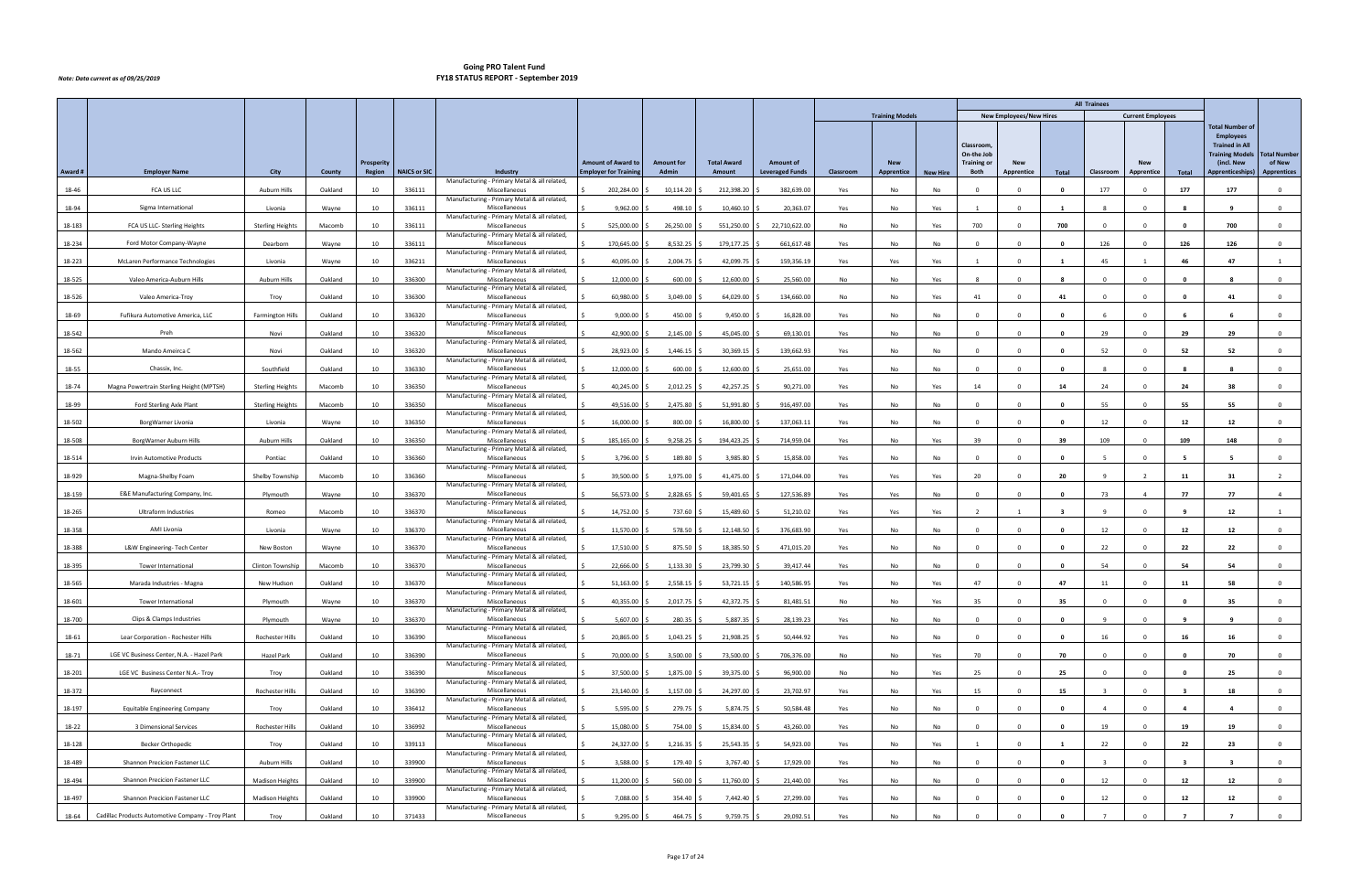|         |                                                   |                         |         |            |                     |                                                               |                             |                   |                    |                        |           |                        |                 |                                               |                                |                         | <b>All Trainees</b>     |                          |                |                                                                                                             |                               |
|---------|---------------------------------------------------|-------------------------|---------|------------|---------------------|---------------------------------------------------------------|-----------------------------|-------------------|--------------------|------------------------|-----------|------------------------|-----------------|-----------------------------------------------|--------------------------------|-------------------------|-------------------------|--------------------------|----------------|-------------------------------------------------------------------------------------------------------------|-------------------------------|
|         |                                                   |                         |         |            |                     |                                                               |                             |                   |                    |                        |           | <b>Training Models</b> |                 |                                               | <b>New Employees/New Hires</b> |                         |                         | <b>Current Employees</b> |                |                                                                                                             |                               |
|         |                                                   |                         |         | Prosperity |                     |                                                               | <b>Amount of Award to</b>   | <b>Amount for</b> | <b>Total Award</b> | <b>Amount of</b>       |           | <b>New</b>             |                 | Classroom<br>On-the Job<br><b>Training or</b> | <b>New</b>                     |                         |                         | <b>New</b>               |                | <b>Total Number of</b><br><b>Employees</b><br><b>Trained in All</b><br><b>Training Models</b><br>(incl. New | <b>Total Number</b><br>of New |
| Award # | <b>Employer Name</b>                              | City                    | County  | Region     | <b>NAICS or SIC</b> | Industry<br>Manufacturing - Primary Metal & all related,      | <b>Employer for Trainin</b> | Admin             | Amount             | <b>Leveraged Funds</b> | Classroom | Apprentice             | <b>New Hire</b> | Both                                          | Apprentice                     | Total                   | Classroom               | Apprentice               | Total          | Apprenticeships)                                                                                            | <b>Apprentices</b>            |
| 18-46   | FCA US LLC                                        | Auburn Hills            | Oakland | 10         | 336111              | Miscellaneous                                                 | 202,284.00                  | 10,114.20         | 212,398.20         | 382,639.00             | Yes       | No                     | No              |                                               |                                | - 0                     | 177                     |                          | 177            | 177                                                                                                         | $\Omega$                      |
| 18-94   | Sigma International                               | Livonia                 | Wayne   | 10         | 336111              | Manufacturing - Primary Metal & all related,<br>Miscellaneous | 9,962.00                    | 498.10            | 10,460.10          | 20,363.07              | Yes       | No                     | Yes             | $\overline{1}$                                | $\Omega$                       | $\overline{\mathbf{1}}$ |                         | $\Omega$                 | -8             | $\mathbf{q}$                                                                                                | $\overline{0}$                |
| 18-183  | FCA US LLC- Sterling Heights                      | <b>Sterling Heights</b> | Macomb  | 10         | 336111              | Manufacturing - Primary Metal & all related,<br>Miscellaneous | 525,000.00                  | 26,250.00         | 551,250.00         | 22,710,622.00          | No        | No                     | Yes             | 700                                           | $\Omega$                       | 700                     | $\Omega$                | $\Omega$                 | $\mathbf{0}$   | 700                                                                                                         | $\mathbf 0$                   |
| 18-234  | Ford Motor Company-Wayne                          | Dearborn                | Wayne   | 10         | 336111              | Manufacturing - Primary Metal & all related,<br>Miscellaneous | 170,645.00                  | 8,532.25          | 179,177.25         | 661,617.48             | Yes       | No                     | No              |                                               |                                |                         | 126                     |                          | 126            | 126                                                                                                         | $^{\circ}$                    |
| 18-223  | McLaren Performance Technologies                  | Livonia                 | Wayne   | 10         | 336211              | Manufacturing - Primary Metal & all related,<br>Miscellaneous | 40,095.00                   | 2,004.75          | 42,099.75          | 159,356.19             | Yes       | Yes                    | Yes             | $\overline{1}$                                | $\Omega$                       | - 1                     | 45                      |                          | 46             | 47                                                                                                          |                               |
| 18-525  | Valeo America-Auburn Hills                        | <b>Auburn Hills</b>     | Oakland | 10         | 336300              | Manufacturing - Primary Metal & all related,<br>Miscellaneous | 12,000.00                   | 600.00            | 12,600.00          | 25,560.00              | No        | No                     | Yes             | -8                                            |                                | -8                      | $\Omega$                | $\Omega$                 | 0              | - 8                                                                                                         | $\overline{0}$                |
| 18-526  | Valeo America-Troy                                | Troy                    | Oakland | 10         | 336300              | Manufacturing - Primary Metal & all related,<br>Miscellaneous | 60,980.00                   | 3,049.00          | 64,029.00          | 134,660.00             | No        | No                     | Yes             | 41                                            |                                | 41                      | $\Omega$                |                          |                | -41                                                                                                         | $\Omega$                      |
| 18-69   | Fufikura Automotive America, LLC                  | <b>Farmington Hills</b> | Oakland | 10         | 336320              | Manufacturing - Primary Metal & all related,<br>Miscellaneous | 9,000.00                    | 450.00            | 9,450.00           | 16,828.00              | Yes       | No                     | No              | $\Omega$                                      |                                | $\mathbf{0}$            |                         | $\Omega$                 |                | -6                                                                                                          | $\overline{0}$                |
| 18-542  | Preh                                              | Novi                    | Oakland | 10         | 336320              | Manufacturing - Primary Metal & all related,<br>Miscellaneous | 42,900.00                   | 2,145.00          | 45,045.00          | 69,130.01              | Yes       | No                     | No              | $^{\circ}$                                    |                                | $\mathbf{0}$            | 29                      | $\Omega$                 | 29             | 29                                                                                                          | $\mathbf 0$                   |
| 18-562  | Mando Ameirca C                                   | Novi                    | Oakland | 10         | 336320              | Manufacturing - Primary Metal & all related,<br>Miscellaneous | 28,923.00                   | 1,446.15          | 30,369.15          | 139,662.93             | Yes       | No                     | No              | $\Omega$                                      |                                | - 0                     | 52                      |                          | 52             | -52                                                                                                         | $\Omega$                      |
| 18-55   | Chassix, Inc.                                     | Southfield              | Oakland | 10         | 336330              | Manufacturing - Primary Metal & all related,<br>Miscellaneous | 12,000.00                   | 600.00            | 12,600.00          | 25,651.00              | Yes       | No                     | No              | $\overline{0}$                                |                                | $\mathbf{0}$            | -8                      | $\Omega$                 | -8             | - 8                                                                                                         | $\overline{0}$                |
| 18-74   | Magna Powertrain Sterling Height (MPTSH)          |                         | Macomb  | 10         | 336350              | Manufacturing - Primary Metal & all related,                  | 40,245.00                   | 2,012.25          | 42,257.25          | 90,271.00              |           | No                     |                 | 14                                            | $\Omega$                       | 14                      | 24                      | $\mathbf 0$              | 24             | 38                                                                                                          | $\mathbf 0$                   |
|         |                                                   | <b>Sterling Heights</b> |         |            |                     | Miscellaneous<br>Manufacturing - Primary Metal & all related, |                             |                   |                    |                        | Yes       |                        | Yes             |                                               |                                |                         |                         |                          |                |                                                                                                             |                               |
| 18-99   | Ford Sterling Axle Plant                          | <b>Sterling Heights</b> | Macomb  | 10         | 336350              | Miscellaneous<br>Manufacturing - Primary Metal & all related, | 49,516.00                   | 2,475.80          | 51,991.80          | 916,497.00             | Yes       | No                     | No              | $\Omega$                                      |                                | - 0                     | 55                      |                          | 55             | 55                                                                                                          | $\Omega$                      |
| 18-502  | BorgWarner Livonia                                | Livonia                 | Wayne   | 10         | 336350              | Miscellaneous<br>Manufacturing - Primary Metal & all related, | 16,000.00                   | 800.00            | 16,800.00          | 137,063.11             | Yes       | No                     | No              | $\Omega$                                      |                                | $\mathbf{0}$            | 12                      |                          | 12             | 12                                                                                                          | $\overline{0}$                |
| 18-508  | BorgWarner Auburn Hills                           | <b>Auburn Hills</b>     | Oakland | 10         | 336350              | Miscellaneous<br>Manufacturing - Primary Metal & all related, | 185,165.00                  | 9,258.25          | 194,423.25         | 714,959.04             | Yes       | No                     | Yes             | 39                                            |                                | 39                      | 109                     |                          | 109            | 148                                                                                                         | $^{\circ}$                    |
| 18-514  | Irvin Automotive Products                         | Pontiac                 | Oakland | 10         | 336360              | Miscellaneous<br>Manufacturing - Primary Metal & all related, | 3,796.00                    | 189.80            | 3,985.80           | 15,858.00              | Yes       | No                     | No              | $\Omega$                                      |                                | - 0                     |                         | $\Omega$                 | -5             |                                                                                                             | $\overline{0}$                |
| 18-929  | Magna-Shelby Foam                                 | Shelby Township         | Macomb  | 10         | 336360              | Miscellaneous<br>Manufacturing - Primary Metal & all related, | 39,500.00                   | 1,975.00          | 41,475.00          | 171,044.00             | Yes       | Yes                    | Yes             | 20                                            |                                | 20                      | $\mathbf{q}$            | $\overline{2}$           | 11             | 31                                                                                                          | 2                             |
| 18-159  | E&E Manufacturing Company, Inc.                   | Plymouth                | Wayne   | 10         | 336370              | Miscellaneous<br>Manufacturing - Primary Metal & all related, | 56,573.00                   | 2,828.65          | 59,401.65          | 127,536.89             | Yes       | Yes                    | No              | $\Omega$                                      |                                | $\mathbf 0$             | 73                      | $\overline{4}$           | 77             | 77                                                                                                          | $\overline{4}$                |
| 18-265  | <b>Ultraform Industries</b>                       | Romeo                   | Macomb  | 10         | 336370              | Miscellaneous<br>Manufacturing - Primary Metal & all related, | 14,752.00                   | 737.60            | 15,489.60          | 51,210.02              | Yes       | Yes                    | Yes             |                                               |                                |                         | $\alpha$                |                          |                | 12                                                                                                          |                               |
| 18-358  | AMI Livonia                                       | Livonia                 | Wayne   | 10         | 336370              | Miscellaneous                                                 | 11,570.00                   | 578.50            | 12,148.50          | 376,683.90             | Yes       | No                     | No              | $\Omega$                                      |                                | - 0                     | 12                      |                          | 12             | 12                                                                                                          | $^{\circ}$                    |
| 18-388  | L&W Engineering- Tech Center                      | New Boston              | Wayne   | 10         | 336370              | Manufacturing - Primary Metal & all related,<br>Miscellaneous | 17,510.00                   | 875.50            | 18,385.50          | 471,015.20             | Yes       | No                     | No              | $\Omega$                                      |                                | $\mathbf{0}$            | 22                      | $\Omega$                 | 22             | 22                                                                                                          | $\mathbf 0$                   |
| 18-395  | <b>Tower International</b>                        | Clinton Township        | Macomb  | 10         | 336370              | Manufacturing - Primary Metal & all related,<br>Miscellaneous | 22,666.00                   | 1,133.30          | 23,799.30          | 39,417.44              | Yes       | No                     | No              | $\Omega$                                      |                                | $\mathbf{0}$            | 54                      | $\Omega$                 | 54             | 54                                                                                                          | $\overline{0}$                |
| 18-565  | Marada Industries - Magna                         | New Hudson              | Oakland | 10         | 336370              | Manufacturing - Primary Metal & all related,<br>Miscellaneous | 51,163.00                   | $2,558.15$ \$     | $53,721.15$ \$     | 140,586.95             | Yes       | No                     | Yes             | 47                                            |                                | 47                      | 11                      | $\Omega$                 | 11             | 58                                                                                                          | $\mathbf 0$                   |
| 18-601  | Tower International                               | Plymouth                | Wayne   | 10         | 336370              | Manufacturing - Primary Metal & all related,<br>Miscellaneous | 40,355.00                   | 2,017.75          | 42,372.75          | 81,481.51              | No        | No                     | Yes             | 35                                            | $\mathbf 0$                    | 35                      | $^{\circ}$              | $\Omega$                 | $\mathbf{0}$   | 35                                                                                                          | $\mathbf 0$                   |
| 18-700  | Clips & Clamps Industries                         | Plymouth                | Wayne   | 10         | 336370              | Manufacturing - Primary Metal & all related,<br>Miscellaneous | 5,607.00                    | 280.35            | $5,887.35$ \$      | 28,139.23              | Yes       | No                     | No              | $\overline{0}$                                | $\Omega$                       | $\mathbf{0}$            | $\overline{9}$          | $\Omega$                 | - 9            | 9                                                                                                           | $\overline{0}$                |
| 18-61   | Lear Corporation - Rochester Hills                | Rochester Hills         | Oakland | 10         | 336390              | Manufacturing - Primary Metal & all related,<br>Miscellaneous | 20,865.00                   | $1,043.25$ \$     | 21,908.25          | 50,444.92              | Yes       | No                     | No              | $\overline{0}$                                | $\Omega$                       | 0                       | 16                      | $\Omega$                 | 16             | 16                                                                                                          | $\mathbf{0}$                  |
| 18-71   | LGE VC Business Center, N.A. - Hazel Park         | <b>Hazel Park</b>       | Oakland | 10         | 336390              | Manufacturing - Primary Metal & all related,<br>Miscellaneous | 70,000.00                   | 3,500.00          | 73,500.00          | 706,376.00             | No        | No                     | Yes             | 70                                            | $\Omega$                       | 70                      | $\Omega$                | $\Omega$                 | 0              | 70                                                                                                          | $\overline{0}$                |
| 18-201  | LGE VC Business Center N.A.- Troy                 | Troy                    | Oakland | 10         | 336390              | Manufacturing - Primary Metal & all related,<br>Miscellaneous | 37,500.00                   | 1,875.00          | 39,375.00          | 96,900.00              | No        | No                     | Yes             | 25                                            | $\Omega$                       | 25                      | $\mathbf{0}$            | $\Omega$                 | $\mathbf{0}$   | 25                                                                                                          | $\overline{0}$                |
| 18-372  | Rayconnect                                        | Rochester Hills         | Oakland | 10         | 336390              | Manufacturing - Primary Metal & all related,<br>Miscellaneous | 23,140.00                   | 1,157.00          | 24,297.00          | 23,702.97              | Yes       | No                     | Yes             | 15                                            |                                | 15                      | $\overline{\mathbf{3}}$ |                          | - 3            | 18                                                                                                          | $\mathbf{0}$                  |
| 18-197  | <b>Equitable Engineering Company</b>              | Troy                    | Oakland | 10         | 336412              | Manufacturing - Primary Metal & all related,<br>Miscellaneous | 5,595.00                    | 279.75            | 5,874.75           | 50,584.48              | Yes       | No                     | No              | $\overline{0}$                                |                                | $\mathbf{0}$            | $\overline{4}$          | $\Omega$                 | 4              | $\overline{4}$                                                                                              | $\overline{0}$                |
| 18-22   | 3 Dimensional Services                            | Rochester Hills         | Oakland | 10         | 336992              | Manufacturing - Primary Metal & all related,<br>Miscellaneous | 15,080.00                   | 754.00            | 15,834.00          | 43,260.00              | Yes       | No                     | No              | $\overline{0}$                                | $\Omega$                       | 0                       | 19                      | $\Omega$                 | 19             | 19                                                                                                          | $\overline{0}$                |
| 18-128  | <b>Becker Orthopedic</b>                          | Troy                    | Oakland | 10         | 339113              | Manufacturing - Primary Metal & all related,<br>Miscellaneous | 24,327.00                   | 1,216.35          | 25,543.35          | 54,923.00              | Yes       | No                     | Yes             |                                               |                                |                         | 22                      |                          | 22             | 23                                                                                                          | $\overline{0}$                |
| 18-489  | Shannon Precicion Fastener LLC                    | <b>Auburn Hills</b>     | Oakland | 10         | 339900              | Manufacturing - Primary Metal & all related,<br>Miscellaneous | 3,588.00                    | 179.40            | 3,767.40           | 17,929.00              | Yes       | No                     | No              | $\Omega$                                      |                                | $\mathbf{0}$            |                         | $\Omega$                 |                |                                                                                                             | $\overline{0}$                |
| 18-494  | Shannon Precicion Fastener LLC                    | <b>Madison Heights</b>  | Oakland | 10         | 339900              | Manufacturing - Primary Metal & all related,<br>Miscellaneous | 11,200.00                   | $560.00$ \$       | 11,760.00 \$       | 21,440.00              | Yes       | No                     | No              | $\overline{\mathbf{0}}$                       | $\Omega$                       | 0                       | 12                      | $\Omega$                 | 12             | 12                                                                                                          | $\overline{0}$                |
| 18-497  | Shannon Precicion Fastener LLC                    | Madison Heights         | Oakland | 10         | 339900              | Manufacturing - Primary Metal & all related,<br>Miscellaneous | 7,088.00                    | 354.40            | 7,442.40           | 27,299.00              | Yes       | No                     | No              | $\Omega$                                      |                                | $\mathbf{0}$            | 12                      |                          | 12             | 12                                                                                                          | $\mathbf{0}$                  |
|         |                                                   |                         |         |            |                     | Manufacturing - Primary Metal & all related,                  |                             |                   |                    |                        |           |                        |                 |                                               |                                |                         |                         |                          |                |                                                                                                             |                               |
| 18-64   | Cadillac Products Automotive Company - Troy Plant | Troy                    | Oakland | 10         | 371433              | Miscellaneous                                                 | 9,295.00                    | 464.75 \$         | $9,759.75$ \$      | 29,092.51              | Yes       | No                     | No              | $\overline{0}$                                |                                | $\mathbf{0}$            |                         | $\Omega$                 | $\overline{7}$ | $\overline{7}$                                                                                              | $\overline{0}$                |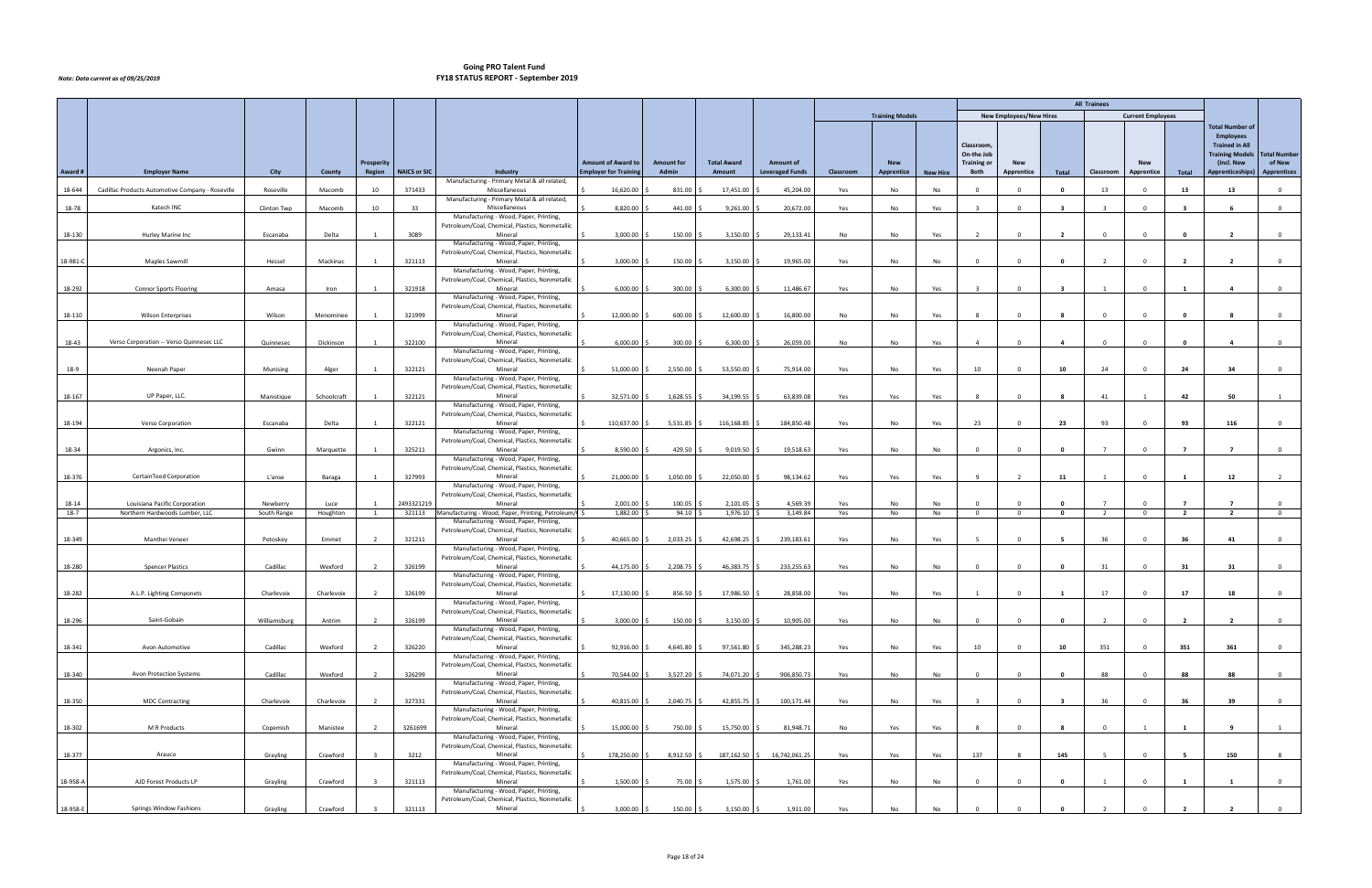|          |                                                  |              |             |                   |                     |                                                                                           |                              |                   |                    |                             |           |                        |                 |                          |                                |                         | <b>All Trainees</b> |                          |                |                        |                     |
|----------|--------------------------------------------------|--------------|-------------|-------------------|---------------------|-------------------------------------------------------------------------------------------|------------------------------|-------------------|--------------------|-----------------------------|-----------|------------------------|-----------------|--------------------------|--------------------------------|-------------------------|---------------------|--------------------------|----------------|------------------------|---------------------|
|          |                                                  |              |             |                   |                     |                                                                                           |                              |                   |                    |                             |           | <b>Training Models</b> |                 |                          | <b>New Employees/New Hires</b> |                         |                     | <b>Current Employees</b> |                |                        |                     |
|          |                                                  |              |             |                   |                     |                                                                                           |                              |                   |                    |                             |           |                        |                 |                          |                                |                         |                     |                          |                | <b>Total Number of</b> |                     |
|          |                                                  |              |             |                   |                     |                                                                                           |                              |                   |                    |                             |           |                        |                 |                          |                                |                         |                     |                          |                | <b>Employees</b>       |                     |
|          |                                                  |              |             |                   |                     |                                                                                           |                              |                   |                    |                             |           |                        |                 | Classroom,               |                                |                         |                     |                          |                | <b>Trained in All</b>  |                     |
|          |                                                  |              |             |                   |                     |                                                                                           |                              |                   |                    |                             |           |                        |                 | On-the Job               |                                |                         |                     |                          |                | <b>Training Models</b> | <b>Total Number</b> |
|          |                                                  |              |             | <b>Prosperity</b> |                     |                                                                                           | <b>Amount of Award to</b>    | <b>Amount for</b> | <b>Total Award</b> | <b>Amount of</b>            |           | <b>New</b>             |                 | <b>Training or</b>       | <b>New</b>                     |                         |                     | <b>New</b>               |                | (incl. New             | of New              |
| Award #  | <b>Employer Name</b>                             | City         | County      | Region            | <b>NAICS or SIC</b> | Industry<br>Manufacturing - Primary Metal & all related,                                  | <b>Employer for Training</b> | Admin             | Amount             | <b>Leveraged Funds</b>      | Classroom | Apprentice             | <b>New Hire</b> | Both                     | Apprentice                     | Total                   | Classroom           | Apprentice               | Total          | Apprenticeships)       | <b>Apprentices</b>  |
| 18-644   | Cadillac Products Automotive Company - Roseville | Roseville    | Macomb      | 10                | 371433              | Miscellaneous                                                                             | 16,620.00                    | 831.00            | 17,451.00          | 45,204.00                   | Yes       | No                     | No              | - 0                      |                                | 0                       | 13                  |                          | 13             | 13                     | $\Omega$            |
|          |                                                  |              |             |                   |                     | Manufacturing - Primary Metal & all related,                                              |                              |                   |                    |                             |           |                        |                 |                          |                                |                         |                     |                          |                |                        |                     |
| 18-78    | Katech INC                                       | Clinton Twp  | Macomb      | 10                | 33                  | Miscellaneous                                                                             | 8,820.00                     | 441.00            | 9,261.00           | 20,672.00                   | Yes       | No                     | Yes             | ્ર                       | $\Omega$                       | $\overline{\mathbf{3}}$ | $\mathbf{R}$        | $\Omega$                 | -3             | - 6                    | $\mathbf{O}$        |
|          |                                                  |              |             |                   |                     | Manufacturing - Wood, Paper, Printing,                                                    |                              |                   |                    |                             |           |                        |                 |                          |                                |                         |                     |                          |                |                        |                     |
| 18-130   | Hurley Marine Inc                                | Escanaba     | Delta       | $\overline{1}$    | 3089                | Petroleum/Coal, Chemical, Plastics, Nonmetallic<br>Mineral                                | 3,000.00                     | 150.00            | 3,150.00           | 29,133.41                   | No        | No                     | Yes             | $\overline{\phantom{a}}$ | $\Omega$                       | $\overline{2}$          | $\Omega$            | $\Omega$                 | 0              | $\overline{2}$         | $\overline{0}$      |
|          |                                                  |              |             |                   |                     | Manufacturing - Wood, Paper, Printing,                                                    |                              |                   |                    |                             |           |                        |                 |                          |                                |                         |                     |                          |                |                        |                     |
|          |                                                  |              |             |                   |                     | Petroleum/Coal, Chemical, Plastics, Nonmetallic                                           |                              |                   |                    |                             |           |                        |                 |                          |                                |                         |                     |                          |                |                        |                     |
| 18-981-C | Maples Sawmill                                   | Hessel       | Mackinac    | $\overline{1}$    | 321113              | Mineral                                                                                   | 3,000.00                     | 150.00            | 3,150.00           | 19,965.00                   | Yes       | No                     | No              | $\Omega$                 | $\Omega$                       | $\mathbf{0}$            | $\overline{2}$      | $\mathbf 0$              | $\overline{2}$ | $\overline{2}$         | $\mathbf{0}$        |
|          |                                                  |              |             |                   |                     | Manufacturing - Wood, Paper, Printing,<br>Petroleum/Coal, Chemical, Plastics, Nonmetallic |                              |                   |                    |                             |           |                        |                 |                          |                                |                         |                     |                          |                |                        |                     |
| 18-292   | <b>Connor Sports Flooring</b>                    | Amasa        | Iron        |                   | 321918              | Mineral                                                                                   | 6,000.00                     | 300.00            | 6,300.00           | 11,486.67                   | Yes       | No                     | Yes             |                          |                                | - 3                     |                     | $\Omega$                 |                | -4                     | $\mathbf{0}$        |
|          |                                                  |              |             |                   |                     | Manufacturing - Wood, Paper, Printing,                                                    |                              |                   |                    |                             |           |                        |                 |                          |                                |                         |                     |                          |                |                        |                     |
|          |                                                  |              |             |                   |                     | Petroleum/Coal, Chemical, Plastics, Nonmetallic                                           |                              |                   |                    |                             |           |                        |                 |                          |                                |                         |                     |                          |                |                        |                     |
| 18-110   | <b>Wilson Enterprises</b>                        | Wilson       | Menominee   |                   | 321999              | Mineral                                                                                   | 12,000.00                    | 600.00            | 12,600.00          | 16,800.00                   | No        | No                     | Yes             |                          |                                | -8                      | $\Omega$            |                          |                | - 8                    | $\mathbf{0}$        |
|          |                                                  |              |             |                   |                     | Manufacturing - Wood, Paper, Printing,<br>Petroleum/Coal, Chemical, Plastics, Nonmetallic |                              |                   |                    |                             |           |                        |                 |                          |                                |                         |                     |                          |                |                        |                     |
| 18-43    | Verso Corporation -- Verso Quinnesec LLC         | Quinnesec    | Dickinson   |                   | 322100              | Mineral                                                                                   | 6,000.00                     | 300.00            | 6,300.00           | 26,059.00                   | No        | No                     | Yes             |                          | $\Omega$                       | -4                      | $\Omega$            | $\Omega$                 |                | -4                     | $\mathbf{0}$        |
|          |                                                  |              |             |                   |                     | Manufacturing - Wood, Paper, Printing,                                                    |                              |                   |                    |                             |           |                        |                 |                          |                                |                         |                     |                          |                |                        |                     |
|          |                                                  |              |             |                   |                     | Petroleum/Coal, Chemical, Plastics, Nonmetallic                                           |                              |                   |                    |                             |           |                        |                 |                          |                                |                         |                     |                          |                |                        |                     |
| 18-9     | Neenah Paper                                     | Munising     | Alger       |                   | 322121              | Mineral                                                                                   | 51,000.00                    | 2,550.00          | 53,550.00          | 75,914.00                   | Yes       | No                     | Yes             | 10                       | $\Omega$                       | 10                      | 24                  | $\Omega$                 | 24             | 34                     | $\mathbf{0}$        |
|          |                                                  |              |             |                   |                     | Manufacturing - Wood, Paper, Printing,<br>Petroleum/Coal, Chemical, Plastics, Nonmetallic |                              |                   |                    |                             |           |                        |                 |                          |                                |                         |                     |                          |                |                        |                     |
| 18-167   | UP Paper, LLC.                                   | Manistique   | Schoolcraft |                   | 322121              | Mineral                                                                                   | 32,571.00                    | 1,628.55          | 34,199.55          | 63,839.08                   | Yes       | Yes                    | Yes             | - 8                      | $\Omega$                       | - 8                     | 41                  |                          | 42             | 50                     |                     |
|          |                                                  |              |             |                   |                     | Manufacturing - Wood, Paper, Printing,                                                    |                              |                   |                    |                             |           |                        |                 |                          |                                |                         |                     |                          |                |                        |                     |
|          |                                                  |              |             |                   |                     | Petroleum/Coal, Chemical, Plastics, Nonmetallic                                           |                              |                   |                    |                             |           |                        |                 |                          |                                |                         |                     |                          |                |                        |                     |
| 18-194   | Verso Corporation                                | Escanaba     | Delta       | $\overline{1}$    | 322121              | Mineral                                                                                   | 110,637.00                   | 5,531.85          | 116,168.85         | 184,850.48                  | Yes       | No                     | Yes             | 23                       | $\Omega$                       | 23                      | 93                  | $\Omega$                 | 93             | 116                    | $\mathbf{0}$        |
|          |                                                  |              |             |                   |                     | Manufacturing - Wood, Paper, Printing,<br>Petroleum/Coal, Chemical, Plastics, Nonmetallic |                              |                   |                    |                             |           |                        |                 |                          |                                |                         |                     |                          |                |                        |                     |
| 18-34    | Argonics, Inc.                                   | Gwinn        | Marquette   | $\mathbf{1}$      | 325211              | Mineral                                                                                   | 8,590.00                     | 429.50            | 9,019.50           | 19,518.63                   | Yes       | No                     | No              | $\overline{0}$           | $\Omega$                       | $\overline{\mathbf{0}}$ | $\overline{7}$      | $\Omega$                 | $\overline{7}$ | $\overline{7}$         | $\overline{0}$      |
|          |                                                  |              |             |                   |                     | Manufacturing - Wood, Paper, Printing,                                                    |                              |                   |                    |                             |           |                        |                 |                          |                                |                         |                     |                          |                |                        |                     |
|          |                                                  |              |             |                   |                     | Petroleum/Coal, Chemical, Plastics, Nonmetallic                                           |                              |                   |                    |                             |           |                        |                 |                          |                                |                         |                     |                          |                |                        |                     |
| 18-376   | CertainTeed Corporation                          | L'anse       | Baraga      | $\mathbf{1}$      | 327993              | Mineral                                                                                   | 21,000.00                    | 1,050.00          | 22,050.00          | 98,134.62                   | Yes       | Yes                    | Yes             | $\mathbf{q}$             | 2                              | 11                      |                     | $\Omega$                 | -1             | 12                     | $\overline{2}$      |
|          |                                                  |              |             |                   |                     | Manufacturing - Wood, Paper, Printing,<br>Petroleum/Coal, Chemical, Plastics, Nonmetallic |                              |                   |                    |                             |           |                        |                 |                          |                                |                         |                     |                          |                |                        |                     |
| 18-14    | Louisiana Pacific Corporation                    | Newberry     | Luce        |                   | 2493321219          | Mineral                                                                                   | 2,001.00                     | 100.05            | 2,101.05           | 4,569.39                    | Yes       | No                     | No              | $\Omega$                 |                                | $\mathbf{0}$            |                     |                          |                | $\overline{7}$         | $\Omega$            |
| $18-7$   | Northern Hardwoods Lumber, LLC                   | South Range  | Houghton    |                   | 321113              | Manufacturing - Wood, Paper, Printing, Petroleum/                                         | 1,882.00                     | 94.10             | 1,976.10           | 3,149.84                    | Yes       | No                     | No              | $\overline{0}$           | $\overline{0}$                 | $\overline{\mathbf{0}}$ | $\overline{2}$      | $\overline{0}$           | $\overline{2}$ | $\overline{2}$         | $\overline{0}$      |
|          |                                                  |              |             |                   |                     | Manufacturing - Wood, Paper, Printing,                                                    |                              |                   |                    |                             |           |                        |                 |                          |                                |                         |                     |                          |                |                        |                     |
| 18-349   | Manthei Veneer                                   | Petoskey     | Emmet       | $\overline{2}$    | 321211              | Petroleum/Coal, Chemical, Plastics, Nonmetallic<br>Mineral                                | 40,665.00                    | 2,033.25          | 42,698.25 \$       | 239,183.61                  | Yes       | No                     | Yes             |                          |                                | - 5                     | 36                  |                          | 36             | 41                     | $\overline{0}$      |
|          |                                                  |              |             |                   |                     | Manufacturing - Wood, Paper, Printing,                                                    |                              |                   |                    |                             |           |                        |                 |                          |                                |                         |                     |                          |                |                        |                     |
|          |                                                  |              |             |                   |                     | Petroleum/Coal, Chemical, Plastics, Nonmetallic                                           |                              |                   |                    |                             |           |                        |                 |                          |                                |                         |                     |                          |                |                        |                     |
| 18-280   | <b>Spencer Plastics</b>                          | Cadillac     | Wexford     |                   | 326199              | Mineral                                                                                   | 44,175.00                    | 2,208.75          | 46,383.75 \$       | 233,255.63                  | Yes       | No                     | No              | - 0                      |                                | 0                       | 31                  |                          | 31             | 31                     | $\overline{0}$      |
|          |                                                  |              |             |                   |                     | Manufacturing - Wood, Paper, Printing,<br>Petroleum/Coal, Chemical, Plastics, Nonmetallic |                              |                   |                    |                             |           |                        |                 |                          |                                |                         |                     |                          |                |                        |                     |
| 18-282   | A.L.P. Lighting Componets                        | Charlevoix   | Charlevoix  |                   | 326199              | Mineral                                                                                   | 17,130.00                    | 856.50            | 17,986.50 \$       | 28,858.00                   | Yes       | No                     | Yes             |                          |                                |                         | 17                  |                          |                | 18                     |                     |
|          |                                                  |              |             |                   |                     | Manufacturing - Wood, Paper, Printing,                                                    |                              |                   |                    |                             |           |                        |                 |                          |                                |                         |                     |                          |                |                        |                     |
|          |                                                  |              |             |                   |                     | Petroleum/Coal, Chemical, Plastics, Nonmetallic                                           |                              |                   |                    |                             |           |                        |                 |                          |                                |                         |                     |                          |                |                        |                     |
| 18-296   | Saint-Gobain                                     | Williamsburg | Antrim      |                   | 326199              | Mineral                                                                                   | $3,000.00$ \$                | 150.00 \$         | $3,150.00$ \$      | 10,905.00                   | Yes       | No                     | No              | $\Omega$                 |                                | 0                       |                     |                          |                | $\overline{2}$         | $\overline{0}$      |
|          |                                                  |              |             |                   |                     | Manufacturing - Wood, Paper, Printing,<br>Petroleum/Coal, Chemical, Plastics, Nonmetallic |                              |                   |                    |                             |           |                        |                 |                          |                                |                         |                     |                          |                |                        |                     |
| 18-341   | Avon Automotive                                  | Cadillac     | Wexford     |                   | 326220              | Mineral                                                                                   | 92,916.00                    | 4,645.80 \$       | 97,561.80 \$       | 345,288.23                  | Yes       | No                     | Yes             | 10                       |                                | 10                      | 351                 |                          | 351            | 361                    | $\overline{0}$      |
|          |                                                  |              |             |                   |                     | Manufacturing - Wood, Paper, Printing,                                                    |                              |                   |                    |                             |           |                        |                 |                          |                                |                         |                     |                          |                |                        |                     |
|          |                                                  |              |             |                   |                     | Petroleum/Coal, Chemical, Plastics, Nonmetallic                                           |                              |                   |                    |                             |           |                        |                 |                          |                                |                         |                     |                          |                |                        |                     |
| 18-340   | Avon Protection Systems                          | Cadillac     | Wexford     |                   | 326299              | Mineral<br>Manufacturing - Wood, Paper, Printing,                                         | 70,544.00                    | 3,527.20 \$       | 74,071.20 \$       | 906,850.73                  | Yes       | No                     | No              | $\overline{0}$           |                                | 0                       | 88                  |                          | 88             | 88                     | $\overline{0}$      |
|          |                                                  |              |             |                   |                     | Petroleum/Coal, Chemical, Plastics, Nonmetallic                                           |                              |                   |                    |                             |           |                        |                 |                          |                                |                         |                     |                          |                |                        |                     |
| 18-350   | <b>MDC Contracting</b>                           | Charlevoix   | Charlevoix  | 2                 | 327331              | Mineral                                                                                   | 40,815.00                    | 2,040.75          | 42,855.75 \$       | 100,171.44                  | Yes       | No                     | Yes             |                          |                                | $\mathbf{3}$            | 36                  | $\Omega$                 | 36             | 39                     | $\overline{0}$      |
|          |                                                  |              |             |                   |                     | Manufacturing - Wood, Paper, Printing,                                                    |                              |                   |                    |                             |           |                        |                 |                          |                                |                         |                     |                          |                |                        |                     |
| 18-302   |                                                  |              |             | $\overline{2}$    | 3261699             | Petroleum/Coal, Chemical, Plastics, Nonmetallic                                           | 15,000.00                    |                   |                    |                             |           |                        |                 | - 8                      | $\Omega$                       | - 8                     | $\Omega$            |                          | $\mathbf{1}$   | 9                      |                     |
|          | M R Products                                     | Copemish     | Manistee    |                   |                     | Mineral<br>Manufacturing - Wood, Paper, Printing,                                         |                              | 750.00 \$         | 15,750.00 \$       | 81,948.71                   | No        | Yes                    | Yes             |                          |                                |                         |                     |                          |                |                        | 1                   |
|          |                                                  |              |             |                   |                     | Petroleum/Coal, Chemical, Plastics, Nonmetallic                                           |                              |                   |                    |                             |           |                        |                 |                          |                                |                         |                     |                          |                |                        |                     |
| 18-377   | Arauco                                           | Grayling     | Crawford    |                   | 3212                | Mineral                                                                                   | 178,250.00                   | 8,912.50 \$       |                    | 187,162.50 \$ 16,742,061.25 | Yes       | Yes                    | Yes             | 137                      |                                | 145                     | -5                  | $\Omega$                 | - 5            | 150                    | 8                   |
|          |                                                  |              |             |                   |                     | Manufacturing - Wood, Paper, Printing,                                                    |                              |                   |                    |                             |           |                        |                 |                          |                                |                         |                     |                          |                |                        |                     |
| 18-958-A | AJD Forest Products LP                           | Grayling     | Crawford    |                   | 321113              | Petroleum/Coal, Chemical, Plastics, Nonmetallic<br>Mineral                                | 1,500.00                     | 75.00 \$          | $1,575.00$ \$      | 1,761.00                    | Yes       | No                     | No              | $\overline{0}$           |                                | 0                       |                     |                          |                | -1                     | $\overline{0}$      |
|          |                                                  |              |             |                   |                     | Manufacturing - Wood, Paper, Printing,                                                    |                              |                   |                    |                             |           |                        |                 |                          |                                |                         |                     |                          |                |                        |                     |
|          |                                                  |              |             |                   |                     | Petroleum/Coal, Chemical, Plastics, Nonmetallic                                           |                              |                   |                    |                             |           |                        |                 |                          |                                |                         |                     |                          |                |                        |                     |
| 18-958-E | Springs Window Fashions                          | Grayling     | Crawford    |                   | 321113              | Mineral                                                                                   | $3,000.00$ \$                | $150.00$ \$       | $3,150.00$ \$      | 1,911.00                    | Yes       | No                     | No              |                          |                                |                         |                     |                          |                |                        | $\overline{0}$      |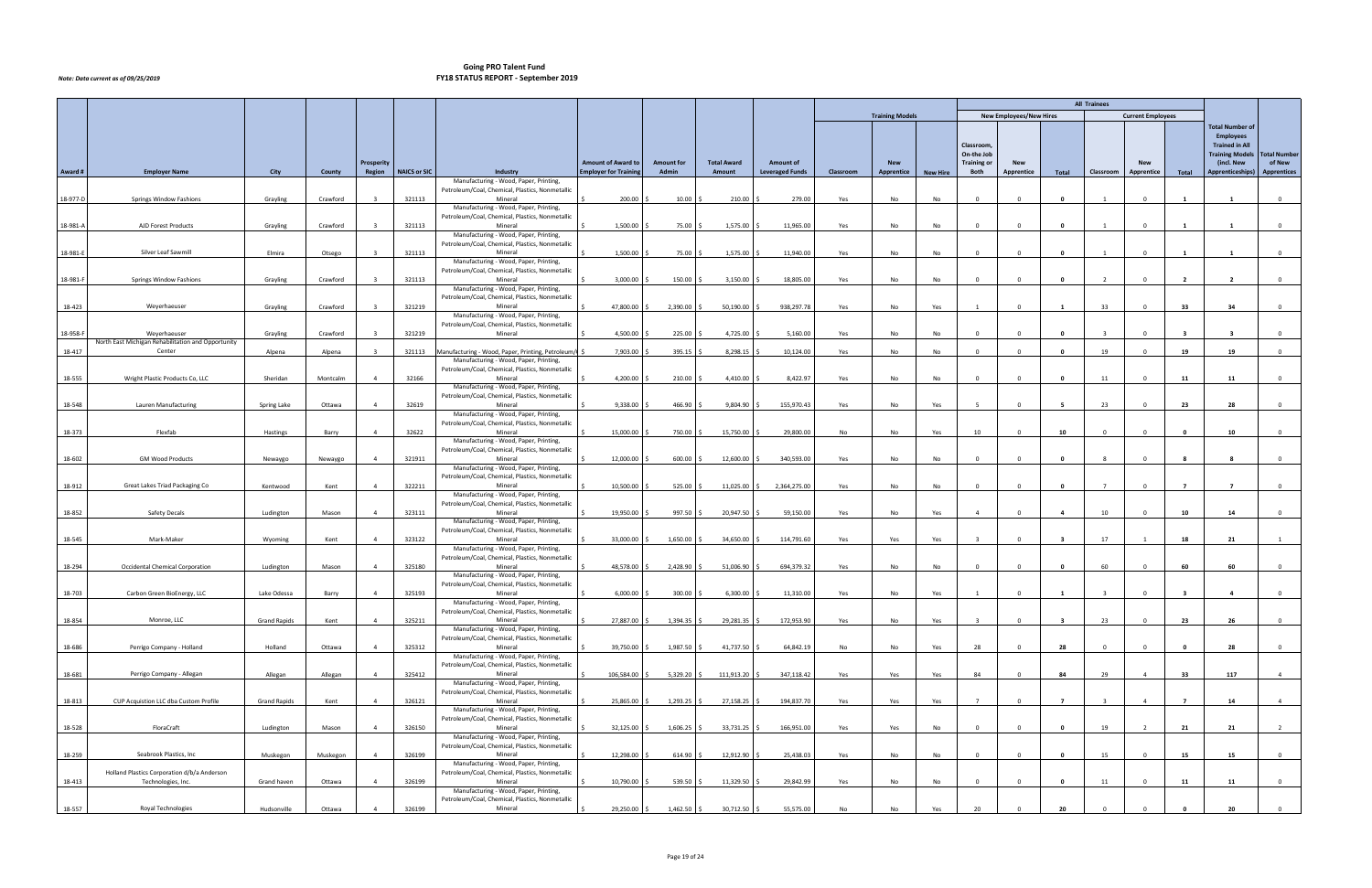|          |                                                                   |                     |          |                |              |                                                                                           |                              |                   |                    |                        |           |                        |                 |                          |                                |                | <b>All Trainees</b> |                          |                          |                                                 |                     |
|----------|-------------------------------------------------------------------|---------------------|----------|----------------|--------------|-------------------------------------------------------------------------------------------|------------------------------|-------------------|--------------------|------------------------|-----------|------------------------|-----------------|--------------------------|--------------------------------|----------------|---------------------|--------------------------|--------------------------|-------------------------------------------------|---------------------|
|          |                                                                   |                     |          |                |              |                                                                                           |                              |                   |                    |                        |           | <b>Training Models</b> |                 |                          | <b>New Employees/New Hires</b> |                |                     | <b>Current Employees</b> |                          |                                                 |                     |
|          |                                                                   |                     |          |                |              |                                                                                           |                              |                   |                    |                        |           |                        |                 |                          |                                |                |                     |                          |                          | <b>Total Number of</b>                          |                     |
|          |                                                                   |                     |          |                |              |                                                                                           |                              |                   |                    |                        |           |                        |                 |                          |                                |                |                     |                          |                          | <b>Employees</b>                                |                     |
|          |                                                                   |                     |          |                |              |                                                                                           |                              |                   |                    |                        |           |                        |                 | Classroom,<br>On-the Job |                                |                |                     |                          |                          | <b>Trained in All</b><br><b>Training Models</b> | <b>Total Number</b> |
|          |                                                                   |                     |          | Prosperity     |              |                                                                                           | <b>Amount of Award to</b>    | <b>Amount for</b> | <b>Total Award</b> | <b>Amount of</b>       |           | <b>New</b>             |                 | Training or              | <b>New</b>                     |                |                     | <b>New</b>               |                          | (incl. New                                      | of New              |
| Award #  | <b>Employer Name</b>                                              | City                | County   | Region         | NAICS or SIC | Industry                                                                                  | <b>Employer for Training</b> | Admin             | Amount             | <b>Leveraged Funds</b> | Classroom | Apprentice             | <b>New Hire</b> | Both                     | Apprentice                     | Total          | Classroom           | Apprentice               | Total                    | Apprenticeships)                                | Apprentices         |
|          |                                                                   |                     |          |                |              | Manufacturing - Wood, Paper, Printing,<br>Petroleum/Coal, Chemical, Plastics, Nonmetallic |                              |                   |                    |                        |           |                        |                 |                          |                                |                |                     |                          |                          |                                                 |                     |
| 18-977-D | Springs Window Fashions                                           | Grayling            | Crawford |                | 321113       | Mineral                                                                                   | 200.00                       | $10.00$ \$        | 210.00 \$          | 279.00                 | Yes       | No                     | No              | $\overline{0}$           | $\Omega$                       | $\mathbf{0}$   |                     | $\Omega$                 |                          |                                                 | $\mathbf{0}$        |
|          |                                                                   |                     |          |                |              | Manufacturing - Wood, Paper, Printing,                                                    |                              |                   |                    |                        |           |                        |                 |                          |                                |                |                     |                          |                          |                                                 |                     |
| 18-981-A | AJD Forest Products                                               | Grayling            | Crawford |                | 321113       | Petroleum/Coal, Chemical, Plastics, Nonmetallic<br>Mineral                                | 1,500.00                     | 75.00 \$          | 1,575.00 \$        | 11,965.00              | Yes       | No                     | No              | $\overline{0}$           | $\Omega$                       | $\mathbf 0$    |                     | $\Omega$                 |                          |                                                 | $\mathbf{0}$        |
|          |                                                                   |                     |          |                |              | Manufacturing - Wood, Paper, Printing,                                                    |                              |                   |                    |                        |           |                        |                 |                          |                                |                |                     |                          |                          |                                                 |                     |
|          |                                                                   |                     |          |                |              | Petroleum/Coal, Chemical, Plastics, Nonmetallic                                           |                              |                   |                    |                        |           |                        |                 |                          |                                |                |                     |                          |                          |                                                 |                     |
| 18-981-E | Silver Leaf Sawmill                                               | Elmira              | Otsego   |                | 321113       | Mineral<br>Manufacturing - Wood, Paper, Printing,                                         | 1,500.00                     | 75.00 \$          | 1,575.00 \$        | 11,940.00              | Yes       | No                     | No              | $\overline{0}$           |                                | $\mathbf{0}$   |                     | $\Omega$                 |                          |                                                 | $\mathbf 0$         |
|          |                                                                   |                     |          |                |              | Petroleum/Coal, Chemical, Plastics, Nonmetallic                                           |                              |                   |                    |                        |           |                        |                 |                          |                                |                |                     |                          |                          |                                                 |                     |
| 18-981-F | Springs Window Fashions                                           | Grayling            | Crawford |                | 321113       | Mineral                                                                                   | 3,000.00                     | 150.00            | $3,150.00$ \$      | 18,805.00              | Yes       | No                     | No              | $\overline{0}$           |                                | $\mathbf{0}$   |                     | $\Omega$                 | $\overline{2}$           | $\overline{2}$                                  | $\mathbf{0}$        |
|          |                                                                   |                     |          |                |              | Manufacturing - Wood, Paper, Printing,<br>Petroleum/Coal, Chemical, Plastics, Nonmetallic |                              |                   |                    |                        |           |                        |                 |                          |                                |                |                     |                          |                          |                                                 |                     |
| 18-423   | Weyerhaeuser                                                      | Grayling            | Crawford |                | 321219       | Mineral                                                                                   | 47,800.00                    | 2,390.00          | $50,190.00$ \$     | 938,297.78             | Yes       | No                     | Yes             | 1                        | $\Omega$                       | $\mathbf{1}$   | 33                  | $\overline{0}$           | 33                       | 34                                              | $\mathbf{0}$        |
|          |                                                                   |                     |          |                |              | Manufacturing - Wood, Paper, Printing,                                                    |                              |                   |                    |                        |           |                        |                 |                          |                                |                |                     |                          |                          |                                                 |                     |
| 18-958-F | Weyerhaeuser                                                      | Grayling            | Crawford |                | 321219       | Petroleum/Coal, Chemical, Plastics, Nonmetallic<br>Mineral                                | 4,500.00                     | 225.00 \$         | 4,725.00 \$        | 5,160.00               | Yes       | No                     | No              | $\overline{0}$           | $\Omega$                       | $\mathbf{0}$   | $\mathbf{R}$        | $\overline{0}$           | -3                       | $\overline{\mathbf{3}}$                         | $\mathbf{0}$        |
|          | North East Michigan Rehabilitation and Opportunity                |                     |          |                |              |                                                                                           |                              |                   |                    |                        |           |                        |                 |                          |                                |                |                     |                          |                          |                                                 |                     |
| 18-417   | Center                                                            | Alpena              | Alpena   |                | 321113       | Manufacturing - Wood, Paper, Printing, Petroleum/C                                        | 7,903.00                     | 395.15            | 8,298.15           | 10,124.00              | Yes       | No                     | No              | $\Omega$                 |                                | $\mathbf{0}$   | 19                  | $\Omega$                 | 19                       | 19                                              | $\overline{0}$      |
|          |                                                                   |                     |          |                |              | Manufacturing - Wood, Paper, Printing,<br>Petroleum/Coal, Chemical, Plastics, Nonmetallic |                              |                   |                    |                        |           |                        |                 |                          |                                |                |                     |                          |                          |                                                 |                     |
| 18-555   | Wright Plastic Products Co, LLC                                   | Sheridan            | Montcalm |                | 32166        | Mineral                                                                                   | 4,200.00                     | 210.00            | $4,410.00$ \$      | 8,422.97               | Yes       | No                     | No              |                          |                                | 0              | 11                  |                          | 11                       | 11                                              | $\overline{0}$      |
|          |                                                                   |                     |          |                |              | Manufacturing - Wood, Paper, Printing,                                                    |                              |                   |                    |                        |           |                        |                 |                          |                                |                |                     |                          |                          |                                                 |                     |
| 18-548   | Lauren Manufacturing                                              | Spring Lake         | Ottawa   |                | 32619        | Petroleum/Coal, Chemical, Plastics, Nonmetallic<br>Mineral                                | 9,338.00                     | 466.90            | $9,804.90$ \$      | 155,970.43             | Yes       | No                     | Yes             |                          |                                |                | 23                  |                          | 23                       | 28                                              | $^{\circ}$          |
|          |                                                                   |                     |          |                |              | Manufacturing - Wood, Paper, Printing,                                                    |                              |                   |                    |                        |           |                        |                 |                          |                                |                |                     |                          |                          |                                                 |                     |
|          |                                                                   |                     |          |                |              | Petroleum/Coal, Chemical, Plastics, Nonmetallic                                           |                              |                   |                    |                        |           |                        |                 |                          |                                |                |                     |                          |                          |                                                 |                     |
| 18-373   | Flexfab                                                           | Hastings            | Barry    |                | 32622        | Mineral<br>Manufacturing - Wood, Paper, Printing,                                         | 15,000.00                    | 750.00            | 15,750.00 \$       | 29,800.00              | No        | No                     | Yes             | 10                       |                                | 10             |                     |                          |                          | 10                                              | $^{\circ}$          |
|          |                                                                   |                     |          |                |              | Petroleum/Coal, Chemical, Plastics, Nonmetallic                                           |                              |                   |                    |                        |           |                        |                 |                          |                                |                |                     |                          |                          |                                                 |                     |
| 18-602   | <b>GM Wood Products</b>                                           | Newaygo             | Newaygo  |                | 321911       | Mineral                                                                                   | 12,000.00                    | 600.00            | 12,600.00 \$       | 340,593.00             | Yes       | No                     | No              |                          |                                |                |                     |                          |                          |                                                 | $^{\circ}$          |
|          |                                                                   |                     |          |                |              | Manufacturing - Wood, Paper, Printing,<br>Petroleum/Coal, Chemical, Plastics, Nonmetallic |                              |                   |                    |                        |           |                        |                 |                          |                                |                |                     |                          |                          |                                                 |                     |
| 18-912   | Great Lakes Triad Packaging Co                                    | Kentwood            | Kent     |                | 322211       | Mineral                                                                                   | 10,500.00                    | 525.00            | 11,025.00 \$       | 2,364,275.00           | Yes       | No                     | No              |                          |                                | 0              |                     |                          |                          |                                                 | $\mathbf 0$         |
|          |                                                                   |                     |          |                |              | Manufacturing - Wood, Paper, Printing,                                                    |                              |                   |                    |                        |           |                        |                 |                          |                                |                |                     |                          |                          |                                                 |                     |
| 18-852   | Safety Decals                                                     | Ludington           | Mason    |                | 323111       | Petroleum/Coal, Chemical, Plastics, Nonmetallic<br>Mineral                                | 19,950.00                    | 997.50            | 20,947.50 \$       | 59,150.00              | Yes       | No                     | Yes             |                          |                                |                | 10                  |                          | 10                       | 14                                              | $\overline{0}$      |
|          |                                                                   |                     |          |                |              | Manufacturing - Wood, Paper, Printing,                                                    |                              |                   |                    |                        |           |                        |                 |                          |                                |                |                     |                          |                          |                                                 |                     |
| 18-545   | Mark-Maker                                                        | Wyoming             | Kent     |                | 323122       | Petroleum/Coal, Chemical, Plastics, Nonmetallic<br>Mineral                                | 33,000.00                    | 1,650.00          | 34,650.00 \$       | 114,791.60             | Yes       | Yes                    | Yes             |                          |                                | - 3            | 17                  |                          | 18                       | 21                                              | 1                   |
|          |                                                                   |                     |          |                |              | Manufacturing - Wood, Paper, Printing,                                                    |                              |                   |                    |                        |           |                        |                 |                          |                                |                |                     |                          |                          |                                                 |                     |
|          |                                                                   |                     |          |                |              | Petroleum/Coal, Chemical, Plastics, Nonmetallic                                           |                              |                   |                    |                        |           |                        |                 |                          |                                |                |                     |                          |                          |                                                 |                     |
| 18-294   | Occidental Chemical Corporation                                   | Ludington           | Mason    |                | 325180       | Mineral<br>Manufacturing - Wood, Paper, Printing,                                         | 48,578.00                    | 2,428.90 \$       | 51,006.90 \$       | 694,379.32             | Yes       | No                     | No              | $\Omega$                 |                                | 0              | 60                  |                          | 60                       | 60                                              | $\mathbf{0}$        |
|          |                                                                   |                     |          |                |              | Petroleum/Coal, Chemical, Plastics, Nonmetallic                                           |                              |                   |                    |                        |           |                        |                 |                          |                                |                |                     |                          |                          |                                                 |                     |
| 18-703   | Carbon Green BioEnergy, LLC                                       | Lake Odessa         | Barry    | 4              | 325193       | Mineral                                                                                   | 6,000.00                     | 300.00 \$         | $6,300.00$ \$      | 11,310.00              | Yes       | No                     |                 |                          |                                |                |                     |                          |                          |                                                 |                     |
|          |                                                                   |                     |          |                |              | Manufacturing - Wood, Paper, Printing,<br>Petroleum/Coal, Chemical, Plastics, Nonmetallic |                              |                   |                    |                        |           |                        |                 |                          |                                |                |                     |                          |                          |                                                 |                     |
| 18-854   | Monroe, LLC                                                       | <b>Grand Rapids</b> | Kent     | 4              | 325211       | Mineral                                                                                   | 27,887.00 \$                 | $1,394.35$ \$     | 29,281.35 \$       | 172,953.90             | Yes       | No                     | Yes             |                          |                                | - 3            | 23                  | $\Omega$                 | 23                       | 26                                              | $\overline{0}$      |
|          |                                                                   |                     |          |                |              | Manufacturing - Wood, Paper, Printing,                                                    |                              |                   |                    |                        |           |                        |                 |                          |                                |                |                     |                          |                          |                                                 |                     |
| 18-686   | Perrigo Company - Holland                                         | Holland             | Ottawa   |                | 325312       | Petroleum/Coal, Chemical, Plastics, Nonmetallic<br>Mineral                                | 39,750.00                    | 1,987.50 \$       | $41,737.50$ \$     | 64,842.19              | No        | No                     | Yes             | 28                       |                                | 28             | $\Omega$            |                          |                          | 28                                              | $\overline{0}$      |
|          |                                                                   |                     |          |                |              | Manufacturing - Wood, Paper, Printing,                                                    |                              |                   |                    |                        |           |                        |                 |                          |                                |                |                     |                          |                          |                                                 |                     |
| 18-681   |                                                                   | Allegan             | Allegan  |                | 325412       | Petroleum/Coal, Chemical, Plastics, Nonmetallic<br>Mineral                                | 106,584.00                   | $5,329.20$ \$     | 111,913.20 \$      | 347,118.42             | Yes       | Yes                    | Yes             | 84                       |                                | 84             | 29                  | 4                        | 33                       | 117                                             | $\overline{4}$      |
|          | Perrigo Company - Allegan                                         |                     |          |                |              | Manufacturing - Wood, Paper, Printing,                                                    |                              |                   |                    |                        |           |                        |                 |                          |                                |                |                     |                          |                          |                                                 |                     |
|          |                                                                   |                     |          |                |              | Petroleum/Coal, Chemical, Plastics, Nonmetallic                                           |                              |                   |                    |                        |           |                        |                 |                          |                                |                |                     |                          |                          |                                                 |                     |
| 18-813   | CUP Acquistion LLC dba Custom Profile                             | Grand Rapids        | Kent     |                | 326121       | Mineral<br>Manufacturing - Wood, Paper, Printing,                                         | 25,865.00                    | $1,293.25$ \$     | 27,158.25 \$       | 194,837.70             | Yes       | Yes                    | Yes             | $\overline{7}$           |                                | $\overline{7}$ |                     | $\overline{4}$           | $\overline{\phantom{a}}$ | 14                                              | $\overline{4}$      |
|          |                                                                   |                     |          |                |              | Petroleum/Coal, Chemical, Plastics, Nonmetallic                                           |                              |                   |                    |                        |           |                        |                 |                          |                                |                |                     |                          |                          |                                                 |                     |
| 18-528   | FloraCraft                                                        | Ludington           | Mason    | 4              | 326150       | Mineral                                                                                   | 32,125.00                    | $1,606.25$ \$     | 33,731.25 \$       | 166,951.00             | Yes       | Yes                    | No              | $\overline{0}$           |                                | $\mathbf{0}$   | 19                  | $\overline{2}$           | 21                       | 21                                              | $\overline{2}$      |
|          |                                                                   |                     |          |                |              | Manufacturing - Wood, Paper, Printing,<br>Petroleum/Coal, Chemical, Plastics, Nonmetallic |                              |                   |                    |                        |           |                        |                 |                          |                                |                |                     |                          |                          |                                                 |                     |
| 18-259   | Seabrook Plastics, Inc                                            | Muskegon            | Muskegon | $\overline{4}$ | 326199       | Mineral                                                                                   | 12,298.00                    | $614.90$ \$       | 12,912.90 \$       | 25,438.03              | Yes       | No                     | No              | $\overline{0}$           |                                | $\mathbf{0}$   | 15                  | $\Omega$                 | 15                       | 15                                              | $\overline{0}$      |
|          |                                                                   |                     |          |                |              | Manufacturing - Wood, Paper, Printing,                                                    |                              |                   |                    |                        |           |                        |                 |                          |                                |                |                     |                          |                          |                                                 |                     |
| 18-413   | Holland Plastics Corporation d/b/a Anderson<br>Technologies, Inc. | Grand haven         | Ottawa   | $\overline{4}$ | 326199       | Petroleum/Coal, Chemical, Plastics, Nonmetallic<br>Mineral                                | 10,790.00                    | $539.50$ \$       | 11,329.50 \$       | 29,842.99              | Yes       | No                     | No              | $\Omega$                 |                                | $\mathbf 0$    | 11                  | $\Omega$                 | 11                       | 11                                              | $\overline{0}$      |
|          |                                                                   |                     |          |                |              | Manufacturing - Wood, Paper, Printing,                                                    |                              |                   |                    |                        |           |                        |                 |                          |                                |                |                     |                          |                          |                                                 |                     |
| 18-557   | Royal Technologies                                                | Hudsonville         | Ottawa   |                | 326199       | Petroleum/Coal, Chemical, Plastics, Nonmetallic<br>Mineral                                | 29,250.00 \$                 | $1,462.50$ \$     | 30,712.50 \$       | 55,575.00              | No        | No                     | Yes             | 20                       |                                | 20             |                     |                          |                          | 20                                              | $\overline{0}$      |
|          |                                                                   |                     |          |                |              |                                                                                           |                              |                   |                    |                        |           |                        |                 |                          |                                |                |                     |                          |                          |                                                 |                     |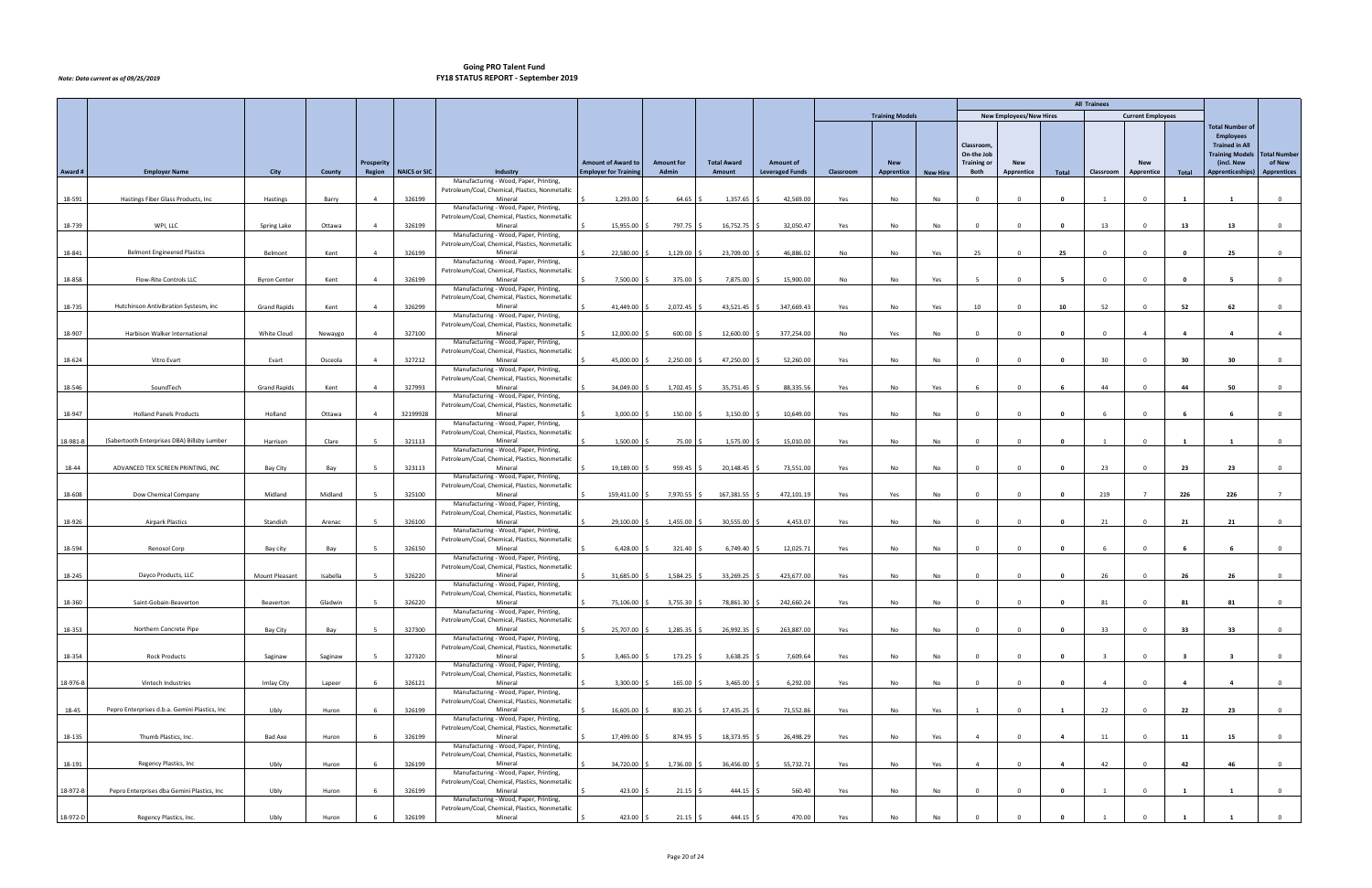|          |                                                |                     |          |                |              |                                                                                           |                              |                   |                    |                        |           |                        |                 |                                  |                                |                | <b>All Trainees</b> |                          |                         |                                      |                               |
|----------|------------------------------------------------|---------------------|----------|----------------|--------------|-------------------------------------------------------------------------------------------|------------------------------|-------------------|--------------------|------------------------|-----------|------------------------|-----------------|----------------------------------|--------------------------------|----------------|---------------------|--------------------------|-------------------------|--------------------------------------|-------------------------------|
|          |                                                |                     |          |                |              |                                                                                           |                              |                   |                    |                        |           | <b>Training Models</b> |                 |                                  | <b>New Employees/New Hires</b> |                |                     | <b>Current Employees</b> |                         |                                      |                               |
|          |                                                |                     |          |                |              |                                                                                           |                              |                   |                    |                        |           |                        |                 |                                  |                                |                |                     |                          |                         | <b>Total Number of</b>               |                               |
|          |                                                |                     |          |                |              |                                                                                           |                              |                   |                    |                        |           |                        |                 |                                  |                                |                |                     |                          |                         | <b>Employees</b>                     |                               |
|          |                                                |                     |          |                |              |                                                                                           |                              |                   |                    |                        |           |                        |                 | Classroom,                       |                                |                |                     |                          |                         | <b>Trained in All</b>                |                               |
|          |                                                |                     |          | Prosperity     |              |                                                                                           | <b>Amount of Award to</b>    | <b>Amount for</b> | <b>Total Award</b> | <b>Amount of</b>       |           | <b>New</b>             |                 | On-the Job<br><b>Training or</b> | <b>New</b>                     |                |                     | <b>New</b>               |                         | <b>Training Models</b><br>(incl. New | <b>Total Number</b><br>of New |
| Award#   | <b>Employer Name</b>                           | City                | County   | Region         | NAICS or SIC | Industry                                                                                  | <b>Employer for Training</b> | Admin             | Amount             | <b>Leveraged Funds</b> | Classroom | Apprentice             | <b>New Hire</b> | Both                             | <b>Apprentice</b>              | Total          | Classroom           | Apprentice               | Total                   | <b>Apprenticeships)</b>              | <b>Apprentices</b>            |
|          |                                                |                     |          |                |              | Manufacturing - Wood, Paper, Printing,                                                    |                              |                   |                    |                        |           |                        |                 |                                  |                                |                |                     |                          |                         |                                      |                               |
|          |                                                |                     |          |                |              | Petroleum/Coal, Chemical, Plastics, Nonmetallic                                           |                              |                   |                    |                        |           |                        |                 |                                  |                                |                |                     |                          |                         |                                      |                               |
| 18-591   | Hastings Fiber Glass Products, Inc             | Hastings            | Barry    | $\overline{4}$ | 326199       | Mineral<br>Manufacturing - Wood, Paper, Printing,                                         | 1,293.00                     | $64.65$ \$        | $1,357.65$ \$      | 42,569.00              | Yes       | No                     | No              | $\overline{0}$                   | $\Omega$                       | $\mathbf{0}$   | $\mathbf{1}$        | $\overline{0}$           | $\mathbf{1}$            | $\mathbf{1}$                         | $\overline{0}$                |
|          |                                                |                     |          |                |              | Petroleum/Coal, Chemical, Plastics, Nonmetallic                                           |                              |                   |                    |                        |           |                        |                 |                                  |                                |                |                     |                          |                         |                                      |                               |
| 18-739   | WPI, LLC                                       | Spring Lake         | Ottawa   | $\overline{4}$ | 326199       | Mineral                                                                                   | 15,955.00                    | 797.75 \$         | $16,752.75$ \$     | 32,050.47              | Yes       | No                     | No              | $\overline{0}$                   | $\Omega$                       | $\mathbf{0}$   | 13                  | $\overline{0}$           | 13                      | 13                                   | $\overline{0}$                |
|          |                                                |                     |          |                |              | Manufacturing - Wood, Paper, Printing,<br>Petroleum/Coal, Chemical, Plastics, Nonmetallic |                              |                   |                    |                        |           |                        |                 |                                  |                                |                |                     |                          |                         |                                      |                               |
| 18-841   | <b>Belmont Engineered Plastics</b>             | Belmont             | Kent     | $\overline{4}$ | 326199       | Mineral                                                                                   | 22,580.00                    | $1,129.00$ \$     | 23,709.00 \$       | 46,886.02              | No        | No                     | Yes             | 25                               | $\Omega$                       | 25             | $\Omega$            | $\Omega$                 | $\Omega$                | 25                                   | $\mathbf{0}$                  |
|          |                                                |                     |          |                |              | Manufacturing - Wood, Paper, Printing,                                                    |                              |                   |                    |                        |           |                        |                 |                                  |                                |                |                     |                          |                         |                                      |                               |
| 18-858   | Flow-Rite Controls LLC                         | <b>Byron Center</b> | Kent     | $\overline{4}$ | 326199       | Petroleum/Coal, Chemical, Plastics, Nonmetallic<br>Mineral                                | 7,500.00 \$                  | 375.00 \$         | 7,875.00 \$        | 15,900.00              | No        | No                     | Yes             | 5 <sup>5</sup>                   | $\Omega$                       | 5              | $\Omega$            | $\Omega$                 |                         | -5                                   | $\mathbf{0}$                  |
|          |                                                |                     |          |                |              | Manufacturing - Wood, Paper, Printing,                                                    |                              |                   |                    |                        |           |                        |                 |                                  |                                |                |                     |                          |                         |                                      |                               |
|          |                                                |                     |          |                |              | Petroleum/Coal, Chemical, Plastics, Nonmetallic                                           |                              |                   |                    |                        |           |                        |                 |                                  |                                |                |                     |                          |                         |                                      |                               |
| 18-735   | Hutchinson Antivibration Systesm, inc          | <b>Grand Rapids</b> | Kent     | $\overline{4}$ | 326299       | Mineral<br>Manufacturing - Wood, Paper, Printing,                                         | 41,449.00 \$                 | 2,072.45 \$       | $43,521.45$ \$     | 347,669.43             | Yes       | No                     | Yes             | 10                               | $\Omega$                       | 10             | 52                  | $\Omega$                 | 52                      | 62                                   | $\overline{0}$                |
|          |                                                |                     |          |                |              | Petroleum/Coal, Chemical, Plastics, Nonmetallic                                           |                              |                   |                    |                        |           |                        |                 |                                  |                                |                |                     |                          |                         |                                      |                               |
| 18-907   | Harbison Walker International                  | White Cloud         | Newaygo  | $\overline{4}$ | 327100       | Mineral                                                                                   | 12,000.00                    | $600.00$ \$       | 12,600.00 \$       | 377,254.00             | No        | Yes                    | No              | $\overline{0}$                   | $\Omega$                       | $\mathbf 0$    | $\Omega$            | $\overline{4}$           | $\overline{4}$          | $\overline{4}$                       | $\overline{4}$                |
|          |                                                |                     |          |                |              | Manufacturing - Wood, Paper, Printing,                                                    |                              |                   |                    |                        |           |                        |                 |                                  |                                |                |                     |                          |                         |                                      |                               |
| 18-624   | Vitro Evart                                    | Evart               | Osceola  | $\overline{4}$ | 327212       | Petroleum/Coal, Chemical, Plastics, Nonmetallic<br>Mineral                                | 45,000.00                    | 2,250.00          | 47,250.00 \$       | 52,260.00              | Yes       | No                     | No              | $\overline{0}$                   | $\Omega$                       | $\mathbf{0}$   | 30 <sup>°</sup>     | $\Omega$                 | 30                      | 30                                   | $\mathbf{0}$                  |
|          |                                                |                     |          |                |              | Manufacturing - Wood, Paper, Printing,                                                    |                              |                   |                    |                        |           |                        |                 |                                  |                                |                |                     |                          |                         |                                      |                               |
|          |                                                |                     |          |                |              | Petroleum/Coal, Chemical, Plastics, Nonmetallic                                           |                              |                   |                    |                        |           |                        |                 |                                  |                                |                |                     |                          |                         |                                      |                               |
| 18-546   | SoundTech                                      | <b>Grand Rapids</b> | Kent     | $\overline{4}$ | 327993       | Mineral<br>Manufacturing - Wood, Paper, Printing,                                         | 34,049.00 \$                 | $1,702.45$ \$     | 35,751.45 \$       | 88,335.56              | Yes       | No                     | Yes             | -6                               | $\Omega$                       | 6              | 44                  | $\overline{0}$           | 44                      | 50                                   | $\overline{0}$                |
|          |                                                |                     |          |                |              | Petroleum/Coal, Chemical, Plastics, Nonmetallic                                           |                              |                   |                    |                        |           |                        |                 |                                  |                                |                |                     |                          |                         |                                      |                               |
| 18-947   | <b>Holland Panels Products</b>                 | Holland             | Ottawa   | $\overline{4}$ | 32199928     | Mineral                                                                                   | 3,000.00                     | $150.00$ \$       | $3,150.00$ \$      | 10,649.00              | Yes       | No                     | No              | $\overline{0}$                   | $\Omega$                       | $\mathbf{0}$   | -6                  | $\overline{0}$           | - 6                     | - 6                                  | $\overline{0}$                |
|          |                                                |                     |          |                |              | Manufacturing - Wood, Paper, Printing,<br>Petroleum/Coal, Chemical, Plastics, Nonmetallic |                              |                   |                    |                        |           |                        |                 |                                  |                                |                |                     |                          |                         |                                      |                               |
| 18-981-B | (Sabertooth Enterprises DBA) Billsby Lumber    | Harrison            | Clare    |                | 321113       | Mineral                                                                                   | $1,500.00$ \$                | 75.00 \$          | $1,575.00$ \$      | 15,010.00              | Yes       | No                     | No              | $\overline{0}$                   | $\Omega$                       | $\mathbf{0}$   | $\overline{1}$      | $\overline{0}$           | $\blacksquare$          | $\mathbf{1}$                         | $\overline{0}$                |
|          |                                                |                     |          |                |              | Manufacturing - Wood, Paper, Printing,                                                    |                              |                   |                    |                        |           |                        |                 |                                  |                                |                |                     |                          |                         |                                      |                               |
| 18-44    | ADVANCED TEX SCREEN PRINTING, INC              | Bay City            | Bay      |                | 323113       | Petroleum/Coal, Chemical, Plastics, Nonmetallic<br>Mineral                                | 19,189.00 \$                 | $959.45$ \$       | 20,148.45 \$       | 73,551.00              | Yes       | No                     | No              | $\overline{0}$                   | $\Omega$                       | $\mathbf{0}$   | 23                  | $\Omega$                 | 23                      | 23                                   | $\overline{0}$                |
|          |                                                |                     |          |                |              | Manufacturing - Wood, Paper, Printing,                                                    |                              |                   |                    |                        |           |                        |                 |                                  |                                |                |                     |                          |                         |                                      |                               |
|          |                                                |                     |          |                |              | Petroleum/Coal, Chemical, Plastics, Nonmetallic                                           |                              |                   |                    |                        |           |                        |                 |                                  |                                |                |                     |                          |                         |                                      |                               |
| 18-608   | Dow Chemical Company                           | Midland             | Midland  |                | 325100       | Mineral<br>Manufacturing - Wood, Paper, Printing,                                         | 159,411.00 \$                | 7,970.55 \$       | 167,381.55 \$      | 472,101.19             | Yes       | Yes                    | No              | $\overline{0}$                   | $\Omega$                       | $\mathbf{0}$   | 219                 | $\overline{7}$           | 226                     | 226                                  |                               |
|          |                                                |                     |          |                |              | Petroleum/Coal, Chemical, Plastics, Nonmetallic                                           |                              |                   |                    |                        |           |                        |                 |                                  |                                |                |                     |                          |                         |                                      |                               |
| 18-926   | <b>Airpark Plastics</b>                        | Standish            | Arenac   |                | 326100       | Mineral                                                                                   | 29,100.00 \$                 | $1,455.00$ \$     | 30,555.00 \$       | 4,453.07               | Yes       | No                     | No              | $\overline{0}$                   | $\Omega$                       | $\mathbf{0}$   | 21                  | $\Omega$                 | 21                      | 21                                   | $\mathbf{0}$                  |
|          |                                                |                     |          |                |              | Manufacturing - Wood, Paper, Printing,<br>Petroleum/Coal, Chemical, Plastics, Nonmetallic |                              |                   |                    |                        |           |                        |                 |                                  |                                |                |                     |                          |                         |                                      |                               |
| 18-594   | Renosol Corp                                   | Bay city            | Bay      |                | 326150       | Mineral                                                                                   | $6,428.00$ \$                | $321.40$ \$       | 6,749.40 \$        | 12,025.71              | Yes       | No                     | No              | $\overline{0}$                   | $\Omega$                       | $\mathbf{0}$   | -6                  | $\Omega$                 |                         | - 6                                  | $\mathbf{0}$                  |
|          |                                                |                     |          |                |              | Manufacturing - Wood, Paper, Printing,                                                    |                              |                   |                    |                        |           |                        |                 |                                  |                                |                |                     |                          |                         |                                      |                               |
| 18-245   | Dayco Products, LLC                            | Mount Pleasant      | Isabella |                | 326220       | Petroleum/Coal, Chemical, Plastics, Nonmetallic<br>Mineral                                | 31,685.00 \$                 | 1,584.25 \$       | 33,269.25 \$       | 423,677.00             | Yes       | No                     | No              | $\overline{0}$                   | $\Omega$                       | $\mathbf{0}$   | 26                  | $\overline{0}$           | 26                      | 26                                   | $\overline{0}$                |
|          |                                                |                     |          |                |              | Manufacturing - Wood, Paper, Printing,                                                    |                              |                   |                    |                        |           |                        |                 |                                  |                                |                |                     |                          |                         |                                      |                               |
|          |                                                |                     |          |                |              | Petroleum/Coal, Chemical, Plastics, Nonmetallic                                           |                              |                   |                    |                        |           |                        |                 |                                  |                                |                |                     |                          |                         |                                      |                               |
| 18-360   | Saint-Gobain-Beaverton                         | Beaverton           | Gladwin  | 5              | 326220       | Mineral<br>Manufacturing - Wood, Paper, Printing,                                         | 75,106.00 \$                 | $3,755.30$ \$     | 78,861.30 \$       | 242,660.24             | Yes       | No                     | No              | $\overline{0}$                   | $\overline{0}$                 | $\bullet$      | 81                  | $\overline{0}$           | 81                      | 81                                   | $\overline{0}$                |
|          |                                                |                     |          |                |              | Petroleum/Coal, Chemical, Plastics, Nonmetallic                                           |                              |                   |                    |                        |           |                        |                 |                                  |                                |                |                     |                          |                         |                                      |                               |
| 18-353   | Northern Concrete Pipe                         | Bay City            | Bay      | $5^{\circ}$    | 327300       | Mineral                                                                                   | 25,707.00                    | $1,285.35$ \$     | 26,992.35 \$       | 263,887.00             | Yes       | No                     | No              | $\overline{0}$                   | $\Omega$                       | $\mathbf{0}$   | 33                  | $\overline{0}$           | 33                      | 33                                   | $\overline{0}$                |
|          |                                                |                     |          |                |              | Manufacturing - Wood, Paper, Printing,<br>Petroleum/Coal, Chemical, Plastics, Nonmetallic |                              |                   |                    |                        |           |                        |                 |                                  |                                |                |                     |                          |                         |                                      |                               |
| 18-354   | <b>Rock Products</b>                           | Saginaw             | Saginaw  |                | 327320       | Mineral                                                                                   | 3,465.00                     | $173.25$ \$       | $3,638.25$ \$      | 7,609.64               | Yes       | No                     | No              | $\overline{0}$                   | $\Omega$                       | $\mathbf 0$    | $\mathbf{R}$        | $\Omega$                 | $\overline{\mathbf{3}}$ | $\overline{\mathbf{3}}$              | $\mathbf{0}$                  |
|          |                                                |                     |          |                |              | Manufacturing - Wood, Paper, Printing,                                                    |                              |                   |                    |                        |           |                        |                 |                                  |                                |                |                     |                          |                         |                                      |                               |
| 18-976-B | Vintech Industries                             | Imlay City          | Lapeer   |                | 326121       | Petroleum/Coal, Chemical, Plastics, Nonmetallic<br>Mineral                                | 3,300.00                     | 165.00 \$         | $3,465.00$ \$      | 6,292.00               | Yes       | No                     | No              | $\overline{0}$                   | $\Omega$                       | $\Omega$       | $\overline{a}$      | $\Omega$                 | $\overline{a}$          | $\overline{4}$                       | $\mathbf{0}$                  |
|          |                                                |                     |          |                |              | Manufacturing - Wood, Paper, Printing,                                                    |                              |                   |                    |                        |           |                        |                 |                                  |                                |                |                     |                          |                         |                                      |                               |
|          |                                                |                     |          |                |              | Petroleum/Coal, Chemical, Plastics, Nonmetallic                                           |                              |                   |                    |                        |           |                        |                 |                                  |                                |                |                     |                          |                         |                                      |                               |
| 18-45    | Pepro Enterprises d.b.a. Gemini Plastics, Inc. | Ubly                | Huron    |                | 326199       | Mineral<br>Manufacturing - Wood, Paper, Printing,                                         | 16,605.00                    | 830.25 \$         | $17,435.25$ \$     | 71,552.86              | Yes       | No                     | Yes             | $\overline{1}$                   | $\Omega$                       |                | 22                  | $\Omega$                 | 22                      | 23                                   | $\mathbf{0}$                  |
|          |                                                |                     |          |                |              | Petroleum/Coal, Chemical, Plastics, Nonmetallic                                           |                              |                   |                    |                        |           |                        |                 |                                  |                                |                |                     |                          |                         |                                      |                               |
| 18-135   | Thumb Plastics, Inc.                           | <b>Bad Axe</b>      | Huron    |                | 326199       | Mineral                                                                                   | 17,499.00                    | 874.95 \$         | 18,373.95 \$       | 26,498.29              | Yes       | No                     | Yes             | $\overline{4}$                   | $\Omega$                       | $\overline{4}$ | 11                  | $\Omega$                 | 11                      | 15                                   | $\mathbf{0}$                  |
|          |                                                |                     |          |                |              | Manufacturing - Wood, Paper, Printing,<br>Petroleum/Coal, Chemical, Plastics, Nonmetallic |                              |                   |                    |                        |           |                        |                 |                                  |                                |                |                     |                          |                         |                                      |                               |
| 18-191   | Regency Plastics, Inc                          | Ubly                | Huron    |                | 326199       | Mineral                                                                                   | 34,720.00                    | 1,736.00          | 36,456.00 \$       | 55,732.71              | Yes       | No                     | Yes             | $\overline{4}$                   | $\Omega$                       | $\overline{4}$ | 42                  | $\Omega$                 | 42                      | 46                                   | $\mathbf{0}$                  |
|          |                                                |                     |          |                |              | Manufacturing - Wood, Paper, Printing,                                                    |                              |                   |                    |                        |           |                        |                 |                                  |                                |                |                     |                          |                         |                                      |                               |
| 18-972-B | Pepro Enterprises dba Gemini Plastics, Inc.    | Ubly                | Huron    | 6              | 326199       | Petroleum/Coal, Chemical, Plastics, Nonmetallic<br>Mineral                                | 423.00                       | 21.15             | $444.15$ \$        | 560.40                 | Yes       | No                     | No              | $\overline{0}$                   | $\Omega$                       | $\mathbf 0$    | $\overline{1}$      | $\Omega$                 | $\blacksquare$          |                                      | $\overline{0}$                |
|          |                                                |                     |          |                |              | Manufacturing - Wood, Paper, Printing,                                                    |                              |                   |                    |                        |           |                        |                 |                                  |                                |                |                     |                          |                         |                                      |                               |
|          |                                                |                     |          |                |              | Petroleum/Coal, Chemical, Plastics, Nonmetallic                                           |                              |                   |                    |                        |           |                        |                 |                                  |                                |                |                     |                          |                         |                                      |                               |
| 18-972-D | Regency Plastics, Inc.                         | Ubly                | Huron    |                | 326199       | Mineral                                                                                   | $423.00$ \$                  | $21.15$ \$        | $444.15$ \$        | 470.00                 | Yes       | No                     | No              | $\Omega$                         |                                |                |                     |                          |                         |                                      | $\overline{0}$                |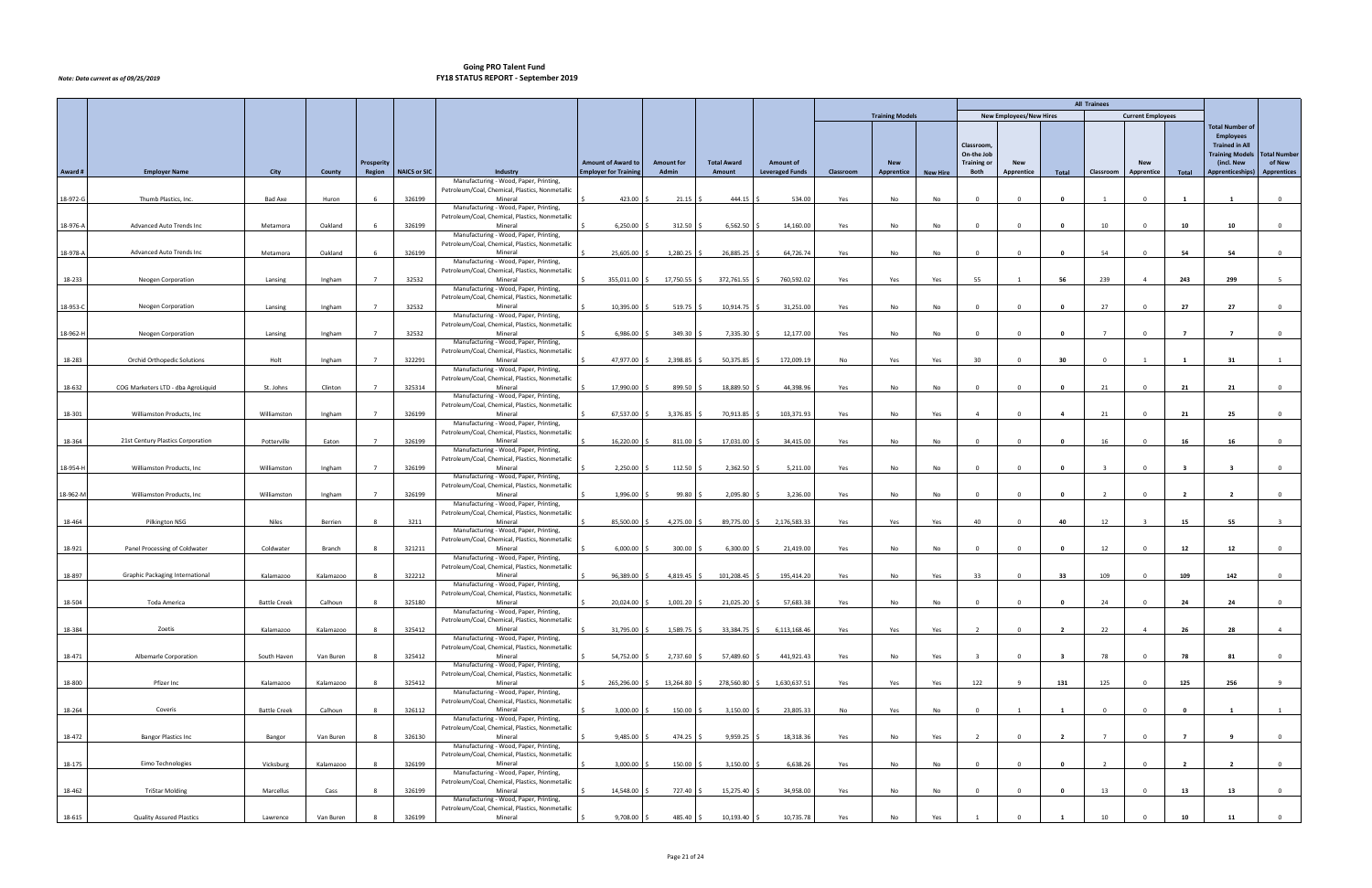|          |                                        |                     |           |                |                     |                                                                                           |                              |                   |                    |                            |           |                        |                 |                                  |                                |                         | <b>All Trainees</b> |                          |                         |                                      |                               |
|----------|----------------------------------------|---------------------|-----------|----------------|---------------------|-------------------------------------------------------------------------------------------|------------------------------|-------------------|--------------------|----------------------------|-----------|------------------------|-----------------|----------------------------------|--------------------------------|-------------------------|---------------------|--------------------------|-------------------------|--------------------------------------|-------------------------------|
|          |                                        |                     |           |                |                     |                                                                                           |                              |                   |                    |                            |           | <b>Training Models</b> |                 |                                  | <b>New Employees/New Hires</b> |                         |                     | <b>Current Employees</b> |                         |                                      |                               |
|          |                                        |                     |           |                |                     |                                                                                           |                              |                   |                    |                            |           |                        |                 |                                  |                                |                         |                     |                          |                         | <b>Total Number of</b>               |                               |
|          |                                        |                     |           |                |                     |                                                                                           |                              |                   |                    |                            |           |                        |                 |                                  |                                |                         |                     |                          |                         | <b>Employees</b>                     |                               |
|          |                                        |                     |           |                |                     |                                                                                           |                              |                   |                    |                            |           |                        |                 | Classroom,                       |                                |                         |                     |                          |                         | <b>Trained in All</b>                |                               |
|          |                                        |                     |           | Prosperity     |                     |                                                                                           | <b>Amount of Award to</b>    | <b>Amount for</b> | <b>Total Award</b> | <b>Amount of</b>           |           | <b>New</b>             |                 | On-the Job<br><b>Training or</b> | <b>New</b>                     |                         |                     | <b>New</b>               |                         | <b>Training Models</b><br>(incl. New | <b>Total Number</b><br>of New |
| Award#   | <b>Employer Name</b>                   | City                | County    | Region         | <b>NAICS or SIC</b> | Industry                                                                                  | <b>Employer for Training</b> | Admin             | Amount             | <b>Leveraged Funds</b>     | Classroom | Apprentice             | <b>New Hire</b> | Both                             | Apprentice                     | Total                   | Classroom           | Apprentice               | Total                   | <b>Apprenticeships)</b>              | <b>Apprentices</b>            |
|          |                                        |                     |           |                |                     | Manufacturing - Wood, Paper, Printing,                                                    |                              |                   |                    |                            |           |                        |                 |                                  |                                |                         |                     |                          |                         |                                      |                               |
|          |                                        |                     |           |                |                     | Petroleum/Coal, Chemical, Plastics, Nonmetallic                                           |                              |                   |                    |                            |           |                        |                 |                                  |                                |                         |                     |                          |                         |                                      |                               |
| 18-972-G | Thumb Plastics, Inc.                   | <b>Bad Axe</b>      | Huron     | 6              | 326199              | Mineral<br>Manufacturing - Wood, Paper, Printing,                                         | 423.00                       | 21.15             | $444.15$ \$        | 534.00                     | Yes       | No                     | No              | $\overline{0}$                   | $\Omega$                       | $\mathbf{0}$            | $\mathbf{1}$        | $\overline{0}$           | $\mathbf{1}$            | $\mathbf{1}$                         | $\overline{0}$                |
|          |                                        |                     |           |                |                     | Petroleum/Coal, Chemical, Plastics, Nonmetallic                                           |                              |                   |                    |                            |           |                        |                 |                                  |                                |                         |                     |                          |                         |                                      |                               |
| 18-976-A | Advanced Auto Trends Inc               | Metamora            | Oakland   |                | 326199              | Mineral                                                                                   | 6,250.00                     | $312.50$ \$       | $6,562.50$ \$      | 14,160.00                  | Yes       | No                     | No              | $\overline{0}$                   | $\Omega$                       | $\mathbf{0}$            | 10                  | $\Omega$                 | 10                      | 10                                   | $\overline{0}$                |
|          |                                        |                     |           |                |                     | Manufacturing - Wood, Paper, Printing,<br>Petroleum/Coal, Chemical, Plastics, Nonmetallic |                              |                   |                    |                            |           |                        |                 |                                  |                                |                         |                     |                          |                         |                                      |                               |
| 18-978-A | Advanced Auto Trends Inc               | Metamora            | Oakland   |                | 326199              | Mineral                                                                                   | 25,605.00                    | 1,280.25 \$       | 26,885.25 \$       | 64,726.74                  | Yes       | No                     | No              | $\overline{0}$                   | $\Omega$                       | $\mathbf 0$             | 54                  | $\Omega$                 | 54                      | 54                                   | $\overline{0}$                |
|          |                                        |                     |           |                |                     | Manufacturing - Wood, Paper, Printing,                                                    |                              |                   |                    |                            |           |                        |                 |                                  |                                |                         |                     |                          |                         |                                      |                               |
|          |                                        |                     |           |                |                     | Petroleum/Coal, Chemical, Plastics, Nonmetallic                                           |                              |                   |                    |                            |           |                        |                 |                                  |                                |                         |                     |                          |                         |                                      |                               |
| 18-233   | Neogen Corporation                     | Lansing             | Ingham    |                | 32532               | Mineral<br>Manufacturing - Wood, Paper, Printing,                                         | 355,011.00 \$                | 17,750.55 \$      | 372,761.55 \$      | 760,592.02                 | Yes       | Yes                    | Yes             | 55                               |                                | 56                      | 239                 | $\overline{4}$           | 243                     | 299                                  | 5 <sup>1</sup>                |
|          |                                        |                     |           |                |                     | Petroleum/Coal, Chemical, Plastics, Nonmetallic                                           |                              |                   |                    |                            |           |                        |                 |                                  |                                |                         |                     |                          |                         |                                      |                               |
| 18-953-C | Neogen Corporation                     | Lansing             | Ingham    |                | 32532               | Mineral                                                                                   | 10,395.00 \$                 | $519.75$ \$       | 10,914.75 \$       | 31,251.00                  | Yes       | No                     | No              | $\overline{0}$                   | $\Omega$                       | $\mathbf 0$             | 27                  | $\Omega$                 | 27                      | 27                                   | $\mathbf{0}$                  |
|          |                                        |                     |           |                |                     | Manufacturing - Wood, Paper, Printing,<br>Petroleum/Coal, Chemical, Plastics, Nonmetallic |                              |                   |                    |                            |           |                        |                 |                                  |                                |                         |                     |                          |                         |                                      |                               |
| 18-962-H | Neogen Corporation                     | Lansing             | Ingham    |                | 32532               | Mineral                                                                                   | 6,986.00 \$                  | 349.30 \$         | 7,335.30 \$        | 12,177.00                  | Yes       | No                     | No              | $\overline{0}$                   | $\Omega$                       | $\mathbf{0}$            | $\overline{7}$      | $\Omega$                 | $\overline{7}$          | $\overline{7}$                       | $\mathbf{0}$                  |
|          |                                        |                     |           |                |                     | Manufacturing - Wood, Paper, Printing,                                                    |                              |                   |                    |                            |           |                        |                 |                                  |                                |                         |                     |                          |                         |                                      |                               |
|          | Orchid Orthopedic Solutions            |                     |           |                |                     | Petroleum/Coal, Chemical, Plastics, Nonmetallic                                           |                              |                   |                    |                            |           |                        |                 |                                  |                                |                         |                     |                          |                         |                                      |                               |
| 18-283   |                                        | Holt                | Ingham    |                | 322291              | Mineral<br>Manufacturing - Wood, Paper, Printing,                                         | 47,977.00 \$                 | 2,398.85          | 50,375.85 \$       | 172,009.19                 | No        | Yes                    | Yes             | 30                               | $\Omega$                       | 30                      | $\Omega$            |                          | $\blacksquare$          | 31                                   | 1                             |
|          |                                        |                     |           |                |                     | Petroleum/Coal, Chemical, Plastics, Nonmetallic                                           |                              |                   |                    |                            |           |                        |                 |                                  |                                |                         |                     |                          |                         |                                      |                               |
| 18-632   | COG Marketers LTD - dba AgroLiquid     | St. Johns           | Clinton   | $\overline{7}$ | 325314              | Mineral                                                                                   | 17,990.00                    | 899.50 \$         | 18,889.50 \$       | 44,398.96                  | Yes       | No                     | No              | $\overline{0}$                   | $\Omega$                       | $\mathbf{0}$            | 21                  | $\overline{0}$           | 21                      | 21                                   | $\overline{0}$                |
|          |                                        |                     |           |                |                     | Manufacturing - Wood, Paper, Printing,<br>Petroleum/Coal, Chemical, Plastics, Nonmetallic |                              |                   |                    |                            |           |                        |                 |                                  |                                |                         |                     |                          |                         |                                      |                               |
| 18-301   | Williamston Products, Inc.             | Williamston         | Ingham    |                | 326199              | Mineral                                                                                   | 67,537.00 \$                 | 3,376.85          | 70,913.85 \$       | 103,371.93                 | Yes       | No                     | Yes             | $\overline{4}$                   | $\Omega$                       | $\overline{\mathbf{4}}$ | 21                  | $\overline{0}$           | 21                      | 25                                   | $\overline{0}$                |
|          |                                        |                     |           |                |                     | Manufacturing - Wood, Paper, Printing,                                                    |                              |                   |                    |                            |           |                        |                 |                                  |                                |                         |                     |                          |                         |                                      |                               |
|          |                                        |                     |           |                |                     | Petroleum/Coal, Chemical, Plastics, Nonmetallic                                           |                              |                   |                    |                            |           |                        |                 |                                  |                                |                         |                     |                          |                         |                                      |                               |
| 18-364   | 21st Century Plastics Corporation      | Potterville         | Eaton     |                | 326199              | Mineral<br>Manufacturing - Wood, Paper, Printing,                                         | 16,220.00                    | $811.00$ \$       | 17,031.00 \$       | 34,415.00                  | Yes       | No                     | No              | $\overline{0}$                   | $\Omega$                       | $\mathbf{0}$            | 16                  | $\Omega$                 | 16                      | 16                                   | $\overline{0}$                |
|          |                                        |                     |           |                |                     | Petroleum/Coal, Chemical, Plastics, Nonmetallic                                           |                              |                   |                    |                            |           |                        |                 |                                  |                                |                         |                     |                          |                         |                                      |                               |
| 18-954-H | Williamston Products, Inc.             | Williamston         | Ingham    |                | 326199              | Mineral                                                                                   | $2,250.00$ \$                | $112.50$ \$       | $2,362.50$ \$      | 5,211.00                   | Yes       | No                     | No              | $\overline{0}$                   | $\Omega$                       | $\overline{\mathbf{0}}$ | $\mathbf{R}$        | $\Omega$                 | $\overline{\mathbf{3}}$ | $\overline{\mathbf{3}}$              | $\mathbf{0}$                  |
|          |                                        |                     |           |                |                     | Manufacturing - Wood, Paper, Printing,                                                    |                              |                   |                    |                            |           |                        |                 |                                  |                                |                         |                     |                          |                         |                                      |                               |
| 18-962-M | Williamston Products, Inc.             | Williamston         | Ingham    |                | 326199              | Petroleum/Coal, Chemical, Plastics, Nonmetallic<br>Mineral                                | 1,996.00 \$                  | $99.80$ \$        | $2,095.80$ \$      | 3,236.00                   | Yes       | No                     | No              | $\overline{0}$                   | $\Omega$                       | $\mathbf 0$             | $\overline{2}$      | $\Omega$                 | $\overline{2}$          | $\overline{2}$                       | $\mathbf{0}$                  |
|          |                                        |                     |           |                |                     | Manufacturing - Wood, Paper, Printing,                                                    |                              |                   |                    |                            |           |                        |                 |                                  |                                |                         |                     |                          |                         |                                      |                               |
|          |                                        |                     |           |                |                     | Petroleum/Coal, Chemical, Plastics, Nonmetallic                                           |                              |                   |                    |                            |           |                        |                 |                                  |                                |                         |                     |                          |                         |                                      |                               |
| 18-464   | Pilkington NSG                         | <b>Niles</b>        | Berrien   | 8              | 3211                | Mineral<br>Manufacturing - Wood, Paper, Printing,                                         | 85,500.00 \$                 | 4,275.00 \$       |                    | 89,775.00 \$ 2,176,583.33  | Yes       | Yes                    | Yes             | 40                               | $\Omega$                       | 40                      | 12                  | $\overline{3}$           | 15                      | 55                                   | $\overline{\mathbf{3}}$       |
|          |                                        |                     |           |                |                     | Petroleum/Coal, Chemical, Plastics, Nonmetallic                                           |                              |                   |                    |                            |           |                        |                 |                                  |                                |                         |                     |                          |                         |                                      |                               |
| 18-921   | Panel Processing of Coldwater          | Coldwater           | Branch    |                | 321211              | Mineral                                                                                   | $6,000.00$ \$                | $300.00$ \$       | $6,300.00$ \$      | 21,419.00                  | Yes       | No                     | No              | $\overline{0}$                   | $\Omega$                       | $\mathbf{0}$            | 12                  | $\Omega$                 | 12                      | 12                                   | $\mathbf{0}$                  |
|          |                                        |                     |           |                |                     | Manufacturing - Wood, Paper, Printing,<br>Petroleum/Coal, Chemical, Plastics, Nonmetallic |                              |                   |                    |                            |           |                        |                 |                                  |                                |                         |                     |                          |                         |                                      |                               |
| 18-897   | <b>Graphic Packaging International</b> | Kalamazoo           | Kalamazoo |                | 322212              | Mineral                                                                                   | 96,389.00 \$                 | 4,819.45 \$       | 101,208.45 \$      | 195,414.20                 | Yes       | No                     | Yes             | 33                               | $\Omega$                       | 33                      | 109                 | $\overline{0}$           | 109                     | 142                                  | $\overline{0}$                |
|          |                                        |                     |           |                |                     | Manufacturing - Wood, Paper, Printing,                                                    |                              |                   |                    |                            |           |                        |                 |                                  |                                |                         |                     |                          |                         |                                      |                               |
|          |                                        |                     |           |                |                     | Petroleum/Coal, Chemical, Plastics, Nonmetallic                                           |                              |                   |                    |                            |           |                        |                 |                                  |                                |                         |                     |                          |                         |                                      |                               |
| 18-504   | Toda America                           | <b>Battle Creek</b> | Calhoun   | 8              | 325180              | Mineral<br>Manufacturing - Wood, Paper, Printing,                                         | 20,024.00 \$                 | $1,001.20$ \$     | 21,025.20 \$       | 57,683.38                  | Yes       | No                     | No              | $\overline{0}$                   | $\mathbf 0$                    | $\bullet$               | 24                  | $\overline{0}$           | 24                      | 24                                   | $\overline{0}$                |
|          |                                        |                     |           |                |                     | Petroleum/Coal, Chemical, Plastics, Nonmetallic                                           |                              |                   |                    |                            |           |                        |                 |                                  |                                |                         |                     |                          |                         |                                      |                               |
| 18-384   | Zoetis                                 | Kalamazoo           | Kalamazoo | 8              | 325412              | Mineral                                                                                   | 31,795.00                    | 1,589.75 \$       |                    | 33.384.75 \$ 6.113.168.46  | Yes       | Yes                    | Yes             | $\overline{2}$                   | $\Omega$                       | $\overline{2}$          | 22                  | $\overline{4}$           | 26                      | 28                                   | $\overline{4}$                |
|          |                                        |                     |           |                |                     | Manufacturing - Wood, Paper, Printing,<br>Petroleum/Coal, Chemical, Plastics, Nonmetallic |                              |                   |                    |                            |           |                        |                 |                                  |                                |                         |                     |                          |                         |                                      |                               |
| 18-471   | Albemarle Corporation                  | South Haven         | Van Buren | $\mathbf{R}$   | 325412              | Mineral                                                                                   | 54,752.00 \$                 | 2,737.60 \$       | 57,489.60 \$       | 441,921.43                 | Yes       | No                     | Yes             | $\overline{3}$                   | $\Omega$                       | $\overline{\mathbf{3}}$ | 78                  | $\Omega$                 | 78                      | 81                                   | $\mathbf{0}$                  |
|          |                                        |                     |           |                |                     | Manufacturing - Wood, Paper, Printing,                                                    |                              |                   |                    |                            |           |                        |                 |                                  |                                |                         |                     |                          |                         |                                      |                               |
|          |                                        |                     |           |                |                     | Petroleum/Coal, Chemical, Plastics, Nonmetallic                                           |                              |                   |                    |                            |           |                        |                 |                                  |                                |                         |                     |                          |                         |                                      |                               |
| 18-800   | Pfizer Inc                             | Kalamazoo           | Kalamazoo |                | 325412              | Mineral<br>Manufacturing - Wood, Paper, Printing,                                         | 265,296.00 \$                | 13,264.80 \$      |                    | 278,560.80 \$ 1,630,637.51 | Yes       | Yes                    | Yes             | 122                              |                                | 131                     | 125                 | $\Omega$                 | 125                     | 256                                  | 9                             |
|          |                                        |                     |           |                |                     | Petroleum/Coal, Chemical, Plastics, Nonmetallic                                           |                              |                   |                    |                            |           |                        |                 |                                  |                                |                         |                     |                          |                         |                                      |                               |
| 18-264   | Coveris                                | <b>Battle Creek</b> | Calhoun   |                | 326112              | Mineral                                                                                   | 3,000.00                     | 150.00 \$         | $3,150.00$ \$      | 23,805.33                  | No        | Yes                    | No              | $\overline{0}$                   |                                | $\overline{\mathbf{1}}$ | $\Omega$            | $\Omega$                 | $\Omega$                |                                      | 1                             |
|          |                                        |                     |           |                |                     | Manufacturing - Wood, Paper, Printing,<br>Petroleum/Coal, Chemical, Plastics, Nonmetallic |                              |                   |                    |                            |           |                        |                 |                                  |                                |                         |                     |                          |                         |                                      |                               |
| 18-472   | Bangor Plastics Inc                    | Bangor              | Van Buren |                | 326130              | Mineral                                                                                   | 9,485.00                     | 474.25 \$         | $9,959.25$ \$      | 18,318.36                  | Yes       | No                     | Yes             | $\overline{2}$                   | $\Omega$                       | $\overline{2}$          | $\overline{7}$      | $\Omega$                 | $\overline{7}$          | $\mathbf{q}$                         | $\mathbf{0}$                  |
|          |                                        |                     |           |                |                     | Manufacturing - Wood, Paper, Printing,                                                    |                              |                   |                    |                            |           |                        |                 |                                  |                                |                         |                     |                          |                         |                                      |                               |
|          |                                        |                     |           |                |                     | Petroleum/Coal, Chemical, Plastics, Nonmetallic                                           |                              |                   |                    |                            |           |                        |                 |                                  | $\Omega$                       |                         |                     | $\Omega$                 |                         |                                      |                               |
| 18-175   | Eimo Technologies                      | Vicksburg           | Kalamazoo |                | 326199              | Mineral<br>Manufacturing - Wood, Paper, Printing,                                         | 3,000.00                     | $150.00$ \$       | $3,150.00$ \$      | 6,638.26                   | Yes       | No                     | No              | $\overline{0}$                   |                                | $\mathbf 0$             | $\overline{2}$      |                          | $\overline{2}$          | $\overline{2}$                       | $\mathbf{0}$                  |
|          |                                        |                     |           |                |                     | Petroleum/Coal, Chemical, Plastics, Nonmetallic                                           |                              |                   |                    |                            |           |                        |                 |                                  |                                |                         |                     |                          |                         |                                      |                               |
| 18-462   | <b>TriStar Molding</b>                 | Marcellus           | Cass      | $\mathbf{R}$   | 326199              | Mineral                                                                                   | 14,548.00                    | 727.40 \$         | 15,275.40 \$       | 34,958.00                  | Yes       | No                     | No              | $\overline{0}$                   | $\Omega$                       | $\overline{\mathbf{0}}$ | 13                  | $\overline{0}$           | 13                      | 13                                   | $\overline{0}$                |
|          |                                        |                     |           |                |                     | Manufacturing - Wood, Paper, Printing,<br>Petroleum/Coal, Chemical, Plastics, Nonmetallic |                              |                   |                    |                            |           |                        |                 |                                  |                                |                         |                     |                          |                         |                                      |                               |
| 18-615   | <b>Quality Assured Plastics</b>        | Lawrence            | Van Buren |                | 326199              | Mineral                                                                                   | 9,708.00 \$                  | 485.40 \$         | $10,193.40$ \$     | 10,735.78                  | Yes       | No                     | Yes             |                                  |                                |                         | 10                  |                          | 10                      | 11                                   | $\overline{0}$                |
|          |                                        |                     |           |                |                     |                                                                                           |                              |                   |                    |                            |           |                        |                 |                                  |                                |                         |                     |                          |                         |                                      |                               |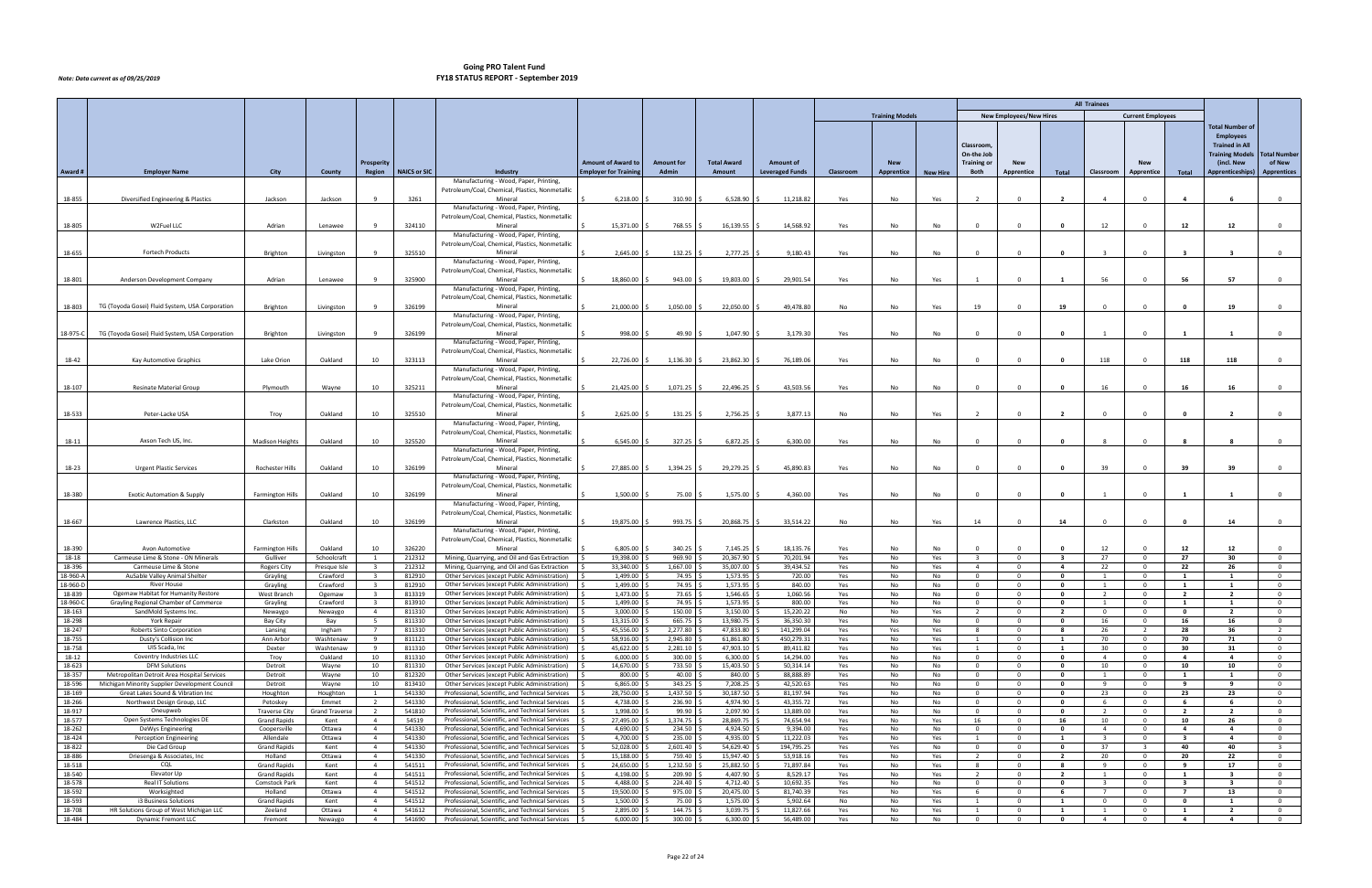|                  |                                                        |                                  |                             |                                  |                     |                                                                                                      |                             |                       |                         |                         |            |                        |                 |                                           |                                  |                                           | <b>All Trainees</b>     |                                  |                         |                                  |                                  |
|------------------|--------------------------------------------------------|----------------------------------|-----------------------------|----------------------------------|---------------------|------------------------------------------------------------------------------------------------------|-----------------------------|-----------------------|-------------------------|-------------------------|------------|------------------------|-----------------|-------------------------------------------|----------------------------------|-------------------------------------------|-------------------------|----------------------------------|-------------------------|----------------------------------|----------------------------------|
|                  |                                                        |                                  |                             |                                  |                     |                                                                                                      |                             |                       |                         |                         |            | <b>Training Models</b> |                 |                                           | <b>New Employees/New Hires</b>   |                                           |                         | <b>Current Employees</b>         |                         |                                  |                                  |
|                  |                                                        |                                  |                             |                                  |                     |                                                                                                      |                             |                       |                         |                         |            |                        |                 |                                           |                                  |                                           |                         |                                  |                         | <b>Total Number of</b>           |                                  |
|                  |                                                        |                                  |                             |                                  |                     |                                                                                                      |                             |                       |                         |                         |            |                        |                 |                                           |                                  |                                           |                         |                                  |                         | <b>Employees</b>                 |                                  |
|                  |                                                        |                                  |                             |                                  |                     |                                                                                                      |                             |                       |                         |                         |            |                        |                 | Classroom,                                |                                  |                                           |                         |                                  |                         | <b>Trained in All</b>            |                                  |
|                  |                                                        |                                  |                             |                                  |                     |                                                                                                      |                             |                       |                         |                         |            |                        |                 | On-the Job                                |                                  |                                           |                         |                                  |                         | <b>Training Models</b>           | <b>Total Number</b>              |
|                  |                                                        |                                  |                             | Prosperity                       |                     |                                                                                                      | <b>Amount of Award to</b>   | <b>Amount for</b>     | <b>Total Award</b>      | <b>Amount of</b>        |            | <b>New</b>             |                 | <b>Training or</b>                        | <b>New</b>                       |                                           |                         | <b>New</b>                       |                         | (incl. New                       | of New                           |
| Award #          | <b>Employer Name</b>                                   | <b>City</b>                      | County                      | Region                           | <b>NAICS or SIC</b> | Industry                                                                                             | <b>Employer for Trainin</b> | Admin                 | Amount                  | <b>Leveraged Funds</b>  | Classroom  | Apprentice             | <b>New Hire</b> | Both                                      | Apprentice                       | Total                                     | Classroom               | <b>Apprentice</b>                | Total                   | Apprenticeships)                 | <b>Apprentices</b>               |
|                  |                                                        |                                  |                             |                                  |                     | Manufacturing - Wood, Paper, Printing,                                                               |                             |                       |                         |                         |            |                        |                 |                                           |                                  |                                           |                         |                                  |                         |                                  |                                  |
|                  |                                                        |                                  |                             |                                  |                     | Petroleum/Coal, Chemical, Plastics, Nonmetallic                                                      |                             |                       |                         |                         |            |                        |                 |                                           |                                  |                                           |                         |                                  |                         |                                  |                                  |
| 18-855           | Diversified Engineering & Plastics                     | Jackson                          | Jackson                     | -9                               | 3261                | Mineral                                                                                              | 6,218.00                    | 310.90                | 6,528.90                | 11,218.82               | Yes        | No                     | Yes             | $\overline{2}$                            | $\Omega$                         | $\overline{2}$                            | $\overline{4}$          | $\Omega$                         |                         | - 6                              | $\mathbf 0$                      |
|                  |                                                        |                                  |                             |                                  |                     | Manufacturing - Wood, Paper, Printing,<br>Petroleum/Coal, Chemical, Plastics, Nonmetallic            |                             |                       |                         |                         |            |                        |                 |                                           |                                  |                                           |                         |                                  |                         |                                  |                                  |
| 18-805           | W2Fuel LLC                                             | Adrian                           | Lenawee                     | -9                               | 324110              | Mineral                                                                                              | 15,371.00                   | 768.55                | 16,139.55               | 14,568.92               | Yes        | No                     | No              | $\overline{0}$                            | $\Omega$                         | $\mathbf{0}$                              | 12                      | $\mathbf{0}$                     | 12                      | 12                               | $\overline{0}$                   |
|                  |                                                        |                                  |                             |                                  |                     | Manufacturing - Wood, Paper, Printing,                                                               |                             |                       |                         |                         |            |                        |                 |                                           |                                  |                                           |                         |                                  |                         |                                  |                                  |
|                  |                                                        |                                  |                             |                                  |                     | Petroleum/Coal, Chemical, Plastics, Nonmetallic                                                      |                             |                       |                         |                         |            |                        |                 |                                           |                                  |                                           |                         |                                  |                         |                                  |                                  |
| 18-655           | Fortech Products                                       | Brighton                         | Livingston                  | -9                               | 325510              | Mineral                                                                                              | 2,645.00                    | 132.25                | 2,777.25 \$             | 9,180.43                | Yes        | No                     | No              | $\overline{0}$                            |                                  | $\mathbf{0}$                              | $\overline{3}$          | $\Omega$                         |                         | $\overline{\mathbf{3}}$          | $\overline{0}$                   |
|                  |                                                        |                                  |                             |                                  |                     | Manufacturing - Wood, Paper, Printing,                                                               |                             |                       |                         |                         |            |                        |                 |                                           |                                  |                                           |                         |                                  |                         |                                  |                                  |
|                  |                                                        |                                  |                             |                                  |                     | Petroleum/Coal, Chemical, Plastics, Nonmetallic                                                      |                             |                       |                         |                         |            |                        |                 |                                           |                                  |                                           |                         |                                  |                         |                                  |                                  |
| 18-801           | Anderson Development Company                           | Adrian                           | Lenawee                     | -9                               | 325900              | Mineral                                                                                              | 18,860.00                   | $943.00$ \$           | 19,803.00 \$            | 29,901.54               | Yes        | No                     | Yes             | $\mathbf{1}$                              |                                  | 1                                         | 56                      | $\Omega$                         | 56                      | 57                               | $\overline{0}$                   |
|                  |                                                        |                                  |                             |                                  |                     | Manufacturing - Wood, Paper, Printing,                                                               |                             |                       |                         |                         |            |                        |                 |                                           |                                  |                                           |                         |                                  |                         |                                  |                                  |
| 18-803           | TG (Toyoda Gosei) Fluid System, USA Corporation        | Brighton                         | Livingston                  | -9                               | 326199              | Petroleum/Coal, Chemical, Plastics, Nonmetallic<br>Mineral                                           | 21,000.00                   | 1,050.00 \$           | 22,050.00               | 49,478.80               | No         | No                     | Yes             | 19                                        |                                  | 19                                        | $\Omega$                | $\Omega$                         |                         | 19                               | $\mathbf 0$                      |
|                  |                                                        |                                  |                             |                                  |                     | Manufacturing - Wood, Paper, Printing,                                                               |                             |                       |                         |                         |            |                        |                 |                                           |                                  |                                           |                         |                                  |                         |                                  |                                  |
|                  |                                                        |                                  |                             |                                  |                     | Petroleum/Coal, Chemical, Plastics, Nonmetallic                                                      |                             |                       |                         |                         |            |                        |                 |                                           |                                  |                                           |                         |                                  |                         |                                  |                                  |
| 18-975-C         | TG (Toyoda Gosei) Fluid System, USA Corporation        | Brighton                         | Livingston                  | -9                               | 326199              | Mineral                                                                                              | 998.00                      | $49.90$ \$            | $1,047.90$ \$           | 3,179.30                | Yes        | No                     | No              | $\Omega$                                  |                                  | $\mathbf 0$                               |                         | $\mathbf{0}$                     |                         |                                  | $\mathbf 0$                      |
|                  |                                                        |                                  |                             |                                  |                     | Manufacturing - Wood, Paper, Printing,                                                               |                             |                       |                         |                         |            |                        |                 |                                           |                                  |                                           |                         |                                  |                         |                                  |                                  |
|                  |                                                        |                                  |                             |                                  |                     | Petroleum/Coal, Chemical, Plastics, Nonmetallic                                                      |                             |                       |                         |                         |            |                        |                 |                                           |                                  |                                           |                         |                                  |                         |                                  |                                  |
| 18-42            | Kay Automotive Graphics                                | Lake Orion                       | Oakland                     | 10                               | 323113              | Mineral                                                                                              | 22,726.00                   | $1,136.30$ \$         | 23,862.30 \$            | 76,189.06               | Yes        | No                     | No              | $\Omega$                                  |                                  | $\mathbf{0}$                              | 118                     | $\overline{\mathbf{0}}$          | 118                     | 118                              | $\mathbf 0$                      |
|                  |                                                        |                                  |                             |                                  |                     | Manufacturing - Wood, Paper, Printing,                                                               |                             |                       |                         |                         |            |                        |                 |                                           |                                  |                                           |                         |                                  |                         |                                  |                                  |
|                  |                                                        |                                  |                             |                                  |                     | Petroleum/Coal, Chemical, Plastics, Nonmetallic                                                      |                             |                       |                         |                         |            |                        |                 |                                           |                                  |                                           |                         |                                  |                         |                                  |                                  |
| 18-107           | <b>Resinate Material Group</b>                         | Plymouth                         | Wayne                       | 10                               | 325211              | Mineral<br>Manufacturing - Wood, Paper, Printing,                                                    | 21,425.00                   | $1,071.25$ \$         | 22,496.25 \$            | 43,503.56               | Yes        | No                     | No              | $\Omega$                                  | $\Omega$                         | $\mathbf 0$                               | 16                      | $\overline{\mathbf{0}}$          | 16                      | 16                               | $\mathbf 0$                      |
|                  |                                                        |                                  |                             |                                  |                     | Petroleum/Coal, Chemical, Plastics, Nonmetallic                                                      |                             |                       |                         |                         |            |                        |                 |                                           |                                  |                                           |                         |                                  |                         |                                  |                                  |
| 18-533           | Peter-Lacke USA                                        | Troy                             | Oakland                     | 10                               | 325510              | Mineral                                                                                              | 2,625.00                    | $131.25$ \$           | $2,756.25$ \$           | 3,877.13                | No         | No                     | Yes             | $\overline{2}$                            | $\Omega$                         | $\overline{2}$                            | $\Omega$                | $\Omega$                         |                         | $\overline{2}$                   | $\overline{0}$                   |
|                  |                                                        |                                  |                             |                                  |                     | Manufacturing - Wood, Paper, Printing,                                                               |                             |                       |                         |                         |            |                        |                 |                                           |                                  |                                           |                         |                                  |                         |                                  |                                  |
|                  |                                                        |                                  |                             |                                  |                     | Petroleum/Coal, Chemical, Plastics, Nonmetallic                                                      |                             |                       |                         |                         |            |                        |                 |                                           |                                  |                                           |                         |                                  |                         |                                  |                                  |
| 18-11            | Axson Tech US, Inc.                                    | Madison Heights                  | Oakland                     | 10                               | 325520              | Mineral                                                                                              | 6,545.00                    | 327.25                | 6,872.25                | 6,300.00                | Yes        | No                     | No              | $\overline{0}$                            | $\Omega$                         | $\mathbf{0}$                              |                         | $\Omega$                         |                         | - 8                              | $\overline{0}$                   |
|                  |                                                        |                                  |                             |                                  |                     | Manufacturing - Wood, Paper, Printing,                                                               |                             |                       |                         |                         |            |                        |                 |                                           |                                  |                                           |                         |                                  |                         |                                  |                                  |
|                  |                                                        |                                  |                             |                                  |                     | Petroleum/Coal, Chemical, Plastics, Nonmetallic                                                      |                             |                       |                         |                         |            |                        |                 |                                           |                                  |                                           |                         |                                  |                         |                                  |                                  |
| 18-23            | <b>Urgent Plastic Services</b>                         | Rochester Hills                  | Oakland                     | 10                               | 326199              | Mineral<br>Manufacturing - Wood, Paper, Printing,                                                    | 27,885.00                   | 1,394.25              | 29,279.25 \$            | 45,890.83               | Yes        | No                     | No              | $\overline{0}$                            |                                  | $\mathbf{0}$                              | 39                      | $\Omega$                         | 39                      | 39                               | $\overline{0}$                   |
|                  |                                                        |                                  |                             |                                  |                     | Petroleum/Coal, Chemical, Plastics, Nonmetallic                                                      |                             |                       |                         |                         |            |                        |                 |                                           |                                  |                                           |                         |                                  |                         |                                  |                                  |
| 18-380           | <b>Exotic Automation &amp; Supply</b>                  | Farmington Hills                 | Oakland                     | 10                               | 326199              | Mineral                                                                                              | 1,500.00                    | 75.00 \$              | 1,575.00 \$             | 4,360.00                | Yes        | No                     | No              | $\overline{0}$                            |                                  | $\mathbf{0}$                              |                         | $\Omega$                         |                         |                                  | $\overline{0}$                   |
|                  |                                                        |                                  |                             |                                  |                     | Manufacturing - Wood, Paper, Printing,                                                               |                             |                       |                         |                         |            |                        |                 |                                           |                                  |                                           |                         |                                  |                         |                                  |                                  |
|                  |                                                        |                                  |                             |                                  |                     | Petroleum/Coal, Chemical, Plastics, Nonmetallic                                                      |                             |                       |                         |                         |            |                        |                 |                                           |                                  |                                           |                         |                                  |                         |                                  |                                  |
| 18-667           | Lawrence Plastics, LLC                                 | Clarkston                        | Oakland                     | 10                               | 326199              | Mineral                                                                                              | 19,875.00                   | 993.75 \$             | 20,868.75 \$            | 33,514.22               | No         | No                     | Yes             | 14                                        |                                  | 14                                        | $\Omega$                | $\Omega$                         |                         | 14                               | $\overline{0}$                   |
|                  |                                                        |                                  |                             |                                  |                     | Manufacturing - Wood, Paper, Printing,                                                               |                             |                       |                         |                         |            |                        |                 |                                           |                                  |                                           |                         |                                  |                         |                                  |                                  |
|                  |                                                        |                                  |                             |                                  |                     | Petroleum/Coal, Chemical, Plastics, Nonmetallic                                                      |                             |                       |                         |                         |            |                        |                 |                                           |                                  |                                           |                         |                                  |                         |                                  |                                  |
| 18-390           | Avon Automotive<br>Carmeuse Lime & Stone - ON Minerals | Farmington Hills                 | Oakland                     | 10                               | 326220              | Mineral                                                                                              | 6,805.00                    | 340.25                | 7,145.25 \$             | 18,135.76               | Yes        | No                     | No              | $\Omega$                                  |                                  | $\mathbf{0}$                              | 12                      | $\Omega$                         | 12                      | 12                               | $\Omega$                         |
| 18-18<br>18-396  | Carmeuse Lime & Stone                                  | Gulliver<br><b>Rogers City</b>   | Schoolcraft<br>Presque Isle | 1<br>$\overline{\mathbf{3}}$     | 212312<br>212312    | Mining, Quarrying, and Oil and Gas Extraction<br>Mining, Quarrying, and Oil and Gas Extraction       | 19,398.00<br>33,340.00      | 969.90<br>1,667.00 \$ | 20,367.90<br>35,007.00  | 70,201.94<br>39,434.52  | Yes<br>Yes | No<br>No               | Yes<br>Yes      | $\overline{\mathbf{3}}$<br>$\overline{4}$ | $\overline{0}$<br>$\overline{0}$ | $\overline{\mathbf{3}}$<br>$\overline{4}$ | 27<br>22                | $\overline{0}$<br>$\overline{0}$ | 27<br>22                | 30<br>26                         | $\overline{0}$<br>$\overline{0}$ |
| 18-960-A         | AuSable Valley Animal Shelter                          | Grayling                         | Crawford                    |                                  | 812910              | Other Services (except Public Administration)                                                        | 1,499.00                    | 74.95                 | 1,573.95                | 720.00                  | Yes        | No                     | No              | $\overline{0}$                            | $\Omega$                         | $\mathbf 0$                               |                         | $\mathbf{0}$                     | 1                       |                                  | $\overline{0}$                   |
| 18-960-D         | <b>River House</b>                                     | Grayling                         | Crawford                    | $\overline{\mathbf{3}}$          | 812910              | Other Services (except Public Administration)                                                        | 1,499.00                    | 74.95                 | 1,573.95                | 840.00                  | Yes        | No                     | No              | $\overline{0}$                            | $\Omega$                         | $\mathbf{0}$                              | 1                       | $\overline{\mathbf{0}}$          | 1                       | $\mathbf{1}$                     | $\mathbf 0$                      |
| 18-839           | Ogemaw Habitat for Humanity Restore                    | West Branch                      | Ogemaw                      | $\overline{\mathbf{3}}$          | 813319              | Other Services (except Public Administration)                                                        | 1,473.00                    | 73.65                 | 1,546.65                | 1,060.56                | Yes        | No                     | No              | $\mathbf 0$                               | $\Omega$                         | $\mathbf{0}$                              | 2                       | $\mathbf{0}$                     | $\overline{2}$          | $\overline{2}$                   | $\mathbf{0}$                     |
| 18-960-C         | Grayling Regional Chamber of Commerce                  | Grayling                         | Crawford                    |                                  | 813910              | Other Services (except Public Administration)                                                        | 1,499.00                    | 74.95 \$              | $1,573.95$ \$           | 800.00                  | Yes        | No                     | No              | $\mathbf{0}$                              |                                  | $\mathbf{0}$                              |                         | $\Omega$                         | 1                       |                                  | $\Omega$                         |
| 18-163           | SandMold Systems Inc.                                  | Newaygo                          | Newaygo                     | $\overline{4}$                   | 811310              | Other Services (except Public Administration)                                                        | 3,000.00                    | 150.00                | 3,150.00                | 15,220.22               | No.        | No                     | Yes             | $\overline{2}$                            | $\sqrt{ }$                       | $\overline{2}$                            | $\overline{0}$          | $\overline{0}$                   | $\mathbf{0}$            | $\overline{2}$                   | $\mathbf{0}$                     |
| 18-298           | York Repair                                            | Bay City                         | Bay                         | 5                                | 811310              | Other Services (except Public Administration)                                                        | 13,315.00                   | 665.75                | 13,980.75               | 36,350.30               | Yes        | No                     | No              | $\mathbf{0}$                              | $\overline{\mathbf{0}}$          | $\mathbf{o}$                              | 16                      | $\overline{0}$                   | 16                      | 16                               | $\mathbf{0}$                     |
| 18-247           | <b>Roberts Sinto Corporation</b>                       | Lansing                          | Ingham                      | 7<br>9                           | 811310              | Other Services (except Public Administration)                                                        | 45,556.00                   | 2,277.80              | 47,833.80               | 141,299.04              | Yes        | Yes                    | Yes             | 8<br>1                                    | $\Omega$<br>$\overline{0}$       | 8                                         | 26                      | $\overline{2}$<br>$\overline{0}$ | 28                      | 36                               | 2<br>$\overline{0}$              |
| 18-755<br>18-758 | Dusty's Collision Inc<br>UIS Scada, Inc                | Ann Arbor<br>Dexter              | Washtenaw                   | 9                                | 811121<br>811310    | Other Services (except Public Administration)<br>Other Services (except Public Administration)       | 58,916.00<br>45,622.00      | 2,945.80<br>2,281.10  | 61,861.80<br>47,903.10  | 450,279.31<br>89,411.82 | Yes        | No<br>No               | Yes             |                                           | $\Omega$                         | $\mathbf{1}$<br>$\mathbf{1}$              | 70<br>30                | $\overline{0}$                   | 70<br>30                | 71<br>31                         | $\overline{0}$                   |
| 18-12            | Coventry Industries LLC                                | Troy                             | Washtenaw<br>Oakland        | 10                               | 811310              | Other Services (except Public Administration)                                                        | 6,000.00                    | 300.00                | 6,300.00                | 14,294.00               | Yes<br>Yes | No                     | Yes<br>No       | 1<br>$\overline{0}$                       | $\Omega$                         | $\mathbf 0$                               | $\overline{4}$          | $\Omega$                         | $\overline{4}$          | $\overline{a}$                   | $\mathbf{0}$                     |
| 18-623           | <b>DFM Solutions</b>                                   | Detroit                          | Wayne                       | 10                               | 811310              | Other Services (except Public Administration)                                                        | 14,670.00                   | 733.50                | 15,403.50               | 50,314.14               | Yes        | No                     | No              | $\overline{0}$                            | $\Omega$                         | $\mathbf{0}$                              | 10                      | $\overline{0}$                   | 10                      | 10                               | $\mathbf 0$                      |
| 18-357           | Metropolitan Detroit Area Hospital Services            | Detroit                          | Wayne                       | 10                               | 812320              | Other Services (except Public Administration)                                                        | 800.00                      | 40.00                 | 840.00                  | 88,888.89               | Yes        | No                     | No              | $\overline{0}$                            | $\Omega$                         | $\overline{\mathbf{0}}$                   | 1                       | $\overline{0}$                   | $\mathbf{1}$            | $\mathbf{1}$                     | $\mathbf 0$                      |
| 18-596           | Michigan Minority Supplier Development Council         | Detroit                          | Wayne                       | 10                               | 813410              | Other Services (except Public Administration)                                                        | 6,865.00                    | 343.25                | 7,208.25                | 42,520.63               | Yes        | No                     | No              | $\overline{0}$                            | $\Omega$                         | $\mathbf{0}$                              | -9                      | $\overline{0}$                   | 9                       | <b>q</b>                         | $\mathbf{0}$                     |
| 18-169           | Great Lakes Sound & Vibration Inc                      | Houghton                         | Houghton                    | 1                                | 541330              | Professional, Scientific, and Technical Services                                                     | 28,750.00                   | 1,437.50              | 30,187.50               | 81,197.94               | Yes        | No                     | No              | $\overline{0}$                            | $\Omega$                         | $\overline{\mathbf{0}}$                   | 23                      | $\overline{0}$                   | 23                      | 23                               | $\mathbf{0}$                     |
| 18-266           | Northwest Design Group, LLC                            | Petoskey                         | Emmet                       | $\overline{2}$                   | 541330              | Professional, Scientific, and Technical Services                                                     | 4,738.00                    | 236.90                | 4,974.90                | 43,355.72               | Yes        | No                     | No              | $\overline{0}$                            | $\Omega$                         | $\overline{\mathbf{0}}$                   | 6                       | $\overline{\mathbf{0}}$          | 6                       | 6                                | $\overline{0}$                   |
| 18-917           | Oneupweb                                               | <b>Traverse City</b>             | <b>Grand Traverse</b>       | $\overline{2}$                   | 541810              | Professional, Scientific, and Technical Services                                                     | 1,998.00                    | 99.90                 | 2,097.90                | 13,889.00               | Yes        | No                     | No              | $\overline{0}$                            | $\Omega$                         | $\mathbf{0}$                              | $\overline{2}$          | $\Omega$                         | $\overline{2}$          | $\overline{\phantom{a}}$         | $\mathbf{0}$                     |
| 18-577           | Open Systems Technologies DE                           | <b>Grand Rapids</b>              | Kent                        | $\overline{4}$                   | 54519               | Professional, Scientific, and Technical Services                                                     | 27,495.00                   | 1,374.75              | 28,869.75               | 74,654.94               | Yes        | No                     | Yes             | 16                                        | $\Omega$                         | 16                                        | 10                      | $\overline{\mathbf{0}}$          | 10                      | 26                               | $\mathbf 0$                      |
| 18-262           | DeWys Engineering                                      | Coopersville                     | Ottawa                      | $\overline{4}$                   | 541330<br>541330    | Professional, Scientific, and Technical Services<br>Professional, Scientific, and Technical Services | 4,690.00<br>4,700.00        | 234.50 \$             | 4,924.50 \$<br>4,935.00 | 9,394.00                | Yes        | No                     | No              | $\overline{0}$                            | $\overline{0}$<br>$\Omega$       | $\overline{\mathbf{0}}$                   | $\overline{4}$          | $\overline{0}$<br>$\Omega$       | $\overline{4}$          | $\overline{a}$<br>$\overline{a}$ | $\overline{0}$<br>$\mathbf{0}$   |
| 18-424<br>18-822 | Perception Engineering<br>Die Cad Group                | Allendale<br><b>Grand Rapids</b> | Ottawa<br>Kent              | $\overline{4}$<br>$\overline{4}$ | 541330              | Professional, Scientific, and Technical Services                                                     | 52,028.00                   | 235.00<br>2,601.40    | 54,629.40               | 11,222.03<br>194,795.25 | Yes<br>Yes | No<br>Yes              | Yes<br>No       | $\mathbf{1}$<br>$\overline{0}$            | $\overline{0}$                   | 1<br>$\mathbf{0}$                         | -3-<br>37               | $\overline{\mathbf{3}}$          | 3<br>40                 | 40                               | $\overline{\mathbf{3}}$          |
| 18-886           | Driesenga & Associates, Inc.                           | Holland                          | Ottawa                      | $\overline{4}$                   | 541330              | Professional, Scientific, and Technical Services                                                     | 15,188.00                   | 759.40                | 15,947.40               | 53,918.16               | Yes        | No                     | Yes             | $\overline{2}$                            | $\overline{0}$                   | $\overline{2}$                            | 20                      | $\overline{0}$                   | 20                      | 22                               | $\overline{0}$                   |
| 18-518           | CQL                                                    | <b>Grand Rapids</b>              | Kent                        | $\overline{4}$                   | 541511              | Professional, Scientific, and Technical Services                                                     | 24,650.00                   | 1,232.50              | 25,882.50               | 71,897.84               | Yes        | No                     | Yes             | 8                                         | $\Omega$                         | 8                                         | -9                      | $\overline{0}$                   | 9                       | 17                               | $\mathbf{0}$                     |
| 18-540           | Elevator Up                                            | <b>Grand Rapids</b>              | Kent                        | $\overline{4}$                   | 541511              | Professional, Scientific, and Technical Services                                                     | 4,198.00                    | 209.90                | 4,407.90                | 8,529.17                | Yes        | No                     | Yes             | $\overline{2}$                            | $\Omega$                         | $\overline{2}$                            | 1                       | $\overline{0}$                   | 1                       | - 3                              | $\overline{0}$                   |
| 18-578           | Real IT Solutions                                      | Comstock Park                    | Kent                        | $\overline{4}$                   | 541512              | Professional, Scientific, and Technical Services                                                     | 4,488.00                    | 224.40                | 4,712.40                | 10,692.35               | Yes        | No                     | No              | $\overline{0}$                            | $\overline{0}$                   | $\overline{\mathbf{0}}$                   | $\overline{\mathbf{3}}$ | $\overline{0}$                   | $\overline{\mathbf{3}}$ | $\overline{\mathbf{3}}$          | $\overline{0}$                   |
| 18-592           | Worksighted                                            | Holland                          | Ottawa                      | $\overline{4}$                   | 541512              | Professional, Scientific, and Technical Services                                                     | 19,500.00                   | 975.00                | 20,475.00               | 81,740.39               | Yes        | No                     | Yes             | - 6                                       | $\Omega$                         | 6                                         | $\overline{7}$          | $^{\circ}$                       | $\overline{ }$          | 13                               | $\mathbf 0$                      |
| 18-593           | i3 Business Solutions                                  | <b>Grand Rapids</b>              | Kent                        | $\overline{4}$                   | 541512              | Professional, Scientific, and Technical Services                                                     | 1,500.00                    | 75.00                 | 1,575.00                | 5,902.64                | No         | No                     | Yes             | $\mathbf{1}$                              | $\overline{0}$                   | $\mathbf{1}$                              | $\overline{0}$          | $\overline{0}$                   | $\bullet$               |                                  | $\overline{0}$                   |
| 18-708           | HR Solutions Group of West Michigan LLC                | Zeeland                          | Ottawa                      | $\overline{4}$                   | 541612              | Professional, Scientific, and Technical Services                                                     | 2,895.00                    | 144.75 \$             | 3,039.75                | 11,827.66               | Yes        | No                     | Yes             | 1                                         | $\overline{0}$                   | $\mathbf{1}$                              | 1                       | $\overline{0}$                   | $\mathbf{1}$            | $\overline{2}$                   | $\overline{0}$                   |
| 18-484           | Dynamic Fremont LLC                                    | Fremont                          | Newaygo                     | $\overline{4}$                   | 541690              | Professional, Scientific, and Technical Services                                                     | 6,000.00                    | 300.00                | 6,300.00                | 56,489.00               | Yes        | No                     | No              | $\overline{0}$                            | $\mathbf{O}$                     | $\mathbf{0}$                              | 4                       | $\mathbf 0$                      | 4                       | $\overline{a}$                   | $\overline{0}$                   |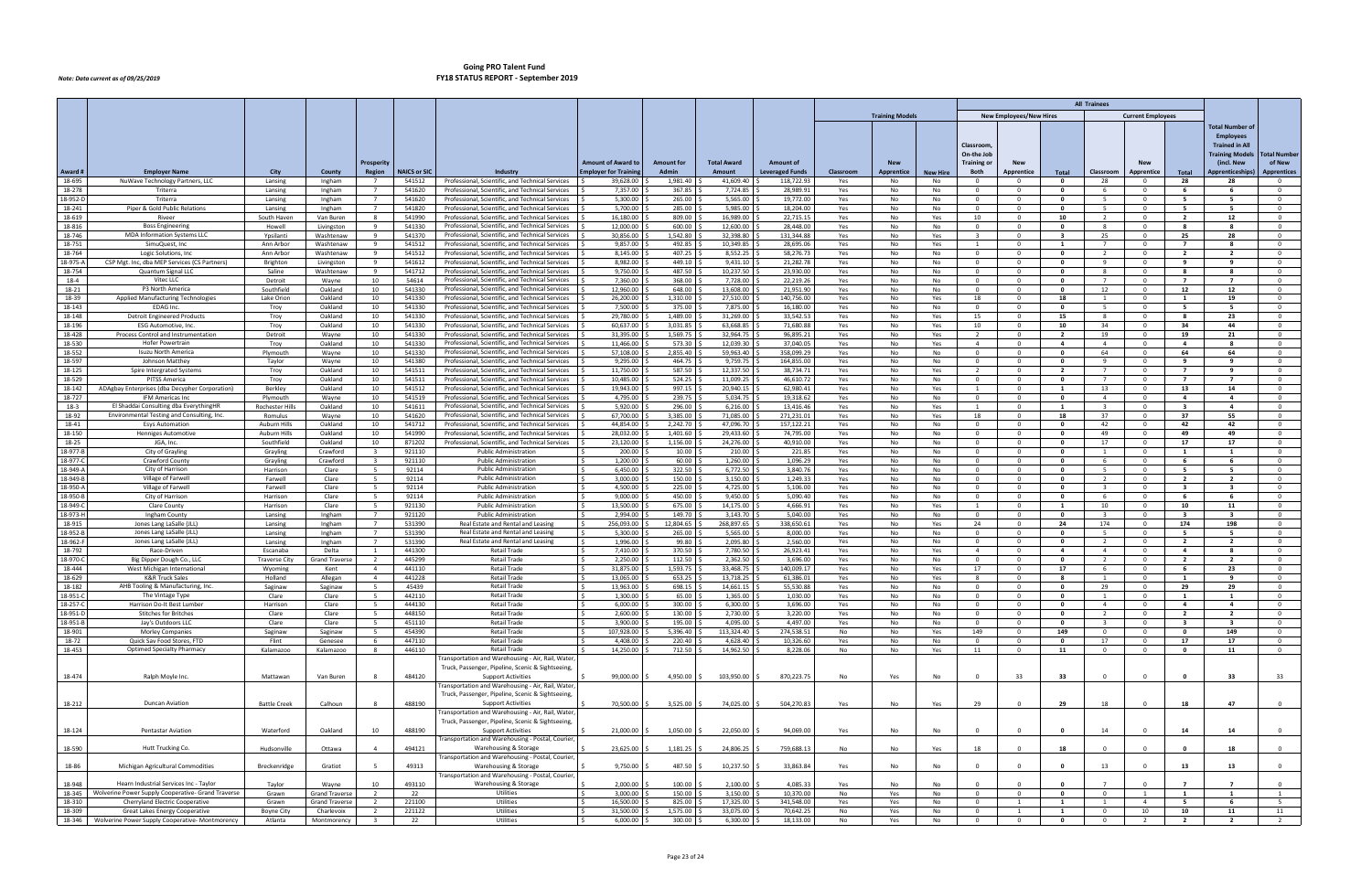|                     |                                                                                       |                                  |                                                |                                  |                     |                                                                                                         |                             |                      |                        |                         |            |                        |                       |                            |                                |                                         | <b>All Trainees</b>              |                                     |                                  |                                           |                                      |
|---------------------|---------------------------------------------------------------------------------------|----------------------------------|------------------------------------------------|----------------------------------|---------------------|---------------------------------------------------------------------------------------------------------|-----------------------------|----------------------|------------------------|-------------------------|------------|------------------------|-----------------------|----------------------------|--------------------------------|-----------------------------------------|----------------------------------|-------------------------------------|----------------------------------|-------------------------------------------|--------------------------------------|
|                     |                                                                                       |                                  |                                                |                                  |                     |                                                                                                         |                             |                      |                        |                         |            | <b>Training Models</b> |                       |                            | <b>New Employees/New Hires</b> |                                         |                                  | <b>Current Employees</b>            |                                  |                                           |                                      |
|                     |                                                                                       |                                  |                                                |                                  |                     |                                                                                                         |                             |                      |                        |                         |            |                        |                       |                            |                                |                                         |                                  |                                     |                                  | <b>Total Number of</b>                    |                                      |
|                     |                                                                                       |                                  |                                                |                                  |                     |                                                                                                         |                             |                      |                        |                         |            |                        |                       |                            |                                |                                         |                                  |                                     |                                  | <b>Employees</b><br><b>Trained in All</b> |                                      |
|                     |                                                                                       |                                  |                                                |                                  |                     |                                                                                                         |                             |                      |                        |                         |            |                        |                       | Classroom<br>On-the Job    |                                |                                         |                                  |                                     |                                  | <b>Training Models</b>                    | Total Number                         |
|                     |                                                                                       |                                  |                                                | Prosperity                       |                     |                                                                                                         | <b>Amount of Award to</b>   | <b>Amount for</b>    | <b>Total Award</b>     | <b>Amount of</b>        |            | <b>New</b>             |                       | Training of                | <b>New</b>                     |                                         |                                  | <b>New</b>                          |                                  | (incl. New                                | of New                               |
| Award ‡<br>18-695   | <b>Employer Name</b><br>NuWave Technology Partners, LLC                               | City                             | County                                         | Region<br>$\overline{7}$         | <b>NAICS or SIC</b> | Industry<br>Professional, Scientific, and Technical Services                                            | <b>Employer for Trainin</b> | <b>Admin</b>         | Amount<br>41,609.40    | <b>Leveraged Funds</b>  | Classroom  | Apprentice             | <b>New Hire</b><br>No | Both<br>$\Omega$           | Apprentice<br>. റ              | Total<br>$\mathbf{0}$                   | Classroom<br>28                  | Apprentice<br>$\overline{0}$        | Total<br>28                      | <b>Apprenticeships</b>                    | <b>Apprentices</b><br>$\overline{0}$ |
| 18-278              | Triterra                                                                              | Lansing<br>Lansing               | Ingham<br>Ingham                               | $\overline{7}$                   | 541512<br>541620    | Professional, Scientific, and Technical Services                                                        | 39,628.00<br>7,357.00       | 1,981.40<br>367.85   | 7,724.85               | 118,722.93<br>28,989.9  | Yes<br>Yes | No<br>No               | No                    | $\Omega$                   |                                | $\mathbf{0}$                            | 6                                | $\Omega$                            |                                  | 28                                        | $\mathbf 0$                          |
| 18-952-1            | Triterra                                                                              | Lansing                          | Ingham                                         | $7\overline{ }$                  | 541620              | Professional, Scientific, and Technical Services                                                        | 5,300.00                    | 265.00               | 5,565.00               | 19,772.00               | Yes        | No                     | No                    | $\Omega$                   | $\Omega$                       | $\mathbf{0}$                            | -5.                              | $\overline{0}$                      | 5                                | 5                                         | $\overline{0}$                       |
| 18-241              | Piper & Gold Public Relations                                                         | Lansing                          | Ingham                                         | $\overline{7}$                   | 541820              | Professional, Scientific, and Technical Services                                                        | 5,700.00                    | 285.00               | 5,985.00               | 18,204.00               | Yes        | No                     | No                    | $\Omega$                   | $\Omega$                       | $\mathbf{0}$                            | -5                               | $\Omega$                            | 5                                | - 5                                       | $\mathbf 0$                          |
| 18-619<br>18-816    | Riveer<br><b>Boss Engineering</b>                                                     | South Haver<br>Howell            | Van Burer<br>Livingston                        | -8<br>9                          | 541990<br>541330    | Professional, Scientific, and Technical Services<br>Professional, Scientific, and Technical Services    | 16,180.00<br>12,000.00      | 809.00<br>600.00     | 16,989.00<br>12,600.00 | 22,715.15<br>28,448.00  | Yes<br>Yes | No<br>No               | Yes<br>No             | 10<br>$\Omega$             | $\mathbf{0}$                   | 10<br>$\mathbf{0}$                      | -8                               | $\Omega$<br>$\overline{\mathbf{0}}$ | $\overline{2}$<br>-8             | 12<br>8                                   | $\mathbf 0$<br>$\overline{0}$        |
| 18-746              | MDA Information Systems LLC                                                           | Ypsilanti                        | Washtenaw                                      | 9                                | 541370              | Professional, Scientific, and Technical Services                                                        | 30,856.00                   | 1,542.80             | 32,398.80              | 131,344.88              | Yes        | No                     | Yes                   | $\mathbf{R}$               | $\Omega$                       | $\overline{\mathbf{3}}$                 | 25                               | $\Omega$                            | 25                               | 28                                        | $\overline{0}$                       |
| 18-751              | SimuQuest, Inc                                                                        | Ann Arbor                        | Washtenaw                                      | -9                               | 541512              | Professional, Scientific, and Technical Services                                                        | 9,857.00                    | 492.85               | 10,349.85              | 28,695.06               | Yes        | No                     | Yes                   |                            |                                | $\mathbf{1}$                            |                                  | $\Omega$                            | $\mathbf{7}$                     | - 8                                       | $\mathbf 0$                          |
| 18-764<br>18-975-   | Logic Solutions, Inc<br>CSP Mgt. Inc, dba MEP Services (CS Partners)                  | Ann Arbor<br>Brighton            | Washtenaw                                      | 9<br>9                           | 541512<br>541612    | Professional, Scientific, and Technical Services<br>Professional, Scientific, and Technical Services    | 8,145.00<br>8,982.00        | 407.25<br>449.10     | 8,552.25<br>9,431.10   | 58,276.73<br>21,282.78  | Yes<br>Yes | No<br>No               | No<br>No              | $\overline{0}$<br>$\Omega$ | $\Omega$<br>$\Omega$           | $\mathbf{0}$<br>$\mathbf{0}$            | $\overline{2}$<br>$\mathbf{q}$   | $\overline{0}$<br>$\Omega$          | $\overline{2}$<br>$\mathbf{q}$   | $\overline{2}$<br>-9                      | $\overline{0}$<br>$\mathbf 0$        |
| 18-754              | Quantum Signal LL                                                                     | Saline                           | Livingston<br>Washtenaw                        | 9                                | 541712              | Professional, Scientific, and Technical Services                                                        | 9,750.00                    | 487.50               | 10,237.50              | 23,930.00               | Yes        | No                     | No                    | $\Omega$                   | $\Omega$                       | $\mathbf{0}$                            | -8                               | $\Omega$                            | -8                               | - 8                                       | $\mathbf 0$                          |
| $18 - 4$            | Vitec LLC                                                                             | Detroit                          | Wayne                                          | 10                               | 54614               | Professional, Scientific, and Technical Services                                                        | 7,360.00                    | 368.00               | 7,728.00               | 22,219.26               | Yes        | No                     | No                    | $\overline{0}$             | $\Omega$                       | $\mathbf{0}$                            | $\overline{7}$                   | $\overline{0}$                      | $\overline{7}$                   | $\overline{7}$                            | $\overline{0}$                       |
| 18-21               | P3 North America                                                                      | Southfield                       | Oakland                                        | 10                               | 541330              | Professional, Scientific, and Technical Services                                                        | 12,960.00                   | 648.00               | 13,608.00              | 21,951.90               | Yes        | No                     | No                    | റ                          | $\Omega$                       | $\mathbf{0}$                            | 12                               | $\overline{0}$                      | 12                               | 12                                        | $\mathbf 0$                          |
| 18-39<br>18-143     | Applied Manufacturing Technologies<br>EDAG Inc.                                       | Lake Orion<br>Troy               | Oakland<br>Oakland                             | 10<br>10                         | 541330<br>541330    | Professional, Scientific, and Technical Services<br>Professional, Scientific, and Technical Services    | 26,200.00<br>7,500.00       | 1,310.00<br>375.00   | 27,510.00<br>7,875.00  | 140,756.00<br>16,180.00 | Yes<br>Yes | No<br>No               | Yes<br>No             | 18<br>$\overline{0}$       | $\Omega$<br>$\Omega$           | 18<br>$\overline{\mathbf{0}}$           | 1<br>-5                          | $\Omega$<br>$\overline{0}$          | 1<br>5                           | 19<br>5                                   | $\mathbf 0$<br>$\overline{0}$        |
| 18-148              | <b>Detroit Engineered Products</b>                                                    | Troy                             | Oakland                                        | 10                               | 541330              | Professional, Scientific, and Technical Services                                                        | 29,780.00                   | 1,489.00             | 31,269.00              | 33,542.53               | Yes        | No                     | Yes                   | 15                         | $\Omega$                       | 15                                      | -8                               | $\overline{0}$                      | -8                               | 23                                        | $\mathbf 0$                          |
| 18-196              | <b>ESG Automotive, Inc</b>                                                            | Troy                             | Oakland                                        | 10                               | 541330              | Professional, Scientific, and Technical Services                                                        | 60,637.00                   | 3,031.85             | 63,668.85              | 71,680.88               | Yes        | No                     | Yes                   | 10                         | $\Omega$                       | 10                                      | 34                               | $\Omega$                            | 34                               | 44                                        | $\mathbf 0$                          |
| 18-428              | Process Control and Instrumentation                                                   | Detroit                          | Wayne                                          | 10                               | 541330              | Professional, Scientific, and Technical Services                                                        | 31,395.00                   | 1,569.75             | 32,964.75              | 96,895.21               | Yes        | No                     | Yes                   | $\overline{2}$             | $\Omega$                       | $\overline{2}$                          | 19                               | $\overline{0}$                      | 19                               | 21                                        | $\mathbf 0$                          |
| 18-530<br>18-552    | Hofer Powertrain<br>Isuzu North America                                               | Troy<br>Plymouth                 | Oakland<br>Wayne                               | 10<br>10                         | 541330<br>541330    | Professional, Scientific, and Technical Services<br>Professional, Scientific, and Technical Services    | 11,466.00<br>57,108.00      | 573.30<br>2,855.40   | 12,039.30<br>59,963.40 | 37,040.05<br>358,099.29 | Yes<br>Yes | No<br>No               | Yes<br>No             | $\overline{4}$<br>$\Omega$ | $\Omega$<br>$\Omega$           | 4<br>$\mathbf{0}$                       | 4<br>64                          | $\overline{0}$<br>$^{\circ}$        | 4<br>64                          | 8<br>64                                   | $\mathbf 0$<br>$\overline{0}$        |
| 18-597              | Johnson Matthey                                                                       | Taylor                           | Wayne                                          | 10                               | 541380              | Professional, Scientific, and Technical Services                                                        | 9,295.00                    | 464.75               | 9,759.75               | 164,855.00              | Yes        | No                     | No                    | $\Omega$                   | $\Omega$                       | $\Omega$                                | $\mathbf{q}$                     | $\Omega$                            | $\mathbf{q}$                     | $\mathbf{q}$                              | $\mathbf 0$                          |
| 18-125              | Spire Intergrated Systems                                                             | Troy                             | Oakland                                        | 10                               | 541511              | Professional, Scientific, and Technical Services                                                        | 11,750.00                   | 587.50               | 12,337.50              | 38,734.71               | Yes        | No                     | Yes                   | <sup>2</sup>               | $\mathbf 0$                    | 2                                       | 7                                | $^{\circ}$                          | $\mathbf{7}$                     | 9                                         | $\mathbf 0$                          |
| 18-529<br>18-142    | PITSS America<br>ADAgbay Enterprises (dba Decypher Corporation)                       | Troy<br>Berkley                  | Oakland<br>Oakland                             | 10<br>10                         | 541511<br>541512    | Professional, Scientific, and Technical Services<br>Professional, Scientific, and Technical Services    | 10,485.00<br>19,943.00      | 524.25<br>997.15     | 11,009.25<br>20,940.15 | 46,610.72<br>62,980.41  | Yes<br>Yes | No<br><b>No</b>        | No.<br>Yes            | $\Omega$<br>$\overline{1}$ | $\Omega$<br>$\Omega$           | $\mathbf{0}$<br>$\overline{\mathbf{1}}$ | $\overline{7}$<br>13             | $\Omega$<br>$\Omega$                | $\overline{ }$<br>13             | $\overline{ }$<br>14                      | $\overline{0}$<br>$\overline{0}$     |
| 18-727              | <b>IFM Americas Inc.</b>                                                              | Plymouth                         | Wayne                                          | 10                               | 541519              | Professional, Scientific, and Technical Services                                                        | 4,795.00                    | 239.75               | 5,034.75               | 19,318.62               | Yes        | No                     | No                    | $\Omega$                   | $\Omega$                       | $\mathbf{0}$                            | $\overline{4}$                   | $\overline{0}$                      | 4                                | $\overline{a}$                            | $\mathbf 0$                          |
| $18-3$              | El Shaddai Consulting dba EverythingHR                                                | <b>Rochester Hill</b>            | Oakland                                        | 10                               | 541611              | Professional, Scientific, and Technical Services                                                        | 5,920.00                    | 296.00               | 6,216.00               | 13,416.46               | Yes        | No                     | Yes                   | $\overline{1}$             | $\mathbf{0}$                   | $\mathbf{1}$                            | $\overline{3}$                   | $\Omega$                            | $\mathbf{3}$                     | $\overline{a}$                            | $\overline{0}$                       |
| 18-92               | Environmental Testing and Consulting, Inc                                             | Romulus                          | Wayne                                          | 10                               | 541620              | Professional, Scientific, and Technical Services                                                        | 67,700.00                   | 3,385.00             | 71,085.00              | 271,231.01              | Yes        | No                     | Yes                   | 18                         | $\Omega$                       | 18                                      | 37                               | $\Omega$                            | 37                               | 55                                        | $\mathbf 0$                          |
| 18-41<br>18-150     | <b>Esys Automation</b><br><b>Henniges Automotive</b>                                  | Auburn Hills<br>Auburn Hills     | Oakland<br>Oakland                             | 10<br>10                         | 541712<br>541990    | Professional, Scientific, and Technical Services<br>Professional, Scientific, and Technical Services    | 44,854.00<br>28,032.00      | 2,242.70<br>1,401.60 | 47,096.70<br>29,433.60 | 157,122.21<br>74,795.00 | Yes<br>Yes | No<br>No               | No<br>No.             | $\Omega$<br>$\Omega$       | $\Omega$<br>$\Omega$           | $\mathbf{0}$<br>$\mathbf{0}$            | 42<br>49                         | $\overline{0}$<br>$\Omega$          | 42<br>49                         | 42<br>49                                  | $\mathbf 0$<br>$\overline{0}$        |
| 18-25               | JGA, Inc.                                                                             | Southfield                       | Oakland                                        | 10                               | 871202              | Professional, Scientific, and Technical Services                                                        | 23,120.00                   | 1,156.00             | 24,276.00              | 40,910.00               | Yes        | No                     | No                    |                            | $\Omega$                       | $\mathbf{0}$                            | 17                               | $\Omega$                            | 17                               | 17                                        | $\mathbf 0$                          |
| 18-977-1            | City of Grayling                                                                      | Grayling                         | Crawford                                       | $\overline{3}$                   | 921110              | <b>Public Administration</b>                                                                            | 200.00                      | 10.00                | 210.00                 | 221.85                  | Yes        | No                     | No                    | $\Omega$                   | $\Omega$                       | $\mathbf{0}$                            | -1                               | $\overline{0}$                      | $\mathbf{1}$                     | $\mathbf{1}$                              | $\mathbf 0$                          |
| 18-977-<br>18-949-  | Crawford County<br>City of Harrison                                                   | Grayling<br>Harrison             | Crawford<br>Clare                              | $\overline{\mathbf{3}}$<br>- 5   | 921110<br>92114     | <b>Public Administration</b><br><b>Public Administration</b>                                            | 1,200.00<br>6,450.00        | 60.00<br>322.50      | 1,260.00<br>6,772.50   | 1,096.29<br>3,840.76    | Yes<br>Yes | No<br>No               | No.<br>No             | $\Omega$                   | $\Omega$<br>- 0                | $\Omega$<br>$\Omega$                    | -6<br>-5                         | $\Omega$<br>$\Omega$                | - 6<br>- 5                       | - 6<br>- 5                                | $\overline{0}$<br>$\mathbf 0$        |
| 18-949-1            | Village of Farwell                                                                    | Farwell                          | Clare                                          | -5                               | 92114               | <b>Public Administration</b>                                                                            | 3.000.00                    | 150.00               | 3,150.00               | 1,249.33                | Yes        | No                     | No                    | $\Omega$                   | $\Omega$                       | $\mathbf{0}$                            | $\overline{2}$                   | $\overline{0}$                      | $\overline{2}$                   | $\overline{2}$                            | $\overline{0}$                       |
| 18-950-             | Village of Farwell                                                                    | Farwell                          | Clare                                          | 5                                | 92114               | <b>Public Administration</b>                                                                            | 4,500.00                    | 225.00               | 4,725.00               | 5,106.00                | Yes        | No                     | No                    | $\Omega$                   | $\Omega$                       | $\Omega$                                | $\mathbf{R}$                     | $\Omega$                            | $\overline{\mathbf{3}}$          | $\mathbf{R}$                              | $\overline{0}$                       |
| 18-950-l            | City of Harrison                                                                      | Harrison                         | Clare                                          | 5                                | 92114               | <b>Public Administration</b>                                                                            | 9,000.00                    | 450.00               | 9,450.00               | 5,090.40                | Yes        | No                     | No                    | $\Omega$                   | $\Omega$                       | $\mathbf{0}$                            | -6                               | $\Omega$                            | - 6                              | - 6                                       | $\overline{0}$                       |
| 18-949-<br>18-973-l | Clare County<br>Ingham County                                                         | Harrison<br>Lansing              | Clare<br>Ingham                                | -5<br>7                          | 921130<br>921120    | <b>Public Administration</b><br><b>Public Administration</b>                                            | 13.500.00<br>2,994.00       | 675.00<br>149.70     | 14,175.00<br>3,143.70  | 4,666.91<br>5,040.00    | Yes<br>Yes | No<br>No               | Yes<br>No             | $\overline{1}$<br>റ        | <u>__</u><br>$\Omega$          | $\mathbf{1}$<br>$\mathbf{0}$            | 10<br>3                          | $\overline{0}$<br>$\Omega$          | 10<br>$\overline{\mathbf{3}}$    | -11<br>$\mathbf{R}$                       | $\overline{0}$<br>$\mathbf 0$        |
| 18-915              | Jones Lang LaSalle (JLL)                                                              | Lansing                          | Ingham                                         | $\overline{7}$                   | 531390              | Real Estate and Rental and Leasing                                                                      | 256,093.00                  | 12,804.65            | 268,897.65             | 338,650.61              | Yes        | No                     | Yes                   | 24                         | $\Omega$                       | 24                                      | 174                              | $\Omega$                            | 174                              | 198                                       | $\mathbf 0$                          |
| 18-952-             | Jones Lang LaSalle (JLL)                                                              | Lansing                          | Ingham                                         | $\overline{7}$                   | 531390              | Real Estate and Rental and Leasing                                                                      | 5,300.00                    | 265.00               | 5,565.00               | 8,000.00                | Yes        | No                     | No                    | $\overline{0}$             | . റ                            | $\mathbf{0}$                            | -5                               | $\overline{0}$                      | - 5                              | -5                                        | $\overline{0}$                       |
| 18-962-<br>18-792   | Jones Lang LaSalle (JLL)                                                              | Lansing                          | Ingham                                         | $\overline{7}$                   | 531390<br>441300    | Real Estate and Rental and Leasing                                                                      | 1,996.00<br>7,410.00        | 99.80<br>370.50      | 2,095.80<br>7,780.50   | 2,560.00<br>26,923.41   | Yes        | No                     | No                    | $\Omega$<br>$\overline{4}$ | $\Omega$<br>$\Omega$           | $\mathbf{0}$<br>$\overline{a}$          | $\overline{2}$<br>$\overline{4}$ | $\Omega$<br>$\Omega$                | $\overline{2}$<br>$\overline{4}$ | $\overline{2}$<br>- 8                     | $\mathbf 0$                          |
| 18-970-             | Race-Driven<br>Big Dipper Dough Co., LLC                                              | Escanaba<br><b>Traverse City</b> | Delta<br><b>Grand Travers</b>                  | $\mathbf{1}$<br>$\overline{2}$   | 445299              | Retail Trade<br>Retail Trade                                                                            | 2,250.00                    | 112.50               | 2,362.50               | 3,696.00                | Yes<br>Yes | No<br>No               | Yes<br>No             | $\Omega$                   | $\Omega$                       | $\mathbf{0}$                            | $\overline{2}$                   | $\overline{0}$                      | $\overline{2}$                   | $\overline{\phantom{a}}$                  | $\mathbf 0$<br>$\mathbf 0$           |
| 18-444              | West Michigan Internationa                                                            | Wyoming                          | Kent                                           | 4                                | 441110              | <b>Retail Trade</b>                                                                                     | 31,875.00                   | 1,593.75             | 33,468.75              | 140,009.17              | Yes        | No                     | Yes                   | 17                         | $\mathbf 0$                    | 17                                      | - 6                              | $\overline{0}$                      | - 6                              | 23                                        | $\overline{0}$                       |
| 18-629              | <b>K&amp;R Truck Sales</b>                                                            | Holland                          | Allegan                                        | $\overline{4}$                   | 441228              | Retail Trade                                                                                            | 13,065.00                   | 653.25               | 13,718.25              | 61,386.01               | Yes        | No                     | Yes                   | -8                         |                                | -8                                      |                                  | $\Omega$                            | 1                                | - 9                                       | $\mathbf 0$                          |
| 18-182<br>18-951-   | AHB Tooling & Manufacturing, Inc.<br>The Vintage Type                                 | Saginaw<br>Clare                 | Saginaw<br>Clare                               | -5                               | 45439<br>442110     | Retail Trade<br><b>Retail Trade</b>                                                                     | 13,963.00<br>1,300.00       | 698.15<br>65.00      | 14,661.15<br>1,365.00  | 55,530.88<br>1,030.00   | Yes<br>Yes | No<br>No               | No<br>No              | $\Omega$                   |                                | $\Omega$                                | 29                               | $\Omega$                            | 29                               | 29                                        | $\overline{0}$<br>$^{\circ}$         |
| $18 - 257 - 6$      | Harrison Do-It Best Lumber                                                            | Harrison                         | Clare                                          | 5                                | 444130              | <b>Retail Trade</b>                                                                                     | $6,000.00$ \$               | 300.00               | 6,300.00               | 3,696.00                | Yes        | No                     | No                    | $\overline{0}$             | $\overline{0}$                 | $\bullet$                               | $\overline{4}$                   | $\overline{0}$                      | $\overline{4}$                   | $\overline{4}$                            | $\overline{0}$                       |
| 18-951-             | <b>Stitches for Britches</b>                                                          | Clare                            | Clare                                          | -5                               | 448150              | <b>Retail Trade</b>                                                                                     | 2,600.00                    | 130.00               | 2,730.00               | 3,220.00                | Yes        | No                     | No                    | $\overline{0}$             | $\mathbf 0$                    | $\mathbf{0}$                            | $\overline{2}$                   | $\overline{0}$                      | $\overline{2}$                   | $\overline{2}$                            | $\mathbf{0}$                         |
| 18-951-B            | Jay's Outdoors LLC                                                                    | Clare                            | Clare                                          | 5                                | 451110              | <b>Retail Trade</b>                                                                                     | 3,900.00                    | 195.00               | 4,095.00               | 4,497.00                | Yes        | No                     | No                    | $\overline{0}$             | $\mathbf 0$                    | $\bullet$                               | $\overline{\mathbf{3}}$          | $\overline{0}$                      | $\overline{\mathbf{3}}$          | $\overline{\mathbf{3}}$                   | $\overline{0}$                       |
| 18-901<br>18-72     | <b>Morley Companies</b><br>Quick Sav Food Stores, FTD                                 | Saginaw<br>Flint                 | Saginaw<br>Genesee                             | 5<br>6                           | 454390<br>447110    | Retail Trade<br><b>Retail Trade</b>                                                                     | 107,928.00 \$<br>4,408.00   | 5,396.40<br>220.40   | 113,324.40<br>4,628.40 | 274,538.51<br>10,326.60 | No<br>Yes  | No<br>No               | Yes<br>No             | 149<br>$\overline{0}$      | $\overline{0}$<br>$\mathbf 0$  | 149<br>$\mathbf{0}$                     | $\overline{0}$<br>17             | $\overline{0}$<br>$\overline{0}$    | $\bullet$<br>17                  | 149<br>17                                 | $\overline{0}$<br>$\mathbf 0$        |
| 18-453              | <b>Optimed Specialty Pharmacy</b>                                                     | Kalamazoo                        | Kalamazoo                                      | 8                                | 446110              | Retail Trade                                                                                            | 14,250.00                   | 712.50               | 14,962.50              | 8,228.06                | No         | No                     | Yes                   | 11                         | $\overline{0}$                 | 11                                      | $\overline{0}$                   | $\overline{\mathbf{0}}$             | $\bullet$                        | 11                                        | $\overline{0}$                       |
|                     |                                                                                       |                                  |                                                |                                  |                     | Transportation and Warehousing - Air, Rail, Water,                                                      |                             |                      |                        |                         |            |                        |                       |                            |                                |                                         |                                  |                                     |                                  |                                           |                                      |
| 18-474              | Ralph Moyle Inc.                                                                      | Mattawan                         | Van Buren                                      | 8                                | 484120              | Truck, Passenger, Pipeline, Scenic & Sightseeing,<br><b>Support Activities</b>                          | 99,000.00                   | 4,950.00             | 103,950.00 \$          | 870,223.75              | No         | Yes                    | No                    | $\overline{0}$             | 33                             | 33                                      | $\Omega$                         | $\overline{0}$                      | $\mathbf{0}$                     | 33                                        | 33                                   |
|                     |                                                                                       |                                  |                                                |                                  |                     | Transportation and Warehousing - Air, Rail, Water,                                                      |                             |                      |                        |                         |            |                        |                       |                            |                                |                                         |                                  |                                     |                                  |                                           |                                      |
|                     |                                                                                       |                                  |                                                |                                  |                     | Truck, Passenger, Pipeline, Scenic & Sightseeing,                                                       |                             |                      |                        |                         |            |                        |                       |                            |                                |                                         |                                  |                                     |                                  |                                           |                                      |
| 18-212              | Duncan Aviation                                                                       | <b>Battle Creek</b>              | Calhoun                                        | 8                                | 488190              | <b>Support Activities</b>                                                                               | 70,500.00                   | 3,525.00             | 74,025.00 \$           | 504,270.83              | Yes        | No                     | Yes                   | 29                         |                                | 29                                      | 18                               | $\overline{0}$                      | 18                               | 47                                        | $\overline{0}$                       |
|                     |                                                                                       |                                  |                                                |                                  |                     | Transportation and Warehousing - Air, Rail, Water,<br>Truck, Passenger, Pipeline, Scenic & Sightseeing, |                             |                      |                        |                         |            |                        |                       |                            |                                |                                         |                                  |                                     |                                  |                                           |                                      |
| 18-124              | <b>Pentastar Aviation</b>                                                             | Waterford                        | Oakland                                        | 10                               | 488190              | <b>Support Activities</b>                                                                               | 21,000.00                   | 1,050.00             | 22,050.00              | 94,069.00               | Yes        | No                     | No                    | $\Omega$                   |                                | $\mathbf{0}$                            | 14                               | $\Omega$                            | 14                               | 14                                        | $\overline{0}$                       |
|                     |                                                                                       |                                  |                                                |                                  |                     | Transportation and Warehousing - Postal, Courier                                                        |                             |                      |                        |                         |            |                        |                       |                            |                                |                                         |                                  |                                     |                                  |                                           |                                      |
| 18-590              | Hutt Trucking Co.                                                                     | Hudsonville                      | Ottawa                                         |                                  | 494121              | Warehousing & Storage<br>Transportation and Warehousing - Postal, Courier                               | 23,625.00                   | 1,181.25             | 24,806.25              | 759,688.13              | No         | No                     | Yes                   | 18                         |                                | 18                                      | $\Omega$                         | $\overline{0}$                      |                                  | 18                                        | $\overline{0}$                       |
| 18-86               | Michigan Agricultural Commodities                                                     | Breckenridge                     | Gratiot                                        |                                  | 49313               | Warehousing & Storage                                                                                   | 9,750.00                    | 487.50               | 10,237.50              | 33,863.84               | Yes        | No                     | No                    |                            |                                | $\mathbf{0}$                            | 13                               | $\Omega$                            | 13                               | 13                                        | $\overline{0}$                       |
|                     |                                                                                       |                                  |                                                |                                  |                     | Transportation and Warehousing - Postal, Courier                                                        |                             |                      |                        |                         |            |                        |                       |                            |                                |                                         |                                  |                                     |                                  |                                           |                                      |
| 18-948              | Hearn Industrial Services Inc - Taylor                                                | Taylor                           | Wayne                                          | 10                               | 493110              | Warehousing & Storage                                                                                   | 2,000.00                    | 100.00               | 2,100.00               | 4,085.33                | Yes        | No                     | No                    |                            |                                |                                         | $\Omega$                         | $\Omega$                            |                                  | $\overline{ }$                            | $\mathbf{0}$                         |
| 18-345<br>18-310    | Wolverine Power Supply Cooperative- Grand Traverse<br>Cherryland Electric Cooperative | Grawn<br>Grawn                   | <b>Grand Traverse</b><br><b>Grand Traverse</b> | $\overline{2}$<br>$\overline{2}$ | 22<br>221100        | Utilities<br>Utilities                                                                                  | 3,000.00<br>16,500.00       | 150.00<br>825.00     | 3,150.00<br>17,325.00  | 10,370.00<br>341,548.00 | No<br>Yes  | Yes<br>Yes             | No<br>No              | $\Omega$<br>$\Omega$       | $\Omega$                       | $\mathbf{0}$<br>$\mathbf{1}$            |                                  | $\overline{1}$<br>$\overline{4}$    | $\mathbf{1}$<br>5                | $\mathbf{1}$<br>6                         | 1<br>5                               |
| 18-309              | Great Lakes Energy Cooperative                                                        | <b>Boyne City</b>                | Charlevoix                                     | $\overline{2}$                   | 221122              | Utilities                                                                                               | 31,500.00                   | 1,575.00             | 33,075.00              | 70,642.25               | No         | Yes                    | No                    | $\mathbf 0$                | 1                              | $\mathbf{1}$                            | $\overline{0}$                   | 10                                  | 10                               | 11                                        | 11                                   |
| 18-346              | Wolverine Power Supply Cooperative- Montmorency                                       | Atlanta                          | Montmorency                                    | $\overline{3}$                   | 22                  | Utilities                                                                                               | $6,000.00$ \$               | $300.00$ \$          | $6,300.00$ \$          | 18,133.00               | No         | Yes                    | No                    | $\mathbf{0}$               | $\mathbf 0$                    | $\mathbf{0}$                            | $\overline{0}$                   | $\overline{2}$                      | $\overline{2}$                   | $\overline{2}$                            | $\overline{2}$                       |